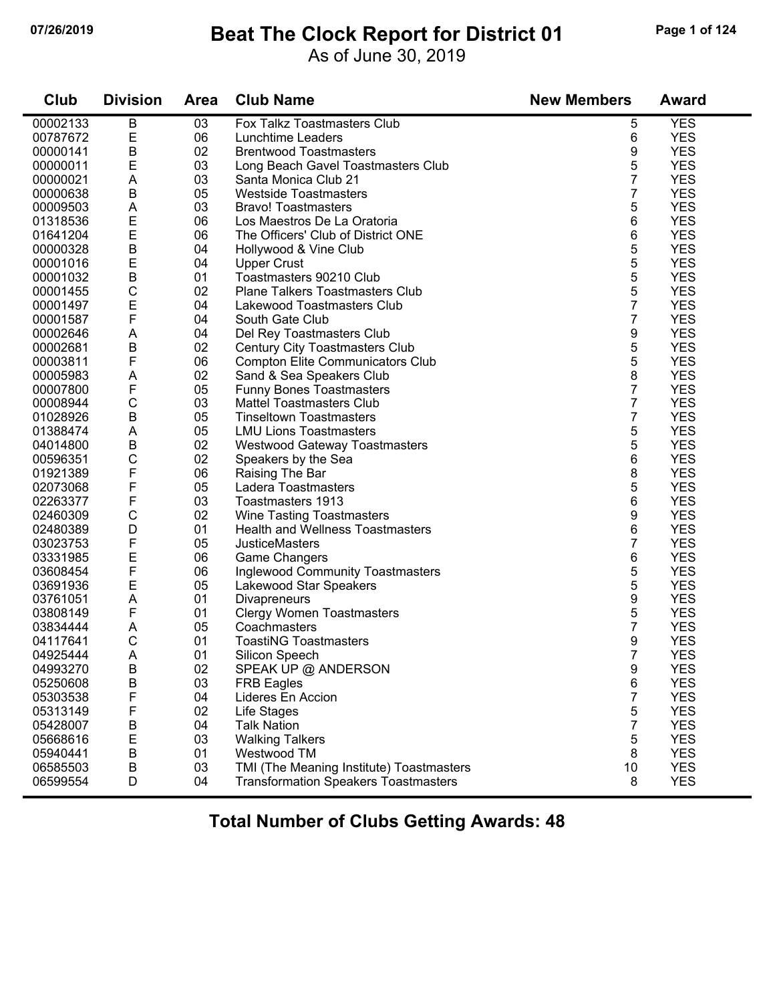#### **07/26/2019 Beat The Clock Report for District 01 Page 1 of 124**

As of June 30, 2019

| Club     | <b>Division</b> | <b>Area</b> | <b>Club Name</b>                            | <b>New Members</b> | <b>Award</b> |
|----------|-----------------|-------------|---------------------------------------------|--------------------|--------------|
| 00002133 | B               | 03          | Fox Talkz Toastmasters Club                 | 5                  | <b>YES</b>   |
| 00787672 | E               | 06          | Lunchtime Leaders                           | 6                  | <b>YES</b>   |
| 00000141 | $\sf B$         | 02          | <b>Brentwood Toastmasters</b>               | 9                  | <b>YES</b>   |
| 00000011 | E               | 03          | Long Beach Gavel Toastmasters Club          | 5                  | <b>YES</b>   |
| 00000021 | A               | 03          | Santa Monica Club 21                        | 7                  | <b>YES</b>   |
| 00000638 | $\mathsf B$     | 05          | <b>Westside Toastmasters</b>                | 7                  | <b>YES</b>   |
| 00009503 | A               | 03          | <b>Bravo! Toastmasters</b>                  | 5                  | <b>YES</b>   |
| 01318536 | E               | 06          | Los Maestros De La Oratoria                 | 6                  | <b>YES</b>   |
| 01641204 | E               | 06          | The Officers' Club of District ONE          | 6                  | <b>YES</b>   |
| 00000328 | $\sf B$         | 04          | Hollywood & Vine Club                       | 5                  | <b>YES</b>   |
| 00001016 | E               | 04          | <b>Upper Crust</b>                          | 5                  | <b>YES</b>   |
| 00001032 | B               | 01          | Toastmasters 90210 Club                     | 5                  | <b>YES</b>   |
| 00001455 | $\mathsf{C}$    | 02          | <b>Plane Talkers Toastmasters Club</b>      | 5                  | <b>YES</b>   |
| 00001497 | E               | 04          | Lakewood Toastmasters Club                  | 7                  | <b>YES</b>   |
| 00001587 | F               | 04          | South Gate Club                             | 7                  | <b>YES</b>   |
| 00002646 | A               | 04          | Del Rey Toastmasters Club                   | 9                  | <b>YES</b>   |
| 00002681 | B               | 02          | Century City Toastmasters Club              | 5                  | <b>YES</b>   |
| 00003811 | F               | 06          | <b>Compton Elite Communicators Club</b>     | 5                  | <b>YES</b>   |
| 00005983 | A               | 02          | Sand & Sea Speakers Club                    | 8                  | <b>YES</b>   |
| 00007800 | F               | 05          | <b>Funny Bones Toastmasters</b>             | 7                  | <b>YES</b>   |
| 00008944 | $\mathsf{C}$    | 03          | <b>Mattel Toastmasters Club</b>             | 7                  | <b>YES</b>   |
| 01028926 | $\mathsf B$     | 05          | <b>Tinseltown Toastmasters</b>              | 7                  | <b>YES</b>   |
| 01388474 | A               | 05          | <b>LMU Lions Toastmasters</b>               | 5                  | <b>YES</b>   |
| 04014800 | B               | 02          | <b>Westwood Gateway Toastmasters</b>        | 5                  | <b>YES</b>   |
| 00596351 | $\mathsf{C}$    | 02          | Speakers by the Sea                         | 6                  | <b>YES</b>   |
| 01921389 | F               | 06          | Raising The Bar                             | 8                  | <b>YES</b>   |
| 02073068 | F               | 05          | Ladera Toastmasters                         | 5                  | <b>YES</b>   |
| 02263377 | F               | 03          | Toastmasters 1913                           | 6                  | <b>YES</b>   |
| 02460309 | $\mathsf{C}$    | 02          | Wine Tasting Toastmasters                   | 9                  | <b>YES</b>   |
| 02480389 | D               | 01          | <b>Health and Wellness Toastmasters</b>     | 6                  | <b>YES</b>   |
| 03023753 | F               | 05          | <b>JusticeMasters</b>                       | 7                  | <b>YES</b>   |
| 03331985 | Ε               | 06          | <b>Game Changers</b>                        | 6                  | <b>YES</b>   |
| 03608454 | F               | 06          | <b>Inglewood Community Toastmasters</b>     | 5                  | <b>YES</b>   |
| 03691936 | E               | 05          | Lakewood Star Speakers                      | 5                  | <b>YES</b>   |
| 03761051 | A               | 01          | Divapreneurs                                | 9                  | <b>YES</b>   |
| 03808149 | F               | 01          | <b>Clergy Women Toastmasters</b>            | 5                  | <b>YES</b>   |
| 03834444 | A               | 05          | Coachmasters                                | 7                  | <b>YES</b>   |
| 04117641 | C               | 01          | <b>ToastiNG Toastmasters</b>                | 9                  | <b>YES</b>   |
| 04925444 | Α               | 01          | Silicon Speech                              | 7                  | <b>YES</b>   |
| 04993270 | B               | 02          | SPEAK UP @ ANDERSON                         | 9                  | <b>YES</b>   |
| 05250608 | B               | 03          | <b>FRB Eagles</b>                           | 6                  | <b>YES</b>   |
| 05303538 | F               | 04          | Lideres En Accion                           | 7                  | <b>YES</b>   |
| 05313149 | F               | 02          | Life Stages                                 | 5                  | <b>YES</b>   |
| 05428007 | B               | 04          | <b>Talk Nation</b>                          | 7                  | <b>YES</b>   |
| 05668616 | E               | 03          | <b>Walking Talkers</b>                      | 5                  | <b>YES</b>   |
| 05940441 | B               | 01          | Westwood TM                                 | 8                  | <b>YES</b>   |
| 06585503 | B               | 03          | TMI (The Meaning Institute) Toastmasters    | 10                 | <b>YES</b>   |
| 06599554 | D               | 04          | <b>Transformation Speakers Toastmasters</b> | 8                  | <b>YES</b>   |
|          |                 |             |                                             |                    |              |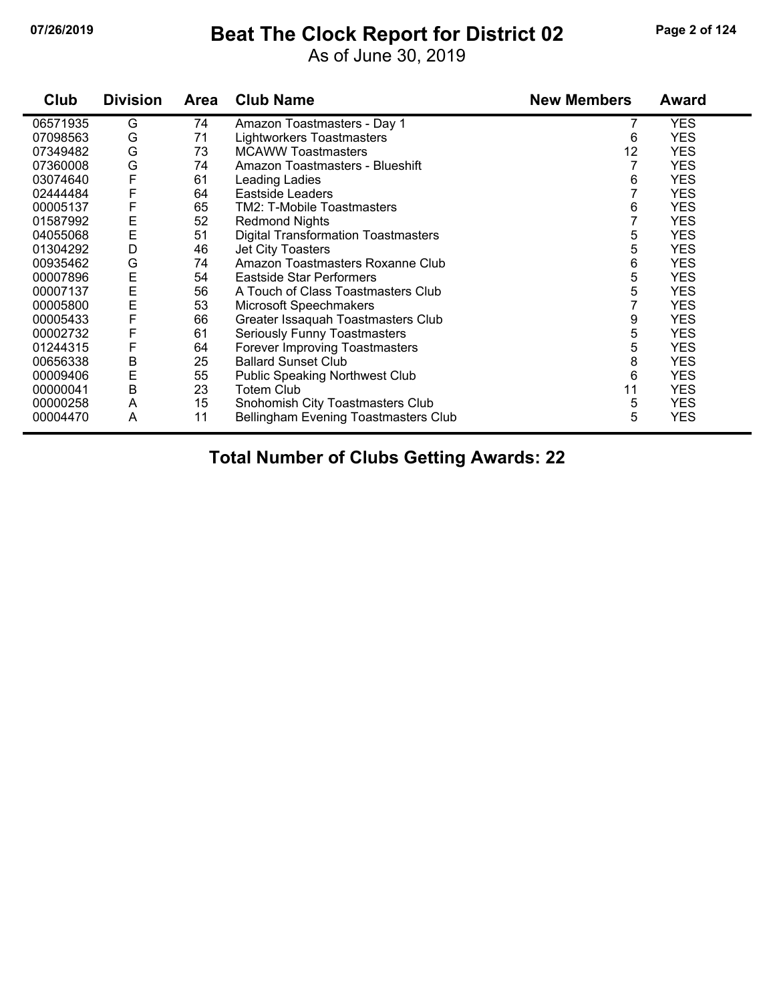#### **07/26/2019 Beat The Clock Report for District 02 Page 2 of 124**

As of June 30, 2019

| Club     | <b>Division</b> | <b>Area</b> | <b>Club Name</b>                           | <b>New Members</b> | <b>Award</b> |
|----------|-----------------|-------------|--------------------------------------------|--------------------|--------------|
| 06571935 | G               | 74          | Amazon Toastmasters - Day 1                |                    | <b>YES</b>   |
| 07098563 | G               | 71          | <b>Lightworkers Toastmasters</b>           | 6                  | <b>YES</b>   |
| 07349482 | G               | 73          | <b>MCAWW Toastmasters</b>                  | 12                 | <b>YES</b>   |
| 07360008 | G               | 74          | Amazon Toastmasters - Blueshift            | 7                  | <b>YES</b>   |
| 03074640 | F               | 61          | Leading Ladies                             | 6                  | <b>YES</b>   |
| 02444484 | F               | 64          | Eastside Leaders                           |                    | <b>YES</b>   |
| 00005137 | F               | 65          | TM2: T-Mobile Toastmasters                 | 6                  | <b>YES</b>   |
| 01587992 | E               | 52          | <b>Redmond Nights</b>                      |                    | <b>YES</b>   |
| 04055068 | E               | 51          | <b>Digital Transformation Toastmasters</b> | 5                  | <b>YES</b>   |
| 01304292 | D               | 46          | Jet City Toasters                          | 5                  | <b>YES</b>   |
| 00935462 | G               | 74          | Amazon Toastmasters Roxanne Club           | 6                  | <b>YES</b>   |
| 00007896 | E<br>E          | 54          | Eastside Star Performers                   | 5                  | <b>YES</b>   |
| 00007137 |                 | 56          | A Touch of Class Toastmasters Club         | 5                  | <b>YES</b>   |
| 00005800 | E               | 53          | Microsoft Speechmakers                     |                    | <b>YES</b>   |
| 00005433 | F               | 66          | Greater Issaquah Toastmasters Club         | 9                  | <b>YES</b>   |
| 00002732 | F               | 61          | Seriously Funny Toastmasters               | 5                  | <b>YES</b>   |
| 01244315 | F               | 64          | Forever Improving Toastmasters             | 5                  | <b>YES</b>   |
| 00656338 | B               | 25          | <b>Ballard Sunset Club</b>                 | 8                  | <b>YES</b>   |
| 00009406 | Ε               | 55          | <b>Public Speaking Northwest Club</b>      | 6                  | <b>YES</b>   |
| 00000041 | $\sf B$         | 23          | <b>Totem Club</b>                          | 11                 | <b>YES</b>   |
| 00000258 | A               | 15          | Snohomish City Toastmasters Club           | 5                  | <b>YES</b>   |
| 00004470 | Α               | 11          | Bellingham Evening Toastmasters Club       | 5                  | <b>YES</b>   |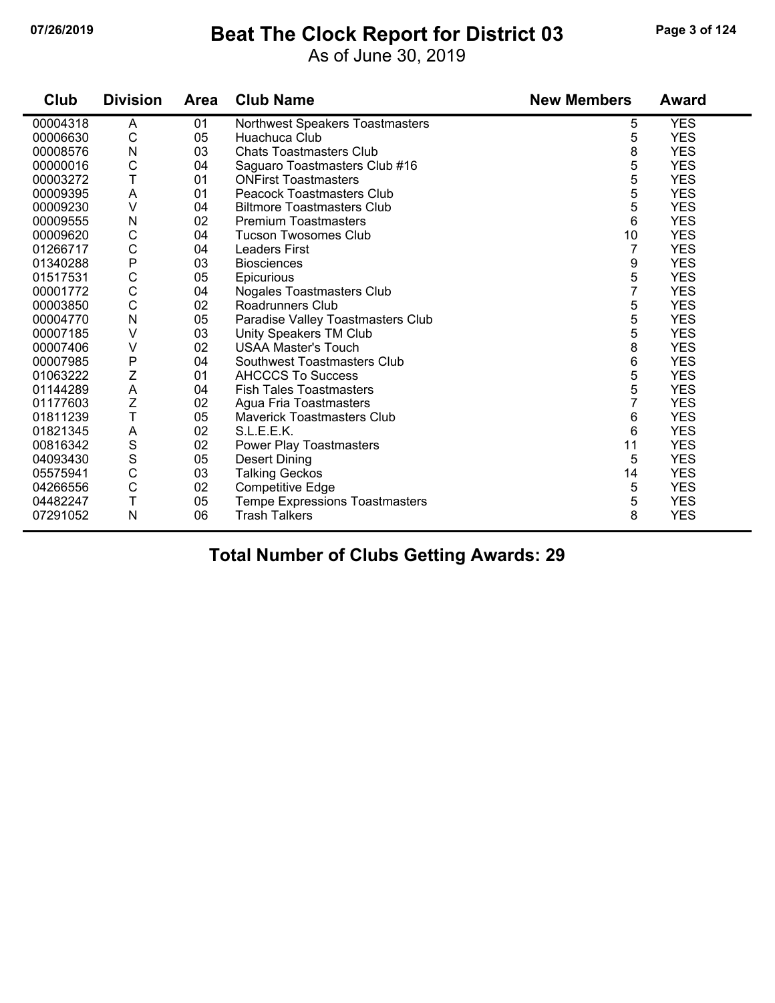#### **07/26/2019 Beat The Clock Report for District 03 Page 3 of 124**

As of June 30, 2019

| Club     | <b>Division</b> | <b>Area</b> | <b>Club Name</b>                      | <b>New Members</b> | <b>Award</b> |
|----------|-----------------|-------------|---------------------------------------|--------------------|--------------|
| 00004318 | A               | 01          | Northwest Speakers Toastmasters       | 5                  | <b>YES</b>   |
| 00006630 | $\mathsf{C}$    | 05          | Huachuca Club                         | 5                  | <b>YES</b>   |
| 00008576 | N               | 03          | <b>Chats Toastmasters Club</b>        | 8                  | <b>YES</b>   |
| 00000016 | $\mathsf C$     | 04          | Saguaro Toastmasters Club #16         | 5                  | <b>YES</b>   |
| 00003272 | T               | 01          | <b>ONFirst Toastmasters</b>           | 5                  | <b>YES</b>   |
| 00009395 | A               | 01          | <b>Peacock Toastmasters Club</b>      | 5                  | <b>YES</b>   |
| 00009230 | $\vee$          | 04          | <b>Biltmore Toastmasters Club</b>     | 5                  | <b>YES</b>   |
| 00009555 | N               | 02          | <b>Premium Toastmasters</b>           | 6                  | <b>YES</b>   |
| 00009620 | C               | 04          | <b>Tucson Twosomes Club</b>           | 10                 | <b>YES</b>   |
| 01266717 | $\mathsf C$     | 04          | <b>Leaders First</b>                  | 7                  | <b>YES</b>   |
| 01340288 | $\mathsf{P}$    | 03          | <b>Biosciences</b>                    | 9                  | <b>YES</b>   |
| 01517531 | $\mathsf C$     | 05          | Epicurious                            | 5                  | <b>YES</b>   |
| 00001772 | C               | 04          | Nogales Toastmasters Club             | 7                  | <b>YES</b>   |
| 00003850 | C               | 02          | Roadrunners Club                      | 5                  | <b>YES</b>   |
| 00004770 | N               | 05          | Paradise Valley Toastmasters Club     | 5                  | <b>YES</b>   |
| 00007185 | $\vee$          | 03          | Unity Speakers TM Club                | 5                  | <b>YES</b>   |
| 00007406 | V               | 02          | <b>USAA Master's Touch</b>            | 8                  | <b>YES</b>   |
| 00007985 | $\mathsf{P}$    | 04          | Southwest Toastmasters Club           | 6                  | <b>YES</b>   |
| 01063222 | Ζ               | 01          | <b>AHCCCS To Success</b>              | 5                  | <b>YES</b>   |
| 01144289 | $\mathsf A$     | 04          | <b>Fish Tales Toastmasters</b>        | 5                  | <b>YES</b>   |
| 01177603 | Z               | 02          | Agua Fria Toastmasters                | 7                  | <b>YES</b>   |
| 01811239 | T               | 05          | <b>Maverick Toastmasters Club</b>     | 6                  | <b>YES</b>   |
| 01821345 | A               | 02          | S.L.E.E.K.                            | 6                  | <b>YES</b>   |
| 00816342 | S               | 02          | <b>Power Play Toastmasters</b>        | 11                 | <b>YES</b>   |
| 04093430 | $\mathbf S$     | 05          | <b>Desert Dining</b>                  | 5                  | <b>YES</b>   |
| 05575941 | C               | 03          | <b>Talking Geckos</b>                 | 14                 | <b>YES</b>   |
| 04266556 | $\mathsf C$     | 02          | <b>Competitive Edge</b>               | 5                  | <b>YES</b>   |
| 04482247 | T               | 05          | <b>Tempe Expressions Toastmasters</b> | 5                  | <b>YES</b>   |
| 07291052 | $\mathsf{N}$    | 06          | <b>Trash Talkers</b>                  | 8                  | <b>YES</b>   |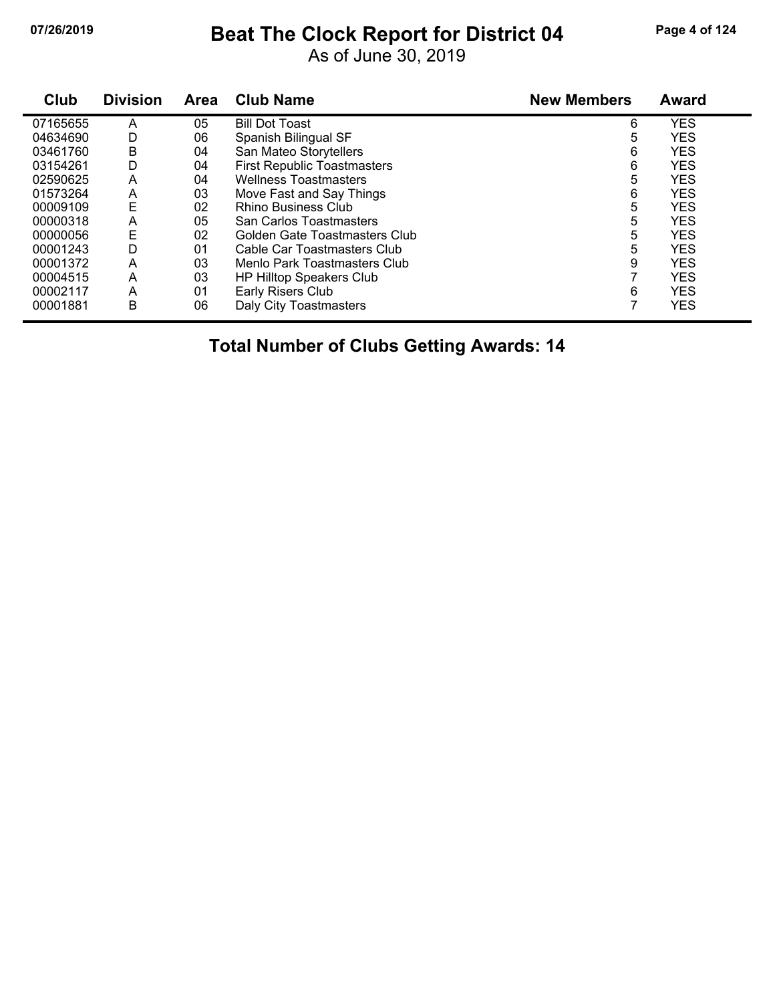### **07/26/2019 Beat The Clock Report for District 04 Page 4 of 124**

As of June 30, 2019

| Club     | <b>Division</b> | Area | <b>Club Name</b>                   | <b>New Members</b> | <b>Award</b> |
|----------|-----------------|------|------------------------------------|--------------------|--------------|
| 07165655 | А               | 05   | <b>Bill Dot Toast</b>              | 6                  | <b>YES</b>   |
| 04634690 | D               | 06   | Spanish Bilingual SF               | 5                  | <b>YES</b>   |
| 03461760 | B               | 04   | San Mateo Storytellers             | 6                  | <b>YES</b>   |
| 03154261 | D               | 04   | <b>First Republic Toastmasters</b> | 6                  | <b>YES</b>   |
| 02590625 | Α               | 04   | <b>Wellness Toastmasters</b>       | 5                  | <b>YES</b>   |
| 01573264 | Α               | 03   | Move Fast and Say Things           | 6                  | <b>YES</b>   |
| 00009109 | Ε               | 02   | <b>Rhino Business Club</b>         | 5                  | <b>YES</b>   |
| 00000318 | A               | 05   | San Carlos Toastmasters            | 5                  | <b>YES</b>   |
| 00000056 | E               | 02   | Golden Gate Toastmasters Club      | 5                  | <b>YES</b>   |
| 00001243 | D               | 01   | Cable Car Toastmasters Club        | 5                  | <b>YES</b>   |
| 00001372 | Α               | 03   | Menlo Park Toastmasters Club       | 9                  | <b>YES</b>   |
| 00004515 | Α               | 03   | <b>HP Hilltop Speakers Club</b>    |                    | <b>YES</b>   |
| 00002117 | A               | 01   | Early Risers Club                  | 6                  | <b>YES</b>   |
| 00001881 | B               | 06   | Daly City Toastmasters             |                    | <b>YES</b>   |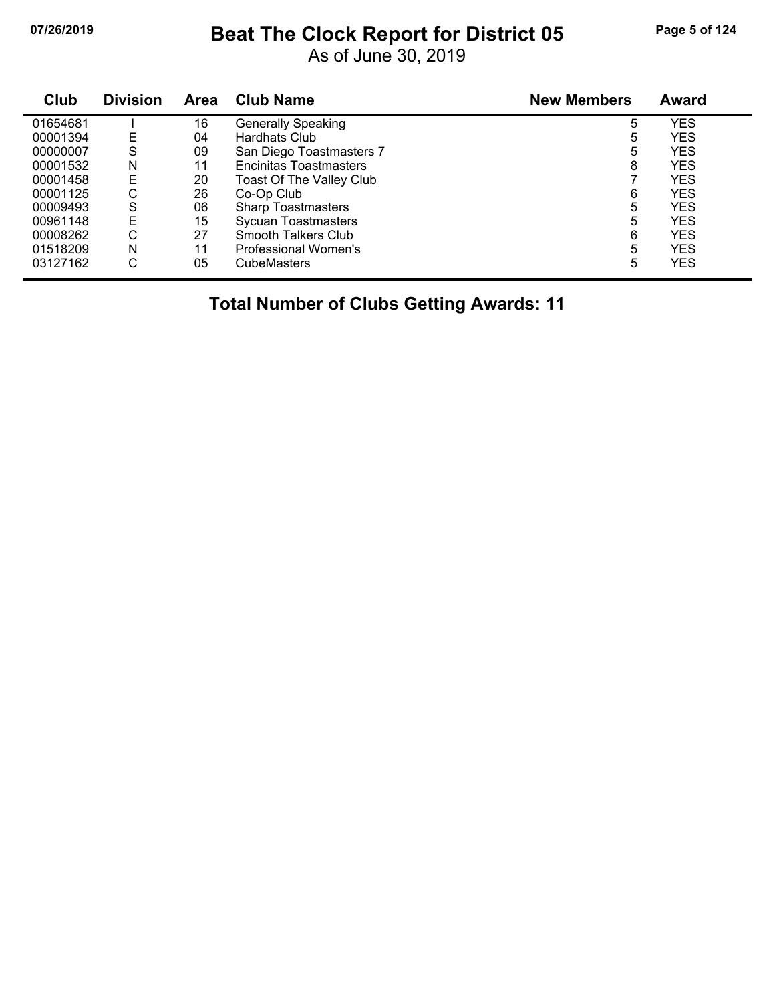# **07/26/2019 Beat The Clock Report for District 05 Page 5 of 124**

As of June 30, 2019

| Club     | <b>Division</b> | <b>Area</b> | <b>Club Name</b>              | <b>New Members</b> | Award      |
|----------|-----------------|-------------|-------------------------------|--------------------|------------|
| 01654681 |                 | 16          | <b>Generally Speaking</b>     | 5                  | <b>YES</b> |
| 00001394 | E               | 04          | Hardhats Club                 | 5                  | <b>YES</b> |
| 00000007 | S               | 09          | San Diego Toastmasters 7      | 5                  | YES        |
| 00001532 | N               | 11          | <b>Encinitas Toastmasters</b> | 8                  | YES        |
| 00001458 | E               | 20          | Toast Of The Valley Club      |                    | YES        |
| 00001125 | С               | 26          | Co-Op Club                    | 6                  | YES        |
| 00009493 | S               | 06          | <b>Sharp Toastmasters</b>     | 5                  | <b>YES</b> |
| 00961148 | E               | 15          | <b>Sycuan Toastmasters</b>    | 5                  | <b>YES</b> |
| 00008262 | С               | 27          | Smooth Talkers Club           | 6                  | YES        |
| 01518209 | N               | 11          | Professional Women's          | 5                  | <b>YES</b> |
| 03127162 | С               | 05          | <b>CubeMasters</b>            | 5                  | <b>YES</b> |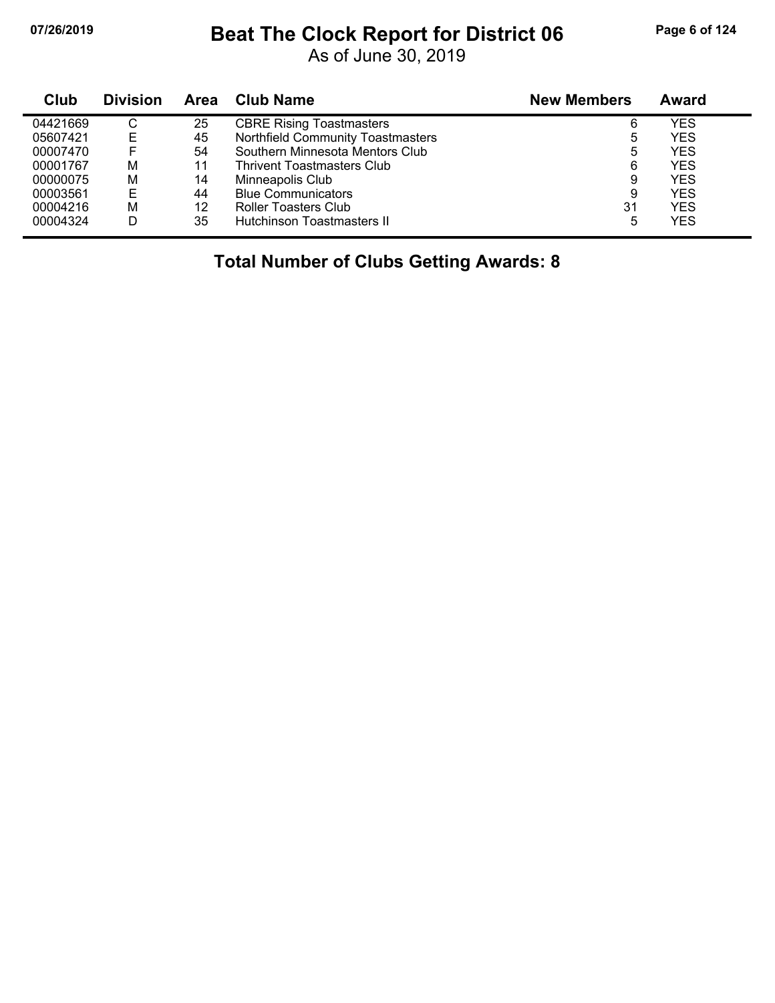# **07/26/2019 Beat The Clock Report for District 06 Page 6 of 124**

As of June 30, 2019

| <b>Club</b> | <b>Division</b> | <b>Area</b> | Club Name                         | <b>New Members</b> | Award      |
|-------------|-----------------|-------------|-----------------------------------|--------------------|------------|
| 04421669    | C               | 25          | <b>CBRE Rising Toastmasters</b>   | 6                  | YES        |
| 05607421    | E               | 45          | Northfield Community Toastmasters | 5                  | <b>YES</b> |
| 00007470    |                 | 54          | Southern Minnesota Mentors Club   | 5                  | <b>YES</b> |
| 00001767    | M               | 11          | <b>Thrivent Toastmasters Club</b> | 6                  | <b>YES</b> |
| 00000075    | M               | 14          | Minneapolis Club                  | 9                  | <b>YES</b> |
| 00003561    | Е               | 44          | <b>Blue Communicators</b>         | 9                  | <b>YES</b> |
| 00004216    | M               | 12          | Roller Toasters Club              | 31                 | <b>YES</b> |
| 00004324    | D               | 35          | <b>Hutchinson Toastmasters II</b> | 5                  | <b>YES</b> |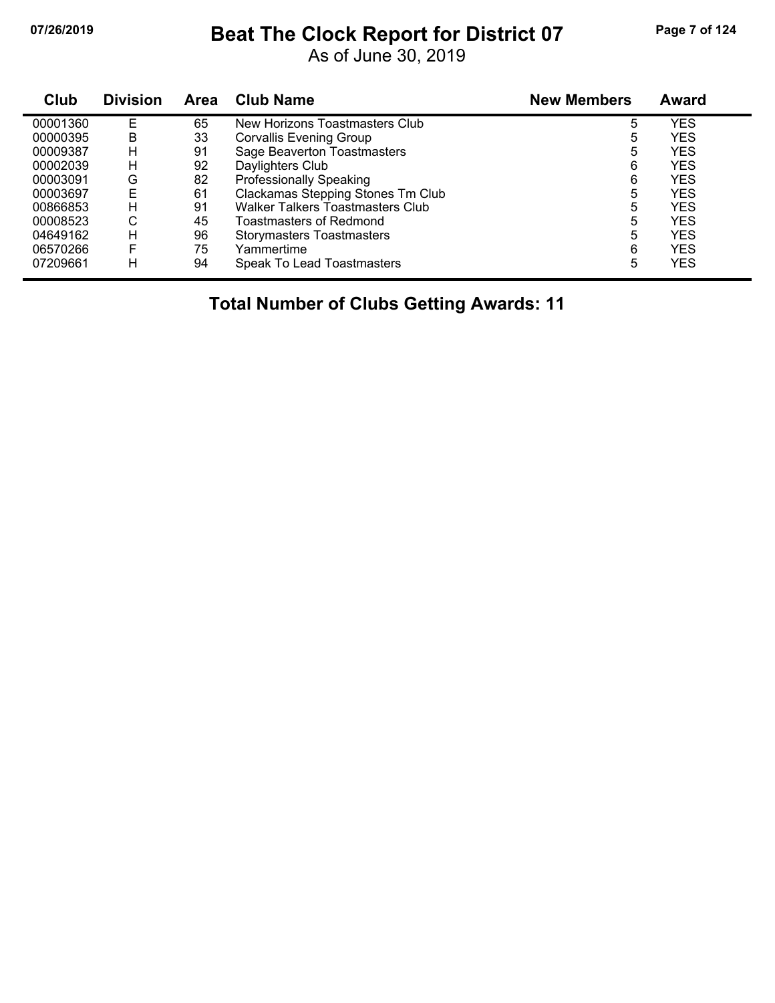## **07/26/2019 Beat The Clock Report for District 07 Page 7 of 124**

As of June 30, 2019

| Club     | <b>Division</b> | Area | <b>Club Name</b>                        | <b>New Members</b> | <b>Award</b> |  |
|----------|-----------------|------|-----------------------------------------|--------------------|--------------|--|
| 00001360 | E               | 65   | New Horizons Toastmasters Club          | 5                  | YES          |  |
| 00000395 | B               | 33   | <b>Corvallis Evening Group</b>          | 5                  | <b>YES</b>   |  |
| 00009387 | н               | 91   | Sage Beaverton Toastmasters             | 5                  | <b>YES</b>   |  |
| 00002039 | н               | 92   | Daylighters Club                        | 6                  | <b>YES</b>   |  |
| 00003091 | G               | 82   | <b>Professionally Speaking</b>          | 6                  | <b>YES</b>   |  |
| 00003697 | E               | 61   | Clackamas Stepping Stones Tm Club       | 5                  | <b>YES</b>   |  |
| 00866853 | н               | 91   | <b>Walker Talkers Toastmasters Club</b> | 5                  | <b>YES</b>   |  |
| 00008523 | С               | 45   | <b>Toastmasters of Redmond</b>          | 5                  | <b>YES</b>   |  |
| 04649162 | H               | 96   | <b>Storymasters Toastmasters</b>        | 5                  | <b>YES</b>   |  |
| 06570266 | F               | 75   | Yammertime                              | 6                  | <b>YES</b>   |  |
| 07209661 | н               | 94   | Speak To Lead Toastmasters              | 5                  | <b>YES</b>   |  |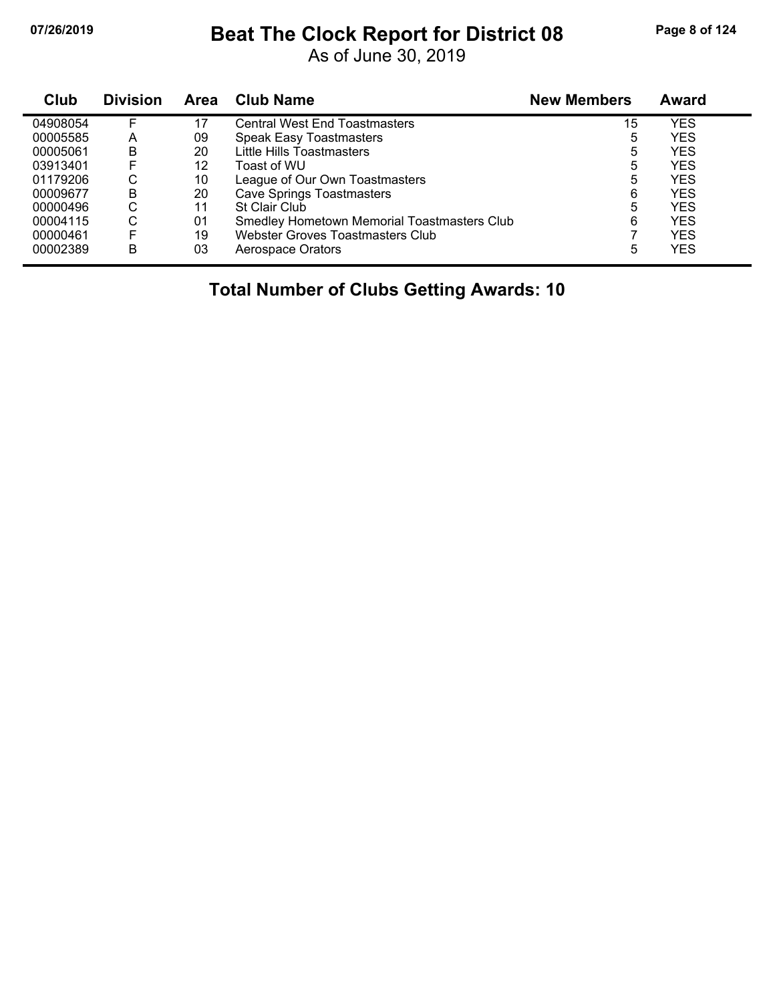## **07/26/2019 Beat The Clock Report for District 08 Page 8 of 124**

As of June 30, 2019

| Club     | <b>Division</b> | Area | <b>Club Name</b>                            | <b>New Members</b> | <b>Award</b> |
|----------|-----------------|------|---------------------------------------------|--------------------|--------------|
| 04908054 | F.              | 17   | <b>Central West End Toastmasters</b>        | 15                 | <b>YES</b>   |
| 00005585 | A               | 09   | <b>Speak Easy Toastmasters</b>              | 5                  | <b>YES</b>   |
| 00005061 | B               | 20   | Little Hills Toastmasters                   | 5                  | <b>YES</b>   |
| 03913401 | F               | 12   | Toast of WU                                 | 5                  | <b>YES</b>   |
| 01179206 | С               | 10   | League of Our Own Toastmasters              | 5                  | <b>YES</b>   |
| 00009677 | B               | 20   | <b>Cave Springs Toastmasters</b>            | 6                  | <b>YES</b>   |
| 00000496 | C               | 11   | <b>St Clair Club</b>                        | 5                  | <b>YES</b>   |
| 00004115 | C               | 01   | Smedley Hometown Memorial Toastmasters Club | 6                  | <b>YES</b>   |
| 00000461 | F               | 19   | Webster Groves Toastmasters Club            |                    | <b>YES</b>   |
| 00002389 | B               | 03   | Aerospace Orators                           | 5                  | <b>YES</b>   |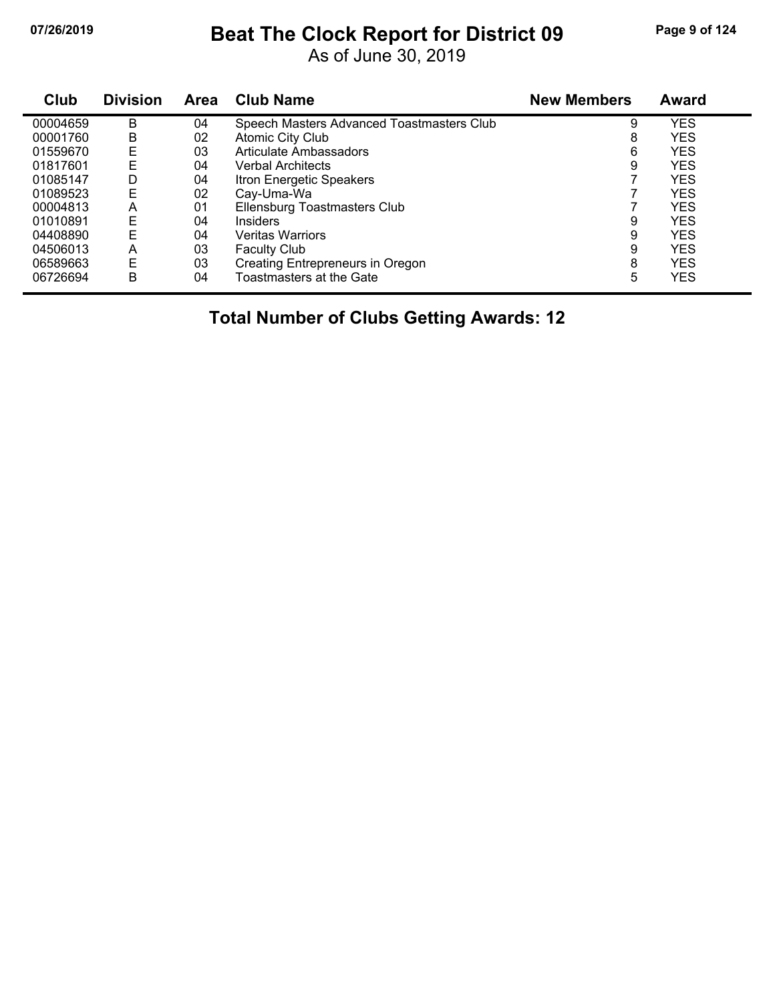# **07/26/2019 Beat The Clock Report for District 09 Page 9 of 124**

As of June 30, 2019

| Club     | <b>Division</b> | Area | <b>Club Name</b>                          | <b>New Members</b> | Award      |
|----------|-----------------|------|-------------------------------------------|--------------------|------------|
| 00004659 | B               | 04   | Speech Masters Advanced Toastmasters Club | 9                  | <b>YES</b> |
| 00001760 | В               | 02   | Atomic City Club                          | 8                  | <b>YES</b> |
| 01559670 | Ε               | 03   | Articulate Ambassadors                    | 6                  | <b>YES</b> |
| 01817601 | E               | 04   | <b>Verbal Architects</b>                  | 9                  | <b>YES</b> |
| 01085147 | D               | 04   | Itron Energetic Speakers                  |                    | <b>YES</b> |
| 01089523 | E               | 02   | Cay-Uma-Wa                                |                    | <b>YES</b> |
| 00004813 | A               | 01   | Ellensburg Toastmasters Club              |                    | <b>YES</b> |
| 01010891 | E               | 04   | <b>Insiders</b>                           | 9                  | <b>YES</b> |
| 04408890 | E               | 04   | <b>Veritas Warriors</b>                   | 9                  | <b>YES</b> |
| 04506013 | A               | 03   | <b>Faculty Club</b>                       | 9                  | <b>YES</b> |
| 06589663 | Ε               | 03   | Creating Entrepreneurs in Oregon          | 8                  | <b>YES</b> |
| 06726694 | B               | 04   | Toastmasters at the Gate                  | 5                  | YES        |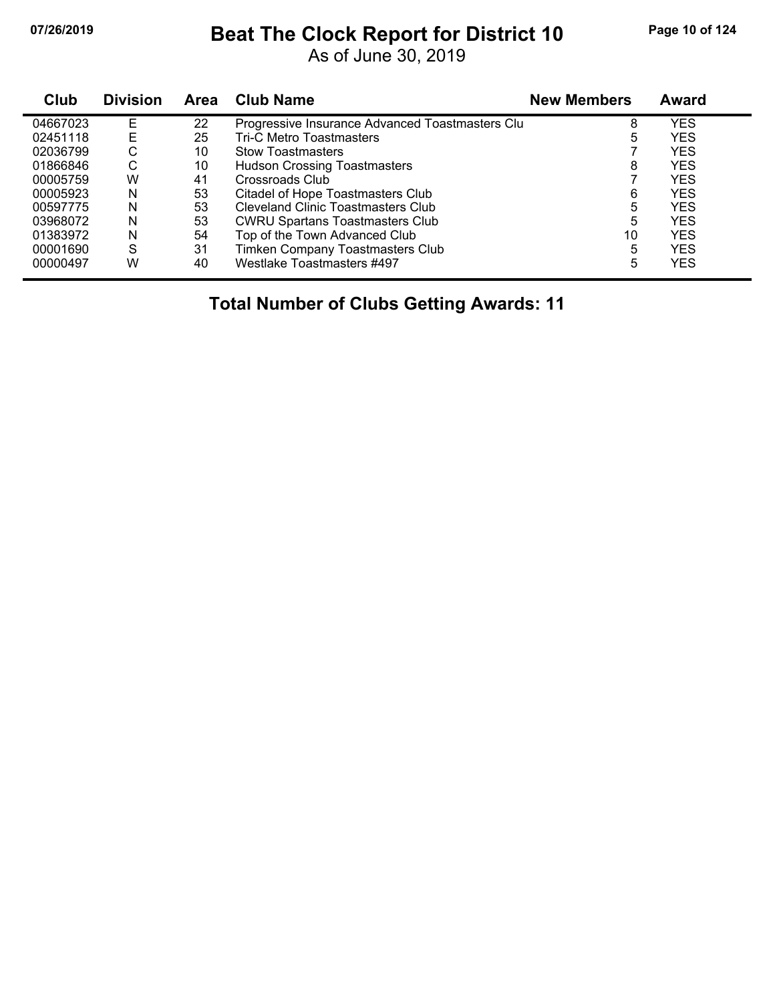### **07/26/2019 Beat The Clock Report for District 10 Page 10 of 124**

As of June 30, 2019

| Club     | <b>Division</b> | Area | <b>Club Name</b>                                | <b>New Members</b> | <b>Award</b> |
|----------|-----------------|------|-------------------------------------------------|--------------------|--------------|
| 04667023 | E               | 22   | Progressive Insurance Advanced Toastmasters Clu | 8                  | YES          |
| 02451118 | E               | 25   | <b>Tri-C Metro Toastmasters</b>                 | 5                  | <b>YES</b>   |
| 02036799 | С               | 10   | <b>Stow Toastmasters</b>                        |                    | <b>YES</b>   |
| 01866846 | С               | 10   | <b>Hudson Crossing Toastmasters</b>             | 8                  | <b>YES</b>   |
| 00005759 | W               | 41   | Crossroads Club                                 |                    | <b>YES</b>   |
| 00005923 | N               | 53   | Citadel of Hope Toastmasters Club               | 6                  | <b>YES</b>   |
| 00597775 | N               | 53   | <b>Cleveland Clinic Toastmasters Club</b>       | 5                  | <b>YES</b>   |
| 03968072 | N               | 53   | <b>CWRU Spartans Toastmasters Club</b>          | 5                  | <b>YES</b>   |
| 01383972 | N               | 54   | Top of the Town Advanced Club                   | 10                 | <b>YES</b>   |
| 00001690 | S               | 31   | Timken Company Toastmasters Club                | 5                  | <b>YES</b>   |
| 00000497 | W               | 40   | Westlake Toastmasters #497                      | 5                  | YES          |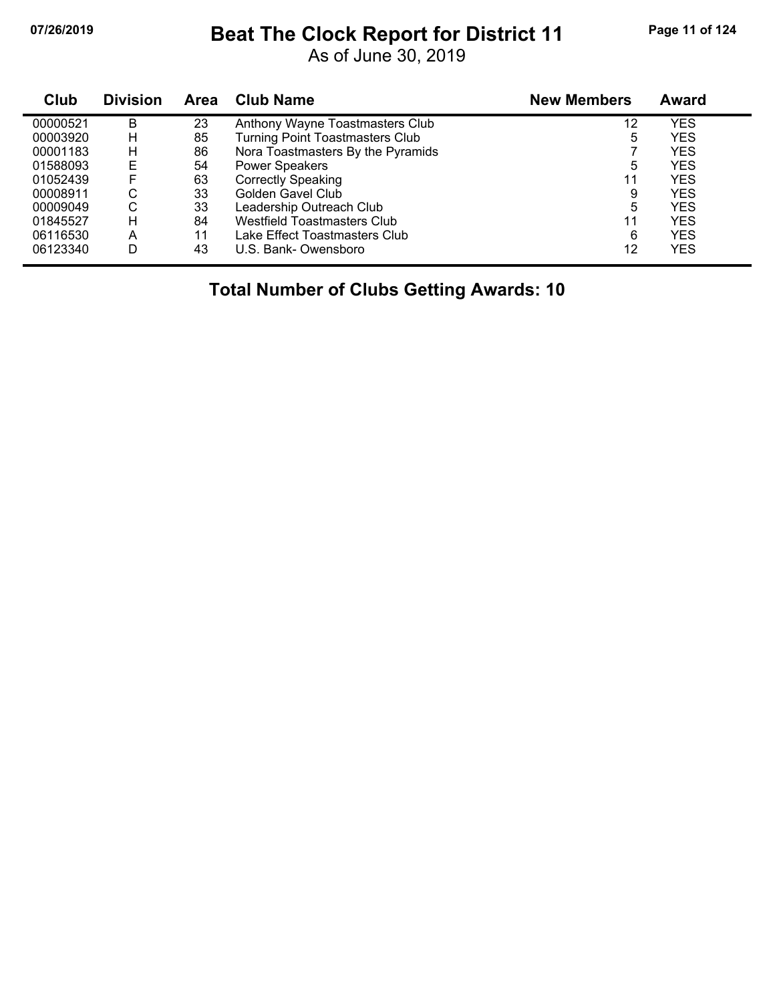### **07/26/2019 Beat The Clock Report for District 11 Page 11 of 124**

As of June 30, 2019

| Club     | <b>Division</b> | Area | <b>Club Name</b>                       | <b>New Members</b> | Award |  |
|----------|-----------------|------|----------------------------------------|--------------------|-------|--|
| 00000521 | B               | 23   | Anthony Wayne Toastmasters Club        | 12                 | YES   |  |
| 00003920 | н               | 85   | <b>Turning Point Toastmasters Club</b> | 5                  | YES   |  |
| 00001183 | н               | 86   | Nora Toastmasters By the Pyramids      |                    | YES   |  |
| 01588093 | E               | 54   | <b>Power Speakers</b>                  | 5                  | YES   |  |
| 01052439 | F               | 63   | <b>Correctly Speaking</b>              | 11                 | YES   |  |
| 00008911 | С               | 33   | Golden Gavel Club                      | 9                  | YES   |  |
| 00009049 | С               | 33   | Leadership Outreach Club               | 5                  | YES   |  |
| 01845527 | н               | 84   | Westfield Toastmasters Club            | 11                 | YES   |  |
| 06116530 | A               | 11   | Lake Effect Toastmasters Club          | 6                  | YES   |  |
| 06123340 | D               | 43   | U.S. Bank-Owensboro                    | 12                 | YES   |  |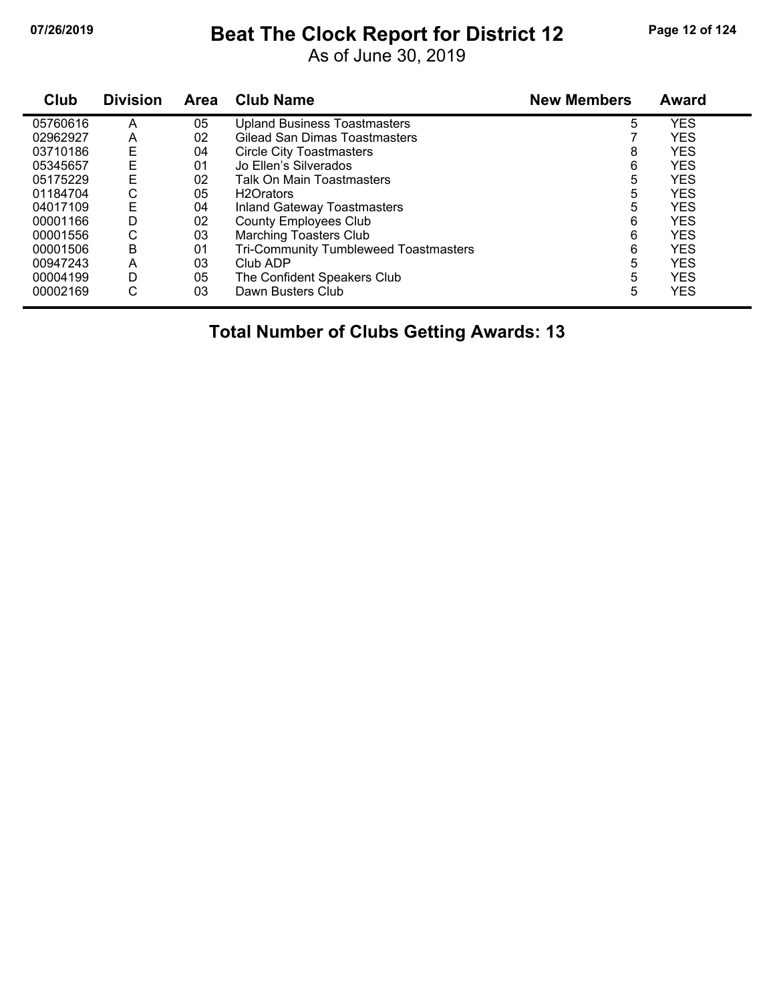## **07/26/2019 Beat The Clock Report for District 12 Page 12 of 124**

As of June 30, 2019

| Club     | <b>Division</b> | Area | <b>Club Name</b>                      | <b>New Members</b> | <b>Award</b> |
|----------|-----------------|------|---------------------------------------|--------------------|--------------|
| 05760616 | А               | 05   | <b>Upland Business Toastmasters</b>   | 5                  | <b>YES</b>   |
| 02962927 | A               | 02   | Gilead San Dimas Toastmasters         |                    | <b>YES</b>   |
| 03710186 | E               | 04   | <b>Circle City Toastmasters</b>       | 8                  | <b>YES</b>   |
| 05345657 | Ε               | 01   | Jo Ellen's Silverados                 | 6                  | <b>YES</b>   |
| 05175229 | E               | 02   | Talk On Main Toastmasters             | 5                  | <b>YES</b>   |
| 01184704 | С               | 05   | H <sub>2</sub> Orators                | 5                  | <b>YES</b>   |
| 04017109 | E               | 04   | <b>Inland Gateway Toastmasters</b>    | 5                  | <b>YES</b>   |
| 00001166 | D               | 02   | <b>County Employees Club</b>          | 6                  | <b>YES</b>   |
| 00001556 | С               | 03   | <b>Marching Toasters Club</b>         | 6                  | <b>YES</b>   |
| 00001506 | B               | 01   | Tri-Community Tumbleweed Toastmasters | 6                  | <b>YES</b>   |
| 00947243 | А               | 03   | Club ADP                              | 5                  | <b>YES</b>   |
| 00004199 | D               | 05   | The Confident Speakers Club           | 5                  | <b>YES</b>   |
| 00002169 | С               | 03   | Dawn Busters Club                     | 5                  | <b>YES</b>   |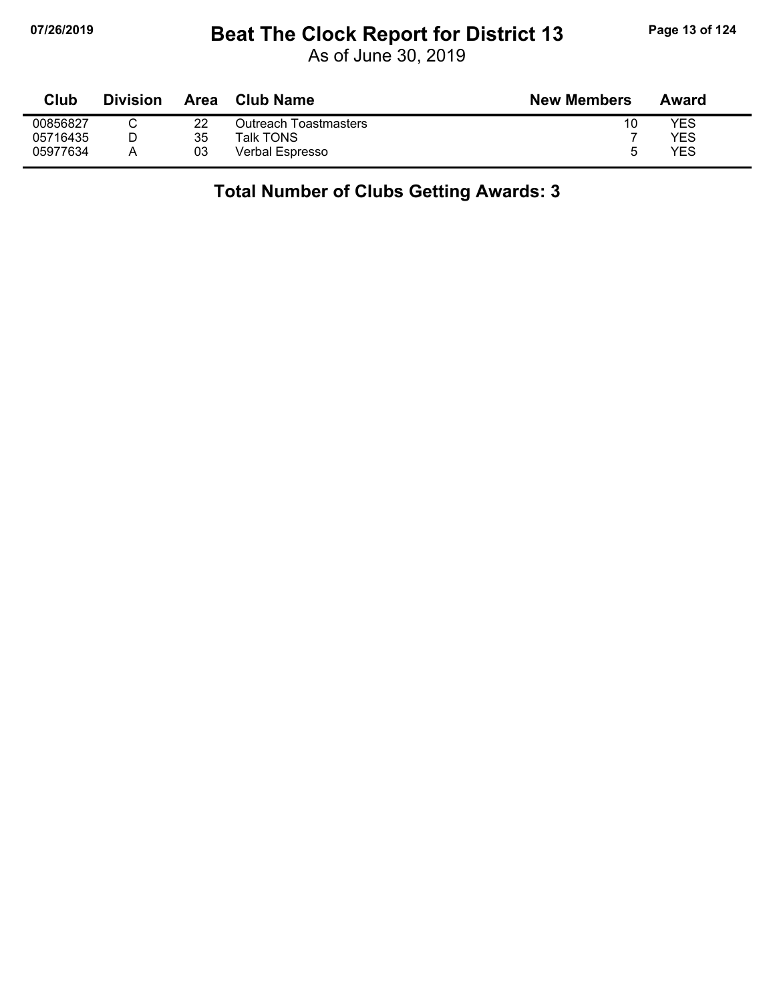## **07/26/2019 Beat The Clock Report for District 13 Page 13 of 124**

As of June 30, 2019

| Club     | <b>Division</b> | <b>Area</b> | <b>Club Name</b>      | <b>New Members</b> | Award |
|----------|-----------------|-------------|-----------------------|--------------------|-------|
| 00856827 |                 | 22          | Outreach Toastmasters | 10                 | YES   |
| 05716435 |                 | 35          | Talk TONS             |                    | YES   |
| 05977634 |                 | 03          | Verbal Espresso       | h                  | YES   |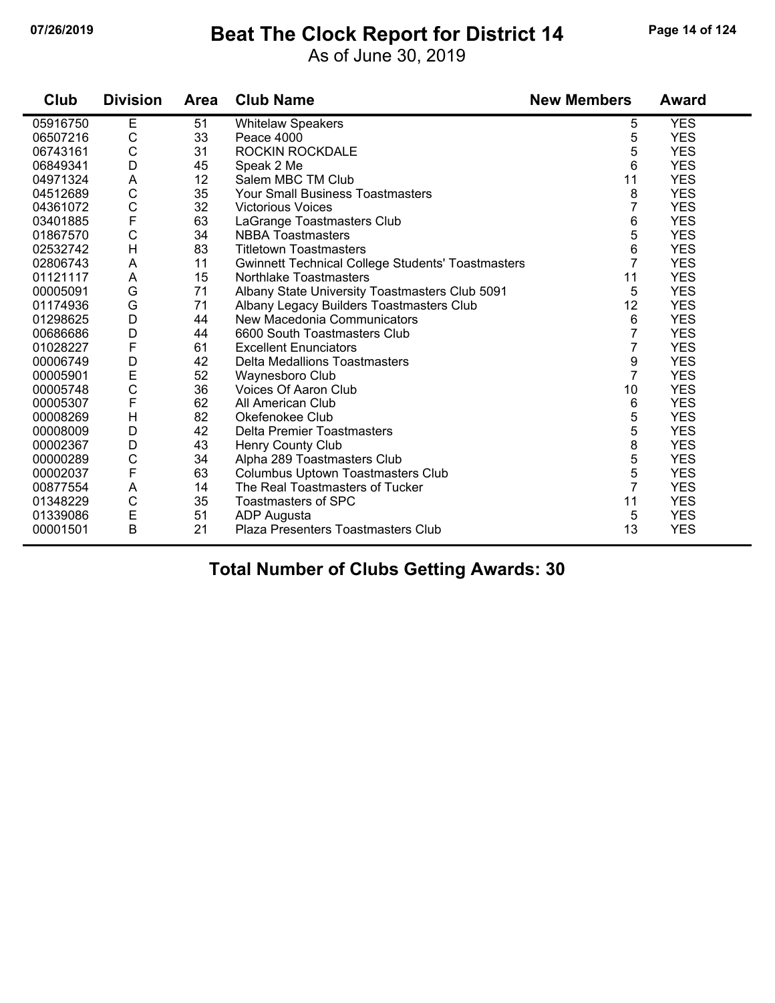### **07/26/2019 Beat The Clock Report for District 14 Page 14 of 124**

As of June 30, 2019

| Club     | <b>Division</b> | <b>Area</b> | <b>Club Name</b>                                         | <b>New Members</b> | <b>Award</b> |
|----------|-----------------|-------------|----------------------------------------------------------|--------------------|--------------|
| 05916750 | Е               | 51          | <b>Whitelaw Speakers</b>                                 | 5                  | <b>YES</b>   |
| 06507216 | $\mathsf C$     | 33          | Peace 4000                                               | 5                  | <b>YES</b>   |
| 06743161 | $\mathsf C$     | 31          | <b>ROCKIN ROCKDALE</b>                                   | 5                  | <b>YES</b>   |
| 06849341 | D               | 45          | Speak 2 Me                                               | 6                  | <b>YES</b>   |
| 04971324 | A               | 12          | Salem MBC TM Club                                        | 11                 | <b>YES</b>   |
| 04512689 | $\mathsf C$     | 35          | <b>Your Small Business Toastmasters</b>                  | 8                  | <b>YES</b>   |
| 04361072 | $\mathsf{C}$    | 32          | <b>Victorious Voices</b>                                 | 7                  | <b>YES</b>   |
| 03401885 | $\mathsf F$     | 63          | LaGrange Toastmasters Club                               | 6                  | <b>YES</b>   |
| 01867570 | $\mathsf C$     | 34          | <b>NBBA Toastmasters</b>                                 | 5                  | <b>YES</b>   |
| 02532742 | $\overline{H}$  | 83          | <b>Titletown Toastmasters</b>                            | 6                  | <b>YES</b>   |
| 02806743 | A               | 11          | <b>Gwinnett Technical College Students' Toastmasters</b> | $\overline{7}$     | <b>YES</b>   |
| 01121117 | A               | 15          | Northlake Toastmasters                                   | 11                 | <b>YES</b>   |
| 00005091 | G               | 71          | Albany State University Toastmasters Club 5091           | 5                  | <b>YES</b>   |
| 01174936 | G               | 71          | Albany Legacy Builders Toastmasters Club                 | 12                 | <b>YES</b>   |
| 01298625 | D               | 44          | New Macedonia Communicators                              | 6                  | <b>YES</b>   |
| 00686686 | D               | 44          | 6600 South Toastmasters Club                             | 7                  | <b>YES</b>   |
| 01028227 | $\mathsf{F}$    | 61          | <b>Excellent Enunciators</b>                             | 7                  | <b>YES</b>   |
| 00006749 | D               | 42          | Delta Medallions Toastmasters                            | 9                  | <b>YES</b>   |
| 00005901 | E               | 52          | Waynesboro Club                                          | $\overline{7}$     | <b>YES</b>   |
| 00005748 | $\mathsf{C}$    | 36          | Voices Of Aaron Club                                     | 10                 | <b>YES</b>   |
| 00005307 | F               | 62          | All American Club                                        | 6                  | <b>YES</b>   |
| 00008269 | H               | 82          | Okefenokee Club                                          | 5                  | <b>YES</b>   |
| 00008009 | D               | 42          | <b>Delta Premier Toastmasters</b>                        | 5                  | <b>YES</b>   |
| 00002367 | D               | 43          | Henry County Club                                        | 8                  | <b>YES</b>   |
| 00000289 | $\mathsf C$     | 34          | Alpha 289 Toastmasters Club                              | 5                  | <b>YES</b>   |
| 00002037 | $\mathsf F$     | 63          | Columbus Uptown Toastmasters Club                        | 5                  | <b>YES</b>   |
| 00877554 | A               | 14          | The Real Toastmasters of Tucker                          | $\overline{7}$     | <b>YES</b>   |
| 01348229 | $\mathsf{C}$    | 35          | Toastmasters of SPC                                      | 11                 | <b>YES</b>   |
| 01339086 | E               | 51          | ADP Augusta                                              | 5                  | <b>YES</b>   |
| 00001501 | B               | 21          | Plaza Presenters Toastmasters Club                       | 13                 | <b>YES</b>   |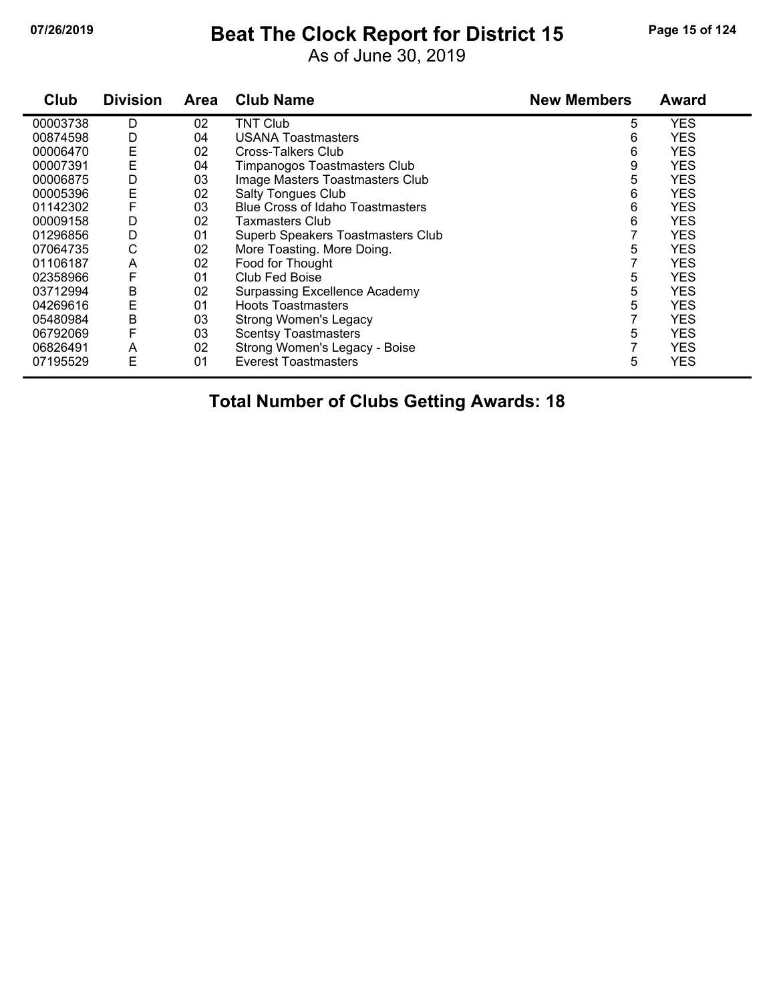#### **07/26/2019 Beat The Clock Report for District 15 Page 15 of 124**

As of June 30, 2019

| Club     | <b>Division</b> | <b>Area</b> | <b>Club Name</b>                        | <b>New Members</b> | Award      |
|----------|-----------------|-------------|-----------------------------------------|--------------------|------------|
| 00003738 | D               | 02          | <b>TNT Club</b>                         | 5                  | YES        |
| 00874598 | D               | 04          | USANA Toastmasters                      | 6                  | <b>YES</b> |
| 00006470 | Ε               | 02          | Cross-Talkers Club                      | 6                  | <b>YES</b> |
| 00007391 | Ε               | 04          | Timpanogos Toastmasters Club            | 9                  | <b>YES</b> |
| 00006875 | D               | 03          | Image Masters Toastmasters Club         | 5                  | <b>YES</b> |
| 00005396 | E               | 02          | <b>Salty Tongues Club</b>               | 6                  | <b>YES</b> |
| 01142302 | F               | 03          | <b>Blue Cross of Idaho Toastmasters</b> | 6                  | <b>YES</b> |
| 00009158 | D               | 02          | Taxmasters Club                         | 6                  | <b>YES</b> |
| 01296856 | D               | 01          | Superb Speakers Toastmasters Club       |                    | <b>YES</b> |
| 07064735 | С               | 02          | More Toasting. More Doing.              | 5                  | <b>YES</b> |
| 01106187 | A               | 02          | Food for Thought                        |                    | <b>YES</b> |
| 02358966 | F               | 01          | Club Fed Boise                          | 5                  | <b>YES</b> |
| 03712994 | B               | 02          | <b>Surpassing Excellence Academy</b>    | 5                  | <b>YES</b> |
| 04269616 | Ε               | 01          | <b>Hoots Toastmasters</b>               | 5                  | <b>YES</b> |
| 05480984 | В               | 03          | Strong Women's Legacy                   |                    | <b>YES</b> |
| 06792069 | F               | 03          | <b>Scentsy Toastmasters</b>             | 5                  | <b>YES</b> |
| 06826491 | A               | 02          | Strong Women's Legacy - Boise           |                    | <b>YES</b> |
| 07195529 | Ε               | 01          | <b>Everest Toastmasters</b>             | 5                  | <b>YES</b> |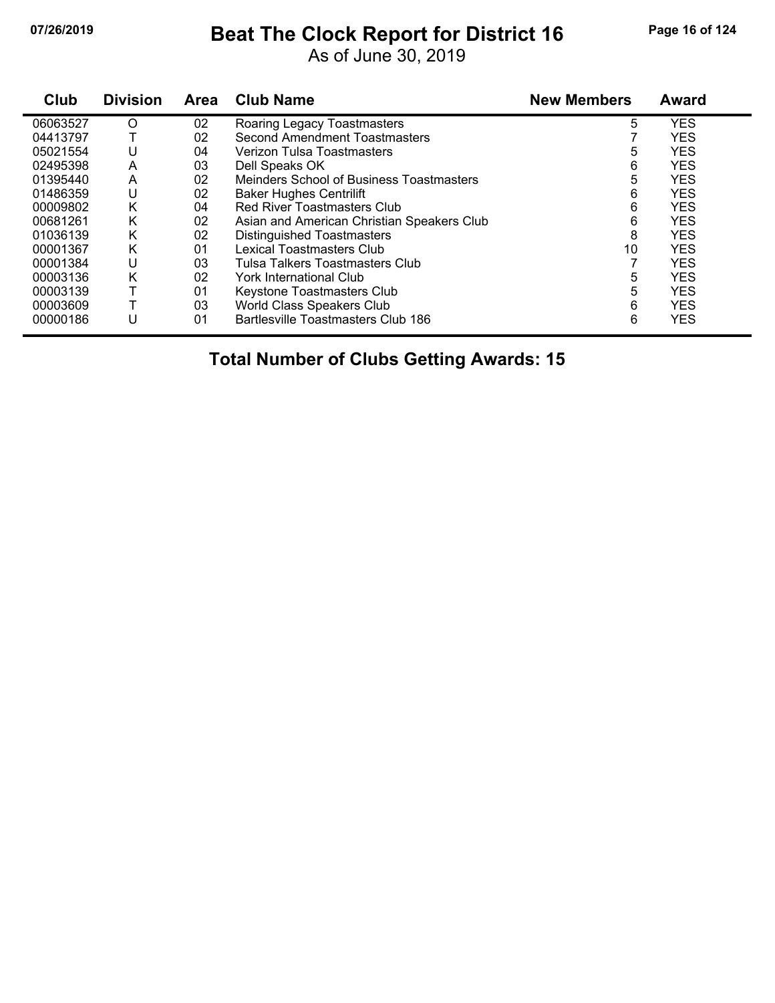# **07/26/2019 Beat The Clock Report for District 16 Page 16 of 124**

As of June 30, 2019

| Club     | <b>Division</b> | <b>Area</b> | <b>Club Name</b>                           | <b>New Members</b> | <b>Award</b> |
|----------|-----------------|-------------|--------------------------------------------|--------------------|--------------|
| 06063527 | O               | 02          | Roaring Legacy Toastmasters                | 5                  | <b>YES</b>   |
| 04413797 |                 | 02          | Second Amendment Toastmasters              |                    | <b>YES</b>   |
| 05021554 | U               | 04          | Verizon Tulsa Toastmasters                 | 5                  | <b>YES</b>   |
| 02495398 | A               | 03          | Dell Speaks OK                             | 6                  | <b>YES</b>   |
| 01395440 | A               | 02          | Meinders School of Business Toastmasters   | 5                  | <b>YES</b>   |
| 01486359 | U               | 02          | <b>Baker Hughes Centrilift</b>             | 6                  | <b>YES</b>   |
| 00009802 | Κ               | 04          | <b>Red River Toastmasters Club</b>         | 6                  | <b>YES</b>   |
| 00681261 | K               | 02          | Asian and American Christian Speakers Club | 6                  | <b>YES</b>   |
| 01036139 | Κ               | 02          | <b>Distinguished Toastmasters</b>          | 8                  | <b>YES</b>   |
| 00001367 | K               | 01          | <b>Lexical Toastmasters Club</b>           | 10                 | <b>YES</b>   |
| 00001384 | U               | 03          | Tulsa Talkers Toastmasters Club            |                    | <b>YES</b>   |
| 00003136 | K               | 02          | York International Club                    | 5                  | <b>YES</b>   |
| 00003139 |                 | 01          | Keystone Toastmasters Club                 | 5                  | <b>YES</b>   |
| 00003609 |                 | 03          | World Class Speakers Club                  | 6                  | <b>YES</b>   |
| 00000186 | U               | 01          | Bartlesville Toastmasters Club 186         | 6                  | <b>YES</b>   |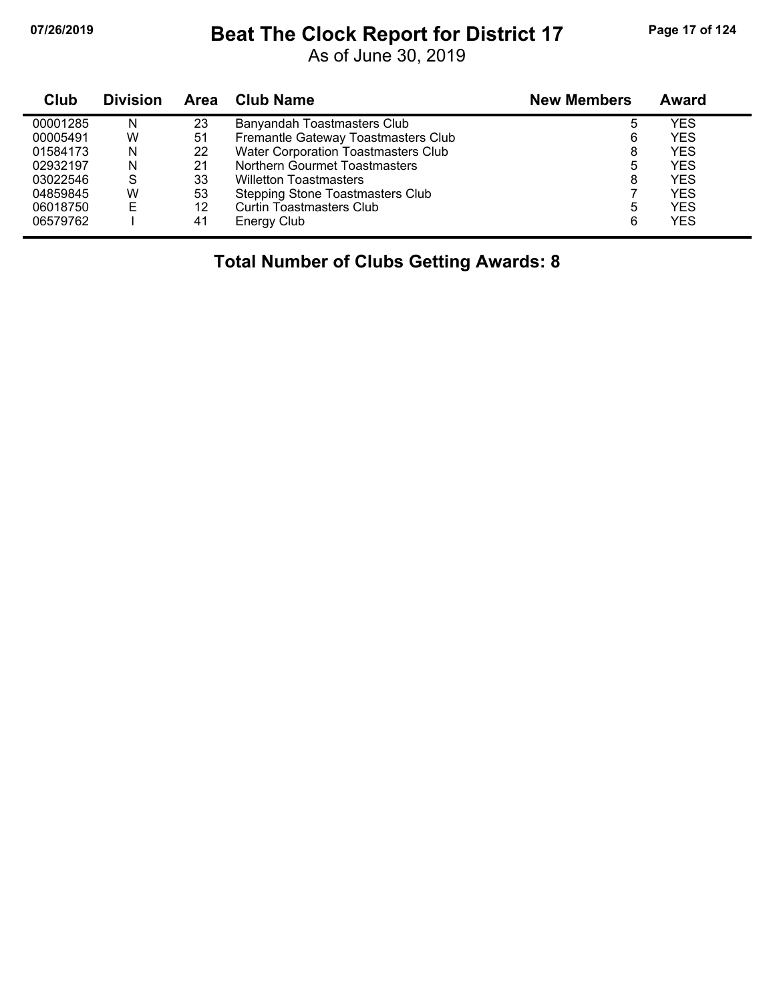## **07/26/2019 Beat The Clock Report for District 17 Page 17 of 124**

As of June 30, 2019

| Club     | <b>Division</b> | Area | <b>Club Name</b>                        | <b>New Members</b> | Award      |
|----------|-----------------|------|-----------------------------------------|--------------------|------------|
| 00001285 | N               | 23   | Banyandah Toastmasters Club             | 5                  | YES        |
| 00005491 | W               | 51   | Fremantle Gateway Toastmasters Club     | 6                  | <b>YES</b> |
| 01584173 | N               | 22   | Water Corporation Toastmasters Club     | 8                  | <b>YES</b> |
| 02932197 | N               | 21   | Northern Gourmet Toastmasters           | 5                  | YES        |
| 03022546 | S               | 33   | <b>Willetton Toastmasters</b>           | 8                  | <b>YES</b> |
| 04859845 | W               | 53   | <b>Stepping Stone Toastmasters Club</b> |                    | <b>YES</b> |
| 06018750 | E               | 12   | Curtin Toastmasters Club                | 5                  | <b>YES</b> |
| 06579762 |                 | 41   | Energy Club                             | 6                  | <b>YES</b> |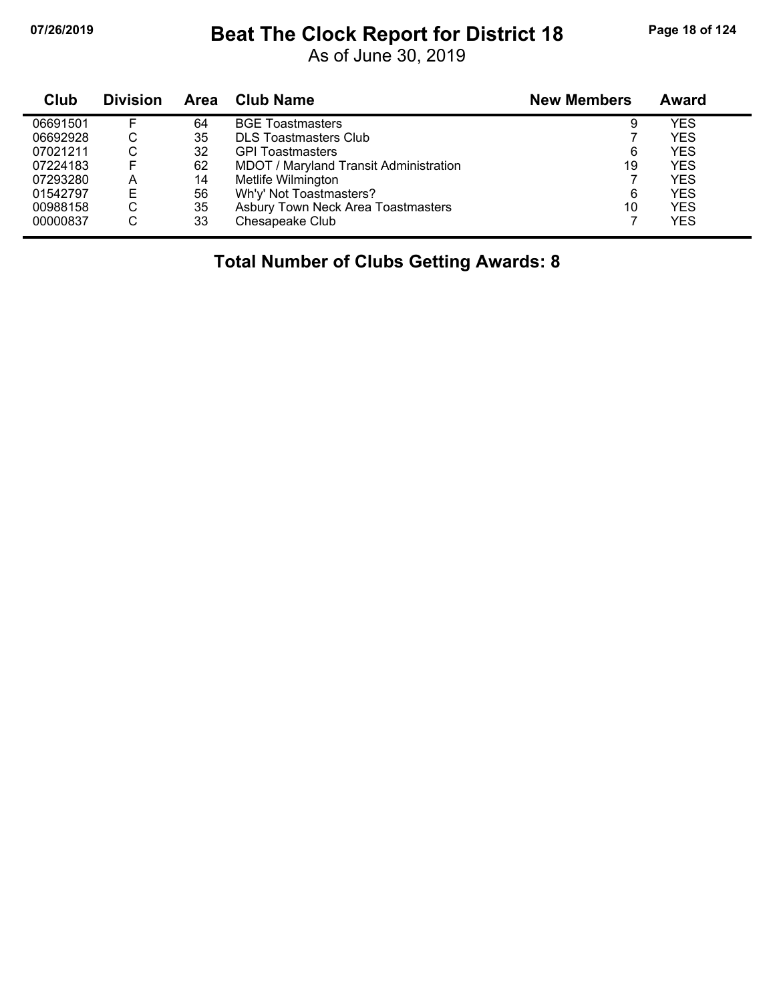#### **07/26/2019 Beat The Clock Report for District 18 Page 18 of 124**

As of June 30, 2019

| Club     | <b>Division</b> | Area | Club Name                              | <b>New Members</b> | Award      |
|----------|-----------------|------|----------------------------------------|--------------------|------------|
| 06691501 |                 | 64   | <b>BGE Toastmasters</b>                | 9                  | YES        |
| 06692928 | С               | 35   | <b>DLS Toastmasters Club</b>           |                    | <b>YES</b> |
| 07021211 | ◠<br>U          | 32   | <b>GPI Toastmasters</b>                | 6                  | <b>YES</b> |
| 07224183 |                 | 62   | MDOT / Maryland Transit Administration | 19                 | <b>YES</b> |
| 07293280 | A               | 14   | Metlife Wilmington                     |                    | <b>YES</b> |
| 01542797 | Е               | 56   | Wh'y' Not Toastmasters?                | 6                  | <b>YES</b> |
| 00988158 | С               | 35   | Asbury Town Neck Area Toastmasters     | 10                 | <b>YES</b> |
| 00000837 | С               | 33   | Chesapeake Club                        |                    | <b>YES</b> |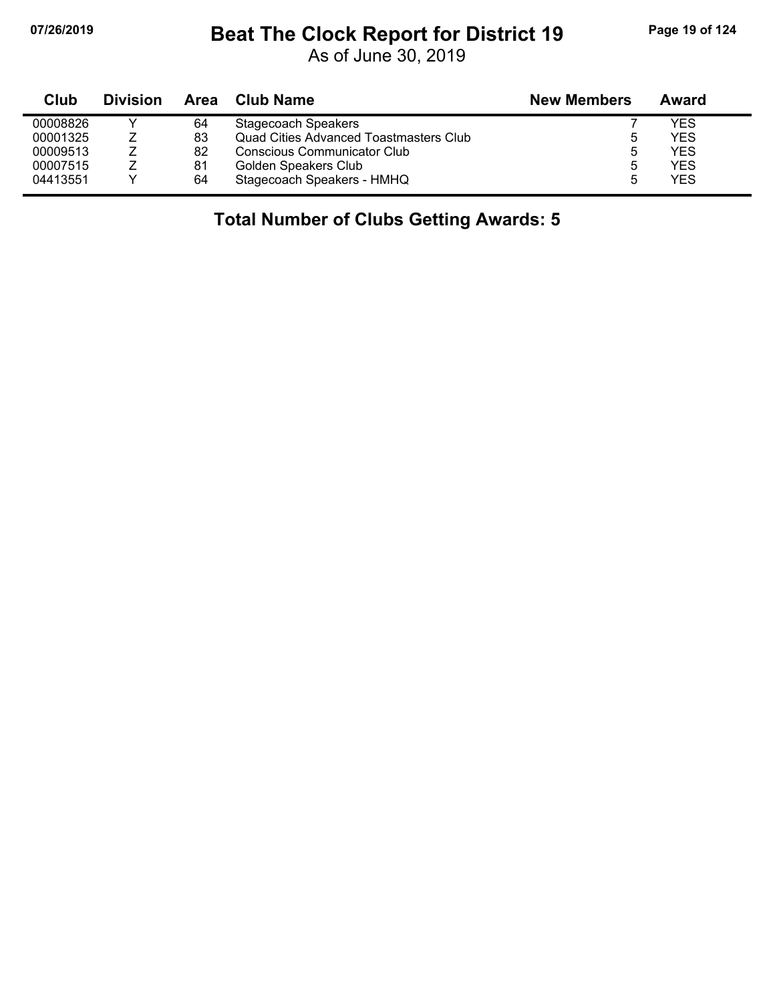j,

# **07/26/2019 Beat The Clock Report for District 19 Page 19 of 124**

As of June 30, 2019

| Club     | <b>Division</b> | Area | Club Name                              | <b>New Members</b> | Award      |
|----------|-----------------|------|----------------------------------------|--------------------|------------|
| 00008826 |                 | 64   | <b>Stagecoach Speakers</b>             |                    | YES        |
| 00001325 |                 | 83   | Quad Cities Advanced Toastmasters Club | 5                  | YES        |
| 00009513 |                 | 82   | Conscious Communicator Club            | ხ                  | <b>YES</b> |
| 00007515 |                 | 81   | Golden Speakers Club                   | ხ                  | <b>YES</b> |
| 04413551 |                 | 64   | Stagecoach Speakers - HMHQ             | h                  | <b>YES</b> |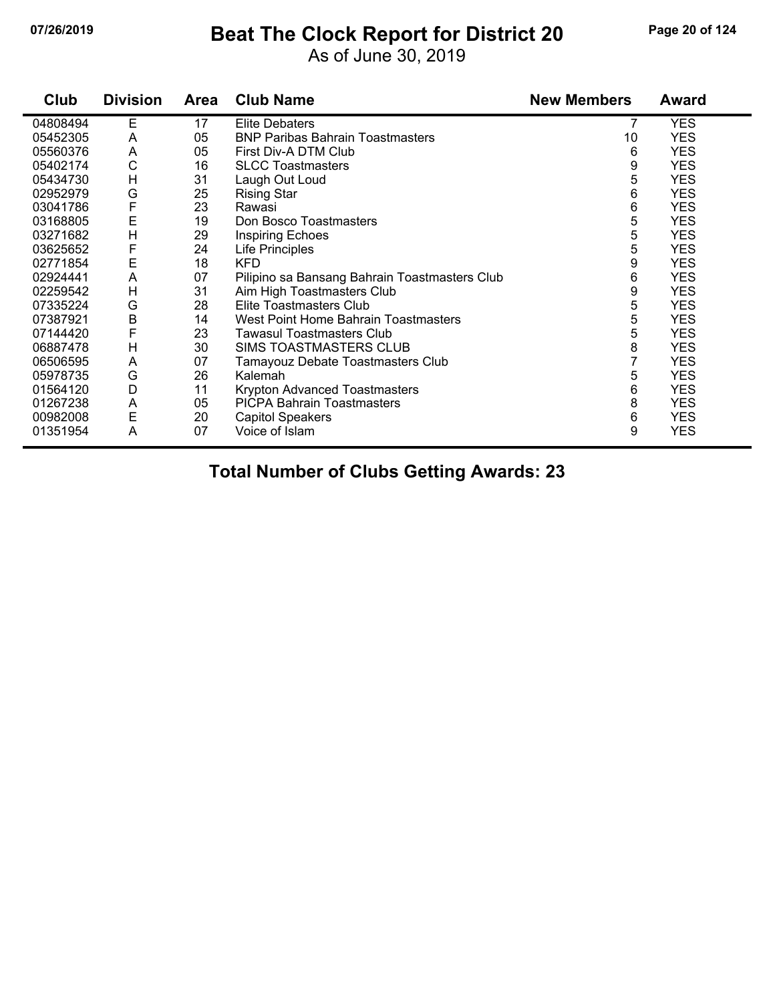# **07/26/2019 Beat The Clock Report for District 20 Page 20 of 124**

As of June 30, 2019

| Club     | <b>Division</b> | Area | <b>Club Name</b>                              | <b>New Members</b> | <b>Award</b> |
|----------|-----------------|------|-----------------------------------------------|--------------------|--------------|
| 04808494 | Е               | 17   | <b>Elite Debaters</b>                         | 7                  | <b>YES</b>   |
| 05452305 | A               | 05   | <b>BNP Paribas Bahrain Toastmasters</b>       | 10                 | <b>YES</b>   |
| 05560376 | A               | 05   | First Div-A DTM Club                          | 6                  | <b>YES</b>   |
| 05402174 | C               | 16   | <b>SLCC Toastmasters</b>                      | 9                  | <b>YES</b>   |
| 05434730 | H               | 31   | Laugh Out Loud                                | 5                  | <b>YES</b>   |
| 02952979 | G               | 25   | <b>Rising Star</b>                            | 6                  | <b>YES</b>   |
| 03041786 | F               | 23   | Rawasi                                        | 6                  | <b>YES</b>   |
| 03168805 | E               | 19   | Don Bosco Toastmasters                        | 5                  | <b>YES</b>   |
| 03271682 | $\overline{H}$  | 29   | Inspiring Echoes                              | 5                  | <b>YES</b>   |
| 03625652 | F               | 24   | Life Principles                               | 5                  | <b>YES</b>   |
| 02771854 | E               | 18   | <b>KFD</b>                                    | 9                  | <b>YES</b>   |
| 02924441 | A               | 07   | Pilipino sa Bansang Bahrain Toastmasters Club | 6                  | <b>YES</b>   |
| 02259542 | H               | 31   | Aim High Toastmasters Club                    | 9                  | <b>YES</b>   |
| 07335224 | G               | 28   | Elite Toastmasters Club                       | 5                  | <b>YES</b>   |
| 07387921 | B               | 14   | West Point Home Bahrain Toastmasters          | 5                  | <b>YES</b>   |
| 07144420 | F               | 23   | Tawasul Toastmasters Club                     | 5                  | <b>YES</b>   |
| 06887478 | H               | 30   | SIMS TOASTMASTERS CLUB                        | 8                  | <b>YES</b>   |
| 06506595 | A               | 07   | Tamayouz Debate Toastmasters Club             | $\overline{7}$     | <b>YES</b>   |
| 05978735 | G               | 26   | Kalemah                                       | 5                  | <b>YES</b>   |
| 01564120 | D               | 11   | Krypton Advanced Toastmasters                 | 6                  | <b>YES</b>   |
| 01267238 | A               | 05   | <b>PICPA Bahrain Toastmasters</b>             | 8                  | <b>YES</b>   |
| 00982008 | E               | 20   | <b>Capitol Speakers</b>                       | 6                  | <b>YES</b>   |
| 01351954 | A               | 07   | Voice of Islam                                | 9                  | <b>YES</b>   |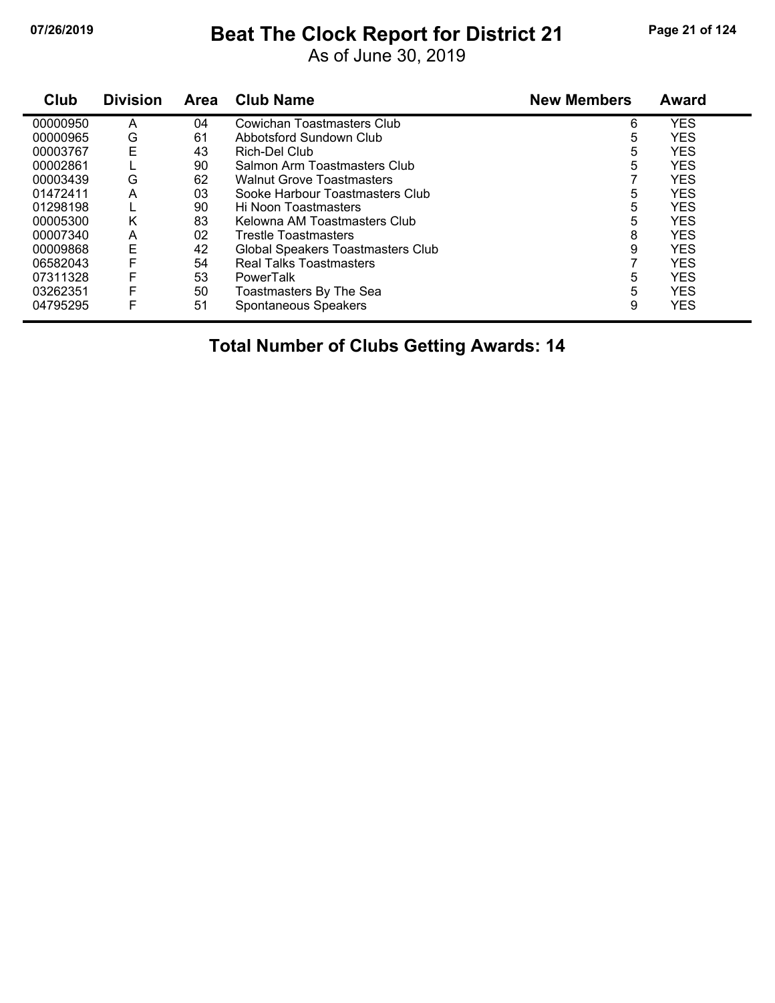## **07/26/2019 Beat The Clock Report for District 21 Page 21 of 124**

As of June 30, 2019

| Club     | <b>Division</b> | <b>Area</b> | <b>Club Name</b>                  | <b>New Members</b> | Award      |
|----------|-----------------|-------------|-----------------------------------|--------------------|------------|
| 00000950 | A               | 04          | <b>Cowichan Toastmasters Club</b> | 6                  | <b>YES</b> |
| 00000965 | G               | 61          | Abbotsford Sundown Club           | 5                  | <b>YES</b> |
| 00003767 | Ε               | 43          | Rich-Del Club                     | 5                  | <b>YES</b> |
| 00002861 |                 | 90          | Salmon Arm Toastmasters Club      | 5                  | <b>YES</b> |
| 00003439 | G               | 62          | <b>Walnut Grove Toastmasters</b>  |                    | <b>YES</b> |
| 01472411 | Α               | 03          | Sooke Harbour Toastmasters Club   | 5                  | <b>YES</b> |
| 01298198 |                 | 90          | Hi Noon Toastmasters              | 5                  | <b>YES</b> |
| 00005300 | K               | 83          | Kelowna AM Toastmasters Club      | 5                  | <b>YES</b> |
| 00007340 | A               | 02          | <b>Trestle Toastmasters</b>       | 8                  | <b>YES</b> |
| 00009868 | E               | 42          | Global Speakers Toastmasters Club | 9                  | <b>YES</b> |
| 06582043 | F               | 54          | Real Talks Toastmasters           |                    | <b>YES</b> |
| 07311328 | F               | 53          | <b>PowerTalk</b>                  | 5                  | <b>YES</b> |
| 03262351 | F               | 50          | Toastmasters By The Sea           | 5                  | <b>YES</b> |
| 04795295 | F               | 51          | Spontaneous Speakers              | 9                  | <b>YES</b> |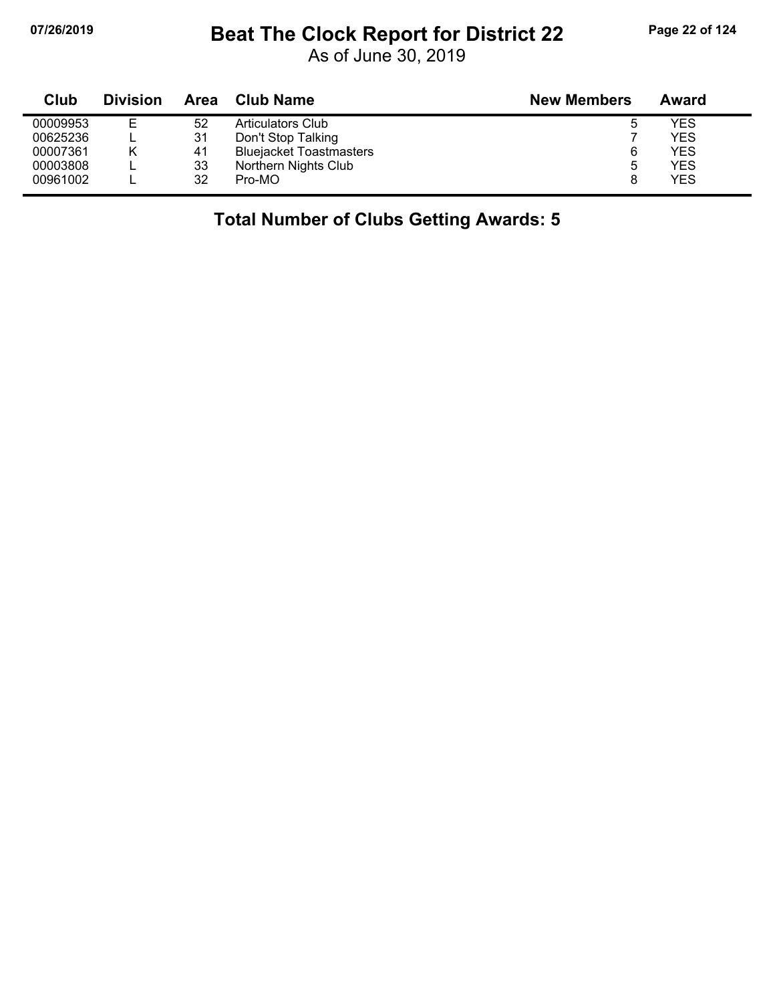## **07/26/2019 Beat The Clock Report for District 22 Page 22 of 124**

As of June 30, 2019

| Club     | <b>Division</b> | Area | <b>Club Name</b>               | <b>New Members</b> | Award |
|----------|-----------------|------|--------------------------------|--------------------|-------|
| 00009953 | Е               | 52   | Articulators Club              | ა                  | YES   |
| 00625236 |                 | 31   | Don't Stop Talking             |                    | YES   |
| 00007361 | Κ               | 41   | <b>Bluejacket Toastmasters</b> | 6                  | YES   |
| 00003808 |                 | 33   | Northern Nights Club           | 5                  | YES   |
| 00961002 |                 | 32   | Pro-MO                         |                    | YES   |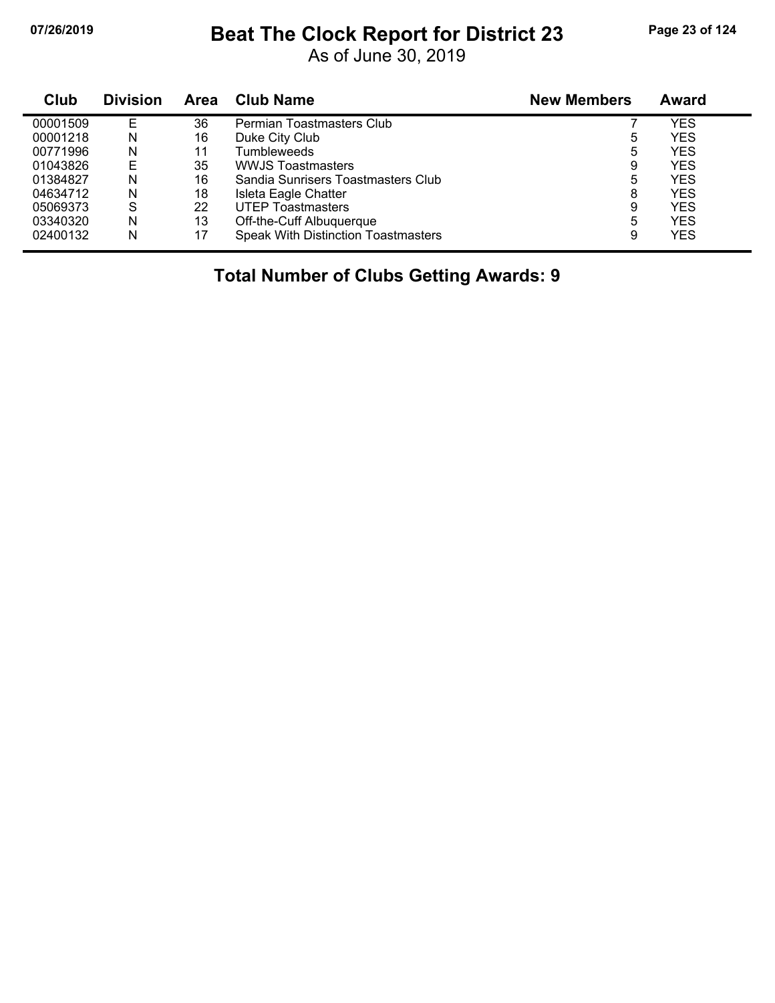#### **07/26/2019 Beat The Clock Report for District 23 Page 23 of 124**

As of June 30, 2019

| Club     | <b>Division</b> | <b>Area</b> | <b>Club Name</b>                           | <b>New Members</b> | Award      |
|----------|-----------------|-------------|--------------------------------------------|--------------------|------------|
| 00001509 | F               | 36          | Permian Toastmasters Club                  |                    | YES        |
| 00001218 | N               | 16          | Duke City Club                             | 5                  | YES        |
| 00771996 | N               | 11          | Tumbleweeds                                | 5                  | YES.       |
| 01043826 | E               | 35          | <b>WWJS Toastmasters</b>                   | 9                  | YES        |
| 01384827 | N               | 16          | Sandia Sunrisers Toastmasters Club         | 5                  | <b>YES</b> |
| 04634712 | N               | 18          | Isleta Eagle Chatter                       | 8                  | <b>YES</b> |
| 05069373 | S               | 22          | <b>UTEP Toastmasters</b>                   | 9                  | <b>YES</b> |
| 03340320 | N               | 13          | Off-the-Cuff Albuquerque                   | 5                  | YES        |
| 02400132 | N               | 17          | <b>Speak With Distinction Toastmasters</b> | 9                  | YES        |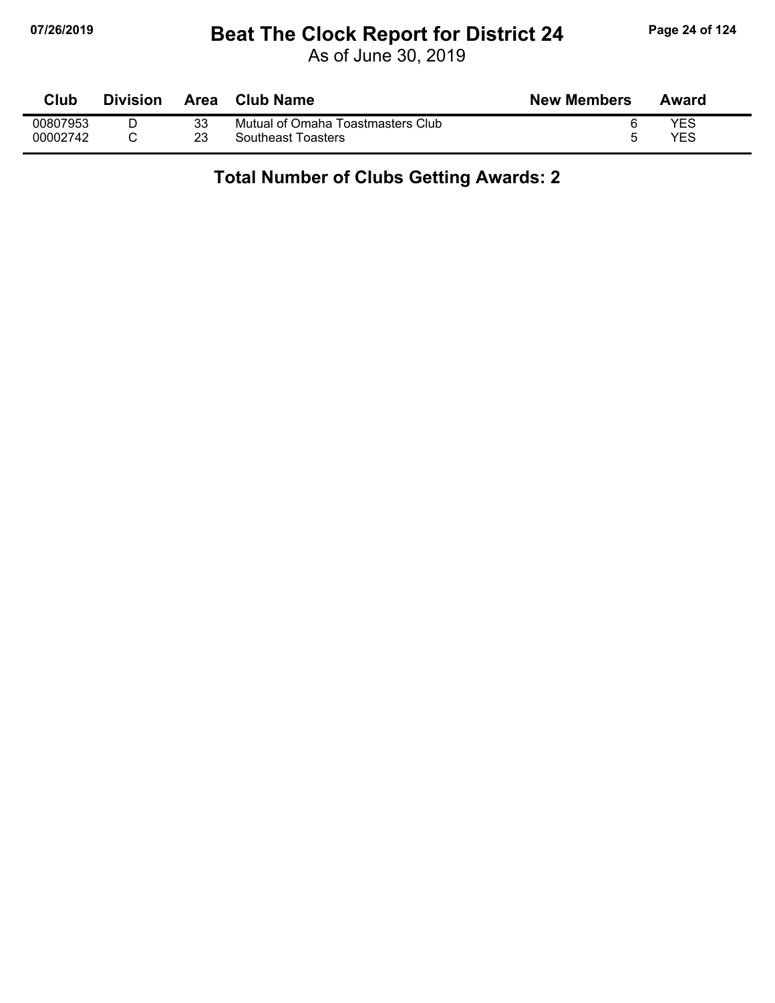### **07/26/2019 Beat The Clock Report for District 24 Page 24 of 124**

As of June 30, 2019

| Club     | <b>Division</b> | Area | Club Name                         | <b>New Members</b> | Award |
|----------|-----------------|------|-----------------------------------|--------------------|-------|
| 00807953 |                 | 33   | Mutual of Omaha Toastmasters Club |                    | YES   |
| 00002742 |                 | 23   | <b>Southeast Toasters</b>         |                    | YES   |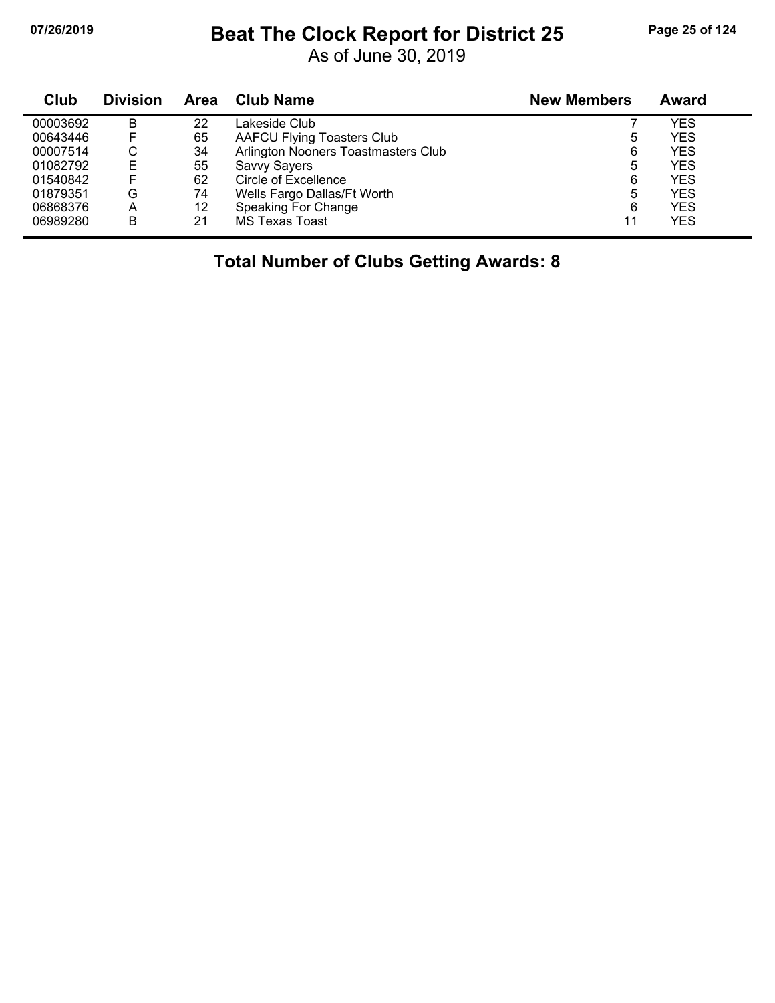# **07/26/2019 Beat The Clock Report for District 25 Page 25 of 124**

As of June 30, 2019

| Club     | <b>Division</b> | <b>Area</b> | <b>Club Name</b>                    | <b>New Members</b> | Award      |
|----------|-----------------|-------------|-------------------------------------|--------------------|------------|
| 00003692 | B               | 22          | Lakeside Club                       |                    | YES        |
| 00643446 |                 | 65          | <b>AAFCU Flying Toasters Club</b>   | ხ                  | <b>YES</b> |
| 00007514 | С               | 34          | Arlington Nooners Toastmasters Club | 6                  | <b>YES</b> |
| 01082792 | Е               | 55          | Savvy Sayers                        | 5                  | YES        |
| 01540842 |                 | 62          | Circle of Excellence                | 6                  | <b>YES</b> |
| 01879351 | G               | 74          | Wells Fargo Dallas/Ft Worth         | 5                  | YES        |
| 06868376 | A               | 12          | Speaking For Change                 | 6                  | <b>YES</b> |
| 06989280 | B               | 21          | <b>MS Texas Toast</b>               | 11                 | YES        |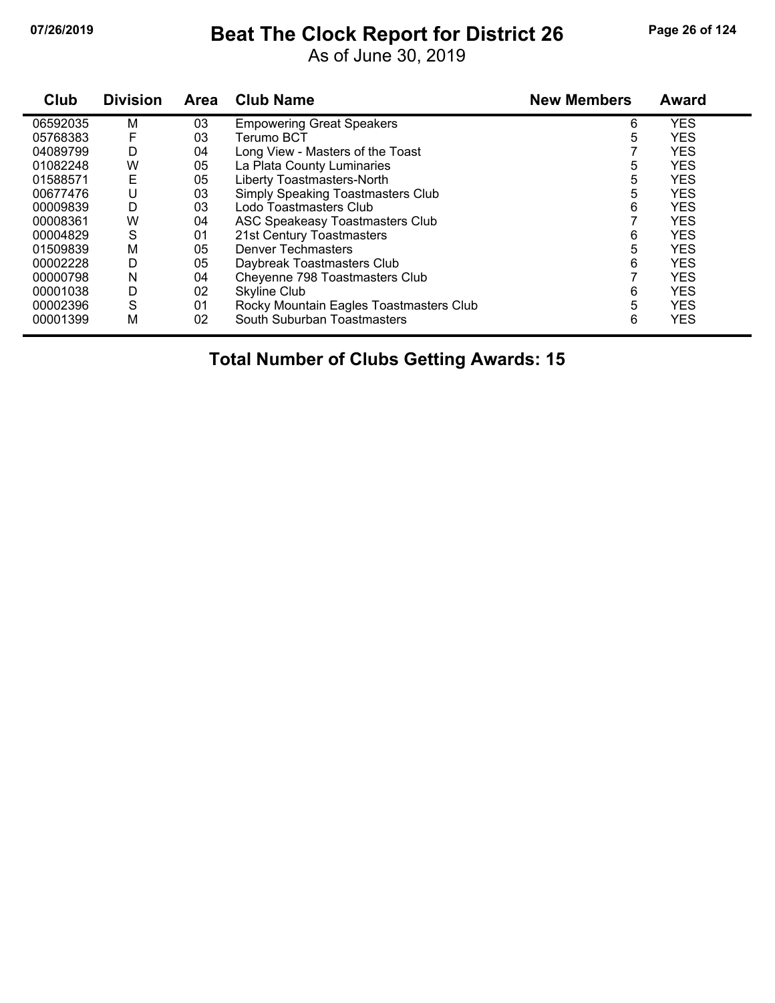# **07/26/2019 Beat The Clock Report for District 26 Page 26 of 124**

As of June 30, 2019

| Club     | <b>Division</b> | <b>Area</b> | <b>Club Name</b>                        | <b>New Members</b> | <b>Award</b> |
|----------|-----------------|-------------|-----------------------------------------|--------------------|--------------|
| 06592035 | M               | 03          | <b>Empowering Great Speakers</b>        | 6                  | <b>YES</b>   |
| 05768383 | F               | 03          | Terumo BCT                              | 5                  | <b>YES</b>   |
| 04089799 | D               | 04          | Long View - Masters of the Toast        |                    | <b>YES</b>   |
| 01082248 | W               | 05          | La Plata County Luminaries              | 5                  | <b>YES</b>   |
| 01588571 | Ε               | 05          | Liberty Toastmasters-North              | 5                  | <b>YES</b>   |
| 00677476 | U               | 03          | Simply Speaking Toastmasters Club       | 5                  | <b>YES</b>   |
| 00009839 | D               | 03          | Lodo Toastmasters Club                  | 6                  | <b>YES</b>   |
| 00008361 | W               | 04          | <b>ASC Speakeasy Toastmasters Club</b>  |                    | <b>YES</b>   |
| 00004829 | S               | 01          | 21st Century Toastmasters               | 6                  | <b>YES</b>   |
| 01509839 | M               | 05          | Denver Techmasters                      | 5                  | <b>YES</b>   |
| 00002228 | D               | 05          | Daybreak Toastmasters Club              | 6                  | <b>YES</b>   |
| 00000798 | N               | 04          | Cheyenne 798 Toastmasters Club          |                    | <b>YES</b>   |
| 00001038 | D               | 02          | Skyline Club                            | 6                  | <b>YES</b>   |
| 00002396 | S               | 01          | Rocky Mountain Eagles Toastmasters Club | 5                  | <b>YES</b>   |
| 00001399 | M               | 02          | South Suburban Toastmasters             | 6                  | <b>YES</b>   |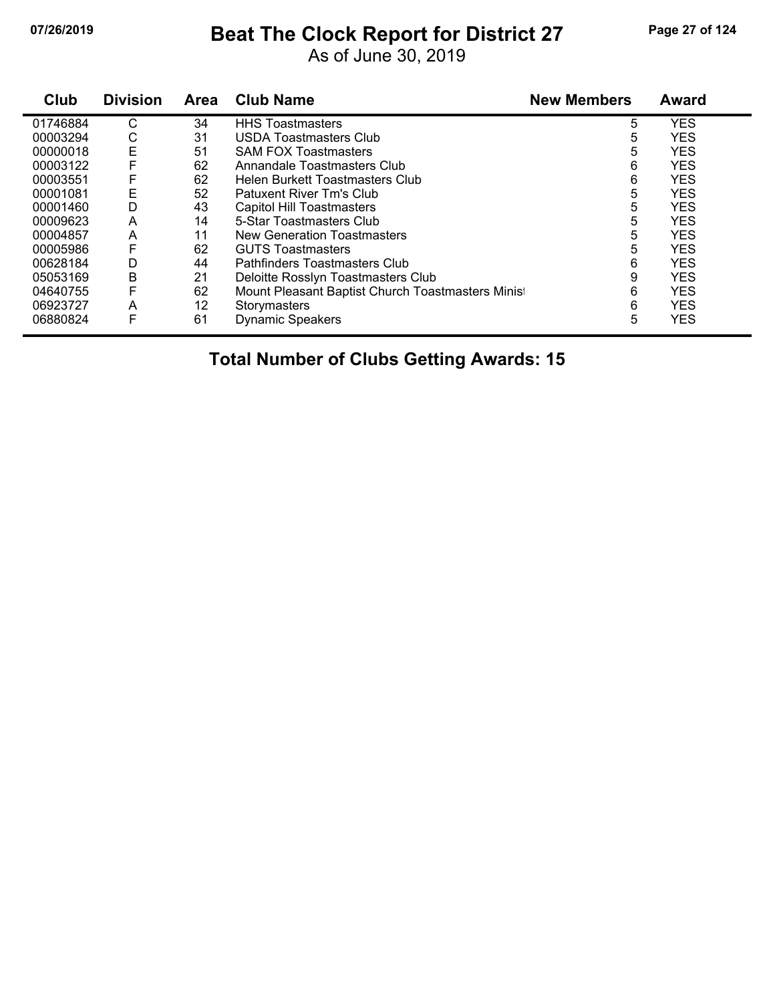# **07/26/2019 Beat The Clock Report for District 27 Page 27 of 124**

As of June 30, 2019

| Club     | <b>Division</b> | <b>Area</b> | <b>Club Name</b>                                 | <b>New Members</b> | <b>Award</b> |
|----------|-----------------|-------------|--------------------------------------------------|--------------------|--------------|
| 01746884 | С               | 34          | <b>HHS Toastmasters</b>                          | 5                  | <b>YES</b>   |
| 00003294 | С               | 31          | USDA Toastmasters Club                           | 5                  | <b>YES</b>   |
| 00000018 | E               | 51          | <b>SAM FOX Toastmasters</b>                      | 5                  | <b>YES</b>   |
| 00003122 |                 | 62          | Annandale Toastmasters Club                      | 6                  | <b>YES</b>   |
| 00003551 | F               | 62          | Helen Burkett Toastmasters Club                  | 6                  | <b>YES</b>   |
| 00001081 | Е               | 52          | Patuxent River Tm's Club                         | 5                  | <b>YES</b>   |
| 00001460 | D               | 43          | Capitol Hill Toastmasters                        | 5                  | <b>YES</b>   |
| 00009623 | A               | 14          | 5-Star Toastmasters Club                         | 5                  | <b>YES</b>   |
| 00004857 | A               | 11          | New Generation Toastmasters                      | 5                  | <b>YES</b>   |
| 00005986 | F               | 62          | <b>GUTS Toastmasters</b>                         | 5                  | <b>YES</b>   |
| 00628184 | D               | 44          | Pathfinders Toastmasters Club                    | 6                  | <b>YES</b>   |
| 05053169 | B               | 21          | Deloitte Rosslyn Toastmasters Club               | 9                  | <b>YES</b>   |
| 04640755 | F               | 62          | Mount Pleasant Baptist Church Toastmasters Minis | 6                  | <b>YES</b>   |
| 06923727 | A               | 12          | Storymasters                                     | 6                  | <b>YES</b>   |
| 06880824 | F               | 61          | <b>Dynamic Speakers</b>                          | 5                  | <b>YES</b>   |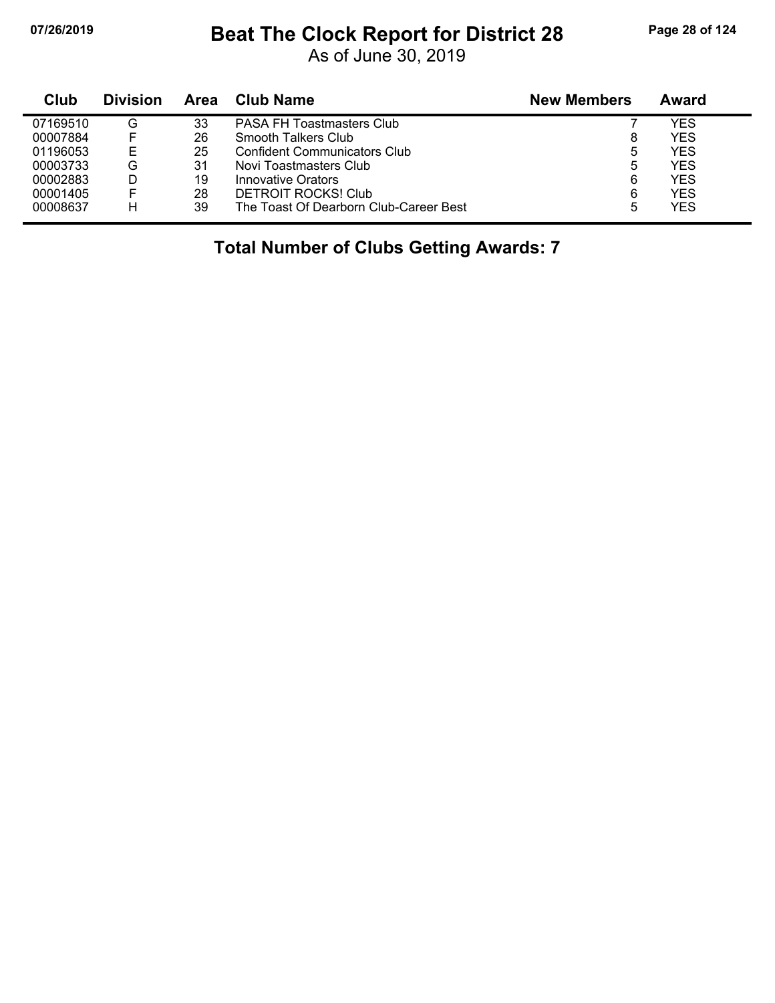### **07/26/2019 Beat The Clock Report for District 28 Page 28 of 124**

As of June 30, 2019

| Club     | <b>Division</b> | Area | Club Name                              | <b>New Members</b> | Award |
|----------|-----------------|------|----------------------------------------|--------------------|-------|
| 07169510 | G               | 33   | <b>PASA FH Toastmasters Club</b>       |                    | YES   |
| 00007884 | F               | 26   | Smooth Talkers Club                    | 8                  | YES   |
| 01196053 | Е               | 25   | <b>Confident Communicators Club</b>    | 5                  | YES   |
| 00003733 | G               | 31   | Novi Toastmasters Club                 | 5                  | YES   |
| 00002883 | D               | 19   | Innovative Orators                     | 6                  | YES   |
| 00001405 | F               | 28   | <b>DETROIT ROCKS! Club</b>             | 6                  | YES   |
| 00008637 | Н               | 39   | The Toast Of Dearborn Club-Career Best | 5                  | YES   |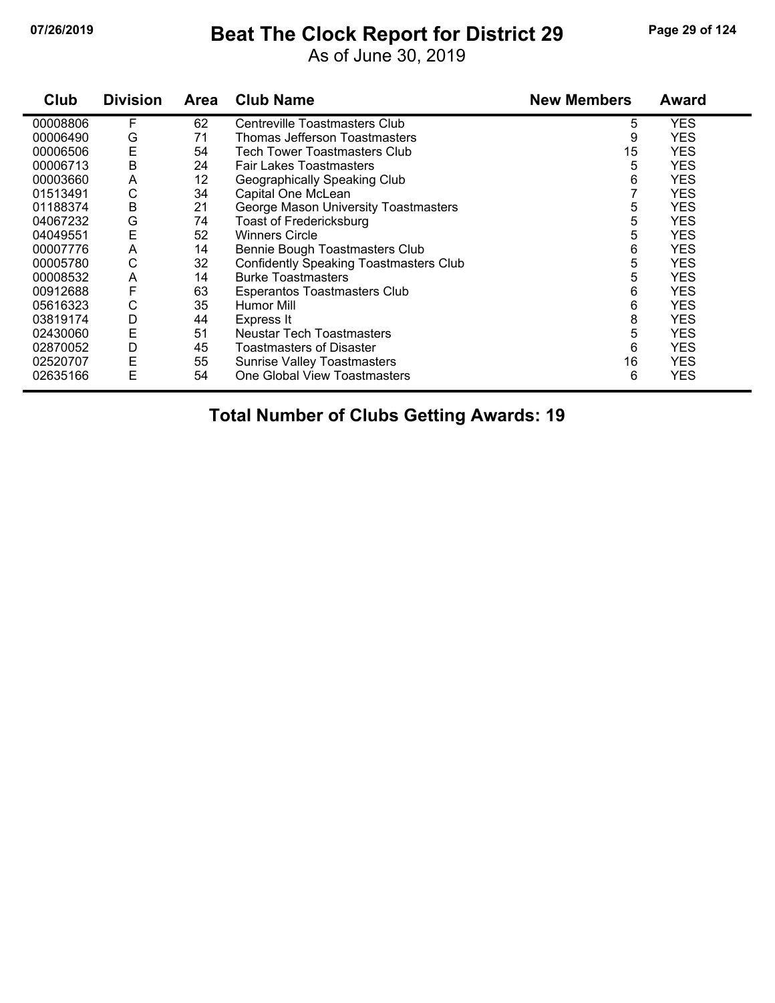### **07/26/2019 Beat The Clock Report for District 29 Page 29 of 124**

As of June 30, 2019

| Club     | <b>Division</b> | <b>Area</b> | <b>Club Name</b>                              | <b>New Members</b> | <b>Award</b> |
|----------|-----------------|-------------|-----------------------------------------------|--------------------|--------------|
| 00008806 | F               | 62          | Centreville Toastmasters Club                 | 5                  | <b>YES</b>   |
| 00006490 | G               | 71          | Thomas Jefferson Toastmasters                 | 9                  | <b>YES</b>   |
| 00006506 | E               | 54          | <b>Tech Tower Toastmasters Club</b>           | 15                 | <b>YES</b>   |
| 00006713 | B               | 24          | <b>Fair Lakes Toastmasters</b>                | 5                  | <b>YES</b>   |
| 00003660 | A               | 12          | Geographically Speaking Club                  | 6                  | <b>YES</b>   |
| 01513491 | С               | 34          | Capital One McLean                            |                    | <b>YES</b>   |
| 01188374 | B               | 21          | George Mason University Toastmasters          | 5                  | <b>YES</b>   |
| 04067232 | G               | 74          | <b>Toast of Fredericksburg</b>                | 5                  | <b>YES</b>   |
| 04049551 | E               | 52          | <b>Winners Circle</b>                         | 5                  | <b>YES</b>   |
| 00007776 | A               | 14          | Bennie Bough Toastmasters Club                | 6                  | <b>YES</b>   |
| 00005780 | С               | 32          | <b>Confidently Speaking Toastmasters Club</b> | 5                  | <b>YES</b>   |
| 00008532 | A               | 14          | <b>Burke Toastmasters</b>                     | 5                  | <b>YES</b>   |
| 00912688 | F               | 63          | Esperantos Toastmasters Club                  | 6                  | <b>YES</b>   |
| 05616323 | С               | 35          | Humor Mill                                    | 6                  | <b>YES</b>   |
| 03819174 | D               | 44          | Express It                                    | 8                  | <b>YES</b>   |
| 02430060 | E               | 51          | Neustar Tech Toastmasters                     | 5                  | <b>YES</b>   |
| 02870052 | D               | 45          | Toastmasters of Disaster                      | 6                  | <b>YES</b>   |
| 02520707 | E               | 55          | <b>Sunrise Valley Toastmasters</b>            | 16                 | <b>YES</b>   |
| 02635166 | E               | 54          | One Global View Toastmasters                  | 6                  | <b>YES</b>   |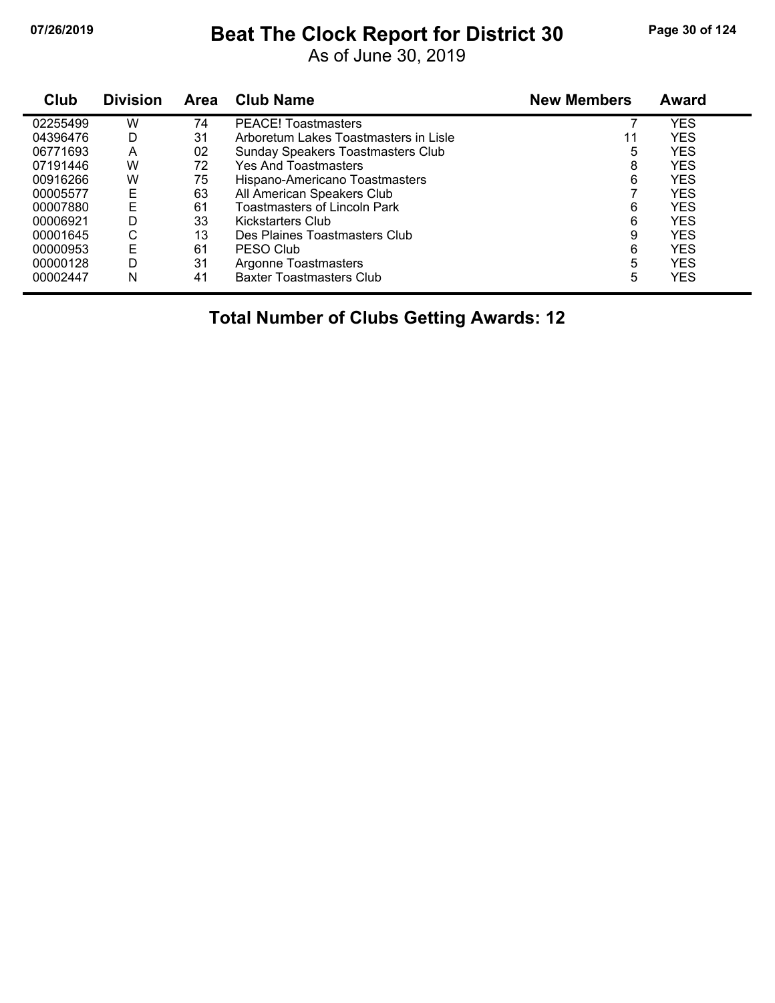# **07/26/2019 Beat The Clock Report for District 30 Page 30 of 124**

As of June 30, 2019

| Club     | <b>Division</b> | Area | <b>Club Name</b>                      | <b>New Members</b> | Award      |
|----------|-----------------|------|---------------------------------------|--------------------|------------|
| 02255499 | W               | 74   | <b>PEACE!</b> Toastmasters            |                    | <b>YES</b> |
| 04396476 | D               | 31   | Arboretum Lakes Toastmasters in Lisle | 11                 | <b>YES</b> |
| 06771693 | A               | 02   | Sunday Speakers Toastmasters Club     | 5                  | <b>YES</b> |
| 07191446 | W               | 72   | <b>Yes And Toastmasters</b>           | 8                  | <b>YES</b> |
| 00916266 | W               | 75   | Hispano-Americano Toastmasters        | 6                  | <b>YES</b> |
| 00005577 | E               | 63   | All American Speakers Club            |                    | <b>YES</b> |
| 00007880 | E               | 61   | <b>Toastmasters of Lincoln Park</b>   | 6                  | <b>YES</b> |
| 00006921 | D               | 33   | Kickstarters Club                     | 6                  | <b>YES</b> |
| 00001645 | С               | 13   | Des Plaines Toastmasters Club         | 9                  | <b>YES</b> |
| 00000953 | E               | 61   | PESO Club                             | 6                  | <b>YES</b> |
| 00000128 | D               | 31   | Argonne Toastmasters                  | 5                  | <b>YES</b> |
| 00002447 | N               | 41   | <b>Baxter Toastmasters Club</b>       | 5                  | <b>YES</b> |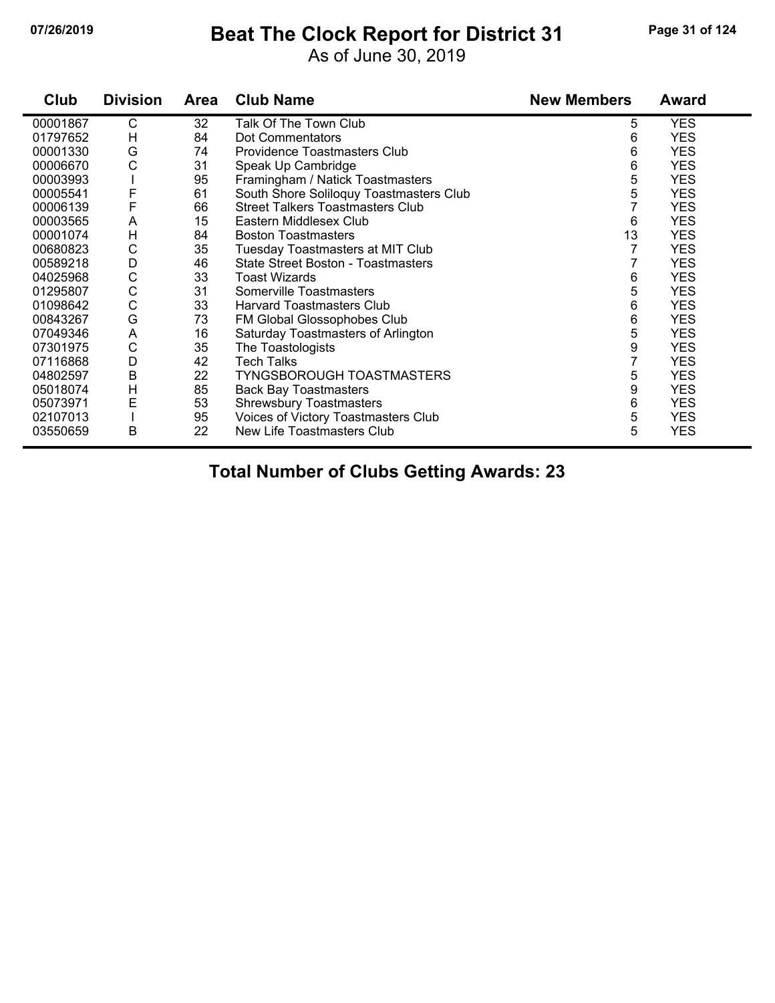#### **07/26/2019 Beat The Clock Report for District 31 Page 31 of 124**

As of June 30, 2019

| Club     | <b>Division</b> | <b>Area</b> | <b>Club Name</b>                          | <b>New Members</b> | Award      |
|----------|-----------------|-------------|-------------------------------------------|--------------------|------------|
| 00001867 | С               | 32          | Talk Of The Town Club                     | 5                  | <b>YES</b> |
| 01797652 | Н               | 84          | Dot Commentators                          | 6                  | <b>YES</b> |
| 00001330 | G               | 74          | Providence Toastmasters Club              | 6                  | <b>YES</b> |
| 00006670 | C               | 31          | Speak Up Cambridge                        | 6                  | <b>YES</b> |
| 00003993 |                 | 95          | Framingham / Natick Toastmasters          | 5                  | <b>YES</b> |
| 00005541 | F               | 61          | South Shore Soliloquy Toastmasters Club   | 5                  | <b>YES</b> |
| 00006139 | F               | 66          | <b>Street Talkers Toastmasters Club</b>   | 7                  | <b>YES</b> |
| 00003565 | A               | 15          | Eastern Middlesex Club                    | 6                  | <b>YES</b> |
| 00001074 | $\overline{H}$  | 84          | <b>Boston Toastmasters</b>                | 13                 | <b>YES</b> |
| 00680823 | C               | 35          | <b>Tuesday Toastmasters at MIT Club</b>   |                    | <b>YES</b> |
| 00589218 | D               | 46          | <b>State Street Boston - Toastmasters</b> |                    | <b>YES</b> |
| 04025968 | C               | 33          | <b>Toast Wizards</b>                      | 6                  | <b>YES</b> |
| 01295807 | C               | 31          | Somerville Toastmasters                   | 5                  | <b>YES</b> |
| 01098642 | C               | 33          | <b>Harvard Toastmasters Club</b>          | 6                  | <b>YES</b> |
| 00843267 | G               | 73          | FM Global Glossophobes Club               | 6                  | <b>YES</b> |
| 07049346 | A               | 16          | Saturday Toastmasters of Arlington        | 5                  | <b>YES</b> |
| 07301975 | C               | 35          | The Toastologists                         | 9                  | <b>YES</b> |
| 07116868 | D               | 42          | Tech Talks                                | 7                  | <b>YES</b> |
| 04802597 | B               | 22          | <b>TYNGSBOROUGH TOASTMASTERS</b>          | 5                  | <b>YES</b> |
| 05018074 | H               | 85          | <b>Back Bay Toastmasters</b>              | 9                  | <b>YES</b> |
| 05073971 | E               | 53          | <b>Shrewsbury Toastmasters</b>            | 6                  | <b>YES</b> |
| 02107013 |                 | 95          | Voices of Victory Toastmasters Club       | 5                  | <b>YES</b> |
| 03550659 | B               | 22          | New Life Toastmasters Club                | 5                  | <b>YES</b> |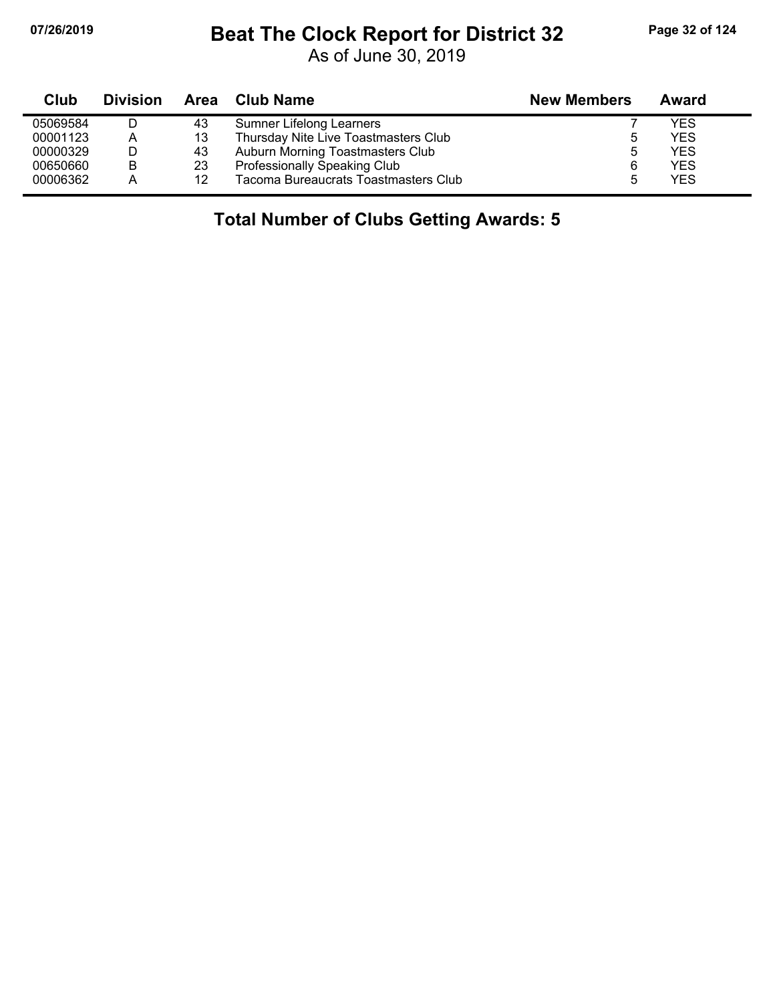## **07/26/2019 Beat The Clock Report for District 32 Page 32 of 124**

As of June 30, 2019

| Club     | <b>Division</b> |    | Area Club Name                       | <b>New Members</b> | Award      |
|----------|-----------------|----|--------------------------------------|--------------------|------------|
| 05069584 |                 | 43 | Sumner Lifelong Learners             |                    | YES        |
| 00001123 | A               | 13 | Thursday Nite Live Toastmasters Club |                    | YES        |
| 00000329 |                 | 43 | Auburn Morning Toastmasters Club     | 5                  | <b>YES</b> |
| 00650660 | B               | 23 | Professionally Speaking Club         | 6                  | <b>YES</b> |
| 00006362 | А               | 12 | Tacoma Bureaucrats Toastmasters Club | 5                  | <b>YES</b> |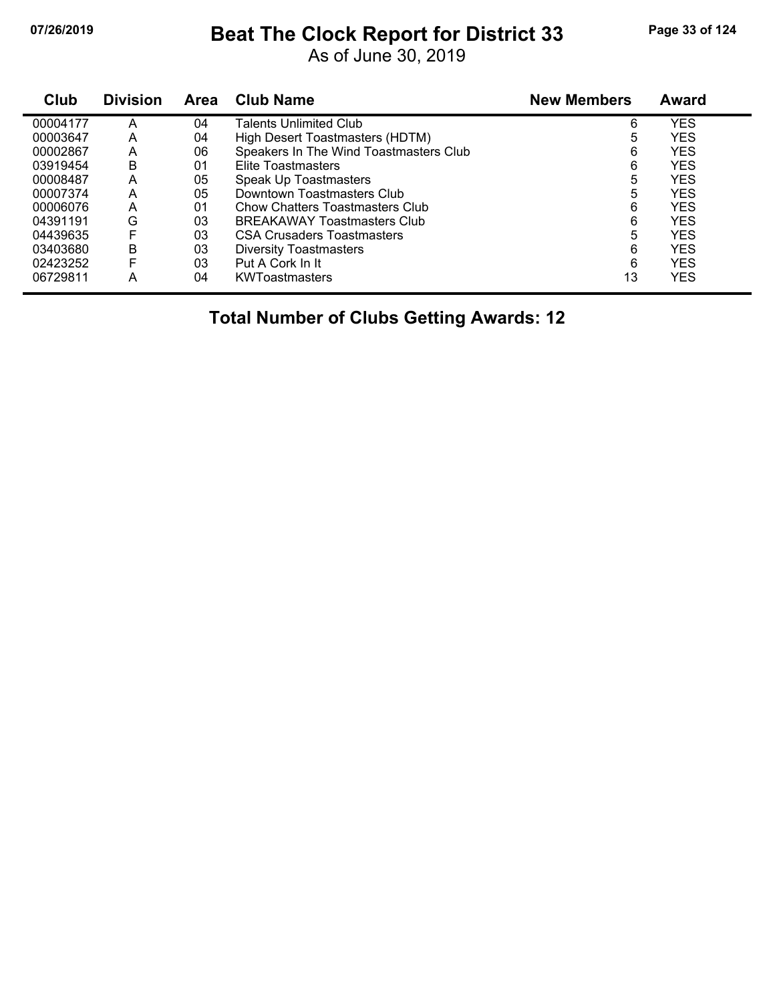# **07/26/2019 Beat The Clock Report for District 33 Page 33 of 124**

As of June 30, 2019

| Club     | <b>Division</b> | <b>Area</b> | <b>Club Name</b>                       | <b>New Members</b> | <b>Award</b> |
|----------|-----------------|-------------|----------------------------------------|--------------------|--------------|
| 00004177 | А               | 04          | Talents Unlimited Club                 | 6                  | <b>YES</b>   |
| 00003647 | Α               | 04          | High Desert Toastmasters (HDTM)        | 5                  | <b>YES</b>   |
| 00002867 | A               | 06          | Speakers In The Wind Toastmasters Club | 6                  | <b>YES</b>   |
| 03919454 | в               | 01          | Elite Toastmasters                     | 6                  | <b>YES</b>   |
| 00008487 | А               | 05          | Speak Up Toastmasters                  | 5                  | <b>YES</b>   |
| 00007374 | А               | 05          | Downtown Toastmasters Club             | 5                  | <b>YES</b>   |
| 00006076 | A               | 01          | Chow Chatters Toastmasters Club        | 6                  | <b>YES</b>   |
| 04391191 | G               | 03          | <b>BREAKAWAY Toastmasters Club</b>     | 6                  | <b>YES</b>   |
| 04439635 | F               | 03          | <b>CSA Crusaders Toastmasters</b>      | 5                  | <b>YES</b>   |
| 03403680 | B               | 03          | <b>Diversity Toastmasters</b>          | 6                  | <b>YES</b>   |
| 02423252 | F               | 03          | Put A Cork In It                       | 6                  | <b>YES</b>   |
| 06729811 | А               | 04          | <b>KWToastmasters</b>                  | 13                 | <b>YES</b>   |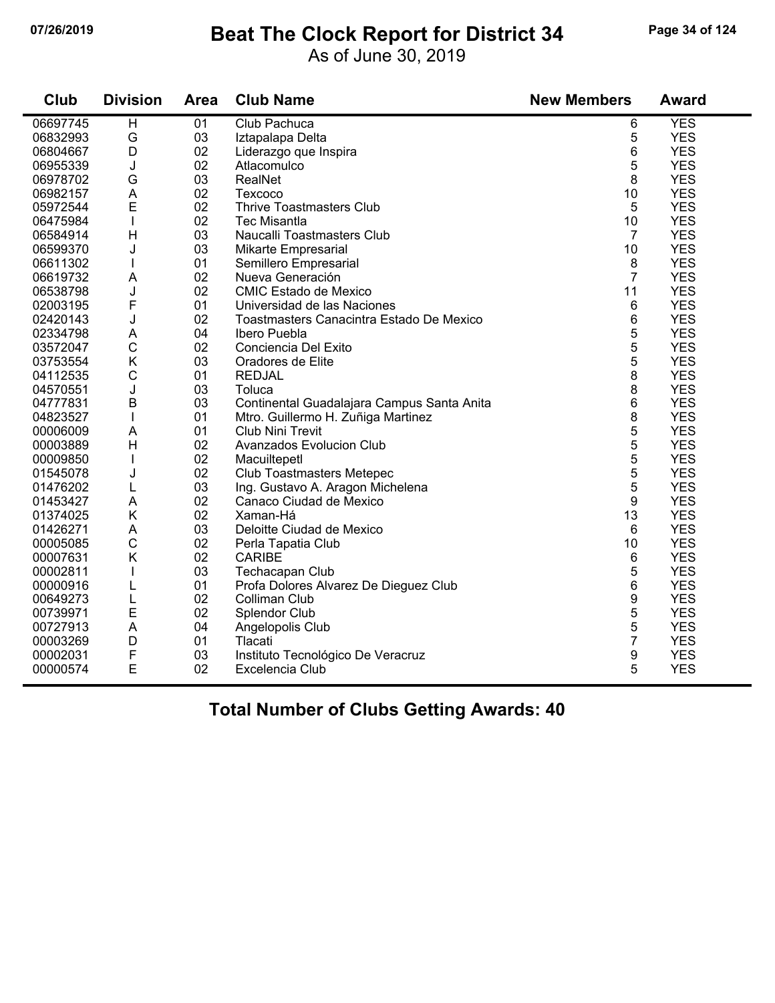#### **07/26/2019 Beat The Clock Report for District 34 Page 34 of 124**

As of June 30, 2019

| Club     | <b>Division</b> | <b>Area</b> | <b>Club Name</b>                           | <b>New Members</b> | <b>Award</b> |
|----------|-----------------|-------------|--------------------------------------------|--------------------|--------------|
| 06697745 | H               | 01          | Club Pachuca                               | 6                  | <b>YES</b>   |
| 06832993 | G               | 03          | Iztapalapa Delta                           | 5                  | <b>YES</b>   |
| 06804667 | D               | 02          | Liderazgo que Inspira                      | 6                  | <b>YES</b>   |
| 06955339 | J               | 02          | Atlacomulco                                | 5                  | <b>YES</b>   |
| 06978702 | G               | 03          | RealNet                                    | 8                  | <b>YES</b>   |
| 06982157 | A               | 02          | Texcoco                                    | 10                 | <b>YES</b>   |
| 05972544 | E               | 02          | <b>Thrive Toastmasters Club</b>            | 5                  | <b>YES</b>   |
| 06475984 | I               | 02          | <b>Tec Misantla</b>                        | 10                 | <b>YES</b>   |
| 06584914 | H               | 03          | Naucalli Toastmasters Club                 | $\overline{7}$     | <b>YES</b>   |
| 06599370 | J               | 03          | <b>Mikarte Empresarial</b>                 | 10                 | <b>YES</b>   |
| 06611302 | $\mathbf{I}$    | 01          | Semillero Empresarial                      | 8                  | <b>YES</b>   |
| 06619732 | A               | 02          | Nueva Generación                           | $\overline{7}$     | <b>YES</b>   |
| 06538798 | J               | 02          | <b>CMIC Estado de Mexico</b>               | 11                 | <b>YES</b>   |
| 02003195 | F               | 01          | Universidad de las Naciones                | 6                  | <b>YES</b>   |
| 02420143 | J               | 02          | Toastmasters Canacintra Estado De Mexico   | 6                  | <b>YES</b>   |
| 02334798 | A               | 04          | Ibero Puebla                               | 5                  | <b>YES</b>   |
| 03572047 | $\mathsf{C}$    | 02          | Conciencia Del Exito                       | 5                  | <b>YES</b>   |
| 03753554 | K               | 03          | Oradores de Elite                          | 5                  | <b>YES</b>   |
| 04112535 | $\mathsf{C}$    | 01          | <b>REDJAL</b>                              | 8                  | <b>YES</b>   |
| 04570551 | J               | 03          | Toluca                                     | 8                  | <b>YES</b>   |
| 04777831 | B               | 03          | Continental Guadalajara Campus Santa Anita | 6                  | <b>YES</b>   |
| 04823527 | $\mathbf{I}$    | 01          | Mtro. Guillermo H. Zuñiga Martinez         | 8                  | <b>YES</b>   |
| 00006009 | A               | 01          | Club Nini Trevit                           | 5                  | <b>YES</b>   |
| 00003889 | $\mathsf{H}$    | 02          | Avanzados Evolucion Club                   | 5                  | <b>YES</b>   |
| 00009850 |                 | 02          | Macuiltepetl                               | 5                  | <b>YES</b>   |
| 01545078 | J               | 02          | <b>Club Toastmasters Metepec</b>           | 5                  | <b>YES</b>   |
| 01476202 | L               | 03          | Ing. Gustavo A. Aragon Michelena           | 5                  | <b>YES</b>   |
| 01453427 | A               | 02          | Canaco Ciudad de Mexico                    | 9                  | <b>YES</b>   |
| 01374025 | Κ               | 02          | Xaman-Há                                   | 13                 | <b>YES</b>   |
| 01426271 | A               | 03          | Deloitte Ciudad de Mexico                  | 6                  | <b>YES</b>   |
| 00005085 | $\mathsf C$     | 02          | Perla Tapatia Club                         | 10                 | <b>YES</b>   |
| 00007631 | K               | 02          | <b>CARIBE</b>                              | 6                  | <b>YES</b>   |
| 00002811 |                 | 03          | Techacapan Club                            | 5                  | <b>YES</b>   |
| 00000916 | L               | 01          | Profa Dolores Alvarez De Dieguez Club      | 6                  | <b>YES</b>   |
| 00649273 | L               | 02          | Colliman Club                              | 9                  | <b>YES</b>   |
| 00739971 | E               | 02          | Splendor Club                              | 5                  | <b>YES</b>   |
| 00727913 | A               | 04          | Angelopolis Club                           | 5                  | <b>YES</b>   |
| 00003269 | D               | 01          | Tlacati                                    | $\overline{7}$     | <b>YES</b>   |
| 00002031 | F               | 03          | Instituto Tecnológico De Veracruz          | 9                  | <b>YES</b>   |
| 00000574 | E               | 02          | Excelencia Club                            | 5                  | <b>YES</b>   |
|          |                 |             |                                            |                    |              |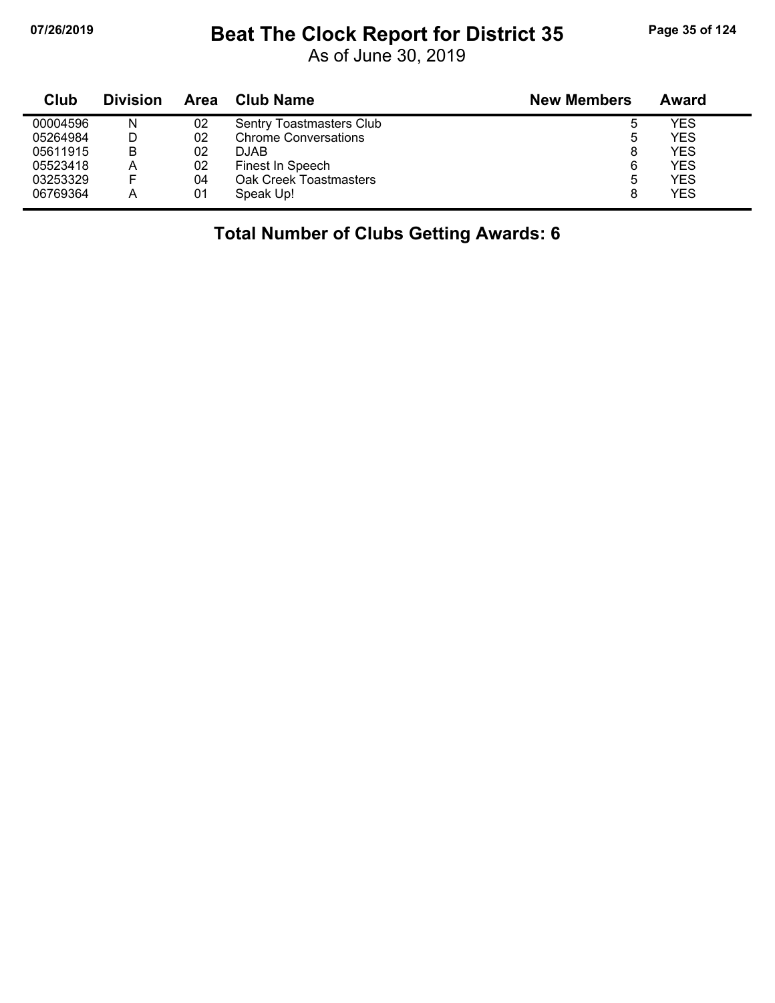# **07/26/2019 Beat The Clock Report for District 35 Page 35 of 124**

As of June 30, 2019

| Club     | <b>Division</b> | <b>Area</b> | Club Name                   | <b>New Members</b> | Award      |
|----------|-----------------|-------------|-----------------------------|--------------------|------------|
| 00004596 | Ν               | 02          | Sentry Toastmasters Club    |                    | YES        |
| 05264984 | D               | 02          | <b>Chrome Conversations</b> |                    | <b>YES</b> |
| 05611915 | В               | 02          | <b>DJAB</b>                 | 8                  | <b>YES</b> |
| 05523418 | Α               | 02          | Finest In Speech            | 6                  | <b>YES</b> |
| 03253329 | F               | 04          | Oak Creek Toastmasters      | ۰.                 | YES        |
| 06769364 | Α               | 01          | Speak Up!                   |                    | <b>YES</b> |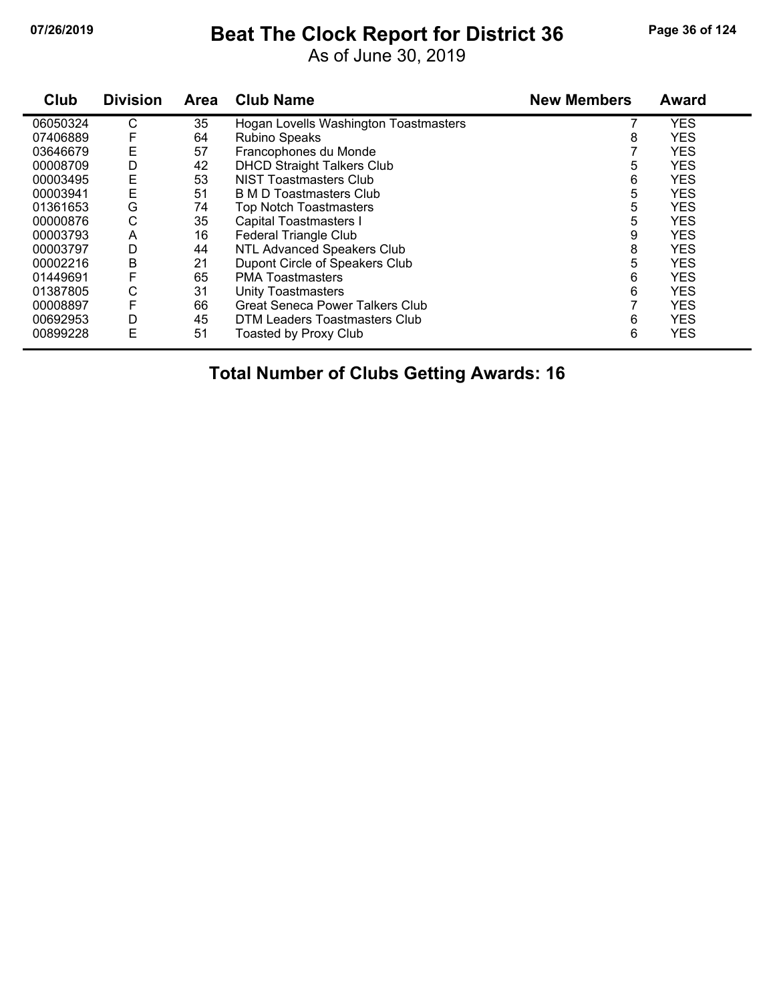# **07/26/2019 Beat The Clock Report for District 36 Page 36 of 124**

As of June 30, 2019

| Club     | <b>Division</b> | <b>Area</b> | <b>Club Name</b>                       | <b>New Members</b> | <b>Award</b> |
|----------|-----------------|-------------|----------------------------------------|--------------------|--------------|
| 06050324 | С               | 35          | Hogan Lovells Washington Toastmasters  |                    | <b>YES</b>   |
| 07406889 | F               | 64          | Rubino Speaks                          | 8                  | <b>YES</b>   |
| 03646679 | Ε               | 57          | Francophones du Monde                  |                    | <b>YES</b>   |
| 00008709 | D               | 42          | <b>DHCD Straight Talkers Club</b>      | 5                  | <b>YES</b>   |
| 00003495 | E               | 53          | <b>NIST Toastmasters Club</b>          | 6                  | <b>YES</b>   |
| 00003941 | E               | 51          | B M D Toastmasters Club                | 5                  | <b>YES</b>   |
| 01361653 | G               | 74          | <b>Top Notch Toastmasters</b>          | 5                  | <b>YES</b>   |
| 00000876 | С               | 35          | <b>Capital Toastmasters I</b>          | 5                  | <b>YES</b>   |
| 00003793 | A               | 16          | <b>Federal Triangle Club</b>           | 9                  | <b>YES</b>   |
| 00003797 | D               | 44          | NTL Advanced Speakers Club             | 8                  | <b>YES</b>   |
| 00002216 | B               | 21          | Dupont Circle of Speakers Club         | 5                  | <b>YES</b>   |
| 01449691 | F               | 65          | <b>PMA Toastmasters</b>                | 6                  | <b>YES</b>   |
| 01387805 | С               | 31          | <b>Unity Toastmasters</b>              | 6                  | <b>YES</b>   |
| 00008897 | F               | 66          | <b>Great Seneca Power Talkers Club</b> |                    | <b>YES</b>   |
| 00692953 | D               | 45          | DTM Leaders Toastmasters Club          | 6                  | <b>YES</b>   |
| 00899228 | Ε               | 51          | <b>Toasted by Proxy Club</b>           | 6                  | <b>YES</b>   |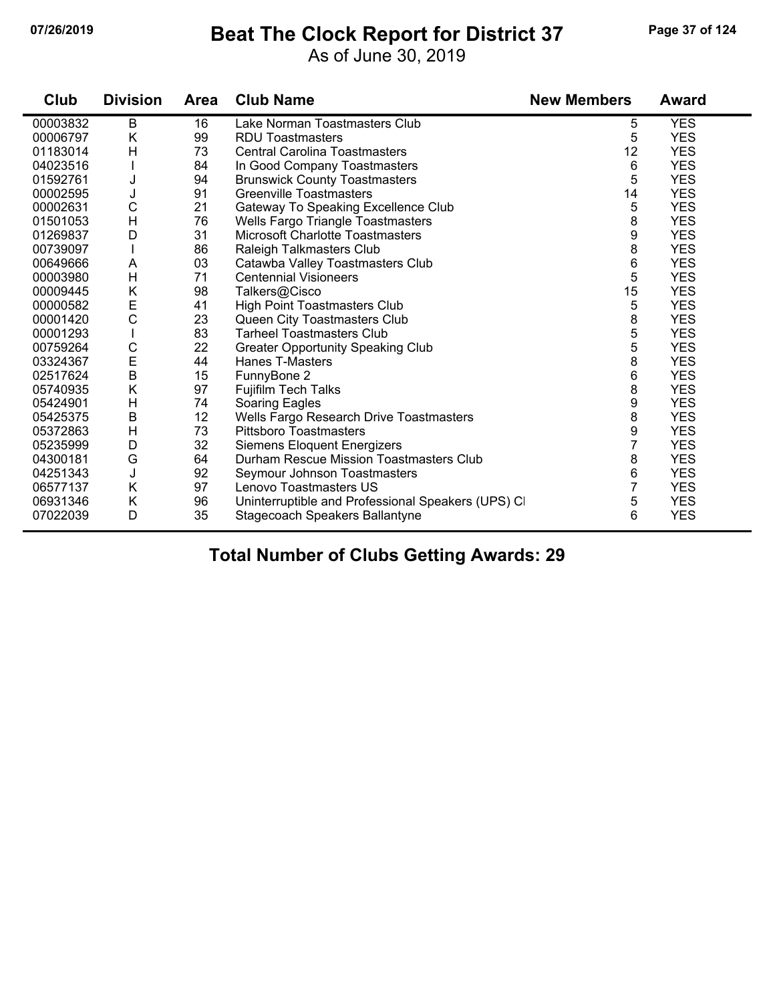#### **07/26/2019 Beat The Clock Report for District 37 Page 37 of 124**

As of June 30, 2019

| Club     | <b>Division</b> | <b>Area</b> | <b>Club Name</b>                                  | <b>New Members</b> | <b>Award</b> |
|----------|-----------------|-------------|---------------------------------------------------|--------------------|--------------|
| 00003832 | B               | 16          | Lake Norman Toastmasters Club                     | 5                  | <b>YES</b>   |
| 00006797 | K               | 99          | <b>RDU Toastmasters</b>                           | 5                  | <b>YES</b>   |
| 01183014 | Η               | 73          | <b>Central Carolina Toastmasters</b>              | 12                 | <b>YES</b>   |
| 04023516 |                 | 84          | In Good Company Toastmasters                      | 6                  | <b>YES</b>   |
| 01592761 | J               | 94          | <b>Brunswick County Toastmasters</b>              | 5                  | <b>YES</b>   |
| 00002595 | J               | 91          | <b>Greenville Toastmasters</b>                    | 14                 | <b>YES</b>   |
| 00002631 | $\mathsf{C}$    | 21          | Gateway To Speaking Excellence Club               | 5                  | <b>YES</b>   |
| 01501053 | H               | 76          | <b>Wells Fargo Triangle Toastmasters</b>          | 8                  | <b>YES</b>   |
| 01269837 | D               | 31          | <b>Microsoft Charlotte Toastmasters</b>           | 9                  | <b>YES</b>   |
| 00739097 |                 | 86          | <b>Raleigh Talkmasters Club</b>                   | 8                  | <b>YES</b>   |
| 00649666 | A               | 03          | Catawba Valley Toastmasters Club                  | 6                  | <b>YES</b>   |
| 00003980 | H               | 71          | <b>Centennial Visioneers</b>                      | 5                  | <b>YES</b>   |
| 00009445 | K               | 98          | Talkers@Cisco                                     | 15                 | <b>YES</b>   |
| 00000582 | E               | 41          | High Point Toastmasters Club                      | 5                  | <b>YES</b>   |
| 00001420 | $\mathsf{C}$    | 23          | Queen City Toastmasters Club                      | 8                  | <b>YES</b>   |
| 00001293 |                 | 83          | <b>Tarheel Toastmasters Club</b>                  | 5                  | <b>YES</b>   |
| 00759264 | $\mathsf C$     | 22          | <b>Greater Opportunity Speaking Club</b>          | 5                  | <b>YES</b>   |
| 03324367 | E               | 44          | <b>Hanes T-Masters</b>                            | 8                  | <b>YES</b>   |
| 02517624 | $\sf B$         | 15          | FunnyBone 2                                       | 6                  | <b>YES</b>   |
| 05740935 | Κ               | 97          | <b>Fujifilm Tech Talks</b>                        | 8                  | <b>YES</b>   |
| 05424901 | H               | 74          | Soaring Eagles                                    | 9                  | <b>YES</b>   |
| 05425375 | B               | 12          | Wells Fargo Research Drive Toastmasters           | 8                  | <b>YES</b>   |
| 05372863 | Η               | 73          | <b>Pittsboro Toastmasters</b>                     | 9                  | <b>YES</b>   |
| 05235999 | D               | 32          | <b>Siemens Eloquent Energizers</b>                | 7                  | <b>YES</b>   |
| 04300181 | G               | 64          | Durham Rescue Mission Toastmasters Club           | 8                  | <b>YES</b>   |
| 04251343 | J               | 92          | Seymour Johnson Toastmasters                      | 6                  | <b>YES</b>   |
| 06577137 | Κ               | 97          | Lenovo Toastmasters US                            | 7                  | <b>YES</b>   |
| 06931346 | Κ               | 96          | Uninterruptible and Professional Speakers (UPS) C | 5                  | <b>YES</b>   |
| 07022039 | D               | 35          | Stagecoach Speakers Ballantyne                    | 6                  | <b>YES</b>   |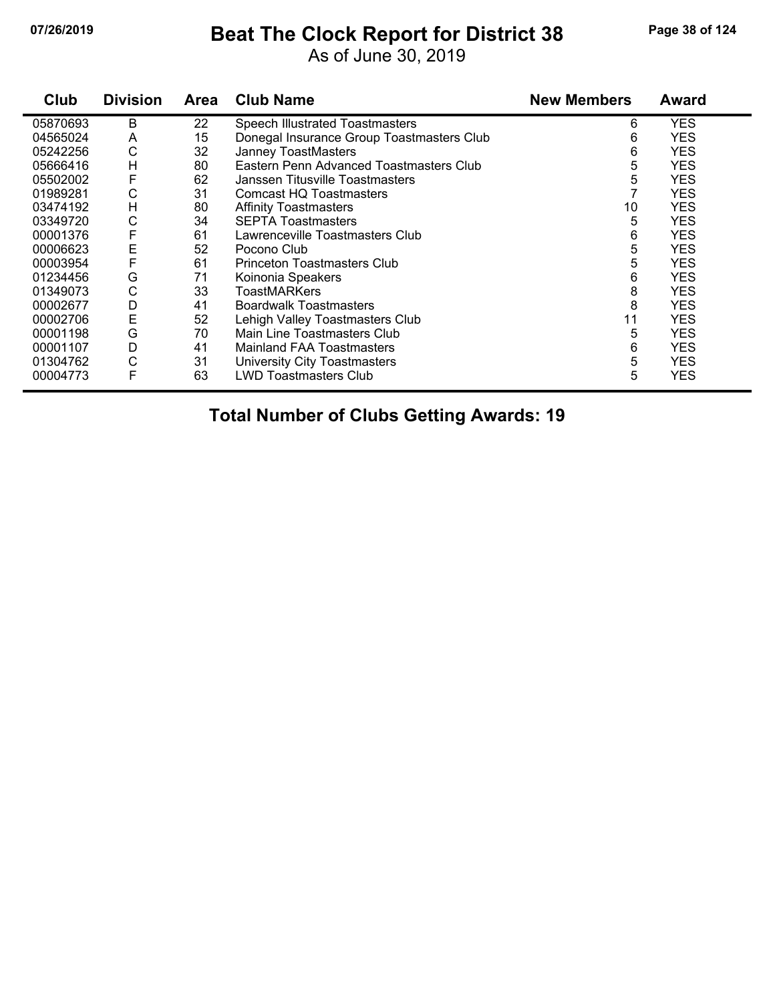### **07/26/2019 Beat The Clock Report for District 38 Page 38 of 124**

As of June 30, 2019

| Club     | <b>Division</b> | <b>Area</b> | <b>Club Name</b>                          | <b>New Members</b> | <b>Award</b> |
|----------|-----------------|-------------|-------------------------------------------|--------------------|--------------|
| 05870693 | B               | 22          | Speech Illustrated Toastmasters           | 6                  | <b>YES</b>   |
| 04565024 | A               | 15          | Donegal Insurance Group Toastmasters Club | 6                  | <b>YES</b>   |
| 05242256 | С               | 32          | Janney ToastMasters                       | 6                  | <b>YES</b>   |
| 05666416 | H               | 80          | Eastern Penn Advanced Toastmasters Club   | 5                  | <b>YES</b>   |
| 05502002 | F               | 62          | Janssen Titusville Toastmasters           | 5                  | <b>YES</b>   |
| 01989281 | C               | 31          | Comcast HQ Toastmasters                   |                    | <b>YES</b>   |
| 03474192 | H               | 80          | <b>Affinity Toastmasters</b>              | 10                 | <b>YES</b>   |
| 03349720 | С               | 34          | <b>SEPTA Toastmasters</b>                 | 5                  | <b>YES</b>   |
| 00001376 | F               | 61          | Lawrenceville Toastmasters Club           | 6                  | <b>YES</b>   |
| 00006623 | Е               | 52          | Pocono Club                               | 5                  | <b>YES</b>   |
| 00003954 | F               | 61          | <b>Princeton Toastmasters Club</b>        | 5                  | <b>YES</b>   |
| 01234456 | G               | 71          | Koinonia Speakers                         | 6                  | <b>YES</b>   |
| 01349073 | С               | 33          | ToastMARKers                              | 8                  | <b>YES</b>   |
| 00002677 | D               | 41          | <b>Boardwalk Toastmasters</b>             | 8                  | <b>YES</b>   |
| 00002706 | E               | 52          | Lehigh Valley Toastmasters Club           | 11                 | <b>YES</b>   |
| 00001198 | G               | 70          | Main Line Toastmasters Club               | 5                  | <b>YES</b>   |
| 00001107 | D               | 41          | <b>Mainland FAA Toastmasters</b>          | 6                  | <b>YES</b>   |
| 01304762 | C               | 31          | University City Toastmasters              | 5                  | <b>YES</b>   |
| 00004773 | F               | 63          | <b>LWD Toastmasters Club</b>              | 5                  | <b>YES</b>   |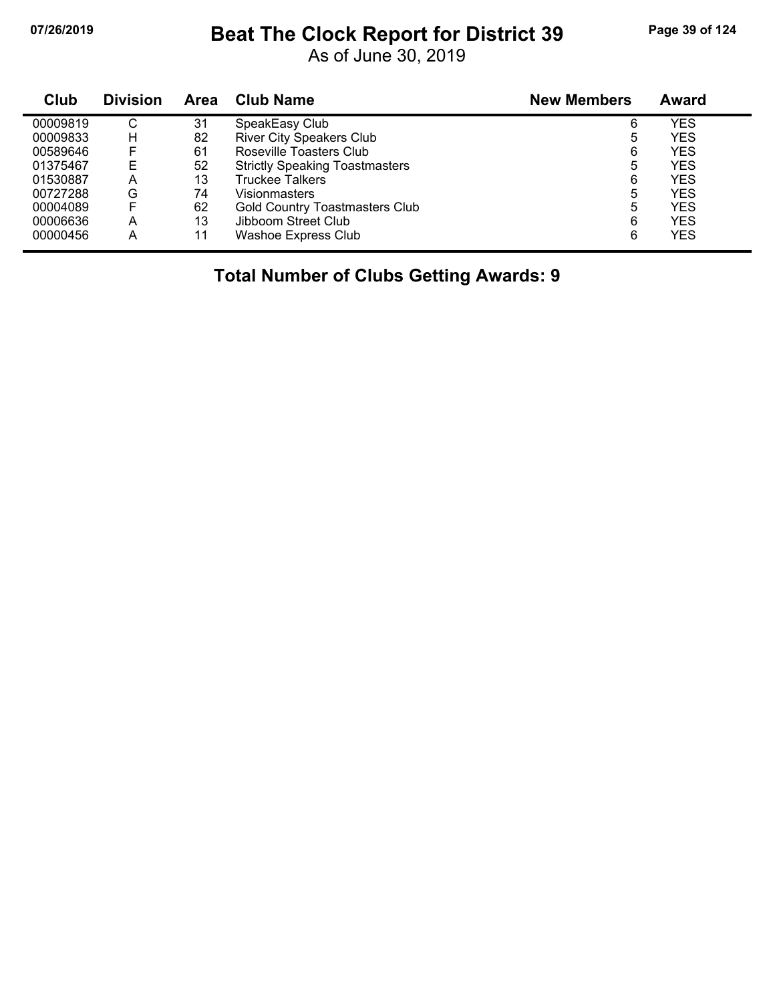#### **07/26/2019 Beat The Clock Report for District 39 Page 39 of 124**

As of June 30, 2019

| Club     | <b>Division</b> | <b>Area</b> | <b>Club Name</b>                      | <b>New Members</b> | <b>Award</b> |  |
|----------|-----------------|-------------|---------------------------------------|--------------------|--------------|--|
| 00009819 | C               | 31          | SpeakEasy Club                        | 6                  | YES          |  |
| 00009833 | Н               | 82          | <b>River City Speakers Club</b>       | 5                  | <b>YES</b>   |  |
| 00589646 | F               | 61          | Roseville Toasters Club               | 6                  | YES          |  |
| 01375467 | Е               | 52          | <b>Strictly Speaking Toastmasters</b> | 5                  | YES          |  |
| 01530887 | А               | 13          | <b>Truckee Talkers</b>                | 6                  | <b>YES</b>   |  |
| 00727288 | G               | 74          | Visionmasters                         | 5                  | YES          |  |
| 00004089 | F               | 62          | <b>Gold Country Toastmasters Club</b> | 5                  | YES          |  |
| 00006636 | А               | 13          | Jibboom Street Club                   | 6                  | <b>YES</b>   |  |
| 00000456 | A               | 11          | <b>Washoe Express Club</b>            | 6                  | <b>YES</b>   |  |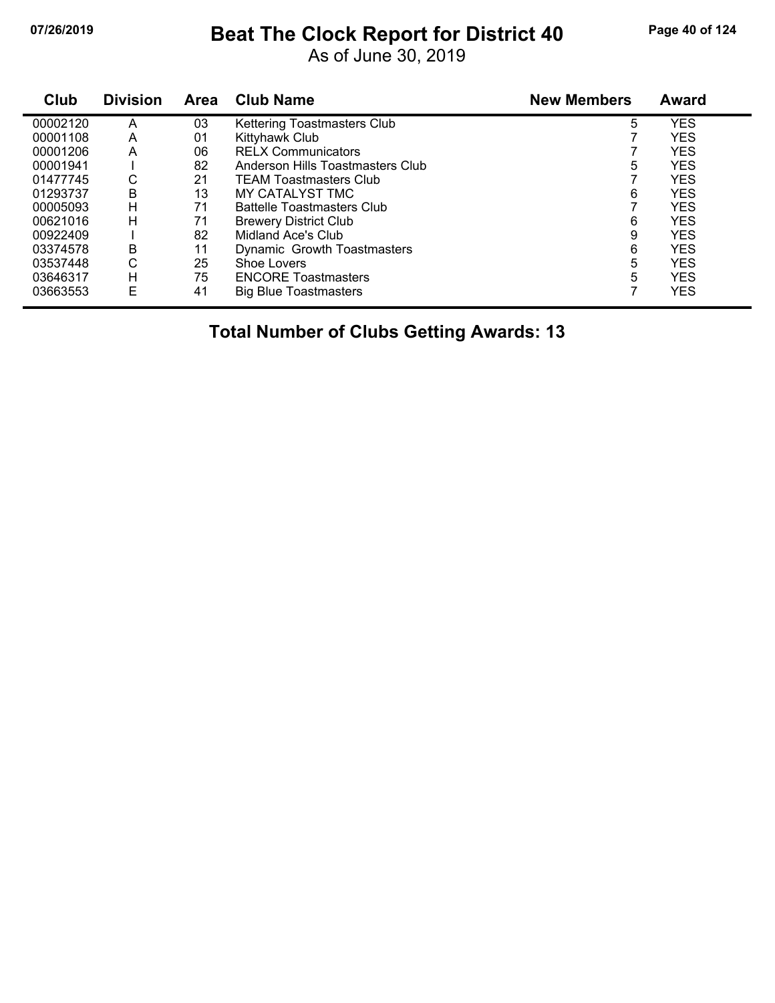### **07/26/2019 Beat The Clock Report for District 40 Page 40 of 124**

As of June 30, 2019

| <b>Club</b> | <b>Division</b> | <b>Area</b> | <b>Club Name</b>                   | <b>New Members</b> | <b>Award</b> |  |
|-------------|-----------------|-------------|------------------------------------|--------------------|--------------|--|
| 00002120    | A               | 03          | <b>Kettering Toastmasters Club</b> | 5                  | <b>YES</b>   |  |
| 00001108    | A               | 01          | Kittyhawk Club                     |                    | <b>YES</b>   |  |
| 00001206    | A               | 06          | <b>RELX Communicators</b>          |                    | <b>YES</b>   |  |
| 00001941    |                 | 82          | Anderson Hills Toastmasters Club   | 5                  | <b>YES</b>   |  |
| 01477745    | С               | 21          | <b>TEAM Toastmasters Club</b>      |                    | <b>YES</b>   |  |
| 01293737    | B               | 13          | MY CATALYST TMC                    | 6                  | <b>YES</b>   |  |
| 00005093    | H               | 71          | <b>Battelle Toastmasters Club</b>  |                    | <b>YES</b>   |  |
| 00621016    | Н               | 71          | <b>Brewery District Club</b>       | 6                  | <b>YES</b>   |  |
| 00922409    |                 | 82          | Midland Ace's Club                 | 9                  | <b>YES</b>   |  |
| 03374578    | B               | 11          | Dynamic Growth Toastmasters        | 6                  | <b>YES</b>   |  |
| 03537448    | C               | 25          | Shoe Lovers                        | 5                  | <b>YES</b>   |  |
| 03646317    | H               | 75          | <b>ENCORE Toastmasters</b>         | 5                  | <b>YES</b>   |  |
| 03663553    | Е               | 41          | Big Blue Toastmasters              |                    | <b>YES</b>   |  |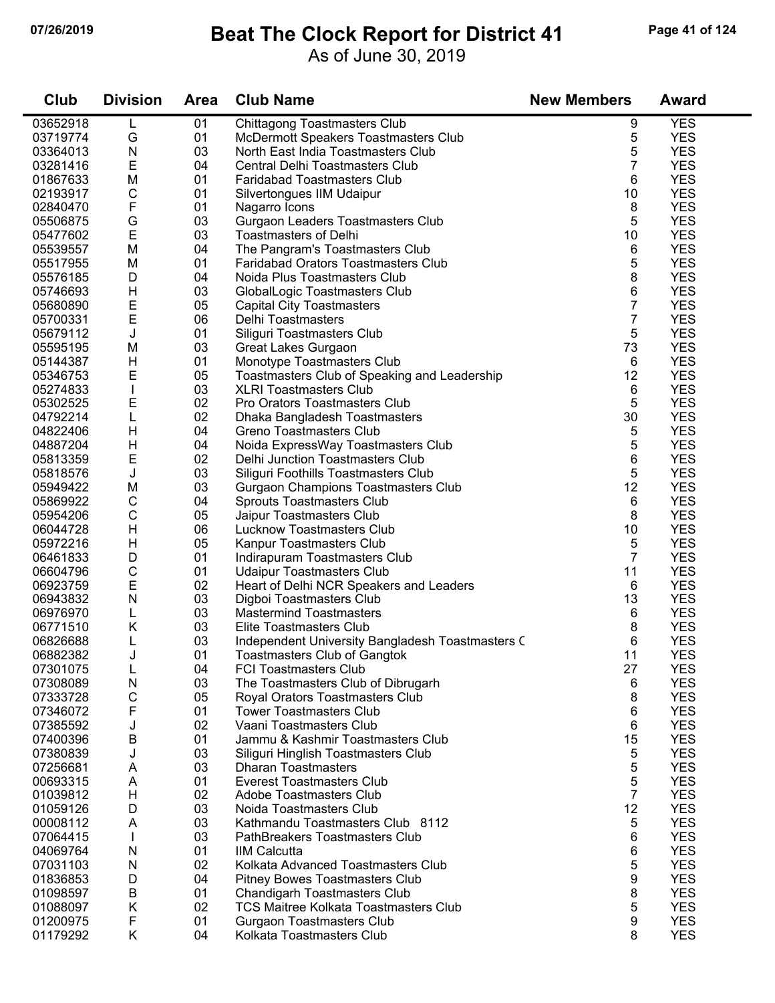### **07/26/2019 Beat The Clock Report for District 41 Page 41 of 124**

As of June 30, 2019

| Club                 | <b>Division</b> | <b>Area</b> | <b>Club Name</b>                                                   | <b>New Members</b> | <b>Award</b>             |
|----------------------|-----------------|-------------|--------------------------------------------------------------------|--------------------|--------------------------|
| 03652918             | L               | 01          | <b>Chittagong Toastmasters Club</b>                                | 9                  | <b>YES</b>               |
| 03719774             | G               | 01          | McDermott Speakers Toastmasters Club                               | 5                  | <b>YES</b>               |
| 03364013             | N               | 03          | North East India Toastmasters Club                                 | 5                  | <b>YES</b>               |
| 03281416             | E               | 04          | Central Delhi Toastmasters Club                                    | $\overline{7}$     | <b>YES</b>               |
| 01867633             | M               | 01          | <b>Faridabad Toastmasters Club</b>                                 | 6                  | <b>YES</b>               |
| 02193917             | C               | 01          | Silvertongues IIM Udaipur                                          | 10                 | <b>YES</b>               |
| 02840470             | F               | 01          | Nagarro Icons                                                      | 8                  | <b>YES</b>               |
| 05506875             | G               | 03          | Gurgaon Leaders Toastmasters Club                                  | 5                  | <b>YES</b>               |
| 05477602             | E               | 03          | <b>Toastmasters of Delhi</b>                                       | 10                 | <b>YES</b>               |
| 05539557             | M               | 04          | The Pangram's Toastmasters Club                                    | 6                  | <b>YES</b>               |
| 05517955             | M               | 01          | Faridabad Orators Toastmasters Club                                | 5                  | <b>YES</b>               |
| 05576185             | D               | 04          | Noida Plus Toastmasters Club                                       | 8                  | <b>YES</b>               |
| 05746693             | H               | 03          | GlobalLogic Toastmasters Club                                      | 6                  | <b>YES</b>               |
| 05680890             | Е               | 05          | <b>Capital City Toastmasters</b>                                   | $\overline{7}$     | <b>YES</b>               |
| 05700331             | E               | 06          | Delhi Toastmasters                                                 | 7                  | <b>YES</b>               |
| 05679112             | J               | 01          | Siliguri Toastmasters Club                                         | 5                  | <b>YES</b>               |
| 05595195             | M               | 03          | Great Lakes Gurgaon                                                | 73                 | <b>YES</b>               |
| 05144387             | H               | 01          | Monotype Toastmasters Club                                         | 6                  | <b>YES</b>               |
| 05346753             | E               | 05          | Toastmasters Club of Speaking and Leadership                       | 12                 | <b>YES</b>               |
| 05274833             |                 | 03          | <b>XLRI Toastmasters Club</b>                                      | 6                  | <b>YES</b>               |
| 05302525             | E               | 02          | Pro Orators Toastmasters Club                                      | 5                  | <b>YES</b>               |
| 04792214             | L               | 02          | Dhaka Bangladesh Toastmasters                                      | 30                 | <b>YES</b>               |
| 04822406             | H               | 04          | Greno Toastmasters Club                                            | 5                  | <b>YES</b>               |
| 04887204             | H               | 04          | Noida ExpressWay Toastmasters Club                                 | 5                  | <b>YES</b>               |
| 05813359             | E               | 02          | Delhi Junction Toastmasters Club                                   | 6                  | <b>YES</b>               |
| 05818576             | J               | 03          | Siliguri Foothills Toastmasters Club                               | 5                  | <b>YES</b>               |
| 05949422             | M               | 03          | Gurgaon Champions Toastmasters Club                                | 12                 | <b>YES</b>               |
| 05869922             | C               | 04          | Sprouts Toastmasters Club                                          | 6                  | <b>YES</b>               |
| 05954206             | C               | 05          | Jaipur Toastmasters Club                                           | 8                  | <b>YES</b>               |
| 06044728             | H               | 06          | <b>Lucknow Toastmasters Club</b>                                   | 10                 | <b>YES</b>               |
| 05972216             | H               | 05          | Kanpur Toastmasters Club                                           | 5                  | <b>YES</b>               |
| 06461833             | D               | 01          | Indirapuram Toastmasters Club                                      | $\overline{7}$     | <b>YES</b>               |
| 06604796             | C               | 01          | <b>Udaipur Toastmasters Club</b>                                   | 11                 | <b>YES</b>               |
| 06923759             | E               | 02          | Heart of Delhi NCR Speakers and Leaders                            | 6                  | <b>YES</b>               |
| 06943832             | N               | 03          | Digboi Toastmasters Club                                           | 13                 | <b>YES</b>               |
| 06976970             | L               | 03          | <b>Mastermind Toastmasters</b>                                     | 6                  | <b>YES</b>               |
| 06771510             | Κ               | 03          | Elite Toastmasters Club                                            | 8                  | <b>YES</b>               |
| 06826688<br>06882382 |                 | 03<br>01    | Independent University Bangladesh Toastmasters C                   | 6                  | <b>YES</b><br><b>YES</b> |
|                      |                 |             | <b>Toastmasters Club of Gangtok</b>                                | 11                 |                          |
| 07301075<br>07308089 | L<br>N          | 04<br>03    | <b>FCI Toastmasters Club</b><br>The Toastmasters Club of Dibrugarh | 27<br>6            | <b>YES</b><br><b>YES</b> |
| 07333728             | C               | 05          | Royal Orators Toastmasters Club                                    | 8                  | <b>YES</b>               |
| 07346072             | F               | 01          | <b>Tower Toastmasters Club</b>                                     | 6                  | <b>YES</b>               |
| 07385592             | J               | 02          | Vaani Toastmasters Club                                            | 6                  | <b>YES</b>               |
| 07400396             | в               | 01          | Jammu & Kashmir Toastmasters Club                                  | 15                 | <b>YES</b>               |
| 07380839             | J               | 03          | Siliguri Hinglish Toastmasters Club                                | 5                  | <b>YES</b>               |
| 07256681             | A               | 03          | <b>Dharan Toastmasters</b>                                         | 5                  | <b>YES</b>               |
| 00693315             | A               | 01          | <b>Everest Toastmasters Club</b>                                   | 5                  | <b>YES</b>               |
| 01039812             | H               | 02          | Adobe Toastmasters Club                                            | $\overline{7}$     | <b>YES</b>               |
| 01059126             | D               | 03          | Noida Toastmasters Club                                            | 12                 | <b>YES</b>               |
| 00008112             | A               | 03          | Kathmandu Toastmasters Club 8112                                   | 5                  | <b>YES</b>               |
| 07064415             |                 | 03          | PathBreakers Toastmasters Club                                     | 6                  | <b>YES</b>               |
| 04069764             | N               | 01          | <b>IIM Calcutta</b>                                                | 6                  | <b>YES</b>               |
| 07031103             | N               | 02          | Kolkata Advanced Toastmasters Club                                 | 5                  | <b>YES</b>               |
| 01836853             | D               | 04          | <b>Pitney Bowes Toastmasters Club</b>                              | 9                  | <b>YES</b>               |
| 01098597             | В               | 01          | Chandigarh Toastmasters Club                                       | 8                  | <b>YES</b>               |
| 01088097             | Κ               | 02          | <b>TCS Maitree Kolkata Toastmasters Club</b>                       | 5                  | <b>YES</b>               |
| 01200975             | F               | 01          | <b>Gurgaon Toastmasters Club</b>                                   | 9                  | <b>YES</b>               |
| 01179292             | Κ               | 04          | Kolkata Toastmasters Club                                          | 8                  | <b>YES</b>               |
|                      |                 |             |                                                                    |                    |                          |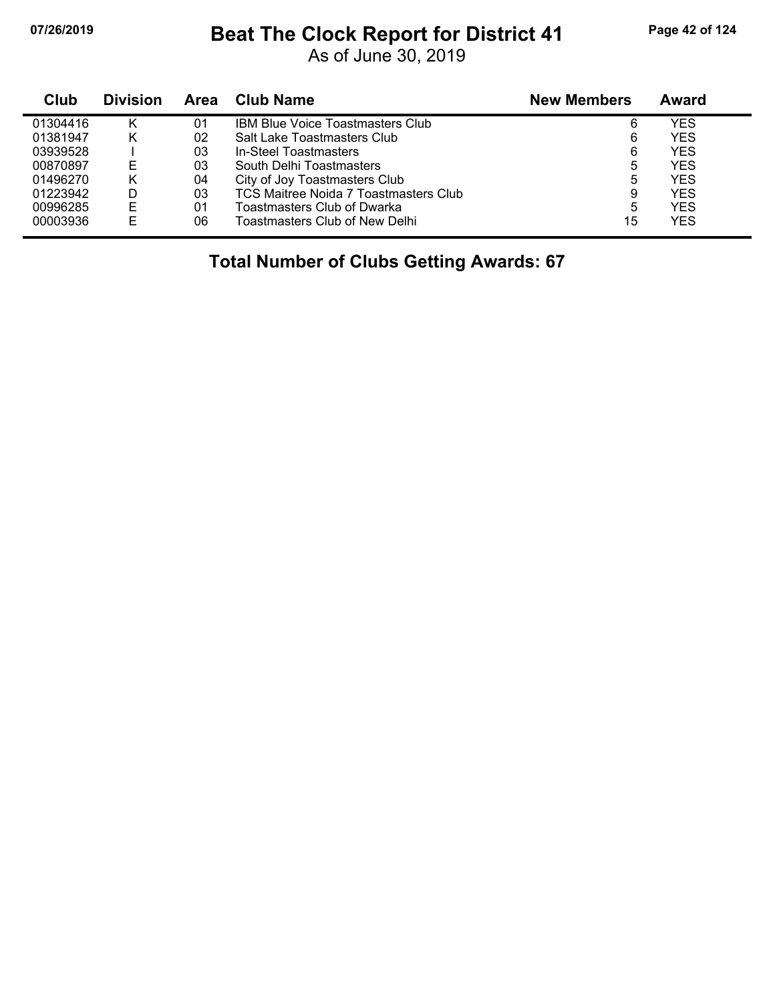#### **07/26/2019 Beat The Clock Report for District 41 Page 42 of 124**

As of June 30, 2019

| Club     | <b>Division</b> | Area | Club Name                               | <b>New Members</b> | Award      |  |
|----------|-----------------|------|-----------------------------------------|--------------------|------------|--|
| 01304416 | κ               | 01   | <b>IBM Blue Voice Toastmasters Club</b> | 6                  | YES        |  |
| 01381947 | κ               | 02   | Salt Lake Toastmasters Club             | 6                  | <b>YES</b> |  |
| 03939528 |                 | 03   | In-Steel Toastmasters                   | 6                  | <b>YES</b> |  |
| 00870897 | Е               | 03   | South Delhi Toastmasters                | 5                  | <b>YES</b> |  |
| 01496270 | κ               | 04   | City of Joy Toastmasters Club           | 5                  | <b>YES</b> |  |
| 01223942 | D               | 03   | TCS Maitree Noida 7 Toastmasters Club   | 9                  | <b>YES</b> |  |
| 00996285 | E               | 01   | Toastmasters Club of Dwarka             | 5                  | <b>YES</b> |  |
| 00003936 | E               | 06   | Toastmasters Club of New Delhi          | 15                 | YES        |  |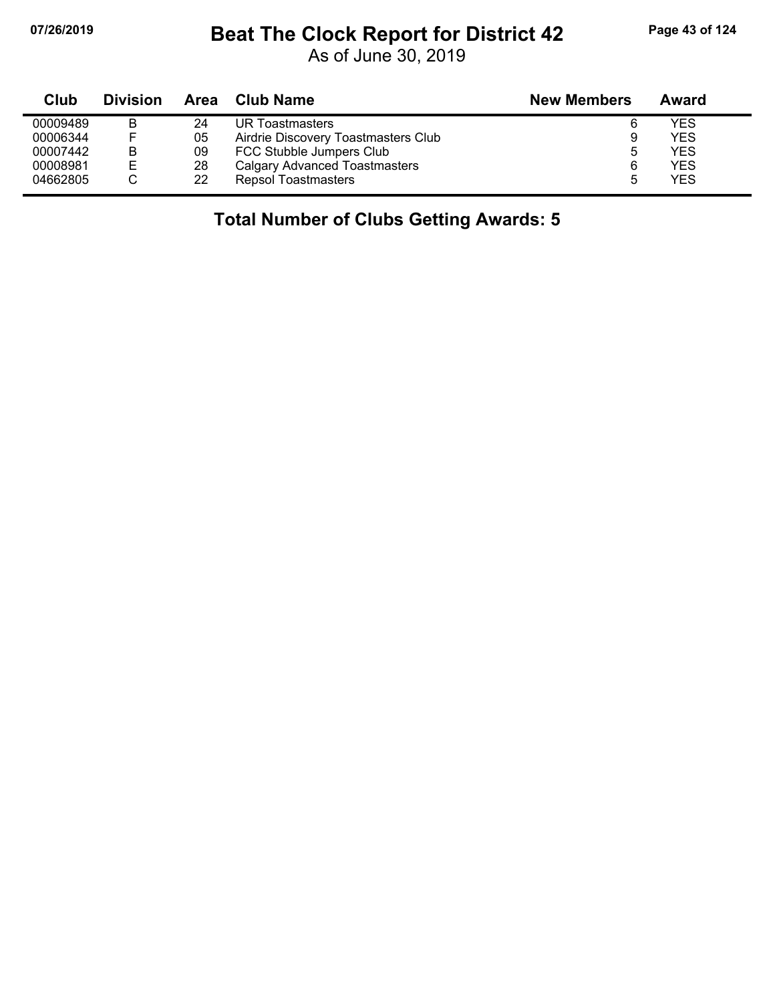### **07/26/2019 Beat The Clock Report for District 42 Page 43 of 124**

As of June 30, 2019

| Club     | <b>Division</b> | Area | Club Name                            | <b>New Members</b> | Award |
|----------|-----------------|------|--------------------------------------|--------------------|-------|
| 00009489 | в               | 24   | UR Toastmasters                      | 6                  | YES   |
| 00006344 |                 | 05   | Airdrie Discovery Toastmasters Club  | 9                  | YES   |
| 00007442 | в               | 09   | FCC Stubble Jumpers Club             | 5                  | YES   |
| 00008981 | Е               | 28   | <b>Calgary Advanced Toastmasters</b> | 6                  | YES   |
| 04662805 |                 | 22   | <b>Repsol Toastmasters</b>           |                    | YES   |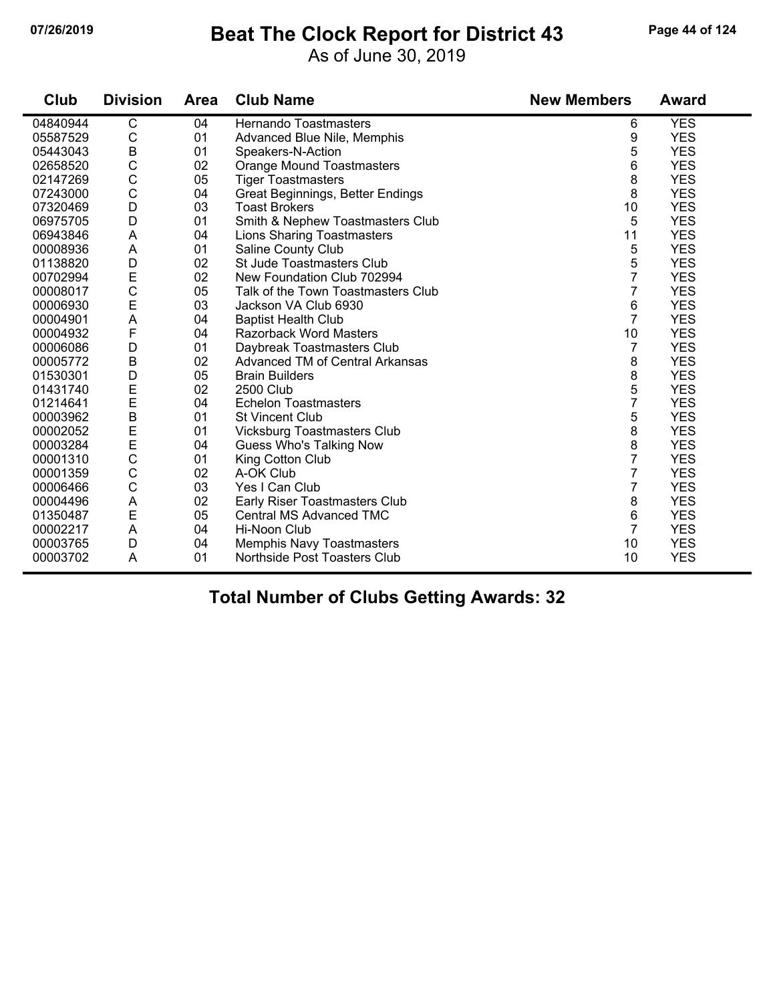#### **07/26/2019 Beat The Clock Report for District 43 Page 44 of 124**

As of June 30, 2019

| Club     | <b>Division</b> | <b>Area</b> | <b>Club Name</b>                   | <b>New Members</b> | <b>Award</b> |
|----------|-----------------|-------------|------------------------------------|--------------------|--------------|
| 04840944 | C               | 04          | Hernando Toastmasters              | 6                  | <b>YES</b>   |
| 05587529 | C               | 01          | Advanced Blue Nile, Memphis        | 9                  | <b>YES</b>   |
| 05443043 | B               | 01          | Speakers-N-Action                  | 5                  | <b>YES</b>   |
| 02658520 | C               | 02          | <b>Orange Mound Toastmasters</b>   | 6                  | <b>YES</b>   |
| 02147269 | C               | 05          | <b>Tiger Toastmasters</b>          | 8                  | <b>YES</b>   |
| 07243000 | $\mathsf{C}$    | 04          | Great Beginnings, Better Endings   | 8                  | <b>YES</b>   |
| 07320469 | D               | 03          | <b>Toast Brokers</b>               | 10                 | <b>YES</b>   |
| 06975705 | D               | 01          | Smith & Nephew Toastmasters Club   | 5                  | <b>YES</b>   |
| 06943846 | A               | 04          | <b>Lions Sharing Toastmasters</b>  | 11                 | <b>YES</b>   |
| 00008936 | A               | 01          | Saline County Club                 | 5                  | <b>YES</b>   |
| 01138820 | D               | 02          | <b>St Jude Toastmasters Club</b>   | 5                  | <b>YES</b>   |
| 00702994 | E               | 02          | New Foundation Club 702994         | 7                  | <b>YES</b>   |
| 00008017 | $\mathsf{C}$    | 05          | Talk of the Town Toastmasters Club | 7                  | <b>YES</b>   |
| 00006930 | E               | 03          | Jackson VA Club 6930               | 6                  | <b>YES</b>   |
| 00004901 | A               | 04          | <b>Baptist Health Club</b>         | 7                  | <b>YES</b>   |
| 00004932 | F               | 04          | <b>Razorback Word Masters</b>      | 10                 | <b>YES</b>   |
| 00006086 | D               | 01          | Daybreak Toastmasters Club         | 7                  | <b>YES</b>   |
| 00005772 | $\sf B$         | 02          | Advanced TM of Central Arkansas    | 8                  | <b>YES</b>   |
| 01530301 | D               | 05          | <b>Brain Builders</b>              | 8                  | <b>YES</b>   |
| 01431740 | E               | 02          | <b>2500 Club</b>                   | 5                  | <b>YES</b>   |
| 01214641 | E               | 04          | <b>Echelon Toastmasters</b>        | 7                  | <b>YES</b>   |
| 00003962 | B               | 01          | <b>St Vincent Club</b>             | 5                  | <b>YES</b>   |
| 00002052 | E<br>E          | 01          | <b>Vicksburg Toastmasters Club</b> | 8                  | <b>YES</b>   |
| 00003284 |                 | 04          | Guess Who's Talking Now            | 8                  | <b>YES</b>   |
| 00001310 | $\mathsf{C}$    | 01          | King Cotton Club                   | 7                  | <b>YES</b>   |
| 00001359 | C               | 02          | A-OK Club                          | 7                  | <b>YES</b>   |
| 00006466 | C               | 03          | Yes I Can Club                     | 7                  | <b>YES</b>   |
| 00004496 | A               | 02          | Early Riser Toastmasters Club      | 8                  | <b>YES</b>   |
| 01350487 | E               | 05          | Central MS Advanced TMC            | 6                  | <b>YES</b>   |
| 00002217 | A               | 04          | Hi-Noon Club                       | 7                  | <b>YES</b>   |
| 00003765 | D               | 04          | Memphis Navy Toastmasters          | 10                 | <b>YES</b>   |
| 00003702 | A               | 01          | Northside Post Toasters Club       | 10                 | <b>YES</b>   |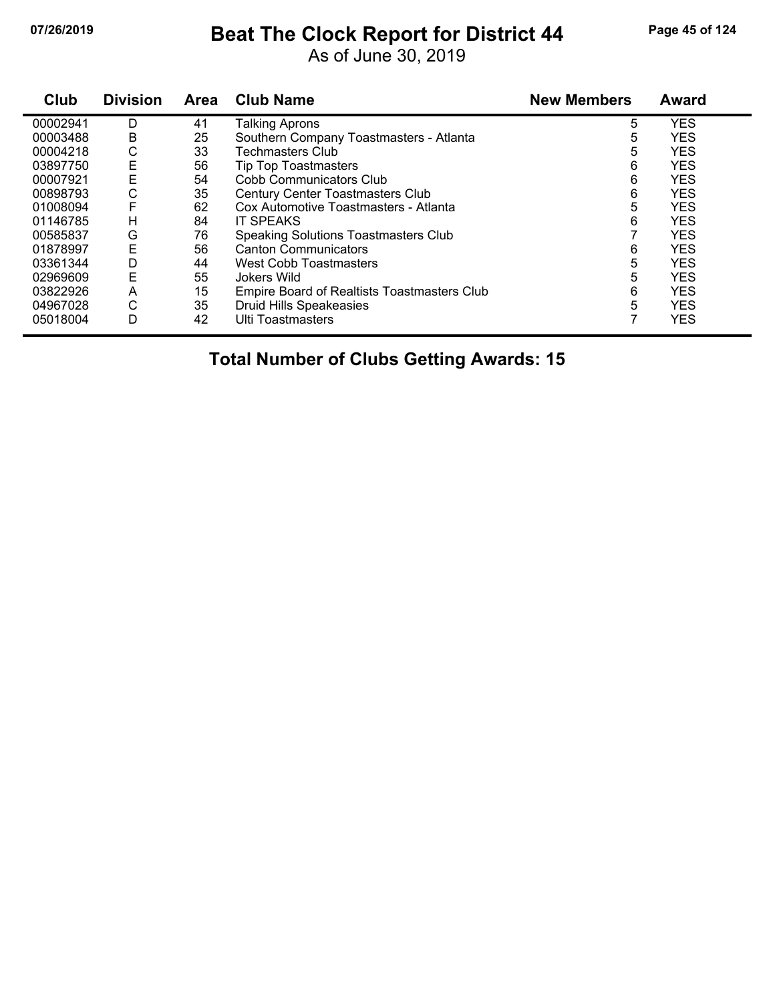# **07/26/2019 Beat The Clock Report for District 44 Page 45 of 124**

As of June 30, 2019

| Club     | <b>Division</b> | <b>Area</b> | <b>Club Name</b>                            | <b>New Members</b> | <b>Award</b> |
|----------|-----------------|-------------|---------------------------------------------|--------------------|--------------|
| 00002941 | D               | 41          | <b>Talking Aprons</b>                       | 5                  | <b>YES</b>   |
| 00003488 | B               | 25          | Southern Company Toastmasters - Atlanta     | 5                  | <b>YES</b>   |
| 00004218 | С               | 33          | Techmasters Club                            | 5                  | <b>YES</b>   |
| 03897750 | Е               | 56          | <b>Tip Top Toastmasters</b>                 | 6                  | <b>YES</b>   |
| 00007921 | E               | 54          | Cobb Communicators Club                     | 6                  | <b>YES</b>   |
| 00898793 | С               | 35          | <b>Century Center Toastmasters Club</b>     | 6                  | <b>YES</b>   |
| 01008094 | F               | 62          | Cox Automotive Toastmasters - Atlanta       | 5                  | <b>YES</b>   |
| 01146785 | н               | 84          | <b>IT SPEAKS</b>                            | 6                  | <b>YES</b>   |
| 00585837 | G               | 76          | <b>Speaking Solutions Toastmasters Club</b> |                    | <b>YES</b>   |
| 01878997 | E               | 56          | <b>Canton Communicators</b>                 | 6                  | <b>YES</b>   |
| 03361344 | D               | 44          | West Cobb Toastmasters                      | 5                  | <b>YES</b>   |
| 02969609 | Ε               | 55          | Jokers Wild                                 | 5                  | <b>YES</b>   |
| 03822926 | A               | 15          | Empire Board of Realtists Toastmasters Club | 6                  | <b>YES</b>   |
| 04967028 | C               | 35          | Druid Hills Speakeasies                     | 5                  | <b>YES</b>   |
| 05018004 | D               | 42          | <b>Ulti Toastmasters</b>                    |                    | <b>YES</b>   |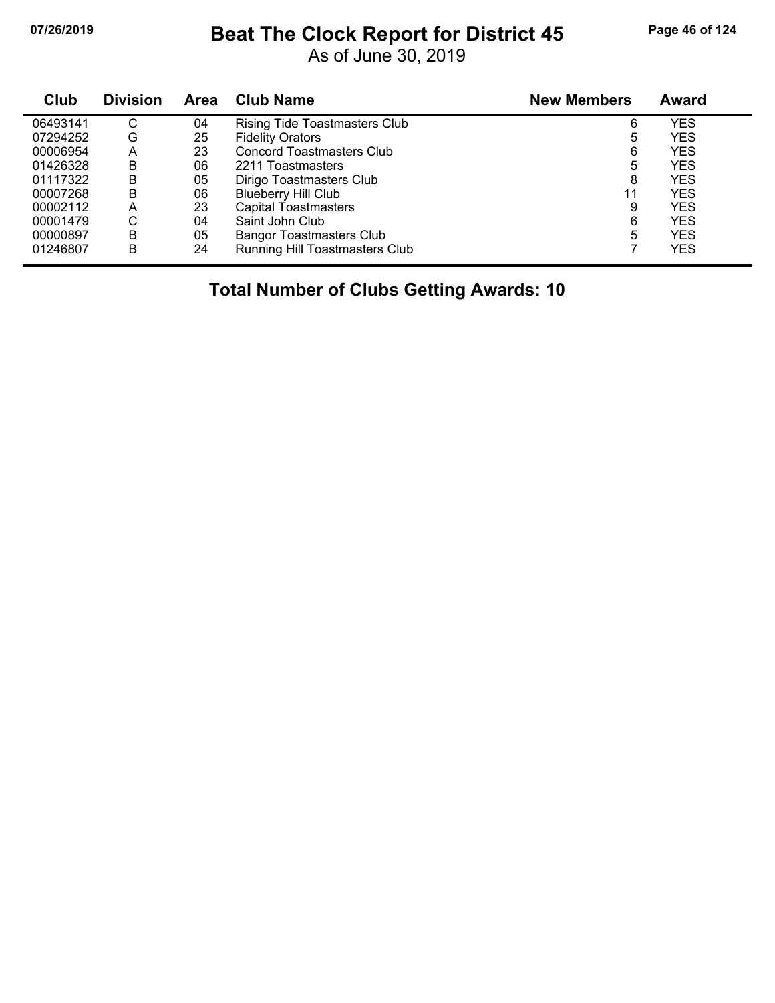## **07/26/2019 Beat The Clock Report for District 45 Page 46 of 124**

As of June 30, 2019

| Club     | <b>Division</b> | Area | <b>Club Name</b>                     | <b>New Members</b> | Award      |
|----------|-----------------|------|--------------------------------------|--------------------|------------|
| 06493141 | С               | 04   | <b>Rising Tide Toastmasters Club</b> | 6                  | YES        |
| 07294252 | G               | 25   | <b>Fidelity Orators</b>              | 5                  | <b>YES</b> |
| 00006954 | Α               | 23   | <b>Concord Toastmasters Club</b>     | 6                  | <b>YES</b> |
| 01426328 | B               | 06   | 2211 Toastmasters                    | 5                  | <b>YES</b> |
| 01117322 | B               | 05   | Dirigo Toastmasters Club             | 8                  | <b>YES</b> |
| 00007268 | в               | 06   | <b>Blueberry Hill Club</b>           | 11                 | YES        |
| 00002112 | Α               | 23   | <b>Capital Toastmasters</b>          | 9                  | YES        |
| 00001479 | С               | 04   | Saint John Club                      | 6                  | YES        |
| 00000897 | B               | 05   | <b>Bangor Toastmasters Club</b>      | 5                  | YES        |
| 01246807 | В               | 24   | Running Hill Toastmasters Club       |                    | <b>YES</b> |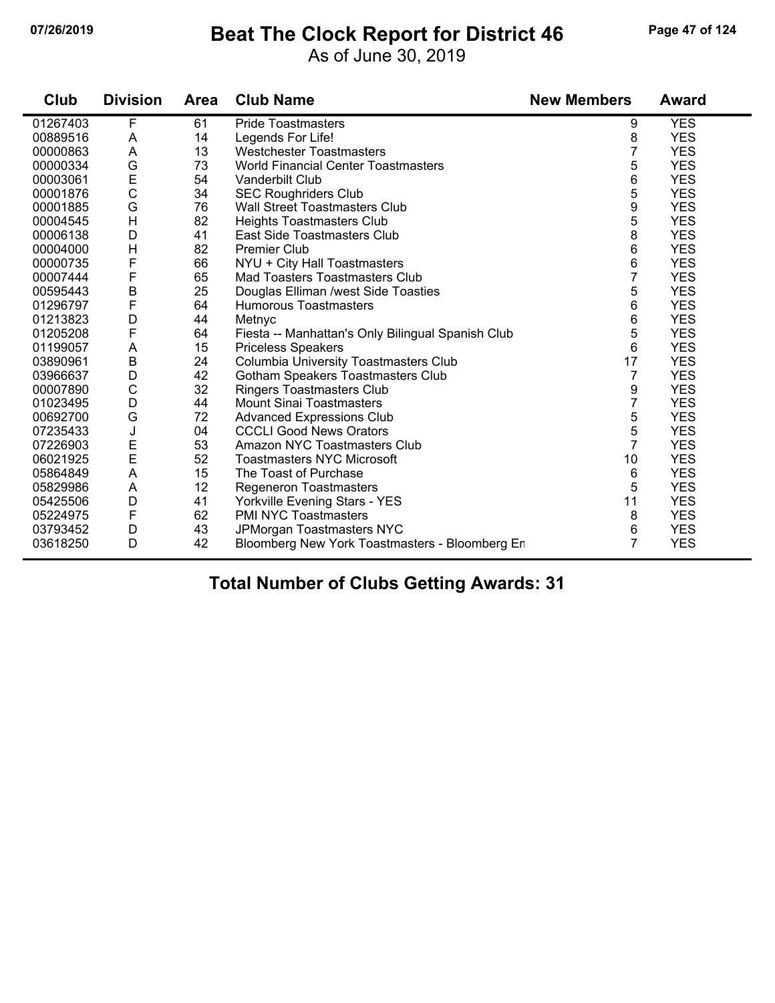#### **07/26/2019 Beat The Clock Report for District 46 Page 47 of 124**

As of June 30, 2019

| Club     | <b>Division</b> | <b>Area</b> | <b>Club Name</b>                                  | <b>New Members</b> | <b>Award</b> |
|----------|-----------------|-------------|---------------------------------------------------|--------------------|--------------|
| 01267403 | F               | 61          | <b>Pride Toastmasters</b>                         | 9                  | <b>YES</b>   |
| 00889516 | A               | 14          | Legends For Life!                                 | 8                  | <b>YES</b>   |
| 00000863 | A               | 13          | <b>Westchester Toastmasters</b>                   | 7                  | <b>YES</b>   |
| 00000334 | G               | 73          | <b>World Financial Center Toastmasters</b>        | 5                  | <b>YES</b>   |
| 00003061 | E               | 54          | Vanderbilt Club                                   | 6                  | <b>YES</b>   |
| 00001876 | $\mathsf C$     | 34          | <b>SEC Roughriders Club</b>                       | 5                  | <b>YES</b>   |
| 00001885 | G               | 76          | Wall Street Toastmasters Club                     | 9                  | <b>YES</b>   |
| 00004545 | $\mathsf{H}$    | 82          | <b>Heights Toastmasters Club</b>                  | 5                  | <b>YES</b>   |
| 00006138 | D               | 41          | East Side Toastmasters Club                       | 8                  | <b>YES</b>   |
| 00004000 | $\mathsf{H}$    | 82          | <b>Premier Club</b>                               | 6                  | <b>YES</b>   |
| 00000735 | F               | 66          | NYU + City Hall Toastmasters                      | 6                  | <b>YES</b>   |
| 00007444 | F               | 65          | Mad Toasters Toastmasters Club                    | 7                  | <b>YES</b>   |
| 00595443 | $\sf B$         | 25          | Douglas Elliman /west Side Toasties               | 5                  | <b>YES</b>   |
| 01296797 | F               | 64          | <b>Humorous Toastmasters</b>                      | 6                  | <b>YES</b>   |
| 01213823 | D               | 44          | Metnyc                                            | 6                  | <b>YES</b>   |
| 01205208 | F               | 64          | Fiesta -- Manhattan's Only Bilingual Spanish Club | 5                  | <b>YES</b>   |
| 01199057 | Α               | 15          | <b>Priceless Speakers</b>                         | 6                  | <b>YES</b>   |
| 03890961 | $\sf B$         | 24          | Columbia University Toastmasters Club             | 17                 | <b>YES</b>   |
| 03966637 | D               | 42          | Gotham Speakers Toastmasters Club                 | 7                  | <b>YES</b>   |
| 00007890 | $\mathsf{C}$    | 32          | <b>Ringers Toastmasters Club</b>                  | 9                  | <b>YES</b>   |
| 01023495 | D               | 44          | <b>Mount Sinai Toastmasters</b>                   | 7                  | <b>YES</b>   |
| 00692700 | G               | 72          | <b>Advanced Expressions Club</b>                  | 5                  | <b>YES</b>   |
| 07235433 | J               | 04          | <b>CCCLI Good News Orators</b>                    | 5                  | <b>YES</b>   |
| 07226903 | E               | 53          | Amazon NYC Toastmasters Club                      | $\overline{7}$     | <b>YES</b>   |
| 06021925 | $\mathsf{E}$    | 52          | <b>Toastmasters NYC Microsoft</b>                 | 10                 | <b>YES</b>   |
| 05864849 | A               | 15          | The Toast of Purchase                             | 6                  | <b>YES</b>   |
| 05829986 | A               | 12          | <b>Regeneron Toastmasters</b>                     | 5                  | <b>YES</b>   |
| 05425506 | D               | 41          | Yorkville Evening Stars - YES                     | 11                 | <b>YES</b>   |
| 05224975 | F               | 62          | <b>PMI NYC Toastmasters</b>                       | 8                  | <b>YES</b>   |
| 03793452 | D               | 43          | JPMorgan Toastmasters NYC                         | 6                  | <b>YES</b>   |
| 03618250 | D               | 42          | Bloomberg New York Toastmasters - Bloomberg Er    | 7                  | <b>YES</b>   |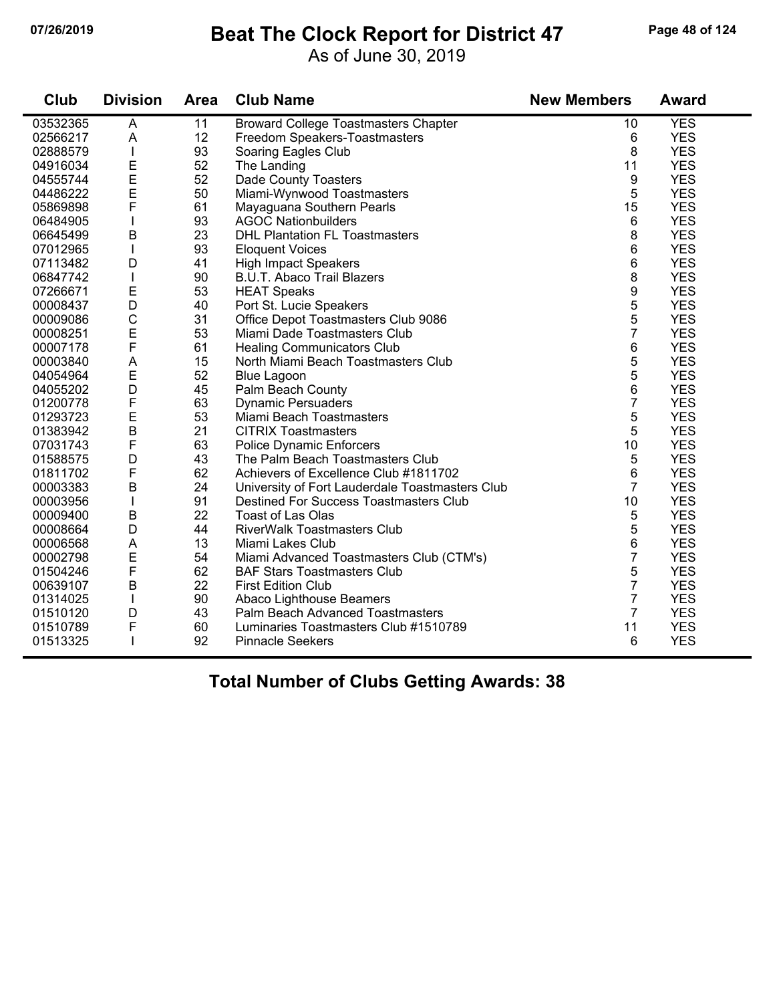### **07/26/2019 Beat The Clock Report for District 47 Page 48 of 124**

As of June 30, 2019

| <b>Club</b> | <b>Division</b>           | <b>Area</b> | <b>Club Name</b>                                | <b>New Members</b> | <b>Award</b> |
|-------------|---------------------------|-------------|-------------------------------------------------|--------------------|--------------|
| 03532365    | $\overline{A}$            | 11          | <b>Broward College Toastmasters Chapter</b>     | 10                 | <b>YES</b>   |
| 02566217    | A                         | 12          | Freedom Speakers-Toastmasters                   | 6                  | <b>YES</b>   |
| 02888579    | $\mathbf{I}$              | 93          | Soaring Eagles Club                             | 8                  | <b>YES</b>   |
| 04916034    | E                         | 52          | The Landing                                     | 11                 | <b>YES</b>   |
| 04555744    | E                         | 52          | Dade County Toasters                            | 9                  | <b>YES</b>   |
| 04486222    | E                         | 50          | Miami-Wynwood Toastmasters                      | 5                  | <b>YES</b>   |
| 05869898    | $\mathsf{F}$              | 61          | Mayaguana Southern Pearls                       | 15                 | <b>YES</b>   |
| 06484905    |                           | 93          | <b>AGOC Nationbuilders</b>                      | 6                  | <b>YES</b>   |
| 06645499    | B                         | 23          | <b>DHL Plantation FL Toastmasters</b>           | 8                  | <b>YES</b>   |
| 07012965    | $\mathsf{I}$              | 93          | <b>Eloquent Voices</b>                          | 6                  | <b>YES</b>   |
| 07113482    | D                         | 41          | <b>High Impact Speakers</b>                     | 6                  | <b>YES</b>   |
| 06847742    | $\mathbf{I}$              | 90          | <b>B.U.T. Abaco Trail Blazers</b>               | 8                  | <b>YES</b>   |
| 07266671    | $\mathsf E$               | 53          | <b>HEAT Speaks</b>                              | 9                  | <b>YES</b>   |
| 00008437    | D                         | 40          | Port St. Lucie Speakers                         | 5                  | <b>YES</b>   |
| 00009086    | $\mathsf{C}$              | 31          | Office Depot Toastmasters Club 9086             | 5                  | <b>YES</b>   |
| 00008251    | E                         | 53          | Miami Dade Toastmasters Club                    | $\overline{7}$     | <b>YES</b>   |
| 00007178    | $\mathsf F$               | 61          | <b>Healing Communicators Club</b>               | 6                  | <b>YES</b>   |
| 00003840    | A                         | 15          | North Miami Beach Toastmasters Club             | 5                  | <b>YES</b>   |
| 04054964    | E                         | 52          | <b>Blue Lagoon</b>                              | 5                  | <b>YES</b>   |
| 04055202    | D                         | 45          | Palm Beach County                               | 6                  | <b>YES</b>   |
| 01200778    | $\mathsf F$               | 63          | <b>Dynamic Persuaders</b>                       | 7                  | <b>YES</b>   |
| 01293723    | E                         | 53          | Miami Beach Toastmasters                        | 5                  | <b>YES</b>   |
| 01383942    | $\overline{B}$            | 21          | <b>CITRIX Toastmasters</b>                      | 5                  | <b>YES</b>   |
| 07031743    | $\mathsf F$               | 63          | <b>Police Dynamic Enforcers</b>                 | 10                 | <b>YES</b>   |
| 01588575    | D                         | 43          | The Palm Beach Toastmasters Club                | 5                  | <b>YES</b>   |
| 01811702    | $\mathsf F$               | 62          | Achievers of Excellence Club #1811702           | 6                  | <b>YES</b>   |
| 00003383    | B                         | 24          | University of Fort Lauderdale Toastmasters Club | $\overline{7}$     | <b>YES</b>   |
| 00003956    |                           | 91          | <b>Destined For Success Toastmasters Club</b>   | 10                 | <b>YES</b>   |
| 00009400    | $\sf B$                   | 22          | <b>Toast of Las Olas</b>                        | 5                  | <b>YES</b>   |
| 00008664    | D                         | 44          | <b>RiverWalk Toastmasters Club</b>              | 5                  | <b>YES</b>   |
| 00006568    | $\boldsymbol{\mathsf{A}}$ | 13          | Miami Lakes Club                                | 6                  | <b>YES</b>   |
| 00002798    | E                         | 54          | Miami Advanced Toastmasters Club (CTM's)        | $\overline{7}$     | <b>YES</b>   |
| 01504246    | F                         | 62          | <b>BAF Stars Toastmasters Club</b>              | 5                  | <b>YES</b>   |
| 00639107    | B                         | 22          | <b>First Edition Club</b>                       | 7                  | <b>YES</b>   |
| 01314025    | $\mathbf{I}$              | 90          | Abaco Lighthouse Beamers                        | $\overline{7}$     | <b>YES</b>   |
| 01510120    | D                         | 43          | Palm Beach Advanced Toastmasters                | $\overline{7}$     | <b>YES</b>   |
| 01510789    | F                         | 60          | Luminaries Toastmasters Club #1510789           | 11                 | <b>YES</b>   |
| 01513325    |                           | 92          | <b>Pinnacle Seekers</b>                         | 6                  | <b>YES</b>   |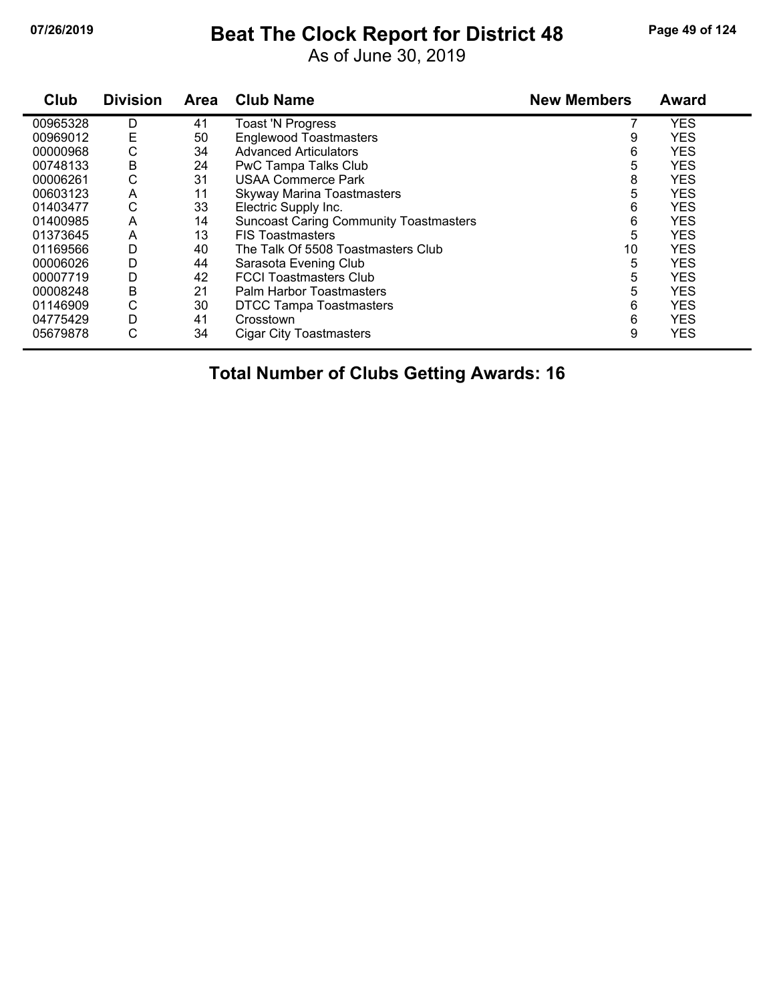# **07/26/2019 Beat The Clock Report for District 48 Page 49 of 124**

As of June 30, 2019

| Club     | <b>Division</b> | <b>Area</b> | <b>Club Name</b>                              | <b>New Members</b> | <b>Award</b> |
|----------|-----------------|-------------|-----------------------------------------------|--------------------|--------------|
| 00965328 | D               | 41          | <b>Toast 'N Progress</b>                      |                    | <b>YES</b>   |
| 00969012 | Ε               | 50          | <b>Englewood Toastmasters</b>                 | 9                  | <b>YES</b>   |
| 00000968 | С               | 34          | <b>Advanced Articulators</b>                  | 6                  | <b>YES</b>   |
| 00748133 | Β               | 24          | PwC Tampa Talks Club                          | 5                  | <b>YES</b>   |
| 00006261 | С               | 31          | <b>USAA Commerce Park</b>                     | 8                  | <b>YES</b>   |
| 00603123 | A               | 11          | <b>Skyway Marina Toastmasters</b>             | 5                  | <b>YES</b>   |
| 01403477 | С               | 33          | Electric Supply Inc.                          | 6                  | <b>YES</b>   |
| 01400985 | A               | 14          | <b>Suncoast Caring Community Toastmasters</b> | 6                  | <b>YES</b>   |
| 01373645 | A               | 13          | <b>FIS Toastmasters</b>                       | 5                  | <b>YES</b>   |
| 01169566 | D               | 40          | The Talk Of 5508 Toastmasters Club            | 10                 | <b>YES</b>   |
| 00006026 | D               | 44          | Sarasota Evening Club                         | 5                  | <b>YES</b>   |
| 00007719 | D               | 42          | <b>FCCI Toastmasters Club</b>                 | 5                  | <b>YES</b>   |
| 00008248 | Β               | 21          | Palm Harbor Toastmasters                      | 5                  | <b>YES</b>   |
| 01146909 | C               | 30          | <b>DTCC Tampa Toastmasters</b>                | 6                  | <b>YES</b>   |
| 04775429 | D               | 41          | Crosstown                                     | 6                  | <b>YES</b>   |
| 05679878 | С               | 34          | <b>Cigar City Toastmasters</b>                | 9                  | <b>YES</b>   |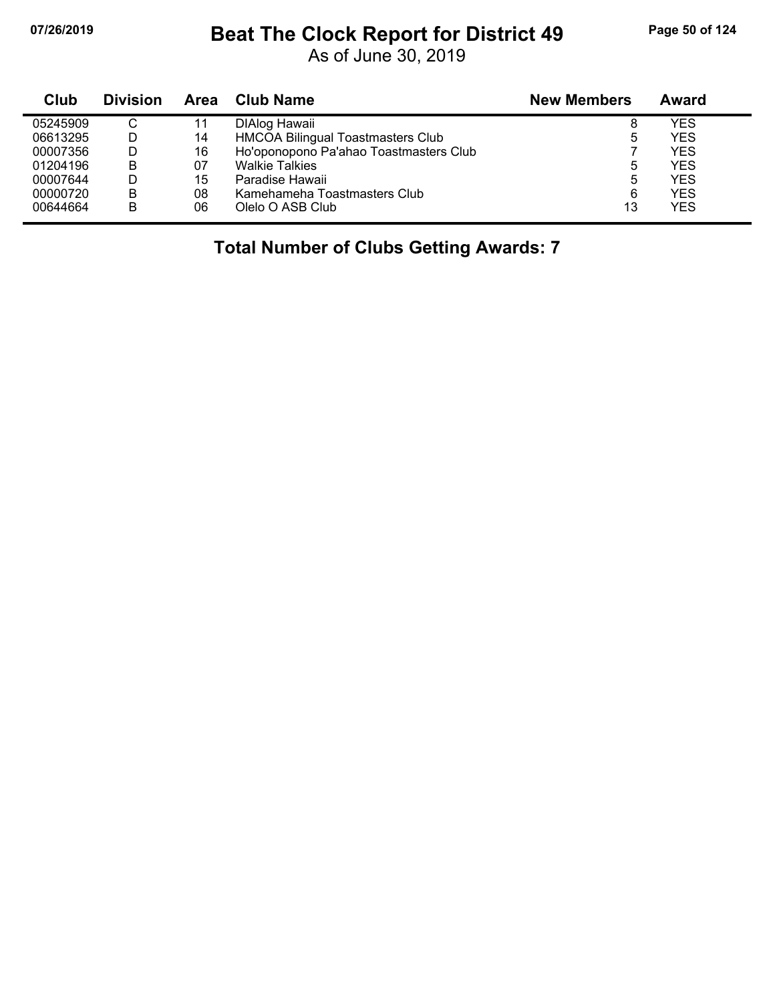# **07/26/2019 Beat The Clock Report for District 49 Page 50 of 124**

As of June 30, 2019

| Club     | <b>Division</b> | Area | Club Name                              | <b>New Members</b> | Award      |
|----------|-----------------|------|----------------------------------------|--------------------|------------|
| 05245909 | С               | 11   | DIAlog Hawaii                          | 8                  | YES        |
| 06613295 | D               | 14   | HMCOA Bilingual Toastmasters Club      | 5                  | YES        |
| 00007356 | D               | 16   | Ho'oponopono Pa'ahao Toastmasters Club |                    | <b>YES</b> |
| 01204196 | B               | 07   | <b>Walkie Talkies</b>                  | 5                  | <b>YES</b> |
| 00007644 | D               | 15   | Paradise Hawaii                        | 5                  | <b>YES</b> |
| 00000720 | в               | 08   | Kamehameha Toastmasters Club           | 6                  | <b>YES</b> |
| 00644664 | в               | 06   | Olelo O ASB Club                       | 13                 | <b>YES</b> |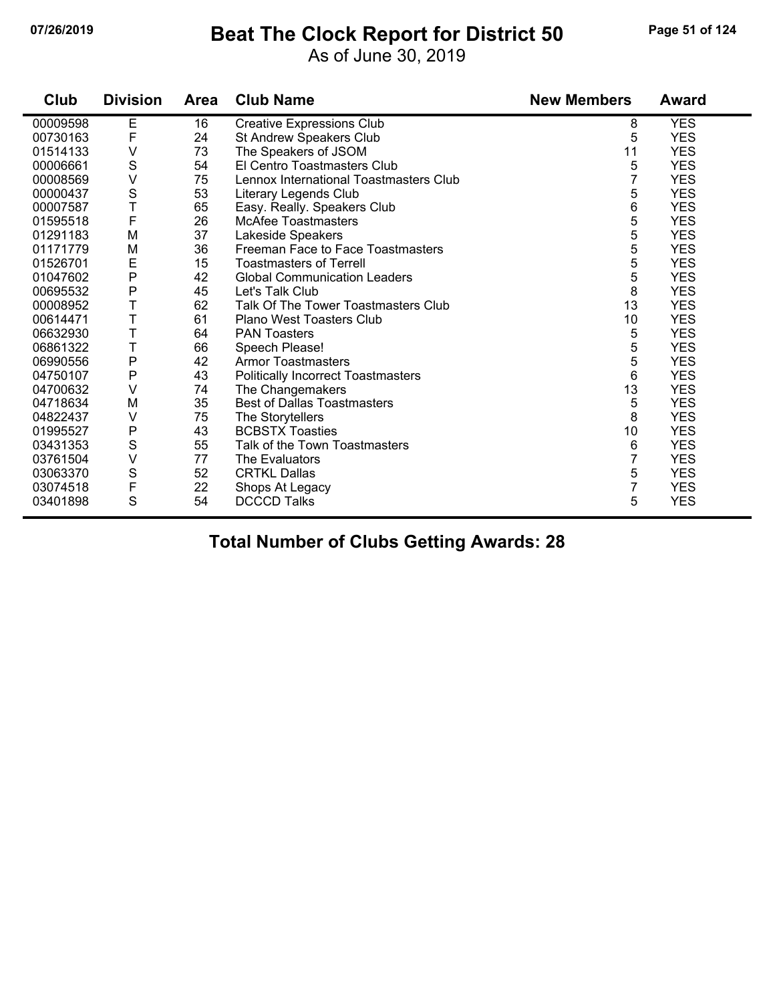#### **07/26/2019 Beat The Clock Report for District 50 Page 51 of 124**

As of June 30, 2019

| Club     | <b>Division</b> | Area | <b>Club Name</b>                          | <b>New Members</b> | <b>Award</b> |
|----------|-----------------|------|-------------------------------------------|--------------------|--------------|
| 00009598 | Е               | 16   | <b>Creative Expressions Club</b>          | 8                  | <b>YES</b>   |
| 00730163 | $\mathsf F$     | 24   | St Andrew Speakers Club                   | 5                  | <b>YES</b>   |
| 01514133 | ٧               | 73   | The Speakers of JSOM                      | 11                 | <b>YES</b>   |
| 00006661 | $\mathbb S$     | 54   | El Centro Toastmasters Club               | 5                  | <b>YES</b>   |
| 00008569 | V               | 75   | Lennox International Toastmasters Club    | 7                  | <b>YES</b>   |
| 00000437 | $\mathbf S$     | 53   | Literary Legends Club                     | 5                  | <b>YES</b>   |
| 00007587 | T               | 65   | Easy. Really. Speakers Club               | 6                  | <b>YES</b>   |
| 01595518 | F               | 26   | <b>McAfee Toastmasters</b>                | 5                  | <b>YES</b>   |
| 01291183 | M               | 37   | Lakeside Speakers                         | 5                  | <b>YES</b>   |
| 01171779 | M               | 36   | Freeman Face to Face Toastmasters         | 5                  | <b>YES</b>   |
| 01526701 | E               | 15   | <b>Toastmasters of Terrell</b>            | 5                  | <b>YES</b>   |
| 01047602 | P               | 42   | <b>Global Communication Leaders</b>       | 5                  | <b>YES</b>   |
| 00695532 | ${\sf P}$       | 45   | Let's Talk Club                           | 8                  | <b>YES</b>   |
| 00008952 | Т               | 62   | Talk Of The Tower Toastmasters Club       | 13                 | <b>YES</b>   |
| 00614471 | T               | 61   | Plano West Toasters Club                  | 10                 | <b>YES</b>   |
| 06632930 | T               | 64   | <b>PAN Toasters</b>                       | 5                  | <b>YES</b>   |
| 06861322 | T               | 66   | Speech Please!                            | 5                  | <b>YES</b>   |
| 06990556 | $\mathsf{P}$    | 42   | <b>Armor Toastmasters</b>                 | 5                  | <b>YES</b>   |
| 04750107 | ${\sf P}$       | 43   | <b>Politically Incorrect Toastmasters</b> | 6                  | <b>YES</b>   |
| 04700632 | ٧               | 74   | The Changemakers                          | 13                 | <b>YES</b>   |
| 04718634 | M               | 35   | <b>Best of Dallas Toastmasters</b>        | 5                  | <b>YES</b>   |
| 04822437 | V               | 75   | The Storytellers                          | 8                  | <b>YES</b>   |
| 01995527 | P               | 43   | <b>BCBSTX Toasties</b>                    | 10                 | <b>YES</b>   |
| 03431353 | S               | 55   | Talk of the Town Toastmasters             | 6                  | <b>YES</b>   |
| 03761504 | $\vee$          | 77   | The Evaluators                            | $\overline{7}$     | <b>YES</b>   |
| 03063370 | $\mathbb S$     | 52   | <b>CRTKL Dallas</b>                       | 5                  | <b>YES</b>   |
| 03074518 | $\mathsf F$     | 22   | Shops At Legacy                           | $\overline{7}$     | <b>YES</b>   |
| 03401898 | S               | 54   | <b>DCCCD Talks</b>                        | 5                  | <b>YES</b>   |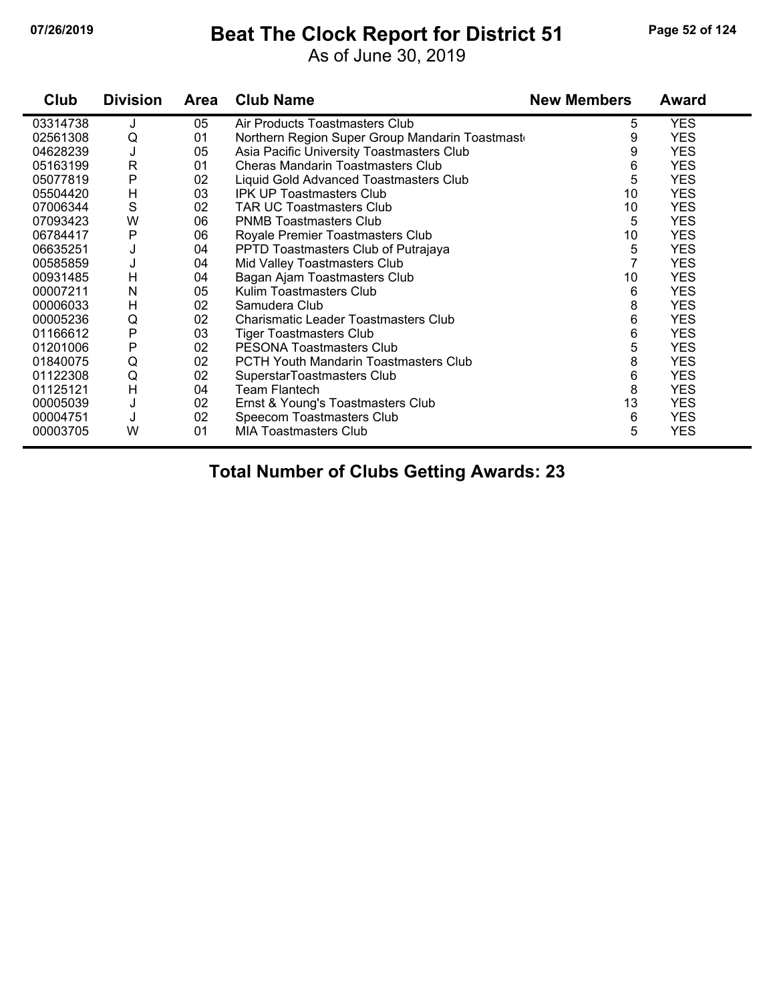### **07/26/2019 Beat The Clock Report for District 51 Page 52 of 124**

As of June 30, 2019

| Club     | <b>Division</b> | <b>Area</b> | <b>Club Name</b>                               | <b>New Members</b> | <b>Award</b> |
|----------|-----------------|-------------|------------------------------------------------|--------------------|--------------|
| 03314738 | J               | 05          | Air Products Toastmasters Club                 | 5                  | <b>YES</b>   |
| 02561308 | Q               | 01          | Northern Region Super Group Mandarin Toastmast | 9                  | <b>YES</b>   |
| 04628239 | J               | 05          | Asia Pacific University Toastmasters Club      | 9                  | <b>YES</b>   |
| 05163199 | $\mathsf{R}$    | 01          | <b>Cheras Mandarin Toastmasters Club</b>       | 6                  | <b>YES</b>   |
| 05077819 | P               | 02          | Liquid Gold Advanced Toastmasters Club         | 5                  | <b>YES</b>   |
| 05504420 | H               | 03          | <b>IPK UP Toastmasters Club</b>                | 10                 | <b>YES</b>   |
| 07006344 | S               | 02          | <b>TAR UC Toastmasters Club</b>                | 10                 | <b>YES</b>   |
| 07093423 | W               | 06          | <b>PNMB Toastmasters Club</b>                  | 5                  | <b>YES</b>   |
| 06784417 | Ρ               | 06          | Royale Premier Toastmasters Club               | 10                 | <b>YES</b>   |
| 06635251 | J               | 04          | PPTD Toastmasters Club of Putrajaya            | 5                  | <b>YES</b>   |
| 00585859 | J               | 04          | Mid Valley Toastmasters Club                   | $\overline{7}$     | <b>YES</b>   |
| 00931485 | H               | 04          | Bagan Ajam Toastmasters Club                   | 10                 | <b>YES</b>   |
| 00007211 | Ν               | 05          | Kulim Toastmasters Club                        | 6                  | <b>YES</b>   |
| 00006033 | Н               | 02          | Samudera Club                                  | 8                  | <b>YES</b>   |
| 00005236 | Q               | 02          | Charismatic Leader Toastmasters Club           | 6                  | <b>YES</b>   |
| 01166612 | P               | 03          | <b>Tiger Toastmasters Club</b>                 | 6                  | <b>YES</b>   |
| 01201006 | P               | 02          | <b>PESONA Toastmasters Club</b>                | 5                  | <b>YES</b>   |
| 01840075 | Q               | 02          | <b>PCTH Youth Mandarin Toastmasters Club</b>   | 8                  | <b>YES</b>   |
| 01122308 | Q               | 02          | SuperstarToastmasters Club                     | 6                  | <b>YES</b>   |
| 01125121 | H               | 04          | Team Flantech                                  | 8                  | <b>YES</b>   |
| 00005039 | J               | 02          | Ernst & Young's Toastmasters Club              | 13                 | <b>YES</b>   |
| 00004751 | J               | 02          | Speecom Toastmasters Club                      | 6                  | <b>YES</b>   |
| 00003705 | W               | 01          | <b>MIA Toastmasters Club</b>                   | 5                  | <b>YES</b>   |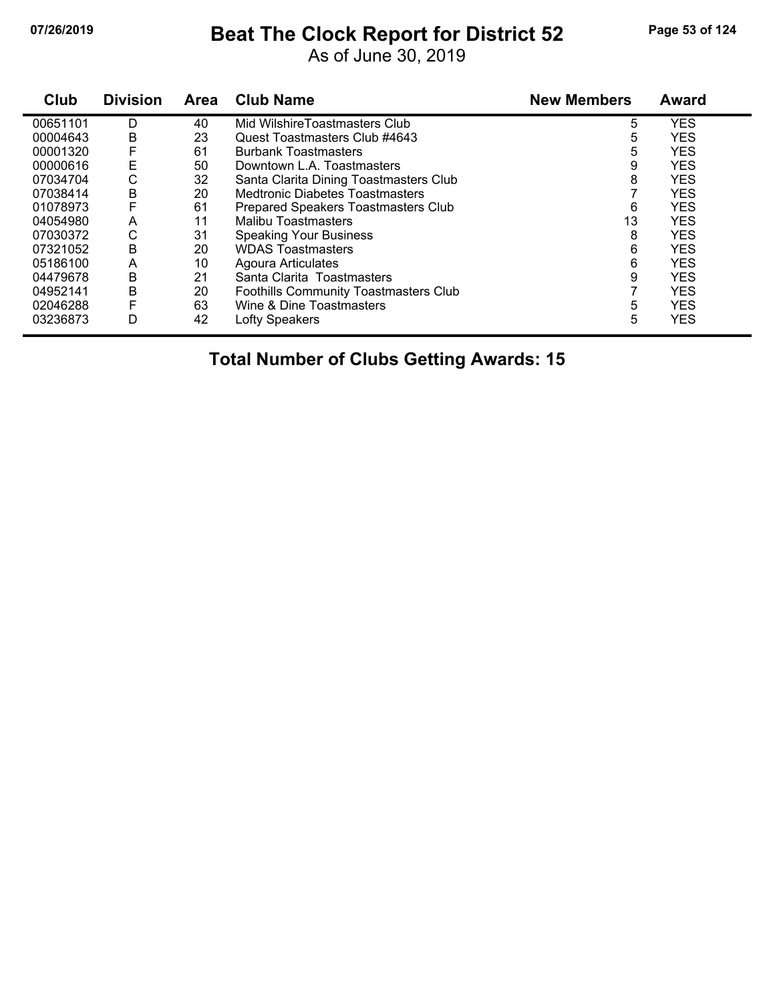# **07/26/2019 Beat The Clock Report for District 52 Page 53 of 124**

As of June 30, 2019

| Club     | <b>Division</b> | Area | <b>Club Name</b>                             | <b>New Members</b> | Award      |
|----------|-----------------|------|----------------------------------------------|--------------------|------------|
| 00651101 | D               | 40   | Mid WilshireToastmasters Club                | 5                  | <b>YES</b> |
| 00004643 | B               | 23   | Quest Toastmasters Club #4643                | 5                  | <b>YES</b> |
| 00001320 | F               | 61   | <b>Burbank Toastmasters</b>                  | 5                  | <b>YES</b> |
| 00000616 | E               | 50   | Downtown L.A. Toastmasters                   | 9                  | <b>YES</b> |
| 07034704 | С               | 32   | Santa Clarita Dining Toastmasters Club       | 8                  | <b>YES</b> |
| 07038414 | B               | 20   | <b>Medtronic Diabetes Toastmasters</b>       |                    | <b>YES</b> |
| 01078973 | F               | 61   | Prepared Speakers Toastmasters Club          | 6                  | <b>YES</b> |
| 04054980 | A               | 11   | <b>Malibu Toastmasters</b>                   | 13                 | <b>YES</b> |
| 07030372 | С               | 31   | <b>Speaking Your Business</b>                | 8                  | <b>YES</b> |
| 07321052 | B               | 20   | <b>WDAS Toastmasters</b>                     | 6                  | <b>YES</b> |
| 05186100 | A               | 10   | Agoura Articulates                           | 6                  | <b>YES</b> |
| 04479678 | B               | 21   | Santa Clarita Toastmasters                   | 9                  | <b>YES</b> |
| 04952141 | B               | 20   | <b>Foothills Community Toastmasters Club</b> |                    | <b>YES</b> |
| 02046288 | F               | 63   | Wine & Dine Toastmasters                     | 5                  | <b>YES</b> |
| 03236873 | D               | 42   | Lofty Speakers                               | 5                  | <b>YES</b> |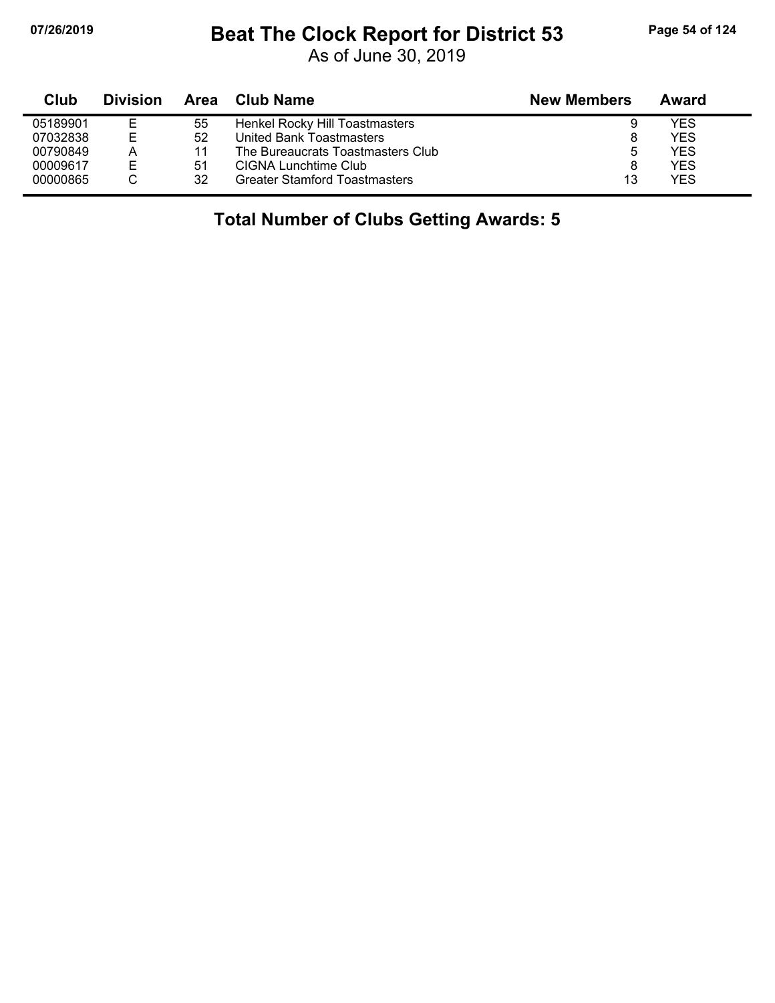### **07/26/2019 Beat The Clock Report for District 53 Page 54 of 124**

As of June 30, 2019

| Club     | <b>Division</b> | Area | <b>Club Name</b>                     | <b>New Members</b> | Award |
|----------|-----------------|------|--------------------------------------|--------------------|-------|
| 05189901 | E               | 55   | Henkel Rocky Hill Toastmasters       | 9                  | YES   |
| 07032838 | Е               | 52   | United Bank Toastmasters             |                    | YES   |
| 00790849 | А               | 11   | The Bureaucrats Toastmasters Club    | 5                  | YES   |
| 00009617 | E               | 51   | CIGNA Lunchtime Club                 | 8                  | YES   |
| 00000865 |                 | 32   | <b>Greater Stamford Toastmasters</b> | 13                 | YES   |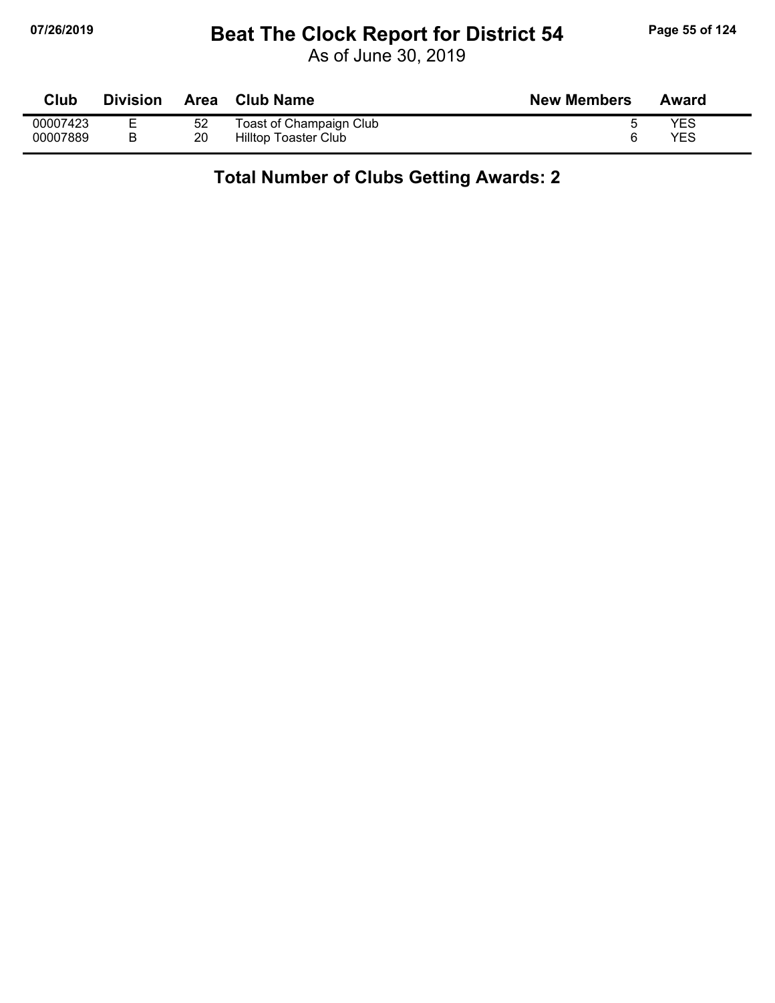### **07/26/2019 Beat The Clock Report for District 54 Page 55 of 124**

As of June 30, 2019

| Club     | <b>Division</b> | Area | <b>Club Name</b>        | <b>New Members</b> | Award |
|----------|-----------------|------|-------------------------|--------------------|-------|
| 00007423 | –               | 52   | Toast of Champaign Club |                    | YES   |
| 00007889 | B               | 20   | Hilltop Toaster Club    |                    | YES   |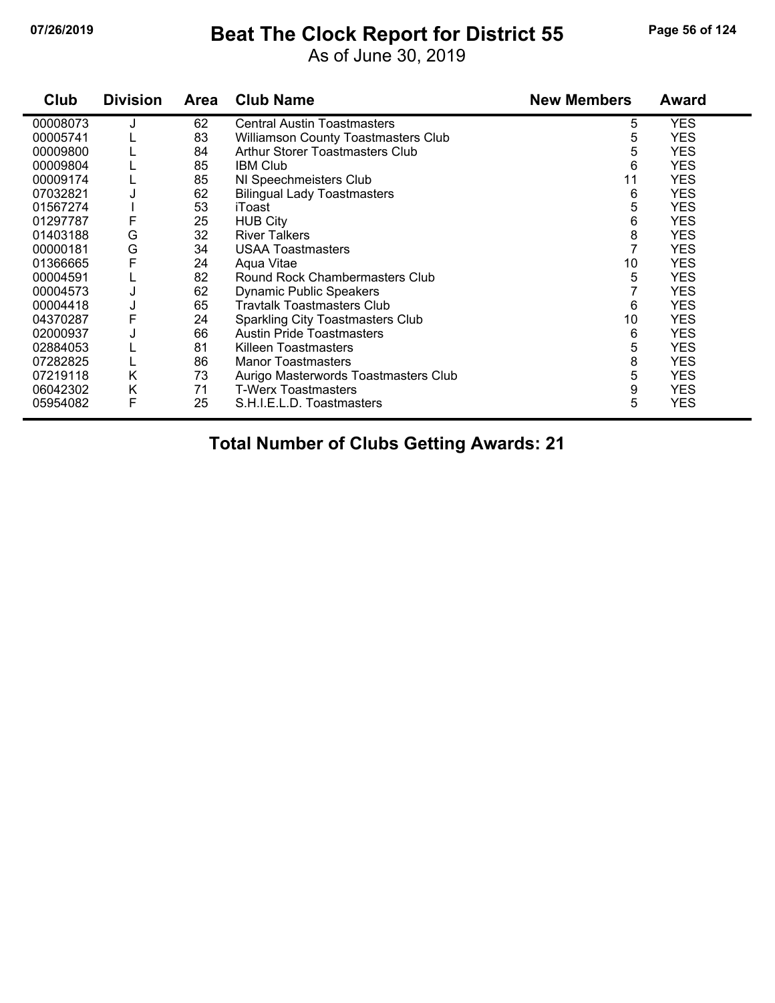## **07/26/2019 Beat The Clock Report for District 55 Page 56 of 124**

As of June 30, 2019

| Club     | <b>Division</b> | <b>Area</b> | <b>Club Name</b>                           | <b>New Members</b> | <b>Award</b> |
|----------|-----------------|-------------|--------------------------------------------|--------------------|--------------|
| 00008073 |                 | 62          | <b>Central Austin Toastmasters</b>         | 5                  | <b>YES</b>   |
| 00005741 |                 | 83          | <b>Williamson County Toastmasters Club</b> | 5                  | <b>YES</b>   |
| 00009800 |                 | 84          | Arthur Storer Toastmasters Club            | 5                  | <b>YES</b>   |
| 00009804 |                 | 85          | <b>IBM Club</b>                            | 6                  | <b>YES</b>   |
| 00009174 |                 | 85          | NI Speechmeisters Club                     | 11                 | <b>YES</b>   |
| 07032821 |                 | 62          | <b>Bilingual Lady Toastmasters</b>         | 6                  | <b>YES</b>   |
| 01567274 |                 | 53          | iToast                                     | 5                  | <b>YES</b>   |
| 01297787 | F               | 25          | <b>HUB City</b>                            | 6                  | <b>YES</b>   |
| 01403188 | G               | 32          | <b>River Talkers</b>                       | 8                  | <b>YES</b>   |
| 00000181 | G               | 34          | <b>USAA Toastmasters</b>                   |                    | <b>YES</b>   |
| 01366665 | F               | 24          | Agua Vitae                                 | 10                 | <b>YES</b>   |
| 00004591 |                 | 82          | Round Rock Chambermasters Club             | 5                  | <b>YES</b>   |
| 00004573 | J               | 62          | <b>Dynamic Public Speakers</b>             |                    | <b>YES</b>   |
| 00004418 | J               | 65          | <b>Travtalk Toastmasters Club</b>          | 6                  | <b>YES</b>   |
| 04370287 | F               | 24          | Sparkling City Toastmasters Club           | 10                 | <b>YES</b>   |
| 02000937 |                 | 66          | <b>Austin Pride Toastmasters</b>           | 6                  | <b>YES</b>   |
| 02884053 |                 | 81          | Killeen Toastmasters                       | 5                  | <b>YES</b>   |
| 07282825 |                 | 86          | <b>Manor Toastmasters</b>                  | 8                  | <b>YES</b>   |
| 07219118 | Κ               | 73          | Aurigo Masterwords Toastmasters Club       | 5                  | <b>YES</b>   |
| 06042302 | Κ               | 71          | <b>T-Werx Toastmasters</b>                 | 9                  | <b>YES</b>   |
| 05954082 | F               | 25          | S.H.I.E.L.D. Toastmasters                  | 5                  | <b>YES</b>   |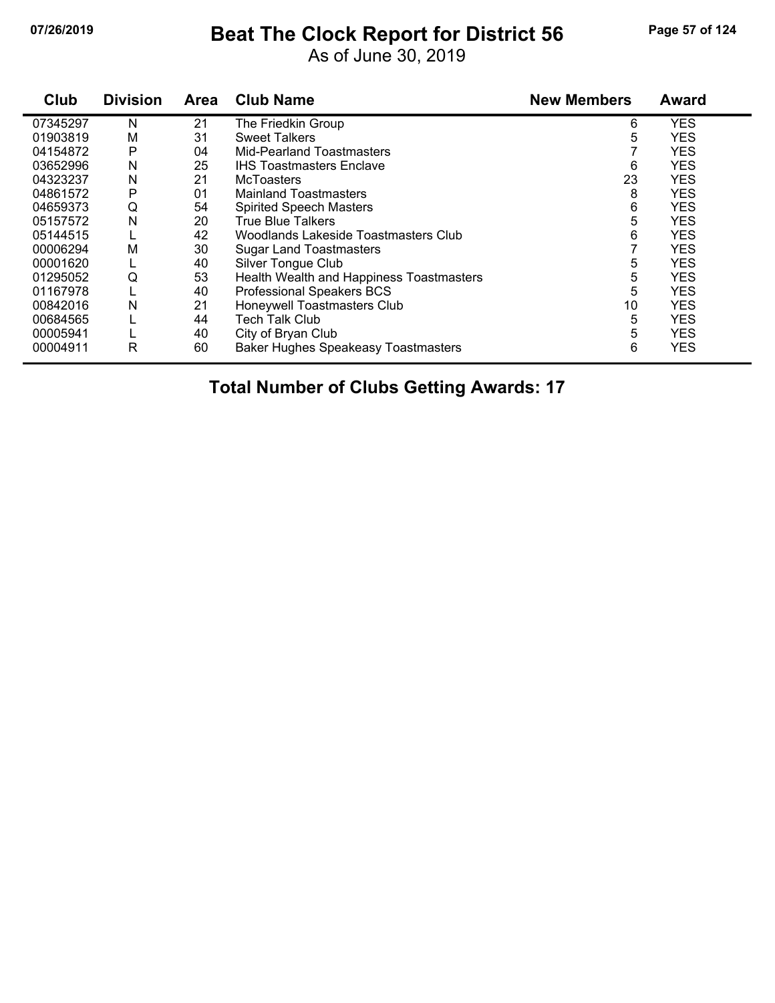# **07/26/2019 Beat The Clock Report for District 56 Page 57 of 124**

As of June 30, 2019

| Club     | <b>Division</b> | <b>Area</b> | <b>Club Name</b>                           | <b>New Members</b> | <b>Award</b> |
|----------|-----------------|-------------|--------------------------------------------|--------------------|--------------|
| 07345297 | N               | 21          | The Friedkin Group                         | 6                  | <b>YES</b>   |
| 01903819 | M               | 31          | <b>Sweet Talkers</b>                       | 5                  | <b>YES</b>   |
| 04154872 | P               | 04          | <b>Mid-Pearland Toastmasters</b>           |                    | <b>YES</b>   |
| 03652996 | Ν               | 25          | <b>IHS Toastmasters Enclave</b>            | 6                  | <b>YES</b>   |
| 04323237 | N               | 21          | <b>McToasters</b>                          | 23                 | <b>YES</b>   |
| 04861572 | P               | 01          | <b>Mainland Toastmasters</b>               | 8                  | <b>YES</b>   |
| 04659373 | Q               | 54          | <b>Spirited Speech Masters</b>             | 6                  | <b>YES</b>   |
| 05157572 | N               | 20          | <b>True Blue Talkers</b>                   | 5                  | <b>YES</b>   |
| 05144515 |                 | 42          | Woodlands Lakeside Toastmasters Club       | 6                  | <b>YES</b>   |
| 00006294 | M               | 30          | <b>Sugar Land Toastmasters</b>             |                    | <b>YES</b>   |
| 00001620 |                 | 40          | Silver Tongue Club                         | 5                  | <b>YES</b>   |
| 01295052 | Q               | 53          | Health Wealth and Happiness Toastmasters   | 5                  | <b>YES</b>   |
| 01167978 |                 | 40          | Professional Speakers BCS                  | 5                  | <b>YES</b>   |
| 00842016 | N               | 21          | Honeywell Toastmasters Club                | 10                 | <b>YES</b>   |
| 00684565 |                 | 44          | Tech Talk Club                             | 5                  | <b>YES</b>   |
| 00005941 |                 | 40          | City of Bryan Club                         | 5                  | <b>YES</b>   |
| 00004911 | R               | 60          | <b>Baker Hughes Speakeasy Toastmasters</b> | 6                  | <b>YES</b>   |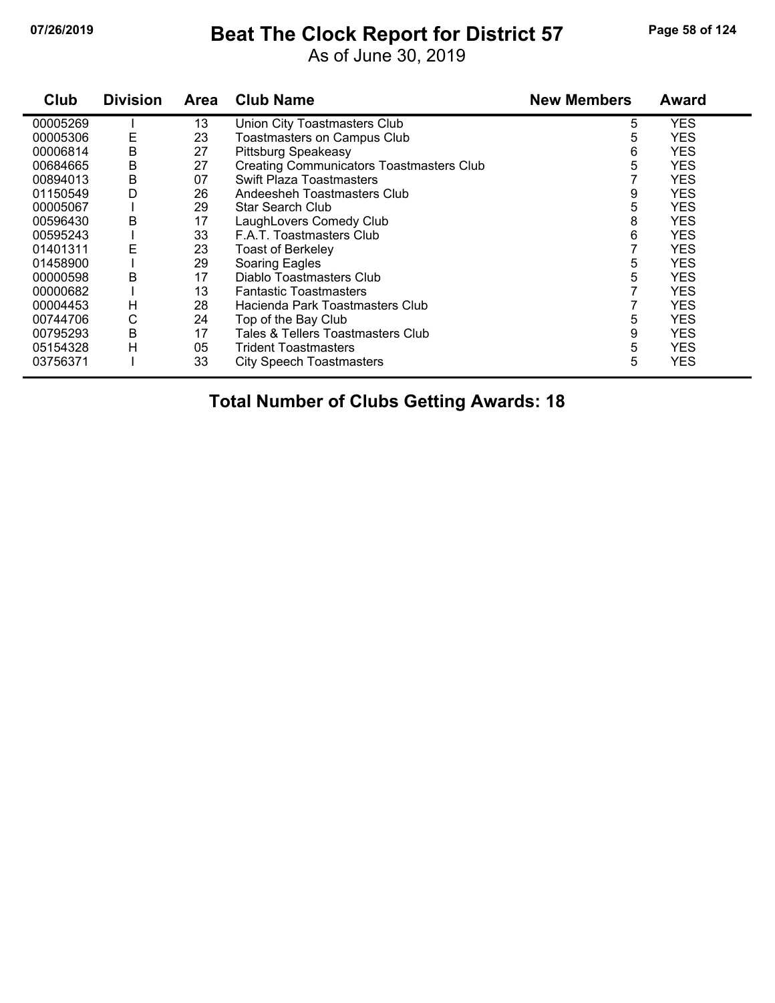### **07/26/2019 Beat The Clock Report for District 57 Page 58 of 124**

As of June 30, 2019

| Club     | <b>Division</b> | <b>Area</b> | <b>Club Name</b>                                | <b>New Members</b> | <b>Award</b> |
|----------|-----------------|-------------|-------------------------------------------------|--------------------|--------------|
| 00005269 |                 | 13          | Union City Toastmasters Club                    | 5                  | <b>YES</b>   |
| 00005306 | E               | 23          | <b>Toastmasters on Campus Club</b>              | 5                  | <b>YES</b>   |
| 00006814 | B               | 27          | <b>Pittsburg Speakeasy</b>                      | 6                  | <b>YES</b>   |
| 00684665 | B               | 27          | <b>Creating Communicators Toastmasters Club</b> | 5                  | <b>YES</b>   |
| 00894013 | B               | 07          | <b>Swift Plaza Toastmasters</b>                 |                    | <b>YES</b>   |
| 01150549 | D               | 26          | Andeesheh Toastmasters Club                     | 9                  | <b>YES</b>   |
| 00005067 |                 | 29          | Star Search Club                                | 5                  | <b>YES</b>   |
| 00596430 | B               | 17          | LaughLovers Comedy Club                         | 8                  | <b>YES</b>   |
| 00595243 |                 | 33          | F.A.T. Toastmasters Club                        | 6                  | <b>YES</b>   |
| 01401311 | E               | 23          | <b>Toast of Berkeley</b>                        |                    | <b>YES</b>   |
| 01458900 |                 | 29          | Soaring Eagles                                  | 5                  | <b>YES</b>   |
| 00000598 | B               | 17          | Diablo Toastmasters Club                        | 5                  | <b>YES</b>   |
| 00000682 |                 | 13          | <b>Fantastic Toastmasters</b>                   |                    | <b>YES</b>   |
| 00004453 | H               | 28          | Hacienda Park Toastmasters Club                 |                    | <b>YES</b>   |
| 00744706 | С               | 24          | Top of the Bay Club                             | 5                  | <b>YES</b>   |
| 00795293 | B               | 17          | Tales & Tellers Toastmasters Club               | 9                  | <b>YES</b>   |
| 05154328 | н               | 05          | <b>Trident Toastmasters</b>                     | 5                  | <b>YES</b>   |
| 03756371 |                 | 33          | <b>City Speech Toastmasters</b>                 | 5                  | <b>YES</b>   |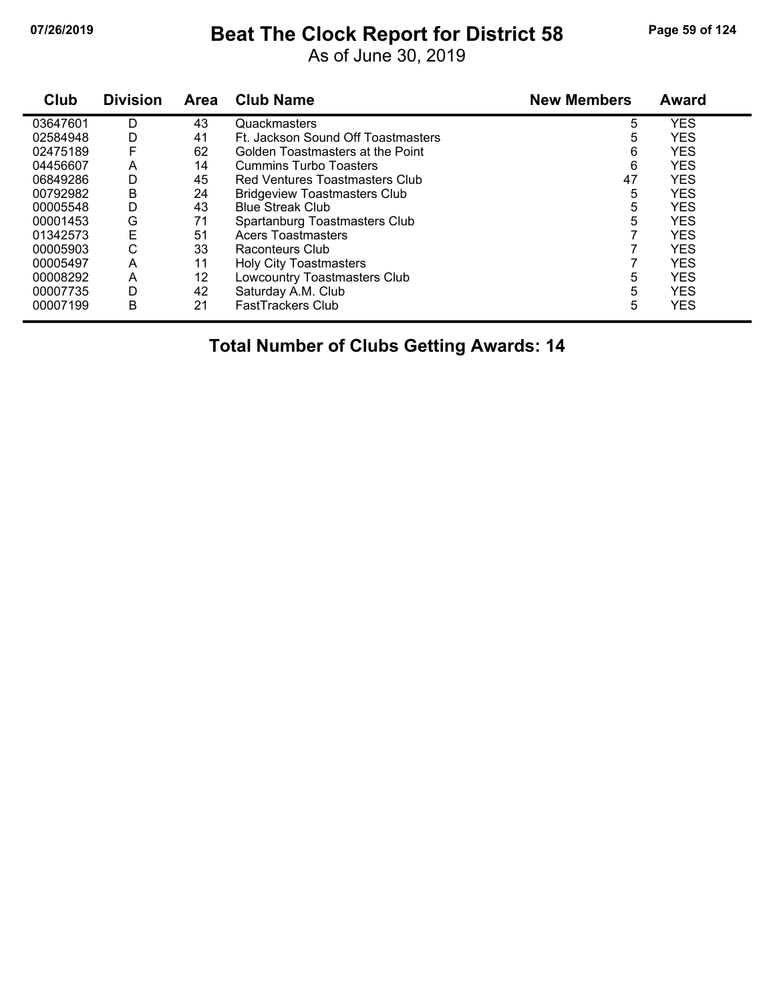# **07/26/2019 Beat The Clock Report for District 58 Page 59 of 124**

As of June 30, 2019

| Club     | <b>Division</b> | <b>Area</b> | <b>Club Name</b>                    | <b>New Members</b> | <b>Award</b> |
|----------|-----------------|-------------|-------------------------------------|--------------------|--------------|
| 03647601 | D               | 43          | Quackmasters                        | 5                  | <b>YES</b>   |
| 02584948 | D               | 41          | Ft. Jackson Sound Off Toastmasters  | 5                  | <b>YES</b>   |
| 02475189 |                 | 62          | Golden Toastmasters at the Point    | 6                  | <b>YES</b>   |
| 04456607 | A               | 14          | <b>Cummins Turbo Toasters</b>       | 6                  | <b>YES</b>   |
| 06849286 | D               | 45          | Red Ventures Toastmasters Club      | 47                 | <b>YES</b>   |
| 00792982 | В               | 24          | <b>Bridgeview Toastmasters Club</b> | 5                  | <b>YES</b>   |
| 00005548 | D               | 43          | <b>Blue Streak Club</b>             | 5                  | <b>YES</b>   |
| 00001453 | G               | 71          | Spartanburg Toastmasters Club       | 5                  | <b>YES</b>   |
| 01342573 | E               | 51          | <b>Acers Toastmasters</b>           |                    | <b>YES</b>   |
| 00005903 | С               | 33          | Raconteurs Club                     |                    | <b>YES</b>   |
| 00005497 | A               | 11          | <b>Holy City Toastmasters</b>       |                    | <b>YES</b>   |
| 00008292 | A               | 12          | Lowcountry Toastmasters Club        | 5                  | <b>YES</b>   |
| 00007735 | D               | 42          | Saturday A.M. Club                  | 5                  | <b>YES</b>   |
| 00007199 | B               | 21          | <b>FastTrackers Club</b>            | 5                  | <b>YES</b>   |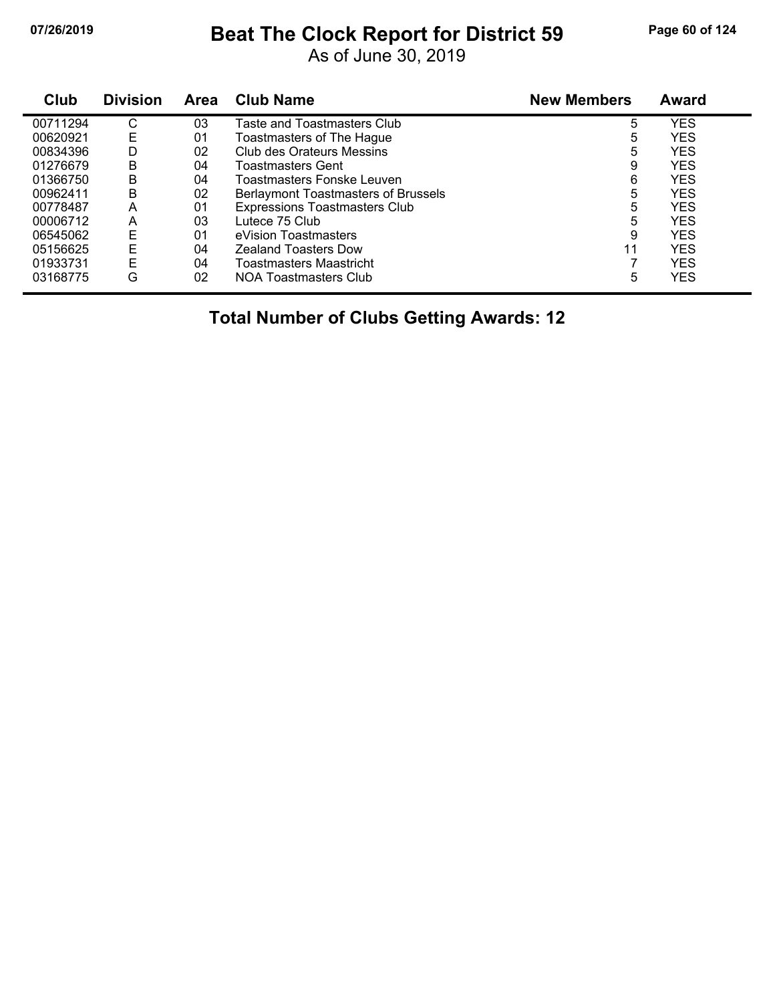# **07/26/2019 Beat The Clock Report for District 59 Page 60 of 124**

As of June 30, 2019

| Club     | <b>Division</b> | <b>Area</b> | <b>Club Name</b>                     | <b>New Members</b> | <b>Award</b> |  |
|----------|-----------------|-------------|--------------------------------------|--------------------|--------------|--|
| 00711294 | С               | 03          | Taste and Toastmasters Club          | 5                  | <b>YES</b>   |  |
| 00620921 | Е               | 01          | Toastmasters of The Hague            | 5                  | <b>YES</b>   |  |
| 00834396 | D               | 02          | Club des Orateurs Messins            | 5                  | <b>YES</b>   |  |
| 01276679 | В               | 04          | Toastmasters Gent                    | 9                  | <b>YES</b>   |  |
| 01366750 | B               | 04          | Toastmasters Fonske Leuven           | 6                  | <b>YES</b>   |  |
| 00962411 | Β               | 02          | Berlaymont Toastmasters of Brussels  | 5                  | <b>YES</b>   |  |
| 00778487 | A               | 01          | <b>Expressions Toastmasters Club</b> | 5                  | <b>YES</b>   |  |
| 00006712 | A               | 03          | Lutece 75 Club                       | 5                  | <b>YES</b>   |  |
| 06545062 | E               | 01          | eVision Toastmasters                 | 9                  | <b>YES</b>   |  |
| 05156625 | E               | 04          | <b>Zealand Toasters Dow</b>          | 11                 | <b>YES</b>   |  |
| 01933731 | E               | 04          | <b>Toastmasters Maastricht</b>       |                    | <b>YES</b>   |  |
| 03168775 | G               | 02          | NOA Toastmasters Club                | 5                  | YES          |  |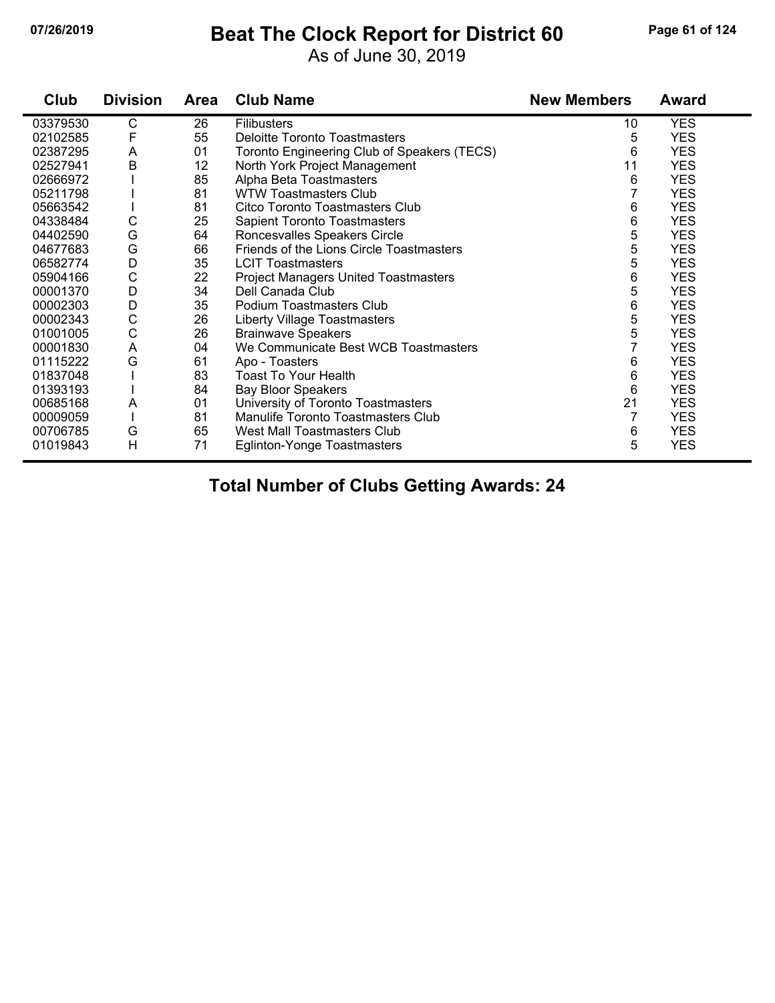### **07/26/2019 Beat The Clock Report for District 60 Page 61 of 124**

As of June 30, 2019

| Club     | <b>Division</b> | <b>Area</b> | <b>Club Name</b>                            | <b>New Members</b> | <b>Award</b> |
|----------|-----------------|-------------|---------------------------------------------|--------------------|--------------|
| 03379530 | C               | 26          | <b>Filibusters</b>                          | 10                 | <b>YES</b>   |
| 02102585 | F               | 55          | Deloitte Toronto Toastmasters               | 5                  | <b>YES</b>   |
| 02387295 | A               | 01          | Toronto Engineering Club of Speakers (TECS) | 6                  | <b>YES</b>   |
| 02527941 | B               | 12          | North York Project Management               | 11                 | <b>YES</b>   |
| 02666972 |                 | 85          | Alpha Beta Toastmasters                     | 6                  | <b>YES</b>   |
| 05211798 |                 | 81          | <b>WTW Toastmasters Club</b>                | 7                  | <b>YES</b>   |
| 05663542 |                 | 81          | Citco Toronto Toastmasters Club             | 6                  | <b>YES</b>   |
| 04338484 | С               | 25          | Sapient Toronto Toastmasters                | 6                  | <b>YES</b>   |
| 04402590 | G               | 64          | Roncesvalles Speakers Circle                | 5                  | <b>YES</b>   |
| 04677683 | G               | 66          | Friends of the Lions Circle Toastmasters    | 5                  | <b>YES</b>   |
| 06582774 | D               | 35          | <b>LCIT Toastmasters</b>                    | 5                  | <b>YES</b>   |
| 05904166 | C               | 22          | <b>Project Managers United Toastmasters</b> | 6                  | <b>YES</b>   |
| 00001370 | D               | 34          | Dell Canada Club                            | 5                  | <b>YES</b>   |
| 00002303 | D               | 35          | Podium Toastmasters Club                    | 6                  | <b>YES</b>   |
| 00002343 | $\mathsf C$     | 26          | Liberty Village Toastmasters                | 5                  | <b>YES</b>   |
| 01001005 | C               | 26          | <b>Brainwave Speakers</b>                   | 5                  | <b>YES</b>   |
| 00001830 | A               | 04          | We Communicate Best WCB Toastmasters        |                    | <b>YES</b>   |
| 01115222 | G               | 61          | Apo - Toasters                              | 6                  | <b>YES</b>   |
| 01837048 |                 | 83          | Toast To Your Health                        | 6                  | <b>YES</b>   |
| 01393193 |                 | 84          | <b>Bay Bloor Speakers</b>                   | 6                  | <b>YES</b>   |
| 00685168 | A               | 01          | University of Toronto Toastmasters          | 21                 | <b>YES</b>   |
| 00009059 |                 | 81          | Manulife Toronto Toastmasters Club          | 7                  | <b>YES</b>   |
| 00706785 | G               | 65          | West Mall Toastmasters Club                 | 6                  | <b>YES</b>   |
| 01019843 | H               | 71          | <b>Eglinton-Yonge Toastmasters</b>          | 5                  | <b>YES</b>   |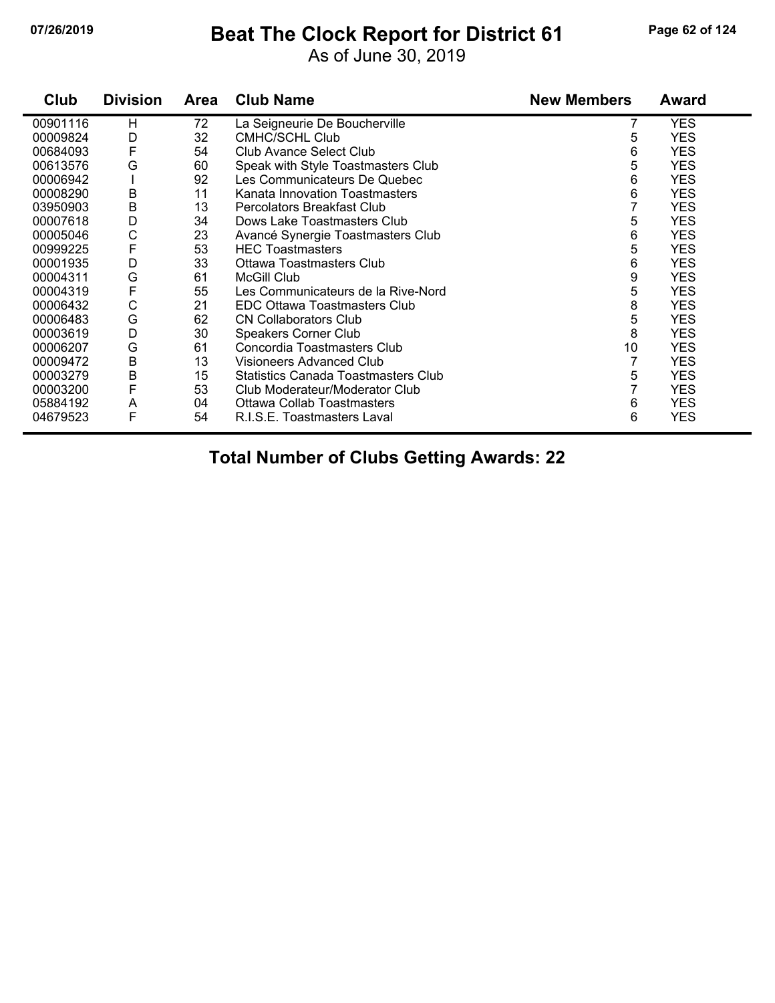#### **07/26/2019 Beat The Clock Report for District 61 Page 62 of 124**

As of June 30, 2019

| Club     | <b>Division</b> | Area | <b>Club Name</b>                    | <b>New Members</b> | <b>Award</b> |
|----------|-----------------|------|-------------------------------------|--------------------|--------------|
| 00901116 | H               | 72   | La Seigneurie De Boucherville       |                    | <b>YES</b>   |
| 00009824 | D               | 32   | CMHC/SCHL Club                      | 5                  | <b>YES</b>   |
| 00684093 | F               | 54   | <b>Club Avance Select Club</b>      | 6                  | <b>YES</b>   |
| 00613576 | G               | 60   | Speak with Style Toastmasters Club  | 5                  | <b>YES</b>   |
| 00006942 |                 | 92   | Les Communicateurs De Quebec        | 6                  | <b>YES</b>   |
| 00008290 | B               | 11   | Kanata Innovation Toastmasters      | 6                  | <b>YES</b>   |
| 03950903 | B               | 13   | Percolators Breakfast Club          |                    | <b>YES</b>   |
| 00007618 | D               | 34   | Dows Lake Toastmasters Club         | 5                  | <b>YES</b>   |
| 00005046 | C               | 23   | Avancé Synergie Toastmasters Club   | 6                  | <b>YES</b>   |
| 00999225 | F               | 53   | <b>HEC Toastmasters</b>             | 5                  | <b>YES</b>   |
| 00001935 | D               | 33   | Ottawa Toastmasters Club            | 6                  | <b>YES</b>   |
| 00004311 | G               | 61   | <b>McGill Club</b>                  | 9                  | <b>YES</b>   |
| 00004319 | F               | 55   | Les Communicateurs de la Rive-Nord  | 5                  | <b>YES</b>   |
| 00006432 | C               | 21   | EDC Ottawa Toastmasters Club        | 8                  | <b>YES</b>   |
| 00006483 | G               | 62   | <b>CN Collaborators Club</b>        | 5                  | <b>YES</b>   |
| 00003619 | D               | 30   | <b>Speakers Corner Club</b>         | 8                  | <b>YES</b>   |
| 00006207 | G               | 61   | Concordia Toastmasters Club         | 10                 | <b>YES</b>   |
| 00009472 | B               | 13   | Visioneers Advanced Club            | 7                  | <b>YES</b>   |
| 00003279 | B               | 15   | Statistics Canada Toastmasters Club | 5                  | <b>YES</b>   |
| 00003200 | F               | 53   | Club Moderateur/Moderator Club      | 7                  | <b>YES</b>   |
| 05884192 | Α               | 04   | <b>Ottawa Collab Toastmasters</b>   | 6                  | <b>YES</b>   |
| 04679523 | F               | 54   | R.I.S.E. Toastmasters Laval         | 6                  | <b>YES</b>   |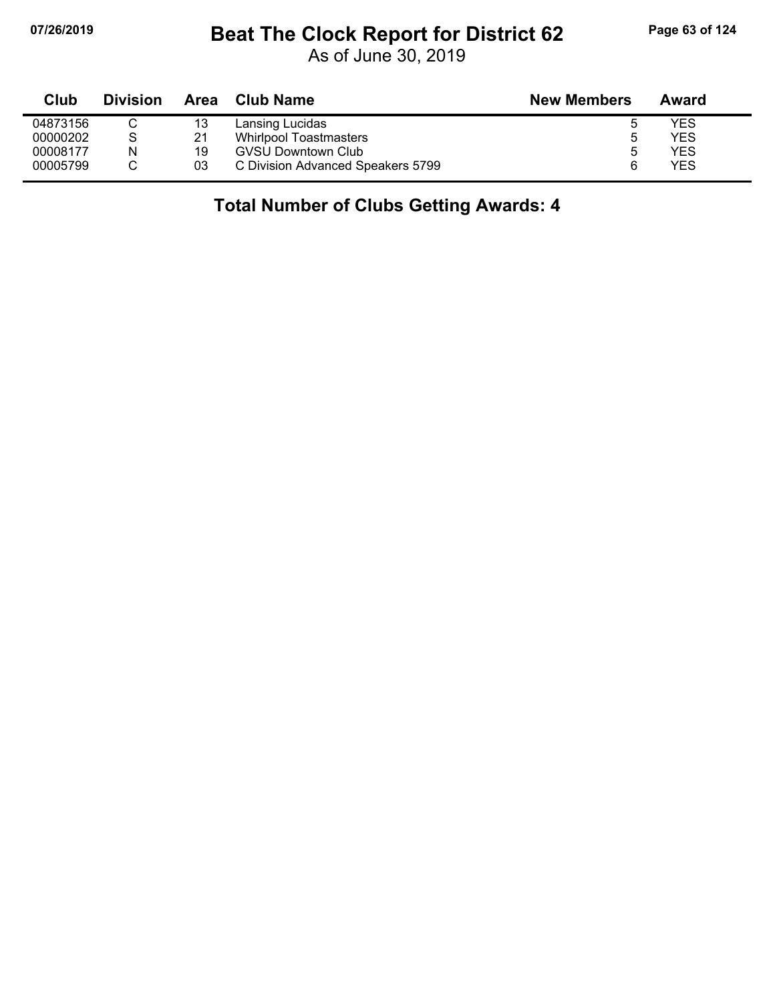### **07/26/2019 Beat The Clock Report for District 62 Page 63 of 124**

As of June 30, 2019

| Club     | <b>Division</b> | Area | <b>Club Name</b>                  | <b>New Members</b> | Award |  |
|----------|-----------------|------|-----------------------------------|--------------------|-------|--|
| 04873156 |                 | 13   | Lansing Lucidas                   |                    | YES   |  |
| 00000202 | S               | 21   | <b>Whirlpool Toastmasters</b>     |                    | YES   |  |
| 00008177 | N               | 19   | <b>GVSU Downtown Club</b>         |                    | YES   |  |
| 00005799 |                 | 03   | C Division Advanced Speakers 5799 |                    | YES   |  |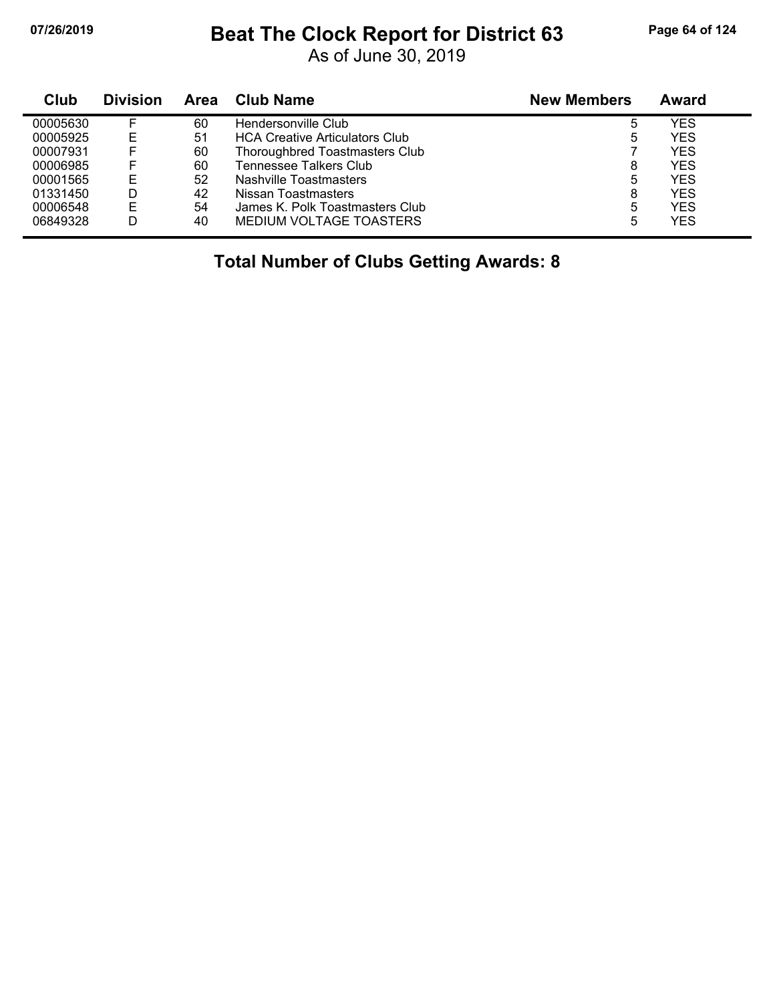### **07/26/2019 Beat The Clock Report for District 63 Page 64 of 124**

As of June 30, 2019

| Club     | <b>Division</b> | Area | Club Name                             | <b>New Members</b> | Award      |
|----------|-----------------|------|---------------------------------------|--------------------|------------|
| 00005630 |                 | 60   | Hendersonville Club                   | 5                  | YES        |
| 00005925 | E               | 51   | <b>HCA Creative Articulators Club</b> | 5                  | <b>YES</b> |
| 00007931 |                 | 60   | Thoroughbred Toastmasters Club        |                    | <b>YES</b> |
| 00006985 |                 | 60   | <b>Tennessee Talkers Club</b>         | 8                  | YES        |
| 00001565 | E               | 52   | Nashville Toastmasters                | 5                  | YES        |
| 01331450 | D               | 42   | Nissan Toastmasters                   | 8                  | YES        |
| 00006548 | E               | 54   | James K. Polk Toastmasters Club       | 5                  | YES        |
| 06849328 | D               | 40   | MEDIUM VOLTAGE TOASTERS               | 5                  | YES        |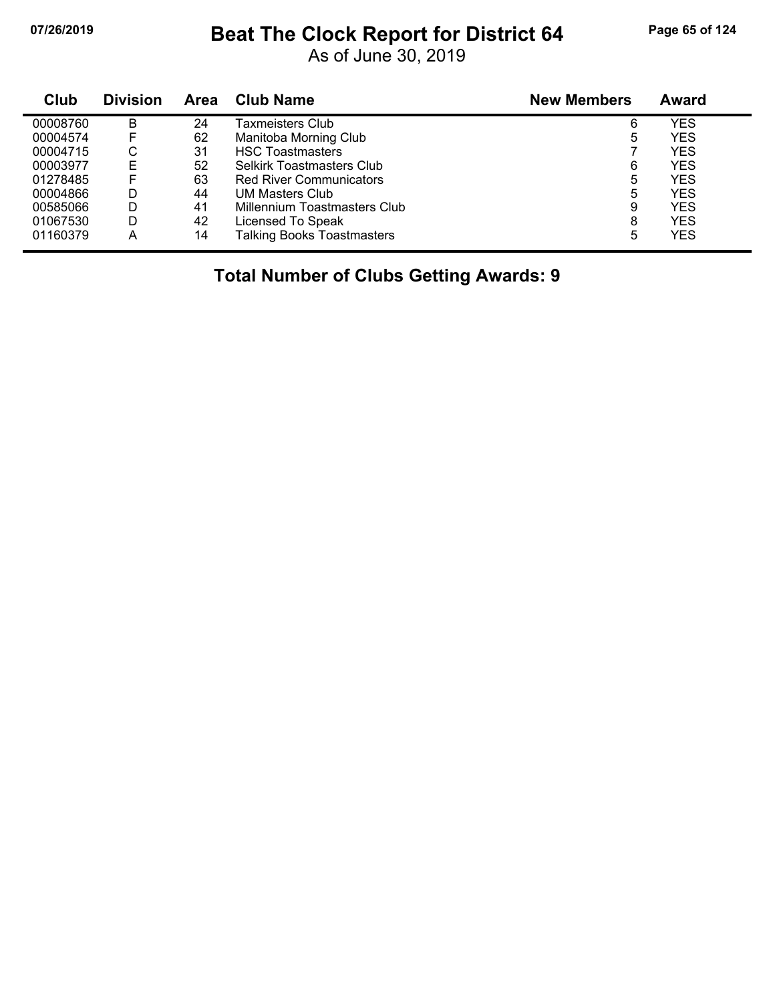#### **07/26/2019 Beat The Clock Report for District 64 Page 65 of 124**

As of June 30, 2019

| Club     | <b>Division</b> | <b>Area</b> | <b>Club Name</b>                  | <b>New Members</b> | <b>Award</b> |
|----------|-----------------|-------------|-----------------------------------|--------------------|--------------|
| 00008760 | B               | 24          | Taxmeisters Club                  | 6                  | YES          |
| 00004574 | F               | 62          | Manitoba Morning Club             | 5                  | <b>YES</b>   |
| 00004715 | С               | 31          | <b>HSC Toastmasters</b>           |                    | <b>YES</b>   |
| 00003977 | E               | 52          | <b>Selkirk Toastmasters Club</b>  | 6                  | <b>YES</b>   |
| 01278485 |                 | 63          | <b>Red River Communicators</b>    | 5                  | <b>YES</b>   |
| 00004866 | D               | 44          | UM Masters Club                   | 5                  | <b>YES</b>   |
| 00585066 | D               | 41          | Millennium Toastmasters Club      | 9                  | <b>YES</b>   |
| 01067530 | D               | 42          | Licensed To Speak                 | 8                  | <b>YES</b>   |
| 01160379 | Α               | 14          | <b>Talking Books Toastmasters</b> | 5                  | <b>YES</b>   |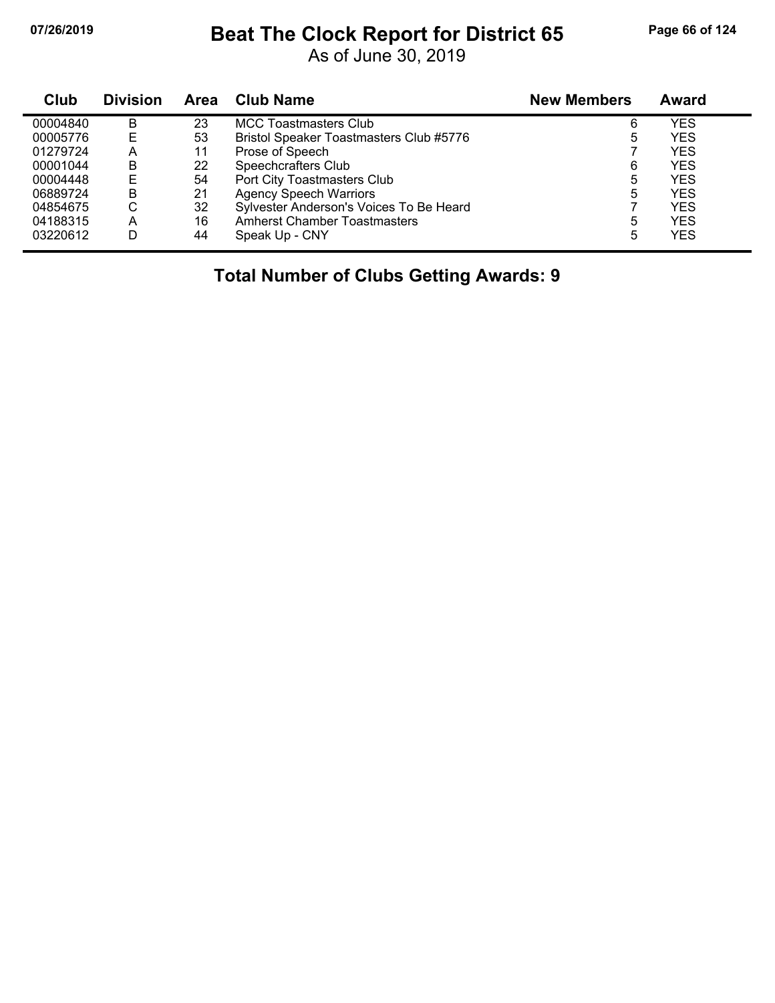### **07/26/2019 Beat The Clock Report for District 65 Page 66 of 124**

As of June 30, 2019

| Club     | <b>Division</b> | <b>Area</b> | <b>Club Name</b>                        | <b>New Members</b> | <b>Award</b> |
|----------|-----------------|-------------|-----------------------------------------|--------------------|--------------|
| 00004840 | B               | 23          | <b>MCC Toastmasters Club</b>            | 6                  | YES          |
| 00005776 | F               | 53          | Bristol Speaker Toastmasters Club #5776 | 5                  | YES          |
| 01279724 | A               | 11          | Prose of Speech                         |                    | YES          |
| 00001044 | B               | 22          | Speechcrafters Club                     | 6                  | YES          |
| 00004448 | E               | 54          | Port City Toastmasters Club             | 5                  | YES          |
| 06889724 | B               | 21          | <b>Agency Speech Warriors</b>           | 5                  | YES          |
| 04854675 | C               | 32          | Sylvester Anderson's Voices To Be Heard |                    | YES          |
| 04188315 | A               | 16          | Amherst Chamber Toastmasters            | 5                  | <b>YES</b>   |
| 03220612 | D               | 44          | Speak Up - CNY                          | 5                  | YES          |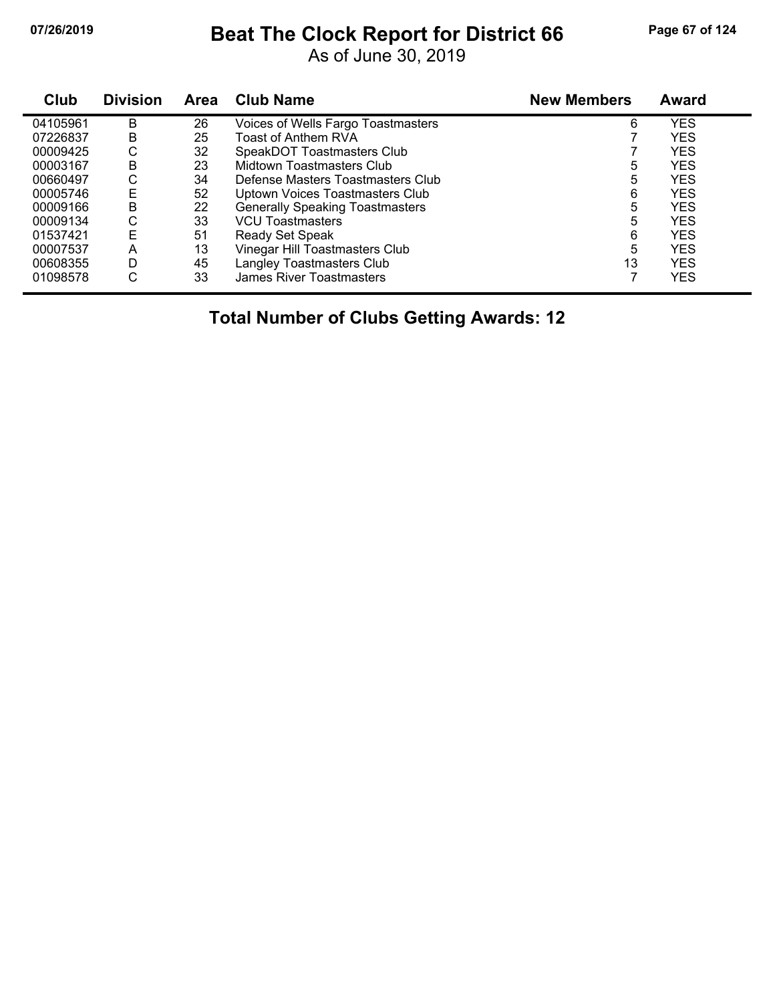# **07/26/2019 Beat The Clock Report for District 66 Page 67 of 124**

As of June 30, 2019

| Club     | <b>Division</b> | <b>Area</b> | <b>Club Name</b>                       | <b>New Members</b> | <b>Award</b> |
|----------|-----------------|-------------|----------------------------------------|--------------------|--------------|
| 04105961 | B               | 26          | Voices of Wells Fargo Toastmasters     | 6                  | <b>YES</b>   |
| 07226837 | B               | 25          | Toast of Anthem RVA                    |                    | <b>YES</b>   |
| 00009425 | С               | 32          | SpeakDOT Toastmasters Club             |                    | <b>YES</b>   |
| 00003167 | В               | 23          | Midtown Toastmasters Club              | 5                  | <b>YES</b>   |
| 00660497 | С               | 34          | Defense Masters Toastmasters Club      | 5                  | <b>YES</b>   |
| 00005746 | E               | 52          | Uptown Voices Toastmasters Club        | 6                  | <b>YES</b>   |
| 00009166 | B               | 22          | <b>Generally Speaking Toastmasters</b> | 5                  | <b>YES</b>   |
| 00009134 | С               | 33          | <b>VCU Toastmasters</b>                | 5                  | <b>YES</b>   |
| 01537421 | E               | 51          | Ready Set Speak                        | 6                  | <b>YES</b>   |
| 00007537 | Α               | 13          | Vinegar Hill Toastmasters Club         | 5                  | <b>YES</b>   |
| 00608355 | D               | 45          | Langley Toastmasters Club              | 13                 | <b>YES</b>   |
| 01098578 | С               | 33          | James River Toastmasters               |                    | <b>YES</b>   |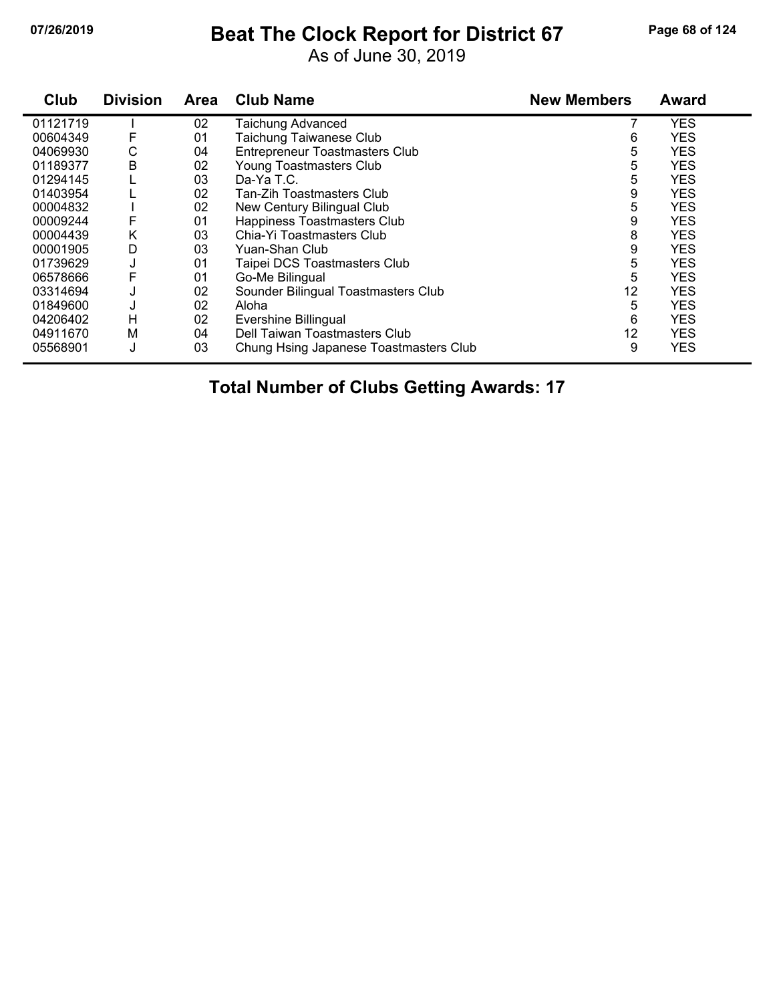### **07/26/2019 Beat The Clock Report for District 67 Page 68 of 124**

As of June 30, 2019

| Club     | <b>Division</b> | <b>Area</b> | <b>Club Name</b>                       | <b>New Members</b> | <b>Award</b> |
|----------|-----------------|-------------|----------------------------------------|--------------------|--------------|
| 01121719 |                 | 02          | <b>Taichung Advanced</b>               |                    | <b>YES</b>   |
| 00604349 | F               | 01          | Taichung Taiwanese Club                | 6                  | <b>YES</b>   |
| 04069930 | С               | 04          | <b>Entrepreneur Toastmasters Club</b>  | 5                  | <b>YES</b>   |
| 01189377 | B               | 02          | Young Toastmasters Club                | 5                  | <b>YES</b>   |
| 01294145 |                 | 03          | Da-Ya T.C.                             | 5                  | <b>YES</b>   |
| 01403954 |                 | 02          | Tan-Zih Toastmasters Club              | 9                  | <b>YES</b>   |
| 00004832 |                 | 02          | New Century Bilingual Club             | 5                  | <b>YES</b>   |
| 00009244 | F               | 01          | Happiness Toastmasters Club            | 9                  | <b>YES</b>   |
| 00004439 | Κ               | 03          | Chia-Yi Toastmasters Club              | 8                  | <b>YES</b>   |
| 00001905 | D               | 03          | Yuan-Shan Club                         | 9                  | <b>YES</b>   |
| 01739629 | J               | 01          | Taipei DCS Toastmasters Club           | 5                  | <b>YES</b>   |
| 06578666 |                 | 01          | Go-Me Bilingual                        | 5                  | <b>YES</b>   |
| 03314694 |                 | 02          | Sounder Bilingual Toastmasters Club    | 12                 | <b>YES</b>   |
| 01849600 |                 | 02          | Aloha                                  | 5                  | <b>YES</b>   |
| 04206402 | н               | 02          | Evershine Billingual                   | 6                  | <b>YES</b>   |
| 04911670 | м               | 04          | Dell Taiwan Toastmasters Club          | 12                 | <b>YES</b>   |
| 05568901 | J               | 03          | Chung Hsing Japanese Toastmasters Club | 9                  | <b>YES</b>   |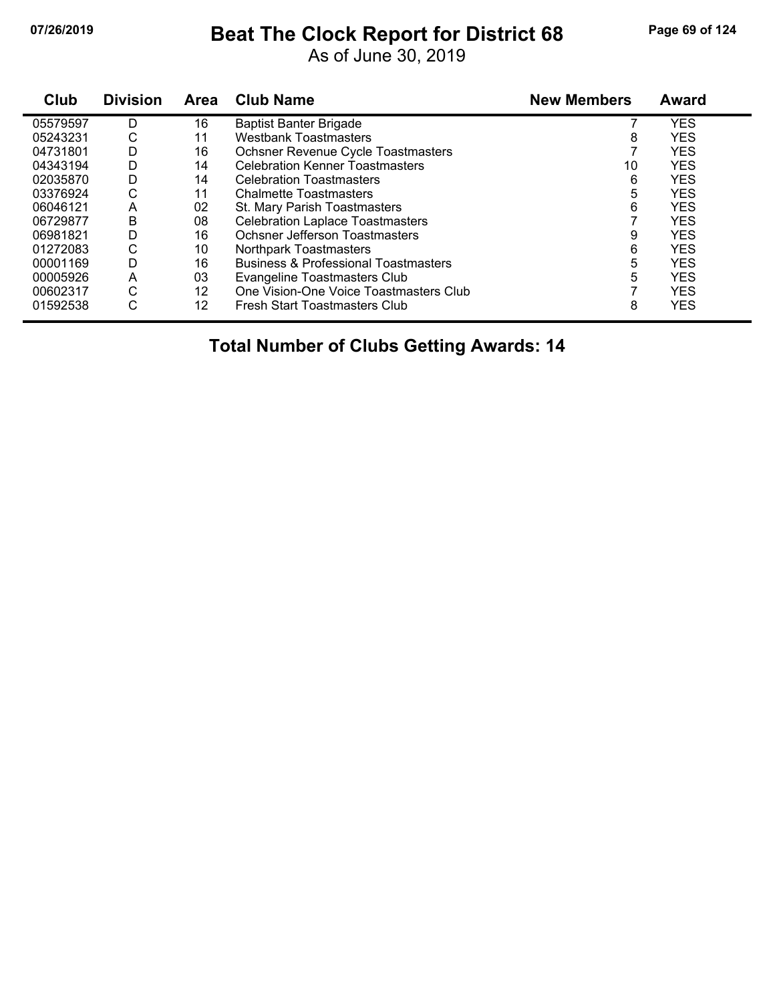### **07/26/2019 Beat The Clock Report for District 68 Page 69 of 124**

As of June 30, 2019

| Club     | <b>Division</b> | <b>Area</b> | <b>Club Name</b>                                | <b>New Members</b> | <b>Award</b> |
|----------|-----------------|-------------|-------------------------------------------------|--------------------|--------------|
| 05579597 | D               | 16          | <b>Baptist Banter Brigade</b>                   |                    | <b>YES</b>   |
| 05243231 | С               | 11          | <b>Westbank Toastmasters</b>                    | 8                  | <b>YES</b>   |
| 04731801 | D               | 16          | Ochsner Revenue Cycle Toastmasters              |                    | <b>YES</b>   |
| 04343194 | D               | 14          | <b>Celebration Kenner Toastmasters</b>          | 10                 | <b>YES</b>   |
| 02035870 | D               | 14          | <b>Celebration Toastmasters</b>                 | 6                  | <b>YES</b>   |
| 03376924 | С               | 11          | <b>Chalmette Toastmasters</b>                   | 5                  | <b>YES</b>   |
| 06046121 | A               | 02          | St. Mary Parish Toastmasters                    | 6                  | <b>YES</b>   |
| 06729877 | B               | 08          | <b>Celebration Laplace Toastmasters</b>         |                    | <b>YES</b>   |
| 06981821 | D               | 16          | Ochsner Jefferson Toastmasters                  | 9                  | <b>YES</b>   |
| 01272083 | С               | 10          | Northpark Toastmasters                          | 6                  | <b>YES</b>   |
| 00001169 | D               | 16          | <b>Business &amp; Professional Toastmasters</b> | 5                  | <b>YES</b>   |
| 00005926 | A               | 03          | <b>Evangeline Toastmasters Club</b>             | 5                  | <b>YES</b>   |
| 00602317 | С               | 12          | One Vision-One Voice Toastmasters Club          |                    | <b>YES</b>   |
| 01592538 | С               | 12          | Fresh Start Toastmasters Club                   | 8                  | YES          |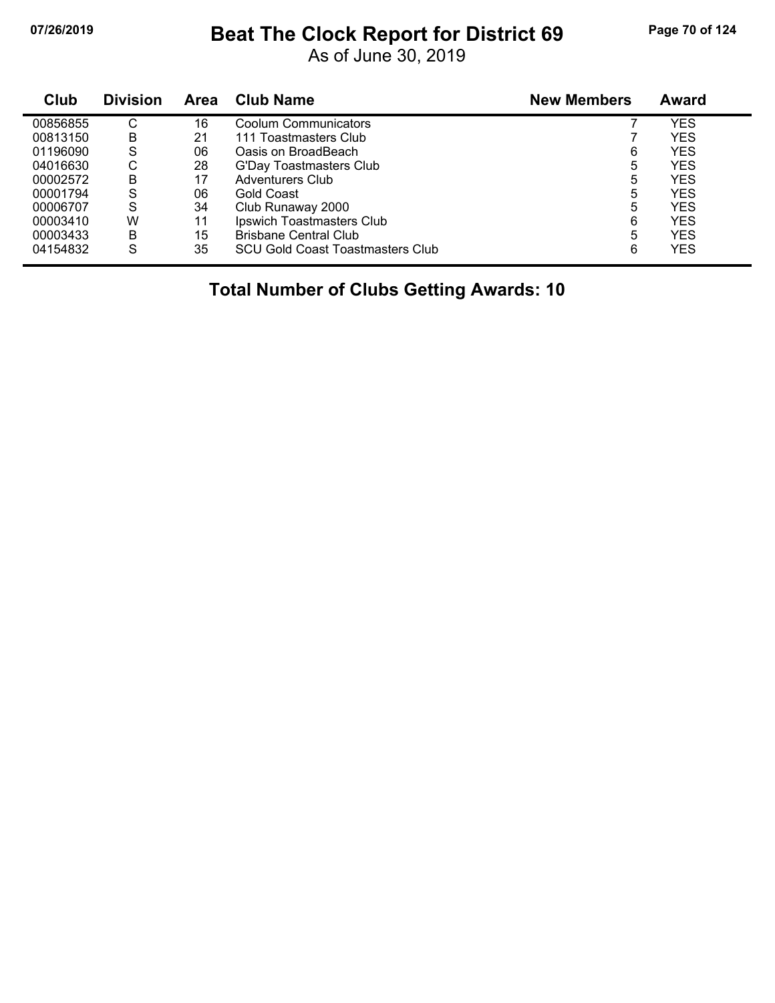### **07/26/2019 Beat The Clock Report for District 69 Page 70 of 124**

As of June 30, 2019

| Club     | <b>Division</b> | <b>Area</b> | <b>Club Name</b>                 | <b>New Members</b> | Award |
|----------|-----------------|-------------|----------------------------------|--------------------|-------|
| 00856855 | С               | 16          | Coolum Communicators             |                    | YES   |
| 00813150 | B               | 21          | 111 Toastmasters Club            |                    | YES   |
| 01196090 | S               | 06          | Oasis on BroadBeach              | 6                  | YES   |
| 04016630 | ◠<br>◡          | 28          | G'Day Toastmasters Club          | 5                  | YES   |
| 00002572 | В               | 17          | <b>Adventurers Club</b>          | 5                  | YES   |
| 00001794 | S               | 06          | Gold Coast                       | 5                  | YES   |
| 00006707 | S               | 34          | Club Runaway 2000                | 5                  | YES   |
| 00003410 | W               | 11          | Ipswich Toastmasters Club        | 6                  | YES   |
| 00003433 | В               | 15          | <b>Brisbane Central Club</b>     | 5                  | YES   |
| 04154832 | S               | 35          | SCU Gold Coast Toastmasters Club | 6                  | YES   |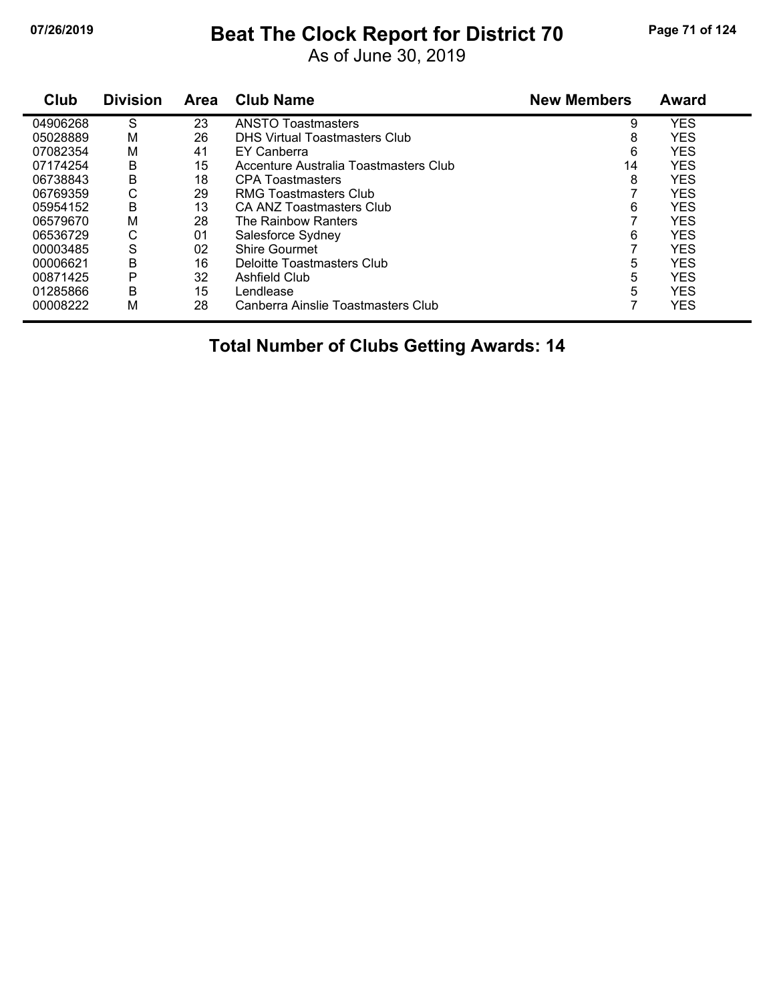## **07/26/2019 Beat The Clock Report for District 70 Page 71 of 124**

As of June 30, 2019

| Club     | <b>Division</b> | <b>Area</b> | <b>Club Name</b>                      | <b>New Members</b> | <b>Award</b> |
|----------|-----------------|-------------|---------------------------------------|--------------------|--------------|
| 04906268 | S               | 23          | <b>ANSTO Toastmasters</b>             | 9                  | <b>YES</b>   |
| 05028889 | M               | 26          | <b>DHS Virtual Toastmasters Club</b>  | 8                  | <b>YES</b>   |
| 07082354 | M               | 41          | EY Canberra                           | 6                  | <b>YES</b>   |
| 07174254 | B               | 15          | Accenture Australia Toastmasters Club | 14                 | <b>YES</b>   |
| 06738843 | В               | 18          | <b>CPA Toastmasters</b>               | 8                  | <b>YES</b>   |
| 06769359 | С               | 29          | RMG Toastmasters Club                 |                    | <b>YES</b>   |
| 05954152 | B               | 13          | <b>CA ANZ Toastmasters Club</b>       | 6                  | <b>YES</b>   |
| 06579670 | M               | 28          | The Rainbow Ranters                   |                    | <b>YES</b>   |
| 06536729 | С               | 01          | Salesforce Sydney                     | 6                  | <b>YES</b>   |
| 00003485 | S               | 02          | <b>Shire Gourmet</b>                  |                    | <b>YES</b>   |
| 00006621 | В               | 16          | Deloitte Toastmasters Club            | 5                  | <b>YES</b>   |
| 00871425 | P               | 32          | Ashfield Club                         | 5                  | <b>YES</b>   |
| 01285866 | В               | 15          | Lendlease                             | 5                  | <b>YES</b>   |
| 00008222 | M               | 28          | Canberra Ainslie Toastmasters Club    | ⇁                  | <b>YES</b>   |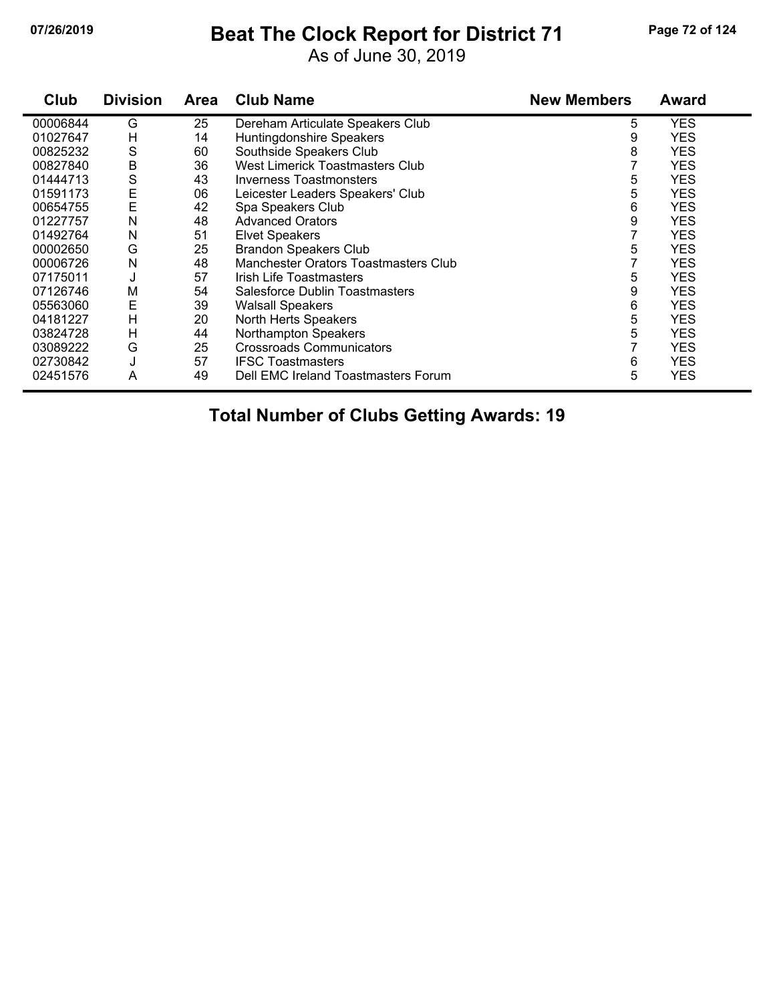### **07/26/2019 Beat The Clock Report for District 71 Page 72 of 124**

As of June 30, 2019

| Club     | <b>Division</b> | Area | <b>Club Name</b>                       | <b>New Members</b> | <b>Award</b> |
|----------|-----------------|------|----------------------------------------|--------------------|--------------|
| 00006844 | G               | 25   | Dereham Articulate Speakers Club       | 5                  | YES          |
| 01027647 | н               | 14   | Huntingdonshire Speakers               | 9                  | <b>YES</b>   |
| 00825232 | S               | 60   | Southside Speakers Club                | 8                  | <b>YES</b>   |
| 00827840 | Β               | 36   | <b>West Limerick Toastmasters Club</b> | 7                  | <b>YES</b>   |
| 01444713 | S               | 43   | <b>Inverness Toastmonsters</b>         | 5                  | <b>YES</b>   |
| 01591173 | Ε               | 06   | Leicester Leaders Speakers' Club       | 5                  | <b>YES</b>   |
| 00654755 | E               | 42   | Spa Speakers Club                      | 6                  | <b>YES</b>   |
| 01227757 | Ν               | 48   | <b>Advanced Orators</b>                | 9                  | <b>YES</b>   |
| 01492764 | N               | 51   | <b>Elvet Speakers</b>                  |                    | <b>YES</b>   |
| 00002650 | G               | 25   | <b>Brandon Speakers Club</b>           | 5                  | <b>YES</b>   |
| 00006726 | N               | 48   | Manchester Orators Toastmasters Club   | 7                  | <b>YES</b>   |
| 07175011 | J               | 57   | <b>Irish Life Toastmasters</b>         | 5                  | <b>YES</b>   |
| 07126746 | M               | 54   | Salesforce Dublin Toastmasters         | 9                  | <b>YES</b>   |
| 05563060 | Ε               | 39   | <b>Walsall Speakers</b>                | 6                  | <b>YES</b>   |
| 04181227 | H               | 20   | North Herts Speakers                   | 5                  | <b>YES</b>   |
| 03824728 | H               | 44   | Northampton Speakers                   | 5                  | <b>YES</b>   |
| 03089222 | G               | 25   | <b>Crossroads Communicators</b>        |                    | <b>YES</b>   |
| 02730842 | J               | 57   | <b>IFSC Toastmasters</b>               | 6                  | <b>YES</b>   |
| 02451576 | A               | 49   | Dell EMC Ireland Toastmasters Forum    | 5                  | <b>YES</b>   |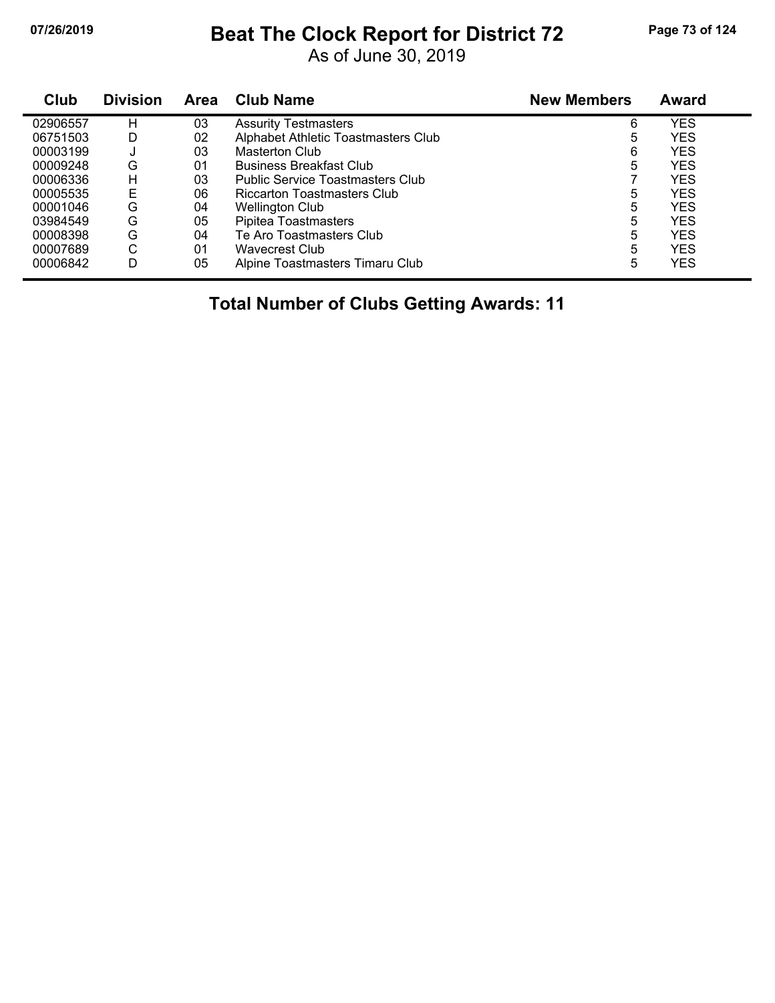# **07/26/2019 Beat The Clock Report for District 72 Page 73 of 124**

As of June 30, 2019

| Club     | <b>Division</b> | <b>Area</b> | <b>Club Name</b>                        | <b>New Members</b> | Award      |
|----------|-----------------|-------------|-----------------------------------------|--------------------|------------|
| 02906557 | н               | 03          | <b>Assurity Testmasters</b>             | 6                  | <b>YES</b> |
| 06751503 | D               | 02          | Alphabet Athletic Toastmasters Club     | 5                  | <b>YES</b> |
| 00003199 | J               | 03          | Masterton Club                          | 6                  | <b>YES</b> |
| 00009248 | G               | 01          | <b>Business Breakfast Club</b>          | 5                  | <b>YES</b> |
| 00006336 | н               | 03          | <b>Public Service Toastmasters Club</b> |                    | <b>YES</b> |
| 00005535 | E               | 06          | Riccarton Toastmasters Club             | 5                  | <b>YES</b> |
| 00001046 | G               | 04          | <b>Wellington Club</b>                  | 5                  | <b>YES</b> |
| 03984549 | G               | 05          | Pipitea Toastmasters                    | 5                  | <b>YES</b> |
| 00008398 | G               | 04          | Te Aro Toastmasters Club                | 5                  | <b>YES</b> |
| 00007689 | С               | 01          | <b>Wavecrest Club</b>                   | 5                  | <b>YES</b> |
| 00006842 | D               | 05          | Alpine Toastmasters Timaru Club         | 5                  | <b>YES</b> |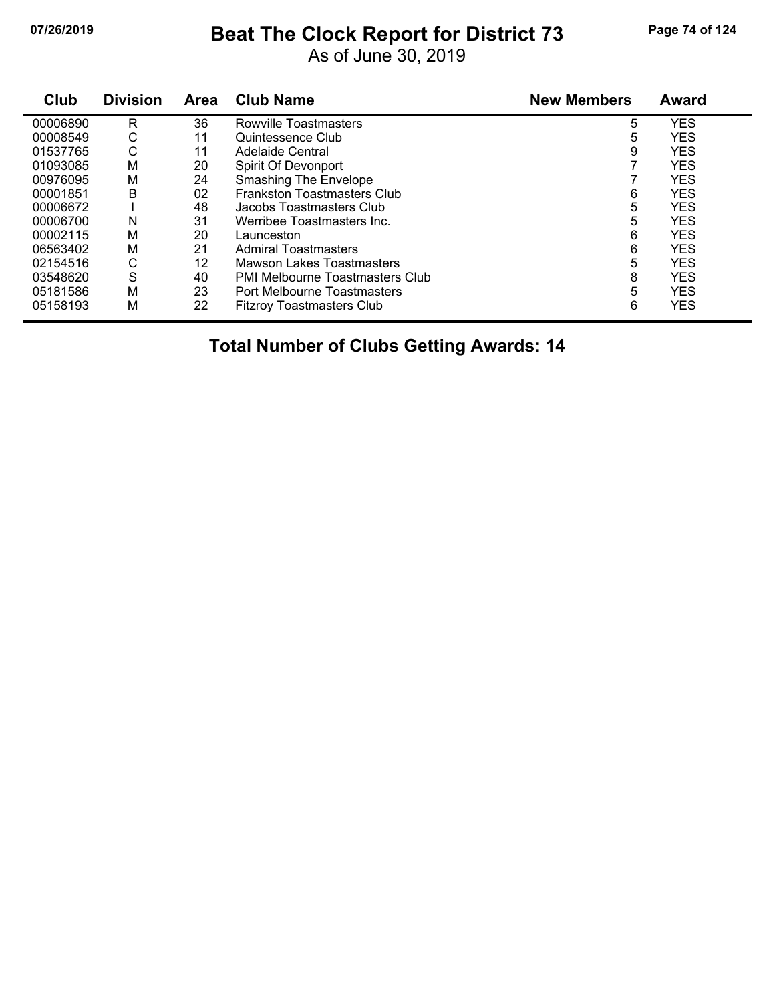## **07/26/2019 Beat The Clock Report for District 73 Page 74 of 124**

As of June 30, 2019

| Club     | <b>Division</b> | <b>Area</b> | <b>Club Name</b>                       | <b>New Members</b> | Award      |  |
|----------|-----------------|-------------|----------------------------------------|--------------------|------------|--|
| 00006890 | R               | 36          | Rowville Toastmasters                  | 5                  | <b>YES</b> |  |
| 00008549 | С               | 11          | Quintessence Club                      | 5                  | <b>YES</b> |  |
| 01537765 | С               | 11          | Adelaide Central                       | 9                  | <b>YES</b> |  |
| 01093085 | M               | 20          | Spirit Of Devonport                    |                    | <b>YES</b> |  |
| 00976095 | M               | 24          | <b>Smashing The Envelope</b>           |                    | <b>YES</b> |  |
| 00001851 | B               | 02          | <b>Frankston Toastmasters Club</b>     | 6                  | <b>YES</b> |  |
| 00006672 |                 | 48          | Jacobs Toastmasters Club               | 5                  | <b>YES</b> |  |
| 00006700 | N               | 31          | Werribee Toastmasters Inc.             | 5                  | <b>YES</b> |  |
| 00002115 | М               | 20          | Launceston                             | 6                  | <b>YES</b> |  |
| 06563402 | M               | 21          | <b>Admiral Toastmasters</b>            | 6                  | <b>YES</b> |  |
| 02154516 | С               | 12          | Mawson Lakes Toastmasters              | 5                  | <b>YES</b> |  |
| 03548620 | S               | 40          | <b>PMI Melbourne Toastmasters Club</b> | 8                  | <b>YES</b> |  |
| 05181586 | M               | 23          | Port Melbourne Toastmasters            | 5                  | <b>YES</b> |  |
| 05158193 | M               | 22          | <b>Fitzroy Toastmasters Club</b>       | 6                  | <b>YES</b> |  |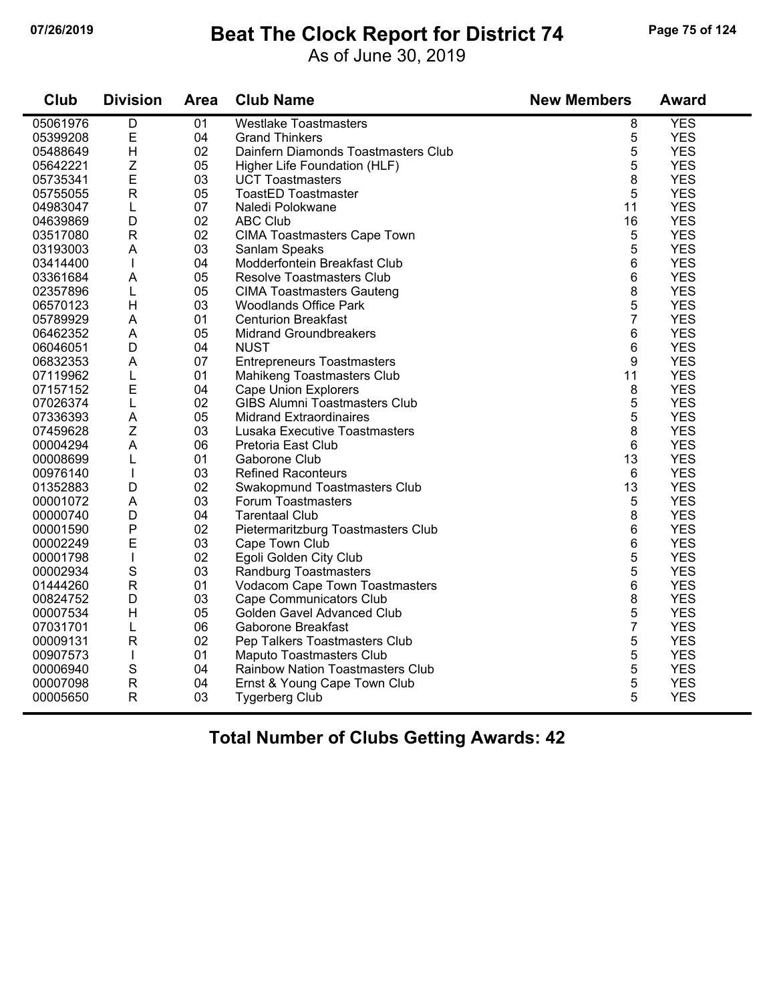## **07/26/2019 Beat The Clock Report for District 74 Page 75 of 124**

As of June 30, 2019

| Club     | <b>Division</b>     | <b>Area</b> | <b>Club Name</b>                                    | <b>New Members</b> | <b>Award</b>             |
|----------|---------------------|-------------|-----------------------------------------------------|--------------------|--------------------------|
| 05061976 | D                   | 01          | <b>Westlake Toastmasters</b>                        | 8                  | <b>YES</b>               |
| 05399208 | $\mathsf E$         | 04          | <b>Grand Thinkers</b>                               | 5                  | <b>YES</b>               |
| 05488649 | H                   | 02          | Dainfern Diamonds Toastmasters Club                 | 5                  | <b>YES</b>               |
| 05642221 | Z                   | 05          | Higher Life Foundation (HLF)                        | 5                  | <b>YES</b>               |
| 05735341 | E                   | 03          | <b>UCT Toastmasters</b>                             | 8                  | <b>YES</b>               |
| 05755055 | $\mathsf{R}$        | 05          | <b>ToastED Toastmaster</b>                          | 5                  | <b>YES</b>               |
| 04983047 | L                   | 07          | Naledi Polokwane                                    | 11                 | <b>YES</b>               |
| 04639869 | D                   | 02          | <b>ABC Club</b>                                     | 16                 | <b>YES</b>               |
| 03517080 | ${\sf R}$           | 02          | CIMA Toastmasters Cape Town                         | 5                  | <b>YES</b>               |
| 03193003 | A                   | 03          | Sanlam Speaks                                       | 5                  | <b>YES</b>               |
| 03414400 | $\mathbf{I}$        | 04          | Modderfontein Breakfast Club                        | 6                  | <b>YES</b>               |
| 03361684 | A                   | 05          | Resolve Toastmasters Club                           | 6                  | <b>YES</b>               |
| 02357896 | L                   | 05          | <b>CIMA Toastmasters Gauteng</b>                    | 8                  | <b>YES</b>               |
| 06570123 | H                   | 03          | <b>Woodlands Office Park</b>                        | 5                  | <b>YES</b>               |
| 05789929 | A                   | 01          | <b>Centurion Breakfast</b>                          | $\overline{7}$     | <b>YES</b>               |
| 06462352 | A                   | 05          | <b>Midrand Groundbreakers</b>                       | 6                  | <b>YES</b>               |
| 06046051 | D                   | 04          | <b>NUST</b>                                         | 6                  | <b>YES</b>               |
| 06832353 | A                   | 07          | <b>Entrepreneurs Toastmasters</b>                   | 9                  | <b>YES</b>               |
| 07119962 | L                   | 01          | Mahikeng Toastmasters Club                          | 11                 | <b>YES</b>               |
| 07157152 | E                   | 04          | <b>Cape Union Explorers</b>                         | 8                  | <b>YES</b>               |
| 07026374 | L                   | 02          | <b>GIBS Alumni Toastmasters Club</b>                | 5                  | <b>YES</b>               |
| 07336393 | A                   | 05          | <b>Midrand Extraordinaires</b>                      | 5                  | <b>YES</b>               |
|          |                     |             |                                                     |                    |                          |
| 07459628 | Ζ<br>$\overline{A}$ | 03<br>06    | Lusaka Executive Toastmasters<br>Pretoria East Club | 8                  | <b>YES</b><br><b>YES</b> |
| 00004294 |                     |             |                                                     | 6                  |                          |
| 00008699 | L                   | 01          | Gaborone Club                                       | 13                 | <b>YES</b>               |
| 00976140 | T                   | 03          | <b>Refined Raconteurs</b>                           | 6                  | <b>YES</b>               |
| 01352883 | D                   | 02          | Swakopmund Toastmasters Club                        | 13                 | <b>YES</b>               |
| 00001072 | A                   | 03          | Forum Toastmasters                                  | 5                  | <b>YES</b>               |
| 00000740 | D                   | 04          | <b>Tarentaal Club</b>                               | 8                  | <b>YES</b>               |
| 00001590 | ${\sf P}$           | 02          | Pietermaritzburg Toastmasters Club                  | 6                  | <b>YES</b>               |
| 00002249 | E                   | 03          | Cape Town Club                                      | 6                  | <b>YES</b>               |
| 00001798 | T                   | 02          | Egoli Golden City Club                              | 5                  | <b>YES</b>               |
| 00002934 | $\mathsf S$         | 03          | Randburg Toastmasters                               | 5                  | <b>YES</b>               |
| 01444260 | ${\sf R}$           | 01          | Vodacom Cape Town Toastmasters                      | 6                  | <b>YES</b>               |
| 00824752 | D                   | 03          | Cape Communicators Club                             | 8                  | <b>YES</b>               |
| 00007534 | H                   | 05          | Golden Gavel Advanced Club                          | 5                  | <b>YES</b>               |
| 07031701 | L                   | 06          | <b>Gaborone Breakfast</b>                           | $\overline{7}$     | <b>YES</b>               |
| 00009131 | $\mathsf{R}$        | 02          | Pep Talkers Toastmasters Club                       | 5                  | <b>YES</b>               |
| 00907573 | T                   | 01          | Maputo Toastmasters Club                            | 5                  | <b>YES</b>               |
| 00006940 | S                   | 04          | <b>Rainbow Nation Toastmasters Club</b>             | 5                  | <b>YES</b>               |
| 00007098 | $\mathsf{R}$        | 04          | Ernst & Young Cape Town Club                        | 5                  | <b>YES</b>               |
| 00005650 | $\mathsf{R}$        | 03          | <b>Tygerberg Club</b>                               | 5                  | <b>YES</b>               |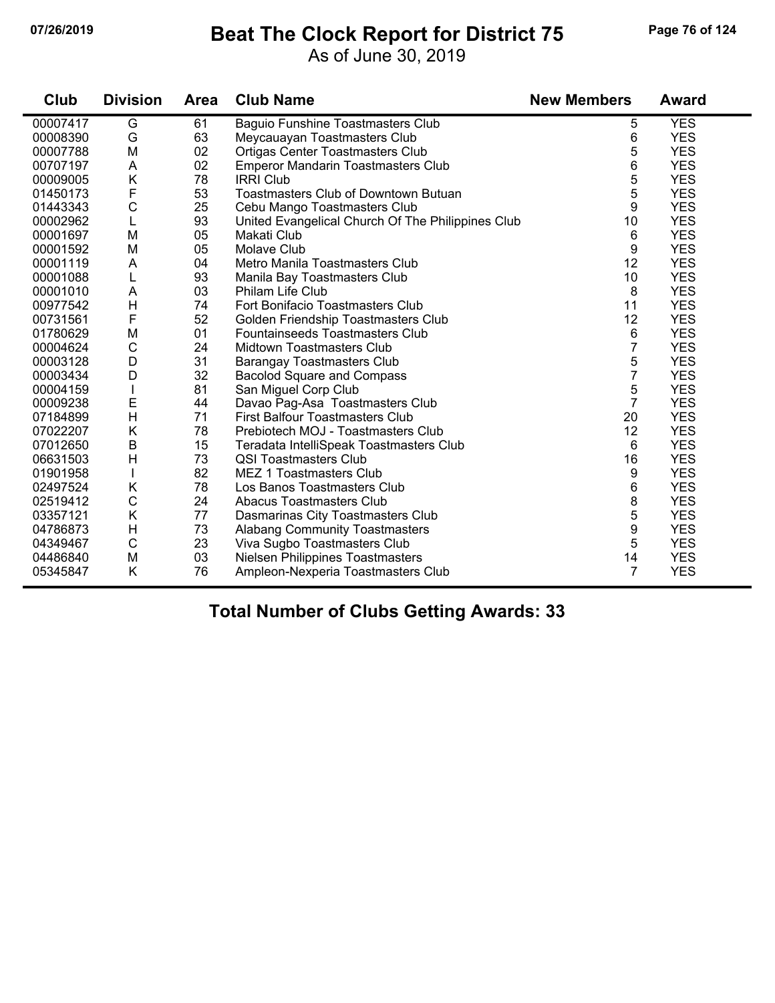### **07/26/2019 Beat The Clock Report for District 75 Page 76 of 124**

As of June 30, 2019

| Club     | <b>Division</b> | <b>Area</b> | <b>Club Name</b>                                  | <b>New Members</b> | <b>Award</b> |
|----------|-----------------|-------------|---------------------------------------------------|--------------------|--------------|
| 00007417 | G               | 61          | <b>Baguio Funshine Toastmasters Club</b>          | 5                  | <b>YES</b>   |
| 00008390 | G               | 63          | Meycauayan Toastmasters Club                      | 6                  | <b>YES</b>   |
| 00007788 | M               | 02          | <b>Ortigas Center Toastmasters Club</b>           | 5                  | <b>YES</b>   |
| 00707197 | A               | 02          | <b>Emperor Mandarin Toastmasters Club</b>         | 6                  | <b>YES</b>   |
| 00009005 | K               | 78          | <b>IRRI Club</b>                                  | 5                  | <b>YES</b>   |
| 01450173 | F               | 53          | Toastmasters Club of Downtown Butuan              | 5                  | <b>YES</b>   |
| 01443343 | $\mathsf{C}$    | 25          | Cebu Mango Toastmasters Club                      | 9                  | <b>YES</b>   |
| 00002962 | L               | 93          | United Evangelical Church Of The Philippines Club | 10                 | <b>YES</b>   |
| 00001697 | M               | 05          | Makati Club                                       | 6                  | <b>YES</b>   |
| 00001592 | M               | 05          | <b>Molave Club</b>                                | 9                  | <b>YES</b>   |
| 00001119 | A               | 04          | Metro Manila Toastmasters Club                    | 12                 | <b>YES</b>   |
| 00001088 | L               | 93          | Manila Bay Toastmasters Club                      | 10                 | <b>YES</b>   |
| 00001010 | A               | 03          | Philam Life Club                                  | 8                  | <b>YES</b>   |
| 00977542 | $\mathsf{H}$    | 74          | Fort Bonifacio Toastmasters Club                  | 11                 | <b>YES</b>   |
| 00731561 | F               | 52          | Golden Friendship Toastmasters Club               | 12                 | <b>YES</b>   |
| 01780629 | M               | 01          | <b>Fountainseeds Toastmasters Club</b>            | 6                  | <b>YES</b>   |
| 00004624 | $\mathsf{C}$    | 24          | <b>Midtown Toastmasters Club</b>                  | $\overline{7}$     | <b>YES</b>   |
| 00003128 | D               | 31          | <b>Barangay Toastmasters Club</b>                 | 5                  | <b>YES</b>   |
| 00003434 | D               | 32          | <b>Bacolod Square and Compass</b>                 | 7                  | <b>YES</b>   |
| 00004159 |                 | 81          | San Miguel Corp Club                              | 5                  | <b>YES</b>   |
| 00009238 | E               | 44          | Davao Pag-Asa Toastmasters Club                   | $\overline{7}$     | <b>YES</b>   |
| 07184899 | H               | 71          | <b>First Balfour Toastmasters Club</b>            | 20                 | <b>YES</b>   |
| 07022207 | K               | 78          | Prebiotech MOJ - Toastmasters Club                | 12                 | <b>YES</b>   |
| 07012650 | $\sf B$         | 15          | Teradata IntelliSpeak Toastmasters Club           | 6                  | <b>YES</b>   |
| 06631503 | H               | 73          | <b>QSI Toastmasters Club</b>                      | 16                 | <b>YES</b>   |
| 01901958 |                 | 82          | <b>MEZ 1 Toastmasters Club</b>                    | 9                  | <b>YES</b>   |
| 02497524 | Κ               | 78          | Los Banos Toastmasters Club                       | 6                  | <b>YES</b>   |
| 02519412 | $\mathsf C$     | 24          | Abacus Toastmasters Club                          | 8                  | <b>YES</b>   |
| 03357121 | K               | 77          | Dasmarinas City Toastmasters Club                 | 5                  | <b>YES</b>   |
| 04786873 | H               | 73          | <b>Alabang Community Toastmasters</b>             | 9                  | <b>YES</b>   |
| 04349467 | $\mathbf C$     | 23          | Viva Sugbo Toastmasters Club                      | 5                  | <b>YES</b>   |
| 04486840 | M               | 03          | <b>Nielsen Philippines Toastmasters</b>           | 14                 | <b>YES</b>   |
| 05345847 | K               | 76          | Ampleon-Nexperia Toastmasters Club                | 7                  | <b>YES</b>   |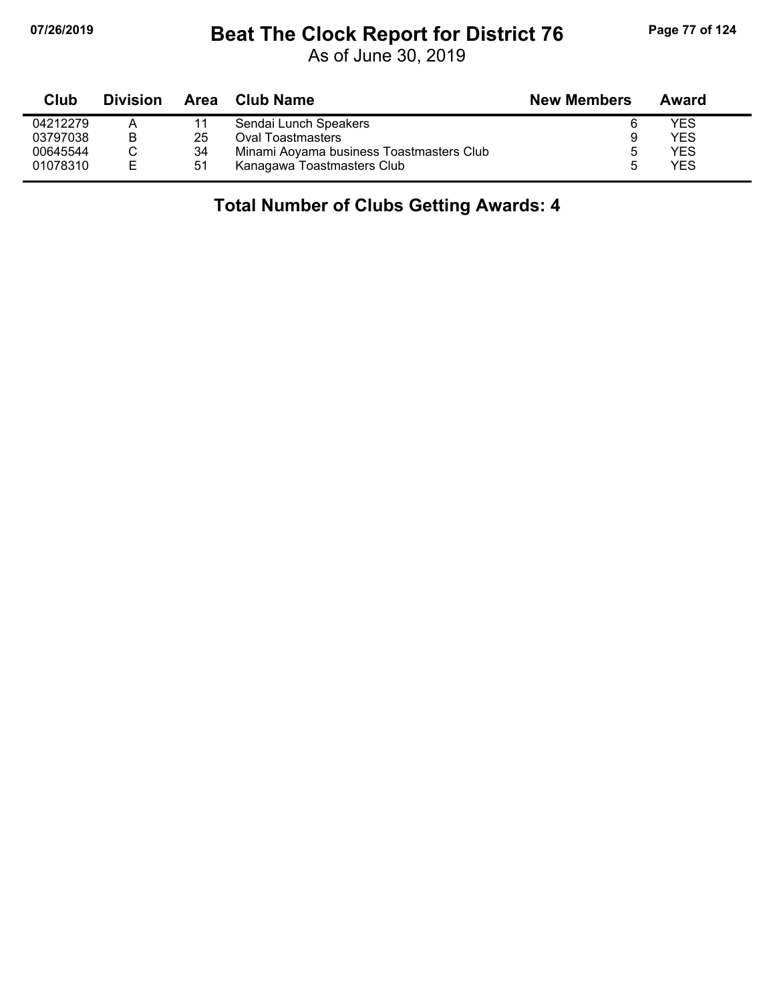## **07/26/2019 Beat The Clock Report for District 76 Page 77 of 124**

As of June 30, 2019

| Club     | <b>Division</b> | Area | Club Name                                | <b>New Members</b> | Award |
|----------|-----------------|------|------------------------------------------|--------------------|-------|
| 04212279 | A               | 11   | Sendai Lunch Speakers                    | 6                  | YES   |
| 03797038 | B               | 25   | <b>Oval Toastmasters</b>                 | 9                  | YES   |
| 00645544 |                 | 34   | Minami Aoyama business Toastmasters Club | 5                  | YES   |
| 01078310 | E               | 51   | Kanagawa Toastmasters Club               | h                  | YES   |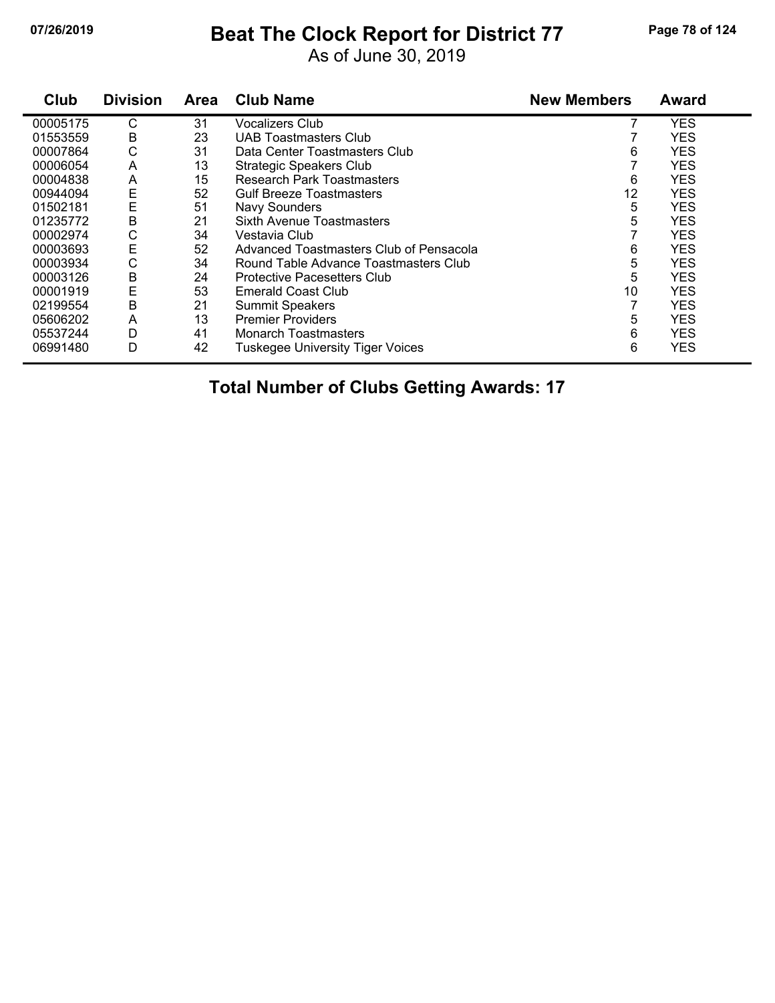## **07/26/2019 Beat The Clock Report for District 77 Page 78 of 124**

As of June 30, 2019

| Club     | <b>Division</b> | Area | <b>Club Name</b>                        | <b>New Members</b> | Award      |
|----------|-----------------|------|-----------------------------------------|--------------------|------------|
| 00005175 | C               | 31   | <b>Vocalizers Club</b>                  |                    | <b>YES</b> |
| 01553559 | В               | 23   | UAB Toastmasters Club                   |                    | <b>YES</b> |
| 00007864 | С               | 31   | Data Center Toastmasters Club           | 6                  | <b>YES</b> |
| 00006054 | A               | 13   | <b>Strategic Speakers Club</b>          |                    | <b>YES</b> |
| 00004838 | A               | 15   | <b>Research Park Toastmasters</b>       | 6                  | <b>YES</b> |
| 00944094 | Ε               | 52   | <b>Gulf Breeze Toastmasters</b>         | 12                 | <b>YES</b> |
| 01502181 | E               | 51   | Navy Sounders                           | 5                  | <b>YES</b> |
| 01235772 | B               | 21   | Sixth Avenue Toastmasters               | 5                  | <b>YES</b> |
| 00002974 | C               | 34   | Vestavia Club                           |                    | <b>YES</b> |
| 00003693 | E               | 52   | Advanced Toastmasters Club of Pensacola | 6                  | <b>YES</b> |
| 00003934 | C               | 34   | Round Table Advance Toastmasters Club   | 5                  | <b>YES</b> |
| 00003126 | B               | 24   | <b>Protective Pacesetters Club</b>      | 5                  | <b>YES</b> |
| 00001919 | E               | 53   | <b>Emerald Coast Club</b>               | 10                 | <b>YES</b> |
| 02199554 | B               | 21   | <b>Summit Speakers</b>                  |                    | <b>YES</b> |
| 05606202 | A               | 13   | <b>Premier Providers</b>                | 5                  | <b>YES</b> |
| 05537244 | D               | 41   | <b>Monarch Toastmasters</b>             | 6                  | <b>YES</b> |
| 06991480 | D               | 42   | <b>Tuskegee University Tiger Voices</b> | 6                  | <b>YES</b> |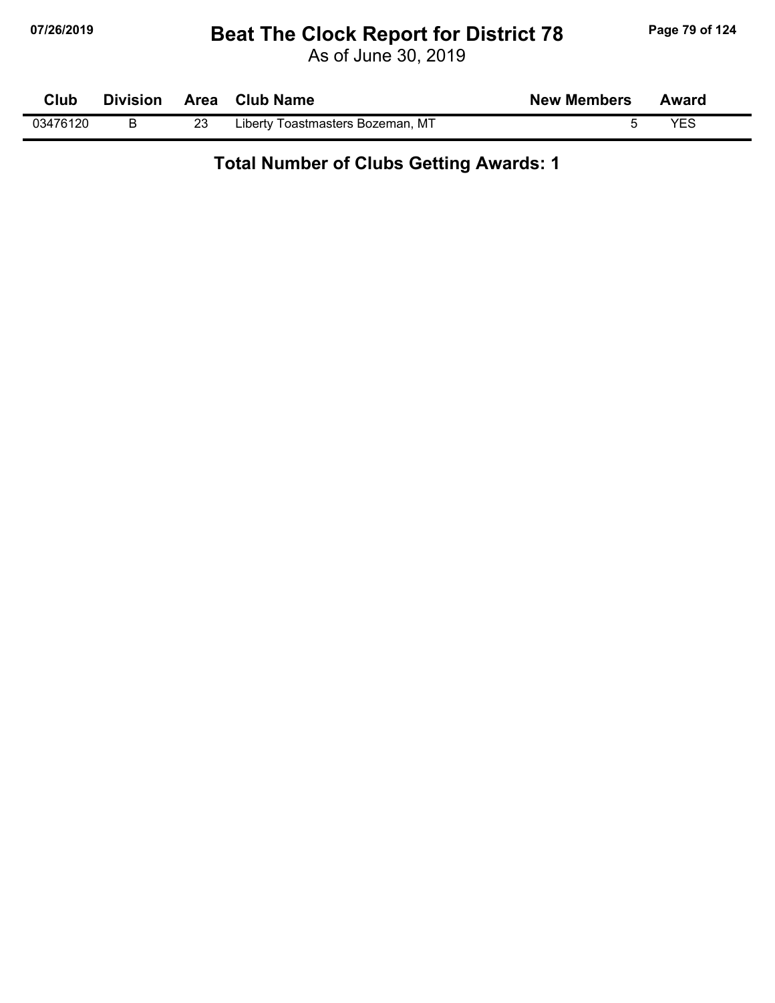## **07/26/2019 Beat The Clock Report for District 78 Page 79 of 124**

As of June 30, 2019

| <b>Club</b> | <b>Division</b> | Area Club Name                   | <b>New Members</b> | Award |  |
|-------------|-----------------|----------------------------------|--------------------|-------|--|
| 03476120    |                 | Liberty Toastmasters Bozeman, MT |                    | YES   |  |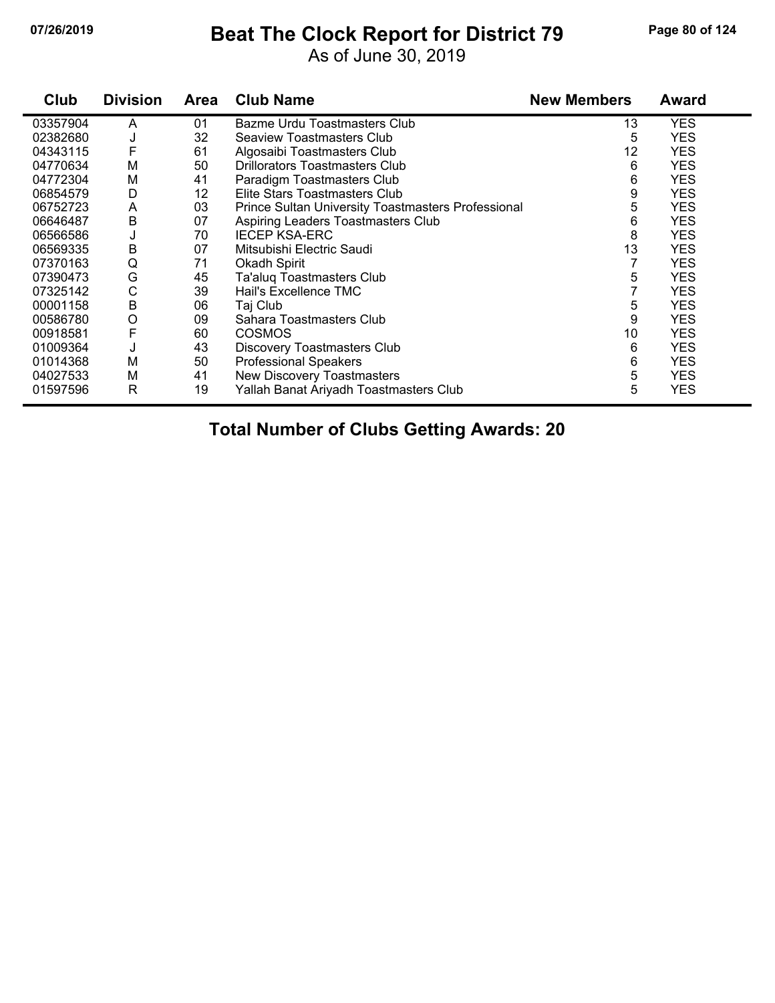## **07/26/2019 Beat The Clock Report for District 79 Page 80 of 124**

As of June 30, 2019

| Club     | <b>Division</b> | Area | <b>Club Name</b>                                   | <b>New Members</b> | <b>Award</b> |
|----------|-----------------|------|----------------------------------------------------|--------------------|--------------|
| 03357904 | A               | 01   | Bazme Urdu Toastmasters Club                       | 13                 | <b>YES</b>   |
| 02382680 | J               | 32   | Seaview Toastmasters Club                          | 5                  | <b>YES</b>   |
| 04343115 | F               | 61   | Algosaibi Toastmasters Club                        | 12                 | <b>YES</b>   |
| 04770634 | M               | 50   | <b>Drillorators Toastmasters Club</b>              | 6                  | <b>YES</b>   |
| 04772304 | M               | 41   | Paradigm Toastmasters Club                         | 6                  | <b>YES</b>   |
| 06854579 | D               | 12   | Elite Stars Toastmasters Club                      | 9                  | <b>YES</b>   |
| 06752723 | A               | 03   | Prince Sultan University Toastmasters Professional | 5                  | <b>YES</b>   |
| 06646487 | В               | 07   | Aspiring Leaders Toastmasters Club                 | 6                  | <b>YES</b>   |
| 06566586 | J               | 70   | <b>IECEP KSA-ERC</b>                               | 8                  | <b>YES</b>   |
| 06569335 | B               | 07   | Mitsubishi Electric Saudi                          | 13                 | <b>YES</b>   |
| 07370163 | Q               | 71   | Okadh Spirit                                       | 7                  | <b>YES</b>   |
| 07390473 | G               | 45   | Ta'aluq Toastmasters Club                          | 5                  | YES          |
| 07325142 | C               | 39   | Hail's Excellence TMC                              |                    | <b>YES</b>   |
| 00001158 | B               | 06   | Taj Club                                           | 5                  | <b>YES</b>   |
| 00586780 | O               | 09   | Sahara Toastmasters Club                           | 9                  | <b>YES</b>   |
| 00918581 | F               | 60   | <b>COSMOS</b>                                      | 10                 | <b>YES</b>   |
| 01009364 | J               | 43   | Discovery Toastmasters Club                        | 6                  | <b>YES</b>   |
| 01014368 | M               | 50   | <b>Professional Speakers</b>                       | 6                  | <b>YES</b>   |
| 04027533 | Μ               | 41   | New Discovery Toastmasters                         | 5                  | <b>YES</b>   |
| 01597596 | R               | 19   | Yallah Banat Ariyadh Toastmasters Club             | 5                  | <b>YES</b>   |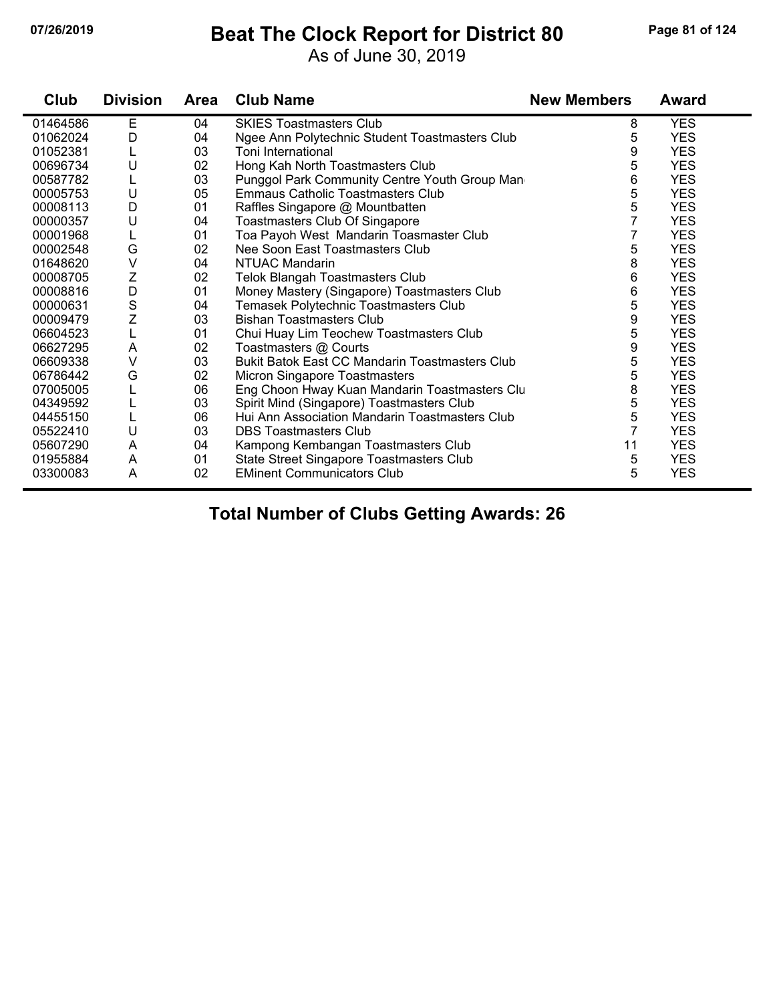## **07/26/2019 Beat The Clock Report for District 80 Page 81 of 124**

As of June 30, 2019

| Club     | <b>Division</b>           | <b>Area</b> | <b>Club Name</b>                                      | <b>New Members</b> | <b>Award</b> |
|----------|---------------------------|-------------|-------------------------------------------------------|--------------------|--------------|
| 01464586 | E                         | 04          | <b>SKIES Toastmasters Club</b>                        | 8                  | <b>YES</b>   |
| 01062024 | D                         | 04          | Ngee Ann Polytechnic Student Toastmasters Club        | 5                  | <b>YES</b>   |
| 01052381 |                           | 03          | Toni International                                    | 9                  | <b>YES</b>   |
| 00696734 | U                         | 02          | Hong Kah North Toastmasters Club                      | 5                  | <b>YES</b>   |
| 00587782 |                           | 03          | Punggol Park Community Centre Youth Group Man         | 6                  | <b>YES</b>   |
| 00005753 | U                         | 05          | Emmaus Catholic Toastmasters Club                     | 5                  | <b>YES</b>   |
| 00008113 | D                         | 01          | Raffles Singapore @ Mountbatten                       | 5                  | <b>YES</b>   |
| 00000357 | U                         | 04          | Toastmasters Club Of Singapore                        |                    | <b>YES</b>   |
| 00001968 |                           | 01          | Toa Payoh West Mandarin Toasmaster Club               | 7                  | <b>YES</b>   |
| 00002548 | G                         | 02          | Nee Soon East Toastmasters Club                       | 5                  | <b>YES</b>   |
| 01648620 | V                         | 04          | NTUAC Mandarin                                        | 8                  | <b>YES</b>   |
| 00008705 | $\ensuremath{\mathsf{Z}}$ | 02          | <b>Telok Blangah Toastmasters Club</b>                | 6                  | <b>YES</b>   |
| 00008816 | $\mathsf D$               | 01          | Money Mastery (Singapore) Toastmasters Club           | 6                  | <b>YES</b>   |
| 00000631 | S                         | 04          | Temasek Polytechnic Toastmasters Club                 | 5                  | <b>YES</b>   |
| 00009479 | Z                         | 03          | <b>Bishan Toastmasters Club</b>                       | 9                  | <b>YES</b>   |
| 06604523 |                           | 01          | Chui Huay Lim Teochew Toastmasters Club               | 5                  | <b>YES</b>   |
| 06627295 | A                         | 02          | Toastmasters @ Courts                                 | 9                  | <b>YES</b>   |
| 06609338 | $\vee$                    | 03          | <b>Bukit Batok East CC Mandarin Toastmasters Club</b> | 5                  | <b>YES</b>   |
| 06786442 | G                         | 02          | Micron Singapore Toastmasters                         | 5                  | <b>YES</b>   |
| 07005005 |                           | 06          | Eng Choon Hway Kuan Mandarin Toastmasters Clu         | 8                  | <b>YES</b>   |
| 04349592 |                           | 03          | Spirit Mind (Singapore) Toastmasters Club             | 5                  | <b>YES</b>   |
| 04455150 |                           | 06          | Hui Ann Association Mandarin Toastmasters Club        | 5                  | <b>YES</b>   |
| 05522410 | U                         | 03          | <b>DBS Toastmasters Club</b>                          | $\overline{7}$     | <b>YES</b>   |
| 05607290 | A                         | 04          | Kampong Kembangan Toastmasters Club                   | 11                 | <b>YES</b>   |
| 01955884 | A                         | 01          | State Street Singapore Toastmasters Club              | 5                  | <b>YES</b>   |
| 03300083 | A                         | 02          | <b>EMinent Communicators Club</b>                     | 5                  | <b>YES</b>   |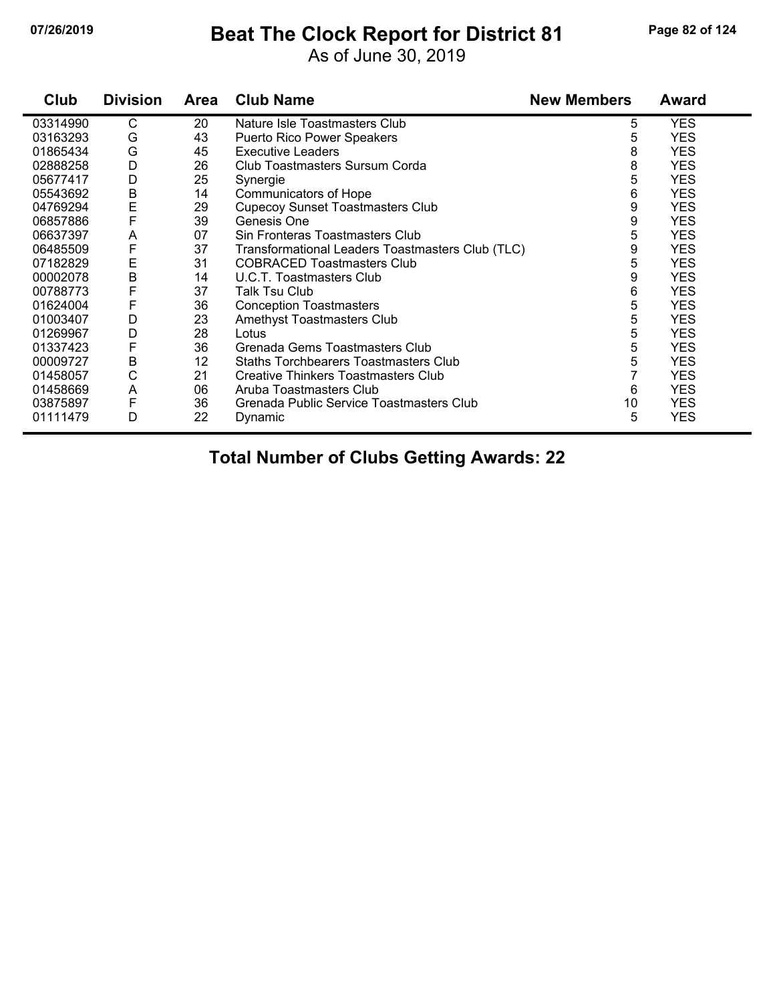### **07/26/2019 Beat The Clock Report for District 81 Page 82 of 124**

As of June 30, 2019

| Club     | <b>Division</b> | <b>Area</b> | <b>Club Name</b>                                 | <b>New Members</b> | <b>Award</b> |
|----------|-----------------|-------------|--------------------------------------------------|--------------------|--------------|
| 03314990 | $\mathsf{C}$    | 20          | Nature Isle Toastmasters Club                    | 5                  | <b>YES</b>   |
| 03163293 | G               | 43          | <b>Puerto Rico Power Speakers</b>                | 5                  | YES          |
| 01865434 | G               | 45          | <b>Executive Leaders</b>                         | 8                  | <b>YES</b>   |
| 02888258 | D               | 26          | Club Toastmasters Sursum Corda                   | 8                  | <b>YES</b>   |
| 05677417 | D               | 25          | Synergie                                         | 5                  | <b>YES</b>   |
| 05543692 | B               | 14          | Communicators of Hope                            | 6                  | <b>YES</b>   |
| 04769294 | $\mathsf E$     | 29          | <b>Cupecoy Sunset Toastmasters Club</b>          | 9                  | <b>YES</b>   |
| 06857886 | F               | 39          | Genesis One                                      | 9                  | <b>YES</b>   |
| 06637397 | A               | 07          | Sin Fronteras Toastmasters Club                  | 5                  | <b>YES</b>   |
| 06485509 | F               | 37          | Transformational Leaders Toastmasters Club (TLC) | 9                  | <b>YES</b>   |
| 07182829 | E               | 31          | <b>COBRACED Toastmasters Club</b>                | 5                  | <b>YES</b>   |
| 00002078 | B               | 14          | U.C.T. Toastmasters Club                         | 9                  | <b>YES</b>   |
| 00788773 | F               | 37          | Talk Tsu Club                                    | 6                  | <b>YES</b>   |
| 01624004 | F               | 36          | <b>Conception Toastmasters</b>                   | 5                  | <b>YES</b>   |
| 01003407 | D               | 23          | Amethyst Toastmasters Club                       | 5                  | <b>YES</b>   |
| 01269967 | D               | 28          | Lotus                                            | 5                  | <b>YES</b>   |
| 01337423 | F               | 36          | Grenada Gems Toastmasters Club                   | 5                  | <b>YES</b>   |
| 00009727 | B               | 12          | <b>Staths Torchbearers Toastmasters Club</b>     | 5                  | <b>YES</b>   |
| 01458057 | C               | 21          | <b>Creative Thinkers Toastmasters Club</b>       |                    | <b>YES</b>   |
| 01458669 | A               | 06          | Aruba Toastmasters Club                          | 6                  | <b>YES</b>   |
| 03875897 | F               | 36          | Grenada Public Service Toastmasters Club         | 10                 | <b>YES</b>   |
| 01111479 | D               | 22          | Dynamic                                          | 5                  | <b>YES</b>   |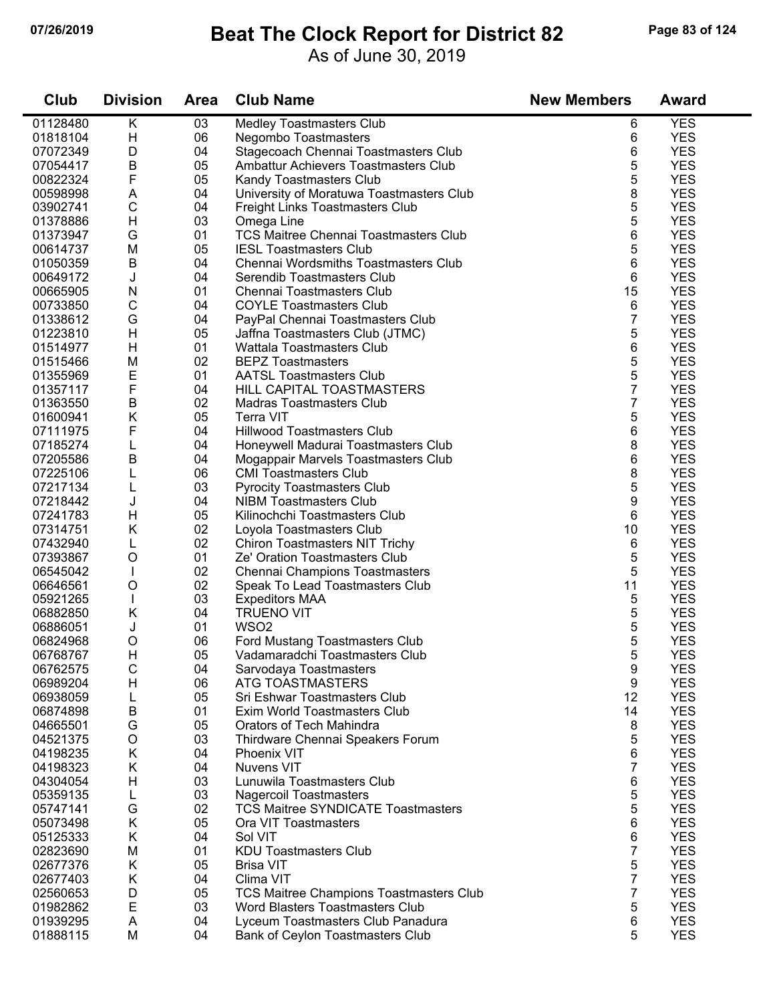### **07/26/2019 Beat The Clock Report for District 82 Page 83 of 124**

As of June 30, 2019

| <b>YES</b><br>Κ<br><b>Medley Toastmasters Club</b><br>01128480<br>03<br>6<br>H<br>06<br>6<br><b>YES</b><br>01818104<br>Negombo Toastmasters<br>6<br><b>YES</b><br>07072349<br>D<br>04<br>Stagecoach Chennai Toastmasters Club<br>5<br>$\sf B$<br>05<br><b>YES</b><br>07054417<br>Ambattur Achievers Toastmasters Club<br>5<br>F<br><b>YES</b><br>00822324<br>05<br>Kandy Toastmasters Club<br>8<br>University of Moratuwa Toastmasters Club<br><b>YES</b><br>A<br>04<br>00598998<br>5<br>C<br><b>YES</b><br>03902741<br>04<br><b>Freight Links Toastmasters Club</b><br>5<br><b>YES</b><br>H<br>03<br>01378886<br>Omega Line<br>6<br><b>YES</b><br>G<br>01<br><b>TCS Maitree Chennai Toastmasters Club</b><br>01373947<br>5<br><b>YES</b><br>05<br>00614737<br>M<br><b>IESL Toastmasters Club</b><br>$\sf B$<br>6<br><b>YES</b><br>01050359<br>04<br>Chennai Wordsmiths Toastmasters Club<br>6<br><b>YES</b><br>J<br>04<br>Serendib Toastmasters Club<br>00649172<br>15<br><b>YES</b><br>N<br>01<br>Chennai Toastmasters Club<br>00665905<br>$\mathsf C$<br>6<br><b>YES</b><br>00733850<br>04<br><b>COYLE Toastmasters Club</b><br>$\overline{7}$<br>G<br><b>YES</b><br>01338612<br>04<br>PayPal Chennai Toastmasters Club<br>5<br><b>YES</b><br>H<br>01223810<br>05<br>Jaffna Toastmasters Club (JTMC)<br>6<br>H<br><b>YES</b><br>01514977<br>01<br><b>Wattala Toastmasters Club</b><br>5<br><b>YES</b><br>M<br>02<br><b>BEPZ Toastmasters</b><br>01515466<br>5<br>E<br><b>YES</b><br>01<br><b>AATSL Toastmasters Club</b><br>01355969<br>$\overline{7}$<br>F<br><b>YES</b><br>04<br>HILL CAPITAL TOASTMASTERS<br>01357117<br>B<br>7<br><b>YES</b><br>02<br>01363550<br>Madras Toastmasters Club<br>Κ<br><b>YES</b><br>05<br>5<br>01600941<br>Terra VIT<br>F<br><b>YES</b><br><b>Hillwood Toastmasters Club</b><br>6<br>07111975<br>04<br>8<br><b>YES</b><br>07185274<br>L<br>04<br>Honeywell Madurai Toastmasters Club<br>6<br><b>YES</b><br>В<br>04<br>Mogappair Marvels Toastmasters Club<br>07205586<br>8<br><b>YES</b><br>07225106<br>06<br><b>CMI Toastmasters Club</b><br>L<br>5<br><b>YES</b><br>03<br>07217134<br>L<br><b>Pyrocity Toastmasters Club</b><br>9<br>J<br><b>YES</b><br>07218442<br>04<br><b>NIBM Toastmasters Club</b><br><b>YES</b><br>H<br>05<br>6<br>07241783<br>Kilinochchi Toastmasters Club<br>02<br><b>YES</b><br>07314751<br>Κ<br>10<br>Loyola Toastmasters Club<br>02<br>6<br><b>YES</b><br>07432940<br>L<br>Chiron Toastmasters NIT Trichy<br>5<br><b>YES</b><br>07393867<br>O<br>01<br>Ze' Oration Toastmasters Club<br>5<br><b>YES</b><br>02<br>06545042<br><b>Chennai Champions Toastmasters</b><br>$\mathbf{I}$<br><b>YES</b><br>O<br>02<br>11<br>Speak To Lead Toastmasters Club<br>06646561<br><b>YES</b><br>03<br>5<br>05921265<br><b>Expeditors MAA</b><br>5<br><b>YES</b><br>06882850<br>Κ<br>04<br><b>TRUENO VIT</b><br>5<br>WSO <sub>2</sub><br><b>YES</b><br>01<br>06886051<br>J<br>5<br><b>YES</b><br>06824968<br>O<br>06<br>Ford Mustang Toastmasters Club<br>5<br><b>YES</b><br>H<br>05<br>06768767<br>Vadamaradchi Toastmasters Club<br>9<br>06762575<br>C<br>04<br>Sarvodaya Toastmasters<br><b>YES</b><br>Н<br>06<br>ATG TOASTMASTERS<br>9<br><b>YES</b><br>06989204<br><b>YES</b><br>06938059<br>05<br>Sri Eshwar Toastmasters Club<br>12<br>L<br><b>YES</b><br>06874898<br>B<br>01<br>Exim World Toastmasters Club<br>14<br>G<br><b>YES</b><br>05<br>Orators of Tech Mahindra<br>8<br>04665501<br>5<br><b>YES</b><br>O<br>04521375<br>03<br>Thirdware Chennai Speakers Forum<br>6<br><b>YES</b><br>04198235<br>Κ<br>04<br><b>Phoenix VIT</b><br>Κ<br>7<br><b>YES</b><br>04198323<br>04<br><b>Nuvens VIT</b><br><b>YES</b><br>6<br>04304054<br>H<br>03<br>Lunuwila Toastmasters Club<br>5<br><b>YES</b><br>05359135<br>03<br><b>Nagercoil Toastmasters</b><br>L<br>5<br><b>YES</b><br>G<br>02<br><b>TCS Maitree SYNDICATE Toastmasters</b><br>05747141<br>6<br><b>YES</b><br>Κ<br>05<br>05073498<br>Ora VIT Toastmasters<br>6<br><b>YES</b><br>Κ<br>Sol VIT<br>05125333<br>04<br>$\overline{7}$<br><b>YES</b><br>02823690<br>M<br>01<br><b>KDU Toastmasters Club</b><br><b>YES</b><br>5<br>02677376<br>Κ<br>05<br><b>Brisa VIT</b><br>7<br><b>YES</b><br>02677403<br>Κ<br>04<br>Clima VIT<br>7<br>02560653<br>05<br><b>TCS Maitree Champions Toastmasters Club</b><br><b>YES</b><br>D<br>E<br>03<br>5<br><b>YES</b><br>01982862<br>Word Blasters Toastmasters Club<br>6<br><b>YES</b><br>01939295<br>A<br>04<br>Lyceum Toastmasters Club Panadura<br>5<br><b>YES</b><br>01888115<br>M<br>04<br>Bank of Ceylon Toastmasters Club | Club | <b>Division</b> | <b>Area</b> | <b>Club Name</b> | <b>New Members</b> | <b>Award</b> |
|-------------------------------------------------------------------------------------------------------------------------------------------------------------------------------------------------------------------------------------------------------------------------------------------------------------------------------------------------------------------------------------------------------------------------------------------------------------------------------------------------------------------------------------------------------------------------------------------------------------------------------------------------------------------------------------------------------------------------------------------------------------------------------------------------------------------------------------------------------------------------------------------------------------------------------------------------------------------------------------------------------------------------------------------------------------------------------------------------------------------------------------------------------------------------------------------------------------------------------------------------------------------------------------------------------------------------------------------------------------------------------------------------------------------------------------------------------------------------------------------------------------------------------------------------------------------------------------------------------------------------------------------------------------------------------------------------------------------------------------------------------------------------------------------------------------------------------------------------------------------------------------------------------------------------------------------------------------------------------------------------------------------------------------------------------------------------------------------------------------------------------------------------------------------------------------------------------------------------------------------------------------------------------------------------------------------------------------------------------------------------------------------------------------------------------------------------------------------------------------------------------------------------------------------------------------------------------------------------------------------------------------------------------------------------------------------------------------------------------------------------------------------------------------------------------------------------------------------------------------------------------------------------------------------------------------------------------------------------------------------------------------------------------------------------------------------------------------------------------------------------------------------------------------------------------------------------------------------------------------------------------------------------------------------------------------------------------------------------------------------------------------------------------------------------------------------------------------------------------------------------------------------------------------------------------------------------------------------------------------------------------------------------------------------------------------------------------------------------------------------------------------------------------------------------------------------------------------------------------------------------------------------------------------------------------------------------------------------------------------------------------------------------------------------------------------------------------------------------------------------------------------------------------------------------------------------------------------------------------------------------------------------------------------------------------------------------------------------------------------------------------------------------------------------------------------------------------------------------------------------------------------------------------------------------------------------------------------|------|-----------------|-------------|------------------|--------------------|--------------|
|                                                                                                                                                                                                                                                                                                                                                                                                                                                                                                                                                                                                                                                                                                                                                                                                                                                                                                                                                                                                                                                                                                                                                                                                                                                                                                                                                                                                                                                                                                                                                                                                                                                                                                                                                                                                                                                                                                                                                                                                                                                                                                                                                                                                                                                                                                                                                                                                                                                                                                                                                                                                                                                                                                                                                                                                                                                                                                                                                                                                                                                                                                                                                                                                                                                                                                                                                                                                                                                                                                                                                                                                                                                                                                                                                                                                                                                                                                                                                                                                                                                                                                                                                                                                                                                                                                                                                                                                                                                                                                                                                                                     |      |                 |             |                  |                    |              |
|                                                                                                                                                                                                                                                                                                                                                                                                                                                                                                                                                                                                                                                                                                                                                                                                                                                                                                                                                                                                                                                                                                                                                                                                                                                                                                                                                                                                                                                                                                                                                                                                                                                                                                                                                                                                                                                                                                                                                                                                                                                                                                                                                                                                                                                                                                                                                                                                                                                                                                                                                                                                                                                                                                                                                                                                                                                                                                                                                                                                                                                                                                                                                                                                                                                                                                                                                                                                                                                                                                                                                                                                                                                                                                                                                                                                                                                                                                                                                                                                                                                                                                                                                                                                                                                                                                                                                                                                                                                                                                                                                                                     |      |                 |             |                  |                    |              |
|                                                                                                                                                                                                                                                                                                                                                                                                                                                                                                                                                                                                                                                                                                                                                                                                                                                                                                                                                                                                                                                                                                                                                                                                                                                                                                                                                                                                                                                                                                                                                                                                                                                                                                                                                                                                                                                                                                                                                                                                                                                                                                                                                                                                                                                                                                                                                                                                                                                                                                                                                                                                                                                                                                                                                                                                                                                                                                                                                                                                                                                                                                                                                                                                                                                                                                                                                                                                                                                                                                                                                                                                                                                                                                                                                                                                                                                                                                                                                                                                                                                                                                                                                                                                                                                                                                                                                                                                                                                                                                                                                                                     |      |                 |             |                  |                    |              |
|                                                                                                                                                                                                                                                                                                                                                                                                                                                                                                                                                                                                                                                                                                                                                                                                                                                                                                                                                                                                                                                                                                                                                                                                                                                                                                                                                                                                                                                                                                                                                                                                                                                                                                                                                                                                                                                                                                                                                                                                                                                                                                                                                                                                                                                                                                                                                                                                                                                                                                                                                                                                                                                                                                                                                                                                                                                                                                                                                                                                                                                                                                                                                                                                                                                                                                                                                                                                                                                                                                                                                                                                                                                                                                                                                                                                                                                                                                                                                                                                                                                                                                                                                                                                                                                                                                                                                                                                                                                                                                                                                                                     |      |                 |             |                  |                    |              |
|                                                                                                                                                                                                                                                                                                                                                                                                                                                                                                                                                                                                                                                                                                                                                                                                                                                                                                                                                                                                                                                                                                                                                                                                                                                                                                                                                                                                                                                                                                                                                                                                                                                                                                                                                                                                                                                                                                                                                                                                                                                                                                                                                                                                                                                                                                                                                                                                                                                                                                                                                                                                                                                                                                                                                                                                                                                                                                                                                                                                                                                                                                                                                                                                                                                                                                                                                                                                                                                                                                                                                                                                                                                                                                                                                                                                                                                                                                                                                                                                                                                                                                                                                                                                                                                                                                                                                                                                                                                                                                                                                                                     |      |                 |             |                  |                    |              |
|                                                                                                                                                                                                                                                                                                                                                                                                                                                                                                                                                                                                                                                                                                                                                                                                                                                                                                                                                                                                                                                                                                                                                                                                                                                                                                                                                                                                                                                                                                                                                                                                                                                                                                                                                                                                                                                                                                                                                                                                                                                                                                                                                                                                                                                                                                                                                                                                                                                                                                                                                                                                                                                                                                                                                                                                                                                                                                                                                                                                                                                                                                                                                                                                                                                                                                                                                                                                                                                                                                                                                                                                                                                                                                                                                                                                                                                                                                                                                                                                                                                                                                                                                                                                                                                                                                                                                                                                                                                                                                                                                                                     |      |                 |             |                  |                    |              |
|                                                                                                                                                                                                                                                                                                                                                                                                                                                                                                                                                                                                                                                                                                                                                                                                                                                                                                                                                                                                                                                                                                                                                                                                                                                                                                                                                                                                                                                                                                                                                                                                                                                                                                                                                                                                                                                                                                                                                                                                                                                                                                                                                                                                                                                                                                                                                                                                                                                                                                                                                                                                                                                                                                                                                                                                                                                                                                                                                                                                                                                                                                                                                                                                                                                                                                                                                                                                                                                                                                                                                                                                                                                                                                                                                                                                                                                                                                                                                                                                                                                                                                                                                                                                                                                                                                                                                                                                                                                                                                                                                                                     |      |                 |             |                  |                    |              |
|                                                                                                                                                                                                                                                                                                                                                                                                                                                                                                                                                                                                                                                                                                                                                                                                                                                                                                                                                                                                                                                                                                                                                                                                                                                                                                                                                                                                                                                                                                                                                                                                                                                                                                                                                                                                                                                                                                                                                                                                                                                                                                                                                                                                                                                                                                                                                                                                                                                                                                                                                                                                                                                                                                                                                                                                                                                                                                                                                                                                                                                                                                                                                                                                                                                                                                                                                                                                                                                                                                                                                                                                                                                                                                                                                                                                                                                                                                                                                                                                                                                                                                                                                                                                                                                                                                                                                                                                                                                                                                                                                                                     |      |                 |             |                  |                    |              |
|                                                                                                                                                                                                                                                                                                                                                                                                                                                                                                                                                                                                                                                                                                                                                                                                                                                                                                                                                                                                                                                                                                                                                                                                                                                                                                                                                                                                                                                                                                                                                                                                                                                                                                                                                                                                                                                                                                                                                                                                                                                                                                                                                                                                                                                                                                                                                                                                                                                                                                                                                                                                                                                                                                                                                                                                                                                                                                                                                                                                                                                                                                                                                                                                                                                                                                                                                                                                                                                                                                                                                                                                                                                                                                                                                                                                                                                                                                                                                                                                                                                                                                                                                                                                                                                                                                                                                                                                                                                                                                                                                                                     |      |                 |             |                  |                    |              |
|                                                                                                                                                                                                                                                                                                                                                                                                                                                                                                                                                                                                                                                                                                                                                                                                                                                                                                                                                                                                                                                                                                                                                                                                                                                                                                                                                                                                                                                                                                                                                                                                                                                                                                                                                                                                                                                                                                                                                                                                                                                                                                                                                                                                                                                                                                                                                                                                                                                                                                                                                                                                                                                                                                                                                                                                                                                                                                                                                                                                                                                                                                                                                                                                                                                                                                                                                                                                                                                                                                                                                                                                                                                                                                                                                                                                                                                                                                                                                                                                                                                                                                                                                                                                                                                                                                                                                                                                                                                                                                                                                                                     |      |                 |             |                  |                    |              |
|                                                                                                                                                                                                                                                                                                                                                                                                                                                                                                                                                                                                                                                                                                                                                                                                                                                                                                                                                                                                                                                                                                                                                                                                                                                                                                                                                                                                                                                                                                                                                                                                                                                                                                                                                                                                                                                                                                                                                                                                                                                                                                                                                                                                                                                                                                                                                                                                                                                                                                                                                                                                                                                                                                                                                                                                                                                                                                                                                                                                                                                                                                                                                                                                                                                                                                                                                                                                                                                                                                                                                                                                                                                                                                                                                                                                                                                                                                                                                                                                                                                                                                                                                                                                                                                                                                                                                                                                                                                                                                                                                                                     |      |                 |             |                  |                    |              |
|                                                                                                                                                                                                                                                                                                                                                                                                                                                                                                                                                                                                                                                                                                                                                                                                                                                                                                                                                                                                                                                                                                                                                                                                                                                                                                                                                                                                                                                                                                                                                                                                                                                                                                                                                                                                                                                                                                                                                                                                                                                                                                                                                                                                                                                                                                                                                                                                                                                                                                                                                                                                                                                                                                                                                                                                                                                                                                                                                                                                                                                                                                                                                                                                                                                                                                                                                                                                                                                                                                                                                                                                                                                                                                                                                                                                                                                                                                                                                                                                                                                                                                                                                                                                                                                                                                                                                                                                                                                                                                                                                                                     |      |                 |             |                  |                    |              |
|                                                                                                                                                                                                                                                                                                                                                                                                                                                                                                                                                                                                                                                                                                                                                                                                                                                                                                                                                                                                                                                                                                                                                                                                                                                                                                                                                                                                                                                                                                                                                                                                                                                                                                                                                                                                                                                                                                                                                                                                                                                                                                                                                                                                                                                                                                                                                                                                                                                                                                                                                                                                                                                                                                                                                                                                                                                                                                                                                                                                                                                                                                                                                                                                                                                                                                                                                                                                                                                                                                                                                                                                                                                                                                                                                                                                                                                                                                                                                                                                                                                                                                                                                                                                                                                                                                                                                                                                                                                                                                                                                                                     |      |                 |             |                  |                    |              |
|                                                                                                                                                                                                                                                                                                                                                                                                                                                                                                                                                                                                                                                                                                                                                                                                                                                                                                                                                                                                                                                                                                                                                                                                                                                                                                                                                                                                                                                                                                                                                                                                                                                                                                                                                                                                                                                                                                                                                                                                                                                                                                                                                                                                                                                                                                                                                                                                                                                                                                                                                                                                                                                                                                                                                                                                                                                                                                                                                                                                                                                                                                                                                                                                                                                                                                                                                                                                                                                                                                                                                                                                                                                                                                                                                                                                                                                                                                                                                                                                                                                                                                                                                                                                                                                                                                                                                                                                                                                                                                                                                                                     |      |                 |             |                  |                    |              |
|                                                                                                                                                                                                                                                                                                                                                                                                                                                                                                                                                                                                                                                                                                                                                                                                                                                                                                                                                                                                                                                                                                                                                                                                                                                                                                                                                                                                                                                                                                                                                                                                                                                                                                                                                                                                                                                                                                                                                                                                                                                                                                                                                                                                                                                                                                                                                                                                                                                                                                                                                                                                                                                                                                                                                                                                                                                                                                                                                                                                                                                                                                                                                                                                                                                                                                                                                                                                                                                                                                                                                                                                                                                                                                                                                                                                                                                                                                                                                                                                                                                                                                                                                                                                                                                                                                                                                                                                                                                                                                                                                                                     |      |                 |             |                  |                    |              |
|                                                                                                                                                                                                                                                                                                                                                                                                                                                                                                                                                                                                                                                                                                                                                                                                                                                                                                                                                                                                                                                                                                                                                                                                                                                                                                                                                                                                                                                                                                                                                                                                                                                                                                                                                                                                                                                                                                                                                                                                                                                                                                                                                                                                                                                                                                                                                                                                                                                                                                                                                                                                                                                                                                                                                                                                                                                                                                                                                                                                                                                                                                                                                                                                                                                                                                                                                                                                                                                                                                                                                                                                                                                                                                                                                                                                                                                                                                                                                                                                                                                                                                                                                                                                                                                                                                                                                                                                                                                                                                                                                                                     |      |                 |             |                  |                    |              |
|                                                                                                                                                                                                                                                                                                                                                                                                                                                                                                                                                                                                                                                                                                                                                                                                                                                                                                                                                                                                                                                                                                                                                                                                                                                                                                                                                                                                                                                                                                                                                                                                                                                                                                                                                                                                                                                                                                                                                                                                                                                                                                                                                                                                                                                                                                                                                                                                                                                                                                                                                                                                                                                                                                                                                                                                                                                                                                                                                                                                                                                                                                                                                                                                                                                                                                                                                                                                                                                                                                                                                                                                                                                                                                                                                                                                                                                                                                                                                                                                                                                                                                                                                                                                                                                                                                                                                                                                                                                                                                                                                                                     |      |                 |             |                  |                    |              |
|                                                                                                                                                                                                                                                                                                                                                                                                                                                                                                                                                                                                                                                                                                                                                                                                                                                                                                                                                                                                                                                                                                                                                                                                                                                                                                                                                                                                                                                                                                                                                                                                                                                                                                                                                                                                                                                                                                                                                                                                                                                                                                                                                                                                                                                                                                                                                                                                                                                                                                                                                                                                                                                                                                                                                                                                                                                                                                                                                                                                                                                                                                                                                                                                                                                                                                                                                                                                                                                                                                                                                                                                                                                                                                                                                                                                                                                                                                                                                                                                                                                                                                                                                                                                                                                                                                                                                                                                                                                                                                                                                                                     |      |                 |             |                  |                    |              |
|                                                                                                                                                                                                                                                                                                                                                                                                                                                                                                                                                                                                                                                                                                                                                                                                                                                                                                                                                                                                                                                                                                                                                                                                                                                                                                                                                                                                                                                                                                                                                                                                                                                                                                                                                                                                                                                                                                                                                                                                                                                                                                                                                                                                                                                                                                                                                                                                                                                                                                                                                                                                                                                                                                                                                                                                                                                                                                                                                                                                                                                                                                                                                                                                                                                                                                                                                                                                                                                                                                                                                                                                                                                                                                                                                                                                                                                                                                                                                                                                                                                                                                                                                                                                                                                                                                                                                                                                                                                                                                                                                                                     |      |                 |             |                  |                    |              |
|                                                                                                                                                                                                                                                                                                                                                                                                                                                                                                                                                                                                                                                                                                                                                                                                                                                                                                                                                                                                                                                                                                                                                                                                                                                                                                                                                                                                                                                                                                                                                                                                                                                                                                                                                                                                                                                                                                                                                                                                                                                                                                                                                                                                                                                                                                                                                                                                                                                                                                                                                                                                                                                                                                                                                                                                                                                                                                                                                                                                                                                                                                                                                                                                                                                                                                                                                                                                                                                                                                                                                                                                                                                                                                                                                                                                                                                                                                                                                                                                                                                                                                                                                                                                                                                                                                                                                                                                                                                                                                                                                                                     |      |                 |             |                  |                    |              |
|                                                                                                                                                                                                                                                                                                                                                                                                                                                                                                                                                                                                                                                                                                                                                                                                                                                                                                                                                                                                                                                                                                                                                                                                                                                                                                                                                                                                                                                                                                                                                                                                                                                                                                                                                                                                                                                                                                                                                                                                                                                                                                                                                                                                                                                                                                                                                                                                                                                                                                                                                                                                                                                                                                                                                                                                                                                                                                                                                                                                                                                                                                                                                                                                                                                                                                                                                                                                                                                                                                                                                                                                                                                                                                                                                                                                                                                                                                                                                                                                                                                                                                                                                                                                                                                                                                                                                                                                                                                                                                                                                                                     |      |                 |             |                  |                    |              |
|                                                                                                                                                                                                                                                                                                                                                                                                                                                                                                                                                                                                                                                                                                                                                                                                                                                                                                                                                                                                                                                                                                                                                                                                                                                                                                                                                                                                                                                                                                                                                                                                                                                                                                                                                                                                                                                                                                                                                                                                                                                                                                                                                                                                                                                                                                                                                                                                                                                                                                                                                                                                                                                                                                                                                                                                                                                                                                                                                                                                                                                                                                                                                                                                                                                                                                                                                                                                                                                                                                                                                                                                                                                                                                                                                                                                                                                                                                                                                                                                                                                                                                                                                                                                                                                                                                                                                                                                                                                                                                                                                                                     |      |                 |             |                  |                    |              |
|                                                                                                                                                                                                                                                                                                                                                                                                                                                                                                                                                                                                                                                                                                                                                                                                                                                                                                                                                                                                                                                                                                                                                                                                                                                                                                                                                                                                                                                                                                                                                                                                                                                                                                                                                                                                                                                                                                                                                                                                                                                                                                                                                                                                                                                                                                                                                                                                                                                                                                                                                                                                                                                                                                                                                                                                                                                                                                                                                                                                                                                                                                                                                                                                                                                                                                                                                                                                                                                                                                                                                                                                                                                                                                                                                                                                                                                                                                                                                                                                                                                                                                                                                                                                                                                                                                                                                                                                                                                                                                                                                                                     |      |                 |             |                  |                    |              |
|                                                                                                                                                                                                                                                                                                                                                                                                                                                                                                                                                                                                                                                                                                                                                                                                                                                                                                                                                                                                                                                                                                                                                                                                                                                                                                                                                                                                                                                                                                                                                                                                                                                                                                                                                                                                                                                                                                                                                                                                                                                                                                                                                                                                                                                                                                                                                                                                                                                                                                                                                                                                                                                                                                                                                                                                                                                                                                                                                                                                                                                                                                                                                                                                                                                                                                                                                                                                                                                                                                                                                                                                                                                                                                                                                                                                                                                                                                                                                                                                                                                                                                                                                                                                                                                                                                                                                                                                                                                                                                                                                                                     |      |                 |             |                  |                    |              |
|                                                                                                                                                                                                                                                                                                                                                                                                                                                                                                                                                                                                                                                                                                                                                                                                                                                                                                                                                                                                                                                                                                                                                                                                                                                                                                                                                                                                                                                                                                                                                                                                                                                                                                                                                                                                                                                                                                                                                                                                                                                                                                                                                                                                                                                                                                                                                                                                                                                                                                                                                                                                                                                                                                                                                                                                                                                                                                                                                                                                                                                                                                                                                                                                                                                                                                                                                                                                                                                                                                                                                                                                                                                                                                                                                                                                                                                                                                                                                                                                                                                                                                                                                                                                                                                                                                                                                                                                                                                                                                                                                                                     |      |                 |             |                  |                    |              |
|                                                                                                                                                                                                                                                                                                                                                                                                                                                                                                                                                                                                                                                                                                                                                                                                                                                                                                                                                                                                                                                                                                                                                                                                                                                                                                                                                                                                                                                                                                                                                                                                                                                                                                                                                                                                                                                                                                                                                                                                                                                                                                                                                                                                                                                                                                                                                                                                                                                                                                                                                                                                                                                                                                                                                                                                                                                                                                                                                                                                                                                                                                                                                                                                                                                                                                                                                                                                                                                                                                                                                                                                                                                                                                                                                                                                                                                                                                                                                                                                                                                                                                                                                                                                                                                                                                                                                                                                                                                                                                                                                                                     |      |                 |             |                  |                    |              |
|                                                                                                                                                                                                                                                                                                                                                                                                                                                                                                                                                                                                                                                                                                                                                                                                                                                                                                                                                                                                                                                                                                                                                                                                                                                                                                                                                                                                                                                                                                                                                                                                                                                                                                                                                                                                                                                                                                                                                                                                                                                                                                                                                                                                                                                                                                                                                                                                                                                                                                                                                                                                                                                                                                                                                                                                                                                                                                                                                                                                                                                                                                                                                                                                                                                                                                                                                                                                                                                                                                                                                                                                                                                                                                                                                                                                                                                                                                                                                                                                                                                                                                                                                                                                                                                                                                                                                                                                                                                                                                                                                                                     |      |                 |             |                  |                    |              |
|                                                                                                                                                                                                                                                                                                                                                                                                                                                                                                                                                                                                                                                                                                                                                                                                                                                                                                                                                                                                                                                                                                                                                                                                                                                                                                                                                                                                                                                                                                                                                                                                                                                                                                                                                                                                                                                                                                                                                                                                                                                                                                                                                                                                                                                                                                                                                                                                                                                                                                                                                                                                                                                                                                                                                                                                                                                                                                                                                                                                                                                                                                                                                                                                                                                                                                                                                                                                                                                                                                                                                                                                                                                                                                                                                                                                                                                                                                                                                                                                                                                                                                                                                                                                                                                                                                                                                                                                                                                                                                                                                                                     |      |                 |             |                  |                    |              |
|                                                                                                                                                                                                                                                                                                                                                                                                                                                                                                                                                                                                                                                                                                                                                                                                                                                                                                                                                                                                                                                                                                                                                                                                                                                                                                                                                                                                                                                                                                                                                                                                                                                                                                                                                                                                                                                                                                                                                                                                                                                                                                                                                                                                                                                                                                                                                                                                                                                                                                                                                                                                                                                                                                                                                                                                                                                                                                                                                                                                                                                                                                                                                                                                                                                                                                                                                                                                                                                                                                                                                                                                                                                                                                                                                                                                                                                                                                                                                                                                                                                                                                                                                                                                                                                                                                                                                                                                                                                                                                                                                                                     |      |                 |             |                  |                    |              |
|                                                                                                                                                                                                                                                                                                                                                                                                                                                                                                                                                                                                                                                                                                                                                                                                                                                                                                                                                                                                                                                                                                                                                                                                                                                                                                                                                                                                                                                                                                                                                                                                                                                                                                                                                                                                                                                                                                                                                                                                                                                                                                                                                                                                                                                                                                                                                                                                                                                                                                                                                                                                                                                                                                                                                                                                                                                                                                                                                                                                                                                                                                                                                                                                                                                                                                                                                                                                                                                                                                                                                                                                                                                                                                                                                                                                                                                                                                                                                                                                                                                                                                                                                                                                                                                                                                                                                                                                                                                                                                                                                                                     |      |                 |             |                  |                    |              |
|                                                                                                                                                                                                                                                                                                                                                                                                                                                                                                                                                                                                                                                                                                                                                                                                                                                                                                                                                                                                                                                                                                                                                                                                                                                                                                                                                                                                                                                                                                                                                                                                                                                                                                                                                                                                                                                                                                                                                                                                                                                                                                                                                                                                                                                                                                                                                                                                                                                                                                                                                                                                                                                                                                                                                                                                                                                                                                                                                                                                                                                                                                                                                                                                                                                                                                                                                                                                                                                                                                                                                                                                                                                                                                                                                                                                                                                                                                                                                                                                                                                                                                                                                                                                                                                                                                                                                                                                                                                                                                                                                                                     |      |                 |             |                  |                    |              |
|                                                                                                                                                                                                                                                                                                                                                                                                                                                                                                                                                                                                                                                                                                                                                                                                                                                                                                                                                                                                                                                                                                                                                                                                                                                                                                                                                                                                                                                                                                                                                                                                                                                                                                                                                                                                                                                                                                                                                                                                                                                                                                                                                                                                                                                                                                                                                                                                                                                                                                                                                                                                                                                                                                                                                                                                                                                                                                                                                                                                                                                                                                                                                                                                                                                                                                                                                                                                                                                                                                                                                                                                                                                                                                                                                                                                                                                                                                                                                                                                                                                                                                                                                                                                                                                                                                                                                                                                                                                                                                                                                                                     |      |                 |             |                  |                    |              |
|                                                                                                                                                                                                                                                                                                                                                                                                                                                                                                                                                                                                                                                                                                                                                                                                                                                                                                                                                                                                                                                                                                                                                                                                                                                                                                                                                                                                                                                                                                                                                                                                                                                                                                                                                                                                                                                                                                                                                                                                                                                                                                                                                                                                                                                                                                                                                                                                                                                                                                                                                                                                                                                                                                                                                                                                                                                                                                                                                                                                                                                                                                                                                                                                                                                                                                                                                                                                                                                                                                                                                                                                                                                                                                                                                                                                                                                                                                                                                                                                                                                                                                                                                                                                                                                                                                                                                                                                                                                                                                                                                                                     |      |                 |             |                  |                    |              |
|                                                                                                                                                                                                                                                                                                                                                                                                                                                                                                                                                                                                                                                                                                                                                                                                                                                                                                                                                                                                                                                                                                                                                                                                                                                                                                                                                                                                                                                                                                                                                                                                                                                                                                                                                                                                                                                                                                                                                                                                                                                                                                                                                                                                                                                                                                                                                                                                                                                                                                                                                                                                                                                                                                                                                                                                                                                                                                                                                                                                                                                                                                                                                                                                                                                                                                                                                                                                                                                                                                                                                                                                                                                                                                                                                                                                                                                                                                                                                                                                                                                                                                                                                                                                                                                                                                                                                                                                                                                                                                                                                                                     |      |                 |             |                  |                    |              |
|                                                                                                                                                                                                                                                                                                                                                                                                                                                                                                                                                                                                                                                                                                                                                                                                                                                                                                                                                                                                                                                                                                                                                                                                                                                                                                                                                                                                                                                                                                                                                                                                                                                                                                                                                                                                                                                                                                                                                                                                                                                                                                                                                                                                                                                                                                                                                                                                                                                                                                                                                                                                                                                                                                                                                                                                                                                                                                                                                                                                                                                                                                                                                                                                                                                                                                                                                                                                                                                                                                                                                                                                                                                                                                                                                                                                                                                                                                                                                                                                                                                                                                                                                                                                                                                                                                                                                                                                                                                                                                                                                                                     |      |                 |             |                  |                    |              |
|                                                                                                                                                                                                                                                                                                                                                                                                                                                                                                                                                                                                                                                                                                                                                                                                                                                                                                                                                                                                                                                                                                                                                                                                                                                                                                                                                                                                                                                                                                                                                                                                                                                                                                                                                                                                                                                                                                                                                                                                                                                                                                                                                                                                                                                                                                                                                                                                                                                                                                                                                                                                                                                                                                                                                                                                                                                                                                                                                                                                                                                                                                                                                                                                                                                                                                                                                                                                                                                                                                                                                                                                                                                                                                                                                                                                                                                                                                                                                                                                                                                                                                                                                                                                                                                                                                                                                                                                                                                                                                                                                                                     |      |                 |             |                  |                    |              |
|                                                                                                                                                                                                                                                                                                                                                                                                                                                                                                                                                                                                                                                                                                                                                                                                                                                                                                                                                                                                                                                                                                                                                                                                                                                                                                                                                                                                                                                                                                                                                                                                                                                                                                                                                                                                                                                                                                                                                                                                                                                                                                                                                                                                                                                                                                                                                                                                                                                                                                                                                                                                                                                                                                                                                                                                                                                                                                                                                                                                                                                                                                                                                                                                                                                                                                                                                                                                                                                                                                                                                                                                                                                                                                                                                                                                                                                                                                                                                                                                                                                                                                                                                                                                                                                                                                                                                                                                                                                                                                                                                                                     |      |                 |             |                  |                    |              |
|                                                                                                                                                                                                                                                                                                                                                                                                                                                                                                                                                                                                                                                                                                                                                                                                                                                                                                                                                                                                                                                                                                                                                                                                                                                                                                                                                                                                                                                                                                                                                                                                                                                                                                                                                                                                                                                                                                                                                                                                                                                                                                                                                                                                                                                                                                                                                                                                                                                                                                                                                                                                                                                                                                                                                                                                                                                                                                                                                                                                                                                                                                                                                                                                                                                                                                                                                                                                                                                                                                                                                                                                                                                                                                                                                                                                                                                                                                                                                                                                                                                                                                                                                                                                                                                                                                                                                                                                                                                                                                                                                                                     |      |                 |             |                  |                    |              |
|                                                                                                                                                                                                                                                                                                                                                                                                                                                                                                                                                                                                                                                                                                                                                                                                                                                                                                                                                                                                                                                                                                                                                                                                                                                                                                                                                                                                                                                                                                                                                                                                                                                                                                                                                                                                                                                                                                                                                                                                                                                                                                                                                                                                                                                                                                                                                                                                                                                                                                                                                                                                                                                                                                                                                                                                                                                                                                                                                                                                                                                                                                                                                                                                                                                                                                                                                                                                                                                                                                                                                                                                                                                                                                                                                                                                                                                                                                                                                                                                                                                                                                                                                                                                                                                                                                                                                                                                                                                                                                                                                                                     |      |                 |             |                  |                    |              |
|                                                                                                                                                                                                                                                                                                                                                                                                                                                                                                                                                                                                                                                                                                                                                                                                                                                                                                                                                                                                                                                                                                                                                                                                                                                                                                                                                                                                                                                                                                                                                                                                                                                                                                                                                                                                                                                                                                                                                                                                                                                                                                                                                                                                                                                                                                                                                                                                                                                                                                                                                                                                                                                                                                                                                                                                                                                                                                                                                                                                                                                                                                                                                                                                                                                                                                                                                                                                                                                                                                                                                                                                                                                                                                                                                                                                                                                                                                                                                                                                                                                                                                                                                                                                                                                                                                                                                                                                                                                                                                                                                                                     |      |                 |             |                  |                    |              |
|                                                                                                                                                                                                                                                                                                                                                                                                                                                                                                                                                                                                                                                                                                                                                                                                                                                                                                                                                                                                                                                                                                                                                                                                                                                                                                                                                                                                                                                                                                                                                                                                                                                                                                                                                                                                                                                                                                                                                                                                                                                                                                                                                                                                                                                                                                                                                                                                                                                                                                                                                                                                                                                                                                                                                                                                                                                                                                                                                                                                                                                                                                                                                                                                                                                                                                                                                                                                                                                                                                                                                                                                                                                                                                                                                                                                                                                                                                                                                                                                                                                                                                                                                                                                                                                                                                                                                                                                                                                                                                                                                                                     |      |                 |             |                  |                    |              |
|                                                                                                                                                                                                                                                                                                                                                                                                                                                                                                                                                                                                                                                                                                                                                                                                                                                                                                                                                                                                                                                                                                                                                                                                                                                                                                                                                                                                                                                                                                                                                                                                                                                                                                                                                                                                                                                                                                                                                                                                                                                                                                                                                                                                                                                                                                                                                                                                                                                                                                                                                                                                                                                                                                                                                                                                                                                                                                                                                                                                                                                                                                                                                                                                                                                                                                                                                                                                                                                                                                                                                                                                                                                                                                                                                                                                                                                                                                                                                                                                                                                                                                                                                                                                                                                                                                                                                                                                                                                                                                                                                                                     |      |                 |             |                  |                    |              |
|                                                                                                                                                                                                                                                                                                                                                                                                                                                                                                                                                                                                                                                                                                                                                                                                                                                                                                                                                                                                                                                                                                                                                                                                                                                                                                                                                                                                                                                                                                                                                                                                                                                                                                                                                                                                                                                                                                                                                                                                                                                                                                                                                                                                                                                                                                                                                                                                                                                                                                                                                                                                                                                                                                                                                                                                                                                                                                                                                                                                                                                                                                                                                                                                                                                                                                                                                                                                                                                                                                                                                                                                                                                                                                                                                                                                                                                                                                                                                                                                                                                                                                                                                                                                                                                                                                                                                                                                                                                                                                                                                                                     |      |                 |             |                  |                    |              |
|                                                                                                                                                                                                                                                                                                                                                                                                                                                                                                                                                                                                                                                                                                                                                                                                                                                                                                                                                                                                                                                                                                                                                                                                                                                                                                                                                                                                                                                                                                                                                                                                                                                                                                                                                                                                                                                                                                                                                                                                                                                                                                                                                                                                                                                                                                                                                                                                                                                                                                                                                                                                                                                                                                                                                                                                                                                                                                                                                                                                                                                                                                                                                                                                                                                                                                                                                                                                                                                                                                                                                                                                                                                                                                                                                                                                                                                                                                                                                                                                                                                                                                                                                                                                                                                                                                                                                                                                                                                                                                                                                                                     |      |                 |             |                  |                    |              |
|                                                                                                                                                                                                                                                                                                                                                                                                                                                                                                                                                                                                                                                                                                                                                                                                                                                                                                                                                                                                                                                                                                                                                                                                                                                                                                                                                                                                                                                                                                                                                                                                                                                                                                                                                                                                                                                                                                                                                                                                                                                                                                                                                                                                                                                                                                                                                                                                                                                                                                                                                                                                                                                                                                                                                                                                                                                                                                                                                                                                                                                                                                                                                                                                                                                                                                                                                                                                                                                                                                                                                                                                                                                                                                                                                                                                                                                                                                                                                                                                                                                                                                                                                                                                                                                                                                                                                                                                                                                                                                                                                                                     |      |                 |             |                  |                    |              |
|                                                                                                                                                                                                                                                                                                                                                                                                                                                                                                                                                                                                                                                                                                                                                                                                                                                                                                                                                                                                                                                                                                                                                                                                                                                                                                                                                                                                                                                                                                                                                                                                                                                                                                                                                                                                                                                                                                                                                                                                                                                                                                                                                                                                                                                                                                                                                                                                                                                                                                                                                                                                                                                                                                                                                                                                                                                                                                                                                                                                                                                                                                                                                                                                                                                                                                                                                                                                                                                                                                                                                                                                                                                                                                                                                                                                                                                                                                                                                                                                                                                                                                                                                                                                                                                                                                                                                                                                                                                                                                                                                                                     |      |                 |             |                  |                    |              |
|                                                                                                                                                                                                                                                                                                                                                                                                                                                                                                                                                                                                                                                                                                                                                                                                                                                                                                                                                                                                                                                                                                                                                                                                                                                                                                                                                                                                                                                                                                                                                                                                                                                                                                                                                                                                                                                                                                                                                                                                                                                                                                                                                                                                                                                                                                                                                                                                                                                                                                                                                                                                                                                                                                                                                                                                                                                                                                                                                                                                                                                                                                                                                                                                                                                                                                                                                                                                                                                                                                                                                                                                                                                                                                                                                                                                                                                                                                                                                                                                                                                                                                                                                                                                                                                                                                                                                                                                                                                                                                                                                                                     |      |                 |             |                  |                    |              |
|                                                                                                                                                                                                                                                                                                                                                                                                                                                                                                                                                                                                                                                                                                                                                                                                                                                                                                                                                                                                                                                                                                                                                                                                                                                                                                                                                                                                                                                                                                                                                                                                                                                                                                                                                                                                                                                                                                                                                                                                                                                                                                                                                                                                                                                                                                                                                                                                                                                                                                                                                                                                                                                                                                                                                                                                                                                                                                                                                                                                                                                                                                                                                                                                                                                                                                                                                                                                                                                                                                                                                                                                                                                                                                                                                                                                                                                                                                                                                                                                                                                                                                                                                                                                                                                                                                                                                                                                                                                                                                                                                                                     |      |                 |             |                  |                    |              |
|                                                                                                                                                                                                                                                                                                                                                                                                                                                                                                                                                                                                                                                                                                                                                                                                                                                                                                                                                                                                                                                                                                                                                                                                                                                                                                                                                                                                                                                                                                                                                                                                                                                                                                                                                                                                                                                                                                                                                                                                                                                                                                                                                                                                                                                                                                                                                                                                                                                                                                                                                                                                                                                                                                                                                                                                                                                                                                                                                                                                                                                                                                                                                                                                                                                                                                                                                                                                                                                                                                                                                                                                                                                                                                                                                                                                                                                                                                                                                                                                                                                                                                                                                                                                                                                                                                                                                                                                                                                                                                                                                                                     |      |                 |             |                  |                    |              |
|                                                                                                                                                                                                                                                                                                                                                                                                                                                                                                                                                                                                                                                                                                                                                                                                                                                                                                                                                                                                                                                                                                                                                                                                                                                                                                                                                                                                                                                                                                                                                                                                                                                                                                                                                                                                                                                                                                                                                                                                                                                                                                                                                                                                                                                                                                                                                                                                                                                                                                                                                                                                                                                                                                                                                                                                                                                                                                                                                                                                                                                                                                                                                                                                                                                                                                                                                                                                                                                                                                                                                                                                                                                                                                                                                                                                                                                                                                                                                                                                                                                                                                                                                                                                                                                                                                                                                                                                                                                                                                                                                                                     |      |                 |             |                  |                    |              |
|                                                                                                                                                                                                                                                                                                                                                                                                                                                                                                                                                                                                                                                                                                                                                                                                                                                                                                                                                                                                                                                                                                                                                                                                                                                                                                                                                                                                                                                                                                                                                                                                                                                                                                                                                                                                                                                                                                                                                                                                                                                                                                                                                                                                                                                                                                                                                                                                                                                                                                                                                                                                                                                                                                                                                                                                                                                                                                                                                                                                                                                                                                                                                                                                                                                                                                                                                                                                                                                                                                                                                                                                                                                                                                                                                                                                                                                                                                                                                                                                                                                                                                                                                                                                                                                                                                                                                                                                                                                                                                                                                                                     |      |                 |             |                  |                    |              |
|                                                                                                                                                                                                                                                                                                                                                                                                                                                                                                                                                                                                                                                                                                                                                                                                                                                                                                                                                                                                                                                                                                                                                                                                                                                                                                                                                                                                                                                                                                                                                                                                                                                                                                                                                                                                                                                                                                                                                                                                                                                                                                                                                                                                                                                                                                                                                                                                                                                                                                                                                                                                                                                                                                                                                                                                                                                                                                                                                                                                                                                                                                                                                                                                                                                                                                                                                                                                                                                                                                                                                                                                                                                                                                                                                                                                                                                                                                                                                                                                                                                                                                                                                                                                                                                                                                                                                                                                                                                                                                                                                                                     |      |                 |             |                  |                    |              |
|                                                                                                                                                                                                                                                                                                                                                                                                                                                                                                                                                                                                                                                                                                                                                                                                                                                                                                                                                                                                                                                                                                                                                                                                                                                                                                                                                                                                                                                                                                                                                                                                                                                                                                                                                                                                                                                                                                                                                                                                                                                                                                                                                                                                                                                                                                                                                                                                                                                                                                                                                                                                                                                                                                                                                                                                                                                                                                                                                                                                                                                                                                                                                                                                                                                                                                                                                                                                                                                                                                                                                                                                                                                                                                                                                                                                                                                                                                                                                                                                                                                                                                                                                                                                                                                                                                                                                                                                                                                                                                                                                                                     |      |                 |             |                  |                    |              |
|                                                                                                                                                                                                                                                                                                                                                                                                                                                                                                                                                                                                                                                                                                                                                                                                                                                                                                                                                                                                                                                                                                                                                                                                                                                                                                                                                                                                                                                                                                                                                                                                                                                                                                                                                                                                                                                                                                                                                                                                                                                                                                                                                                                                                                                                                                                                                                                                                                                                                                                                                                                                                                                                                                                                                                                                                                                                                                                                                                                                                                                                                                                                                                                                                                                                                                                                                                                                                                                                                                                                                                                                                                                                                                                                                                                                                                                                                                                                                                                                                                                                                                                                                                                                                                                                                                                                                                                                                                                                                                                                                                                     |      |                 |             |                  |                    |              |
|                                                                                                                                                                                                                                                                                                                                                                                                                                                                                                                                                                                                                                                                                                                                                                                                                                                                                                                                                                                                                                                                                                                                                                                                                                                                                                                                                                                                                                                                                                                                                                                                                                                                                                                                                                                                                                                                                                                                                                                                                                                                                                                                                                                                                                                                                                                                                                                                                                                                                                                                                                                                                                                                                                                                                                                                                                                                                                                                                                                                                                                                                                                                                                                                                                                                                                                                                                                                                                                                                                                                                                                                                                                                                                                                                                                                                                                                                                                                                                                                                                                                                                                                                                                                                                                                                                                                                                                                                                                                                                                                                                                     |      |                 |             |                  |                    |              |
|                                                                                                                                                                                                                                                                                                                                                                                                                                                                                                                                                                                                                                                                                                                                                                                                                                                                                                                                                                                                                                                                                                                                                                                                                                                                                                                                                                                                                                                                                                                                                                                                                                                                                                                                                                                                                                                                                                                                                                                                                                                                                                                                                                                                                                                                                                                                                                                                                                                                                                                                                                                                                                                                                                                                                                                                                                                                                                                                                                                                                                                                                                                                                                                                                                                                                                                                                                                                                                                                                                                                                                                                                                                                                                                                                                                                                                                                                                                                                                                                                                                                                                                                                                                                                                                                                                                                                                                                                                                                                                                                                                                     |      |                 |             |                  |                    |              |
|                                                                                                                                                                                                                                                                                                                                                                                                                                                                                                                                                                                                                                                                                                                                                                                                                                                                                                                                                                                                                                                                                                                                                                                                                                                                                                                                                                                                                                                                                                                                                                                                                                                                                                                                                                                                                                                                                                                                                                                                                                                                                                                                                                                                                                                                                                                                                                                                                                                                                                                                                                                                                                                                                                                                                                                                                                                                                                                                                                                                                                                                                                                                                                                                                                                                                                                                                                                                                                                                                                                                                                                                                                                                                                                                                                                                                                                                                                                                                                                                                                                                                                                                                                                                                                                                                                                                                                                                                                                                                                                                                                                     |      |                 |             |                  |                    |              |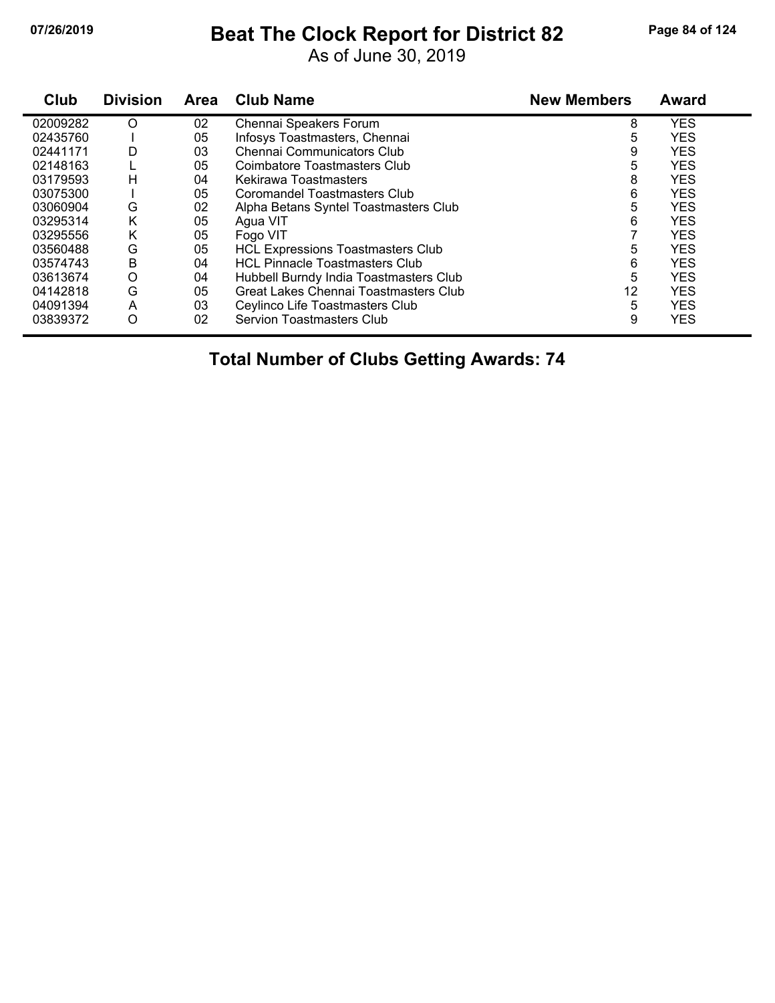# **07/26/2019 Beat The Clock Report for District 82 Page 84 of 124**

As of June 30, 2019

| Club     | <b>Division</b> | <b>Area</b> | <b>Club Name</b>                         | <b>New Members</b> | <b>Award</b> |
|----------|-----------------|-------------|------------------------------------------|--------------------|--------------|
| 02009282 | O               | 02          | Chennai Speakers Forum                   | 8                  | <b>YES</b>   |
| 02435760 |                 | 05          | Infosys Toastmasters, Chennai            | 5                  | <b>YES</b>   |
| 02441171 | D               | 03          | <b>Chennai Communicators Club</b>        | 9                  | <b>YES</b>   |
| 02148163 |                 | 05          | Coimbatore Toastmasters Club             | 5                  | <b>YES</b>   |
| 03179593 | н               | 04          | Kekirawa Toastmasters                    | 8                  | <b>YES</b>   |
| 03075300 |                 | 05          | Coromandel Toastmasters Club             | 6                  | <b>YES</b>   |
| 03060904 | G               | 02          | Alpha Betans Syntel Toastmasters Club    | 5                  | <b>YES</b>   |
| 03295314 | K               | 05          | Agua VIT                                 | 6                  | <b>YES</b>   |
| 03295556 | K               | 05          | Fogo VIT                                 |                    | <b>YES</b>   |
| 03560488 | G               | 05          | <b>HCL Expressions Toastmasters Club</b> | 5                  | <b>YES</b>   |
| 03574743 | Β               | 04          | <b>HCL Pinnacle Toastmasters Club</b>    | 6                  | <b>YES</b>   |
| 03613674 | O               | 04          | Hubbell Burndy India Toastmasters Club   | 5                  | <b>YES</b>   |
| 04142818 | G               | 05          | Great Lakes Chennai Toastmasters Club    | 12                 | <b>YES</b>   |
| 04091394 | A               | 03          | Ceylinco Life Toastmasters Club          | 5                  | <b>YES</b>   |
| 03839372 | O               | 02          | Servion Toastmasters Club                | 9                  | <b>YES</b>   |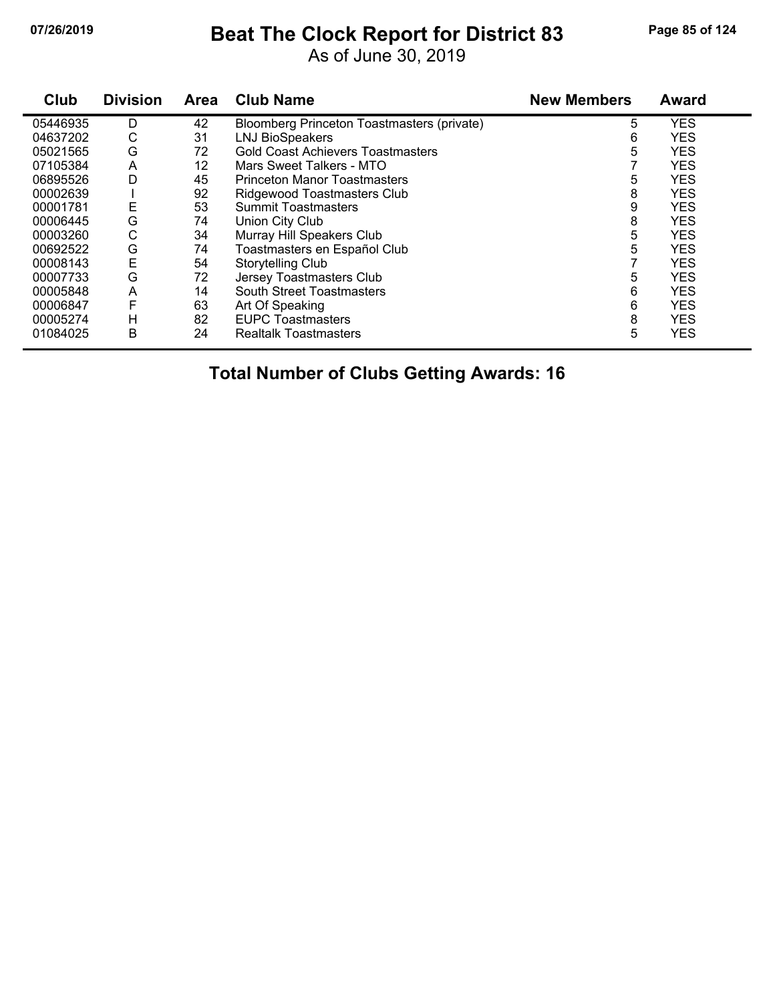# **07/26/2019 Beat The Clock Report for District 83 Page 85 of 124**

As of June 30, 2019

| Club     | <b>Division</b> | Area | <b>Club Name</b>                           | <b>New Members</b> | <b>Award</b> |
|----------|-----------------|------|--------------------------------------------|--------------------|--------------|
| 05446935 | D               | 42   | Bloomberg Princeton Toastmasters (private) | 5                  | <b>YES</b>   |
| 04637202 | С               | 31   | <b>LNJ BioSpeakers</b>                     | 6                  | <b>YES</b>   |
| 05021565 | G               | 72   | <b>Gold Coast Achievers Toastmasters</b>   | 5                  | <b>YES</b>   |
| 07105384 | A               | 12   | Mars Sweet Talkers - MTO                   |                    | <b>YES</b>   |
| 06895526 | D               | 45   | <b>Princeton Manor Toastmasters</b>        | 5                  | <b>YES</b>   |
| 00002639 |                 | 92   | Ridgewood Toastmasters Club                | 8                  | <b>YES</b>   |
| 00001781 | Ε               | 53   | <b>Summit Toastmasters</b>                 | 9                  | <b>YES</b>   |
| 00006445 | G               | 74   | Union City Club                            | 8                  | <b>YES</b>   |
| 00003260 | С               | 34   | Murray Hill Speakers Club                  | 5                  | <b>YES</b>   |
| 00692522 | G               | 74   | Toastmasters en Español Club               | 5                  | <b>YES</b>   |
| 00008143 | E               | 54   | Storytelling Club                          |                    | <b>YES</b>   |
| 00007733 | G               | 72   | Jersey Toastmasters Club                   | 5                  | <b>YES</b>   |
| 00005848 | A               | 14   | <b>South Street Toastmasters</b>           | 6                  | <b>YES</b>   |
| 00006847 | F               | 63   | Art Of Speaking                            | 6                  | <b>YES</b>   |
| 00005274 | Н               | 82   | <b>EUPC Toastmasters</b>                   | 8                  | <b>YES</b>   |
| 01084025 | B               | 24   | <b>Realtalk Toastmasters</b>               | 5                  | <b>YES</b>   |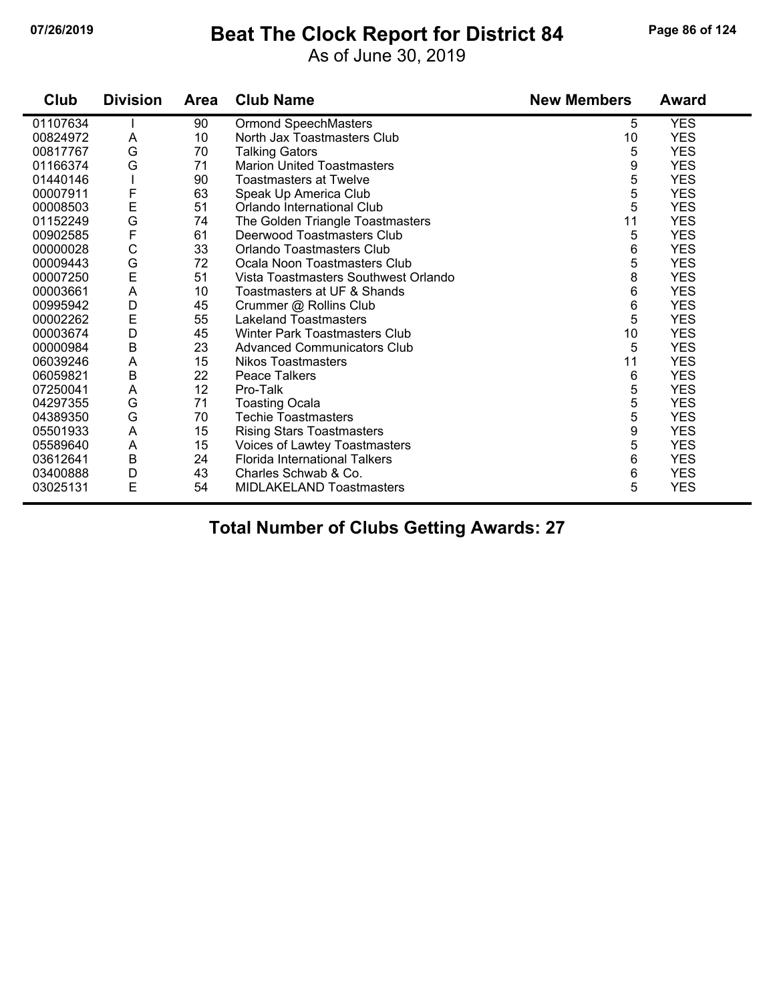## **07/26/2019 Beat The Clock Report for District 84 Page 86 of 124**

As of June 30, 2019

| Club     | <b>Division</b> | <b>Area</b> | <b>Club Name</b>                     | <b>New Members</b> | <b>Award</b> |
|----------|-----------------|-------------|--------------------------------------|--------------------|--------------|
| 01107634 |                 | 90          | <b>Ormond SpeechMasters</b>          | 5                  | <b>YES</b>   |
| 00824972 | Α               | 10          | North Jax Toastmasters Club          | 10                 | <b>YES</b>   |
| 00817767 | G               | 70          | <b>Talking Gators</b>                | 5                  | <b>YES</b>   |
| 01166374 | G               | 71          | <b>Marion United Toastmasters</b>    | 9                  | <b>YES</b>   |
| 01440146 |                 | 90          | <b>Toastmasters at Twelve</b>        | 5                  | <b>YES</b>   |
| 00007911 | F               | 63          | Speak Up America Club                | 5                  | <b>YES</b>   |
| 00008503 | E               | 51          | Orlando International Club           | 5                  | <b>YES</b>   |
| 01152249 | G               | 74          | The Golden Triangle Toastmasters     | 11                 | <b>YES</b>   |
| 00902585 | $\mathsf F$     | 61          | Deerwood Toastmasters Club           | 5                  | <b>YES</b>   |
| 00000028 | $\mathsf C$     | 33          | Orlando Toastmasters Club            | 6                  | <b>YES</b>   |
| 00009443 | G               | 72          | Ocala Noon Toastmasters Club         | 5                  | <b>YES</b>   |
| 00007250 | E               | 51          | Vista Toastmasters Southwest Orlando | 8                  | <b>YES</b>   |
| 00003661 | A               | 10          | Toastmasters at UF & Shands          | 6                  | <b>YES</b>   |
| 00995942 | D               | 45          | Crummer @ Rollins Club               | 6                  | <b>YES</b>   |
| 00002262 | E               | 55          | <b>Lakeland Toastmasters</b>         | $\sqrt{5}$         | <b>YES</b>   |
| 00003674 | D               | 45          | Winter Park Toastmasters Club        | 10                 | <b>YES</b>   |
| 00000984 | B               | 23          | <b>Advanced Communicators Club</b>   | 5                  | <b>YES</b>   |
| 06039246 | A               | 15          | <b>Nikos Toastmasters</b>            | 11                 | <b>YES</b>   |
| 06059821 | $\sf B$         | 22          | <b>Peace Talkers</b>                 | 6                  | <b>YES</b>   |
| 07250041 | A               | 12          | Pro-Talk                             | 5                  | <b>YES</b>   |
| 04297355 | G               | 71          | <b>Toasting Ocala</b>                | 5                  | <b>YES</b>   |
| 04389350 | G               | 70          | <b>Techie Toastmasters</b>           | 5                  | <b>YES</b>   |
| 05501933 | A               | 15          | <b>Rising Stars Toastmasters</b>     | 9                  | <b>YES</b>   |
| 05589640 | A               | 15          | Voices of Lawtey Toastmasters        | 5                  | <b>YES</b>   |
| 03612641 | B               | 24          | Florida International Talkers        | 6                  | <b>YES</b>   |
| 03400888 | D               | 43          | Charles Schwab & Co.                 | 6                  | <b>YES</b>   |
| 03025131 | E               | 54          | MIDLAKELAND Toastmasters             | 5                  | <b>YES</b>   |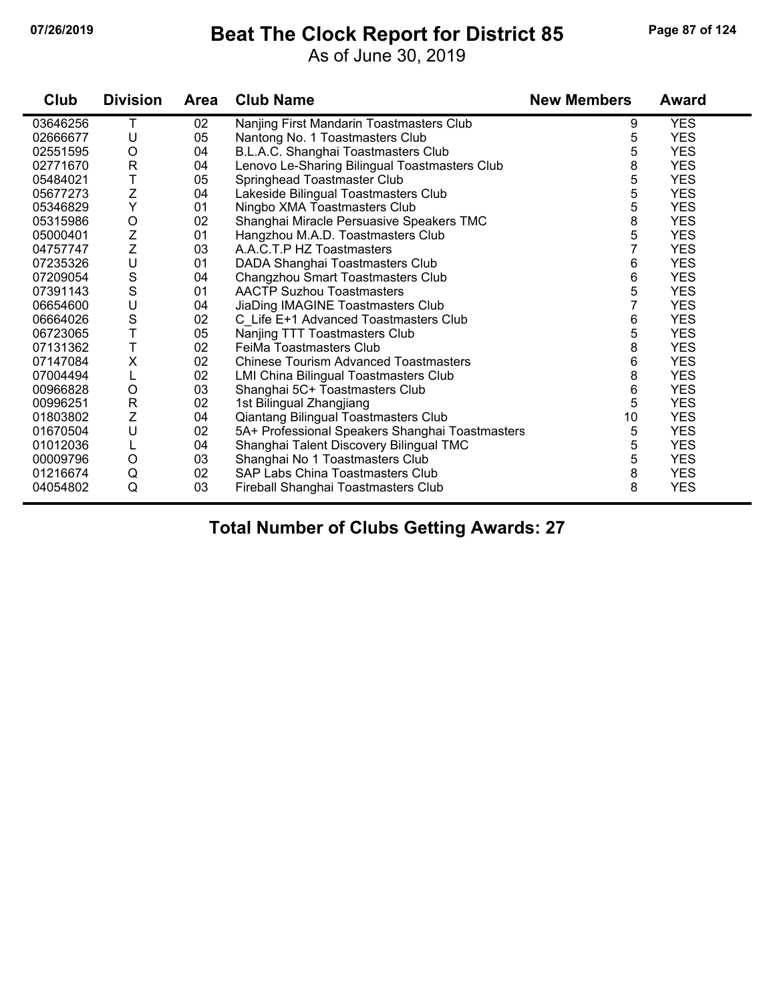## **07/26/2019 Beat The Clock Report for District 85 Page 87 of 124**

As of June 30, 2019

| Club     | <b>Division</b> | <b>Area</b> | <b>Club Name</b>                                | <b>New Members</b> | <b>Award</b> |
|----------|-----------------|-------------|-------------------------------------------------|--------------------|--------------|
| 03646256 | т               | 02          | Nanjing First Mandarin Toastmasters Club        | 9                  | <b>YES</b>   |
| 02666677 | U               | 05          | Nantong No. 1 Toastmasters Club                 | 5                  | <b>YES</b>   |
| 02551595 | $\circ$         | 04          | B.L.A.C. Shanghai Toastmasters Club             | 5                  | <b>YES</b>   |
| 02771670 | $\mathsf{R}$    | 04          | Lenovo Le-Sharing Bilingual Toastmasters Club   | 8                  | <b>YES</b>   |
| 05484021 | T               | 05          | Springhead Toastmaster Club                     | 5                  | <b>YES</b>   |
| 05677273 | Z               | 04          | Lakeside Bilingual Toastmasters Club            | 5                  | <b>YES</b>   |
| 05346829 | Y               | 01          | Ningbo XMA Toastmasters Club                    | 5                  | <b>YES</b>   |
| 05315986 | $\mathsf O$     | 02          | Shanghai Miracle Persuasive Speakers TMC        | 8                  | <b>YES</b>   |
| 05000401 | Z               | 01          | Hangzhou M.A.D. Toastmasters Club               | 5                  | <b>YES</b>   |
| 04757747 | Z               | 03          | A.A.C.T.P HZ Toastmasters                       |                    | <b>YES</b>   |
| 07235326 | U               | 01          | DADA Shanghai Toastmasters Club                 | 6                  | <b>YES</b>   |
| 07209054 | S               | 04          | Changzhou Smart Toastmasters Club               | 6                  | <b>YES</b>   |
| 07391143 | S               | 01          | <b>AACTP Suzhou Toastmasters</b>                | 5                  | <b>YES</b>   |
| 06654600 | U               | 04          | JiaDing IMAGINE Toastmasters Club               | 7                  | <b>YES</b>   |
| 06664026 | S               | 02          | C Life E+1 Advanced Toastmasters Club           | 6                  | <b>YES</b>   |
| 06723065 | T               | 05          | Nanjing TTT Toastmasters Club                   | 5                  | <b>YES</b>   |
| 07131362 | T               | 02          | FeiMa Toastmasters Club                         | 8                  | <b>YES</b>   |
| 07147084 | $\mathsf X$     | 02          | <b>Chinese Tourism Advanced Toastmasters</b>    | 6                  | <b>YES</b>   |
| 07004494 |                 | 02          | <b>LMI China Bilingual Toastmasters Club</b>    | 8                  | <b>YES</b>   |
| 00966828 | $\circ$         | 03          | Shanghai 5C+ Toastmasters Club                  | 6                  | <b>YES</b>   |
| 00996251 | $\mathsf{R}$    | 02          | 1st Bilingual Zhangjiang                        | 5                  | <b>YES</b>   |
| 01803802 | Z               | 04          | Qiantang Bilingual Toastmasters Club            | 10                 | <b>YES</b>   |
| 01670504 | U               | 02          | 5A+ Professional Speakers Shanghai Toastmasters | 5                  | <b>YES</b>   |
| 01012036 |                 | 04          | Shanghai Talent Discovery Bilingual TMC         | 5                  | <b>YES</b>   |
| 00009796 | $\circ$         | 03          | Shanghai No 1 Toastmasters Club                 | 5                  | <b>YES</b>   |
| 01216674 | Q               | 02          | SAP Labs China Toastmasters Club                | 8                  | <b>YES</b>   |
| 04054802 | Q               | 03          | Fireball Shanghai Toastmasters Club             | 8                  | <b>YES</b>   |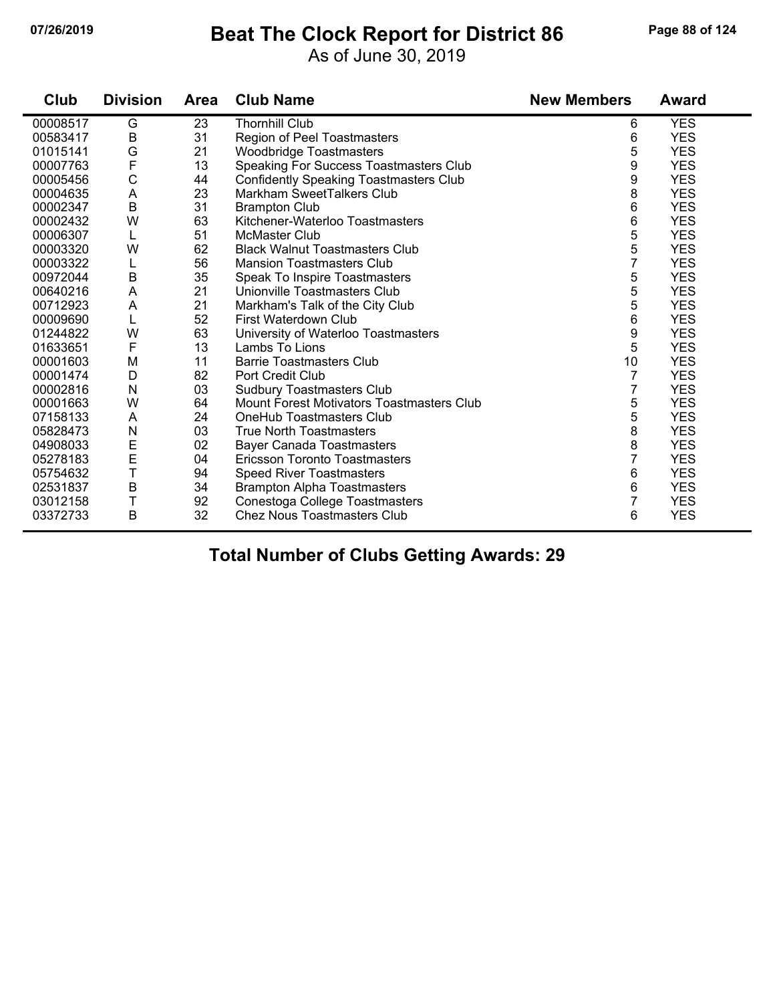### **07/26/2019 Beat The Clock Report for District 86 Page 88 of 124**

As of June 30, 2019

| Club     | <b>Division</b> | <b>Area</b> | <b>Club Name</b>                                 | <b>New Members</b> | <b>Award</b> |
|----------|-----------------|-------------|--------------------------------------------------|--------------------|--------------|
| 00008517 | G               | 23          | <b>Thornhill Club</b>                            | 6                  | <b>YES</b>   |
| 00583417 | B               | 31          | Region of Peel Toastmasters                      | 6                  | <b>YES</b>   |
| 01015141 | G               | 21          | Woodbridge Toastmasters                          | 5                  | <b>YES</b>   |
| 00007763 | F               | 13          | Speaking For Success Toastmasters Club           | 9                  | <b>YES</b>   |
| 00005456 | $\mathsf C$     | 44          | <b>Confidently Speaking Toastmasters Club</b>    | 9                  | <b>YES</b>   |
| 00004635 | A               | 23          | Markham SweetTalkers Club                        | 8                  | <b>YES</b>   |
| 00002347 | $\sf B$         | 31          | <b>Brampton Club</b>                             | 6                  | <b>YES</b>   |
| 00002432 | W               | 63          | Kitchener-Waterloo Toastmasters                  | 6                  | <b>YES</b>   |
| 00006307 | L               | 51          | <b>McMaster Club</b>                             | 5                  | <b>YES</b>   |
| 00003320 | W               | 62          | <b>Black Walnut Toastmasters Club</b>            | 5                  | <b>YES</b>   |
| 00003322 | L               | 56          | <b>Mansion Toastmasters Club</b>                 | 7                  | <b>YES</b>   |
| 00972044 | B               | 35          | Speak To Inspire Toastmasters                    | 5                  | <b>YES</b>   |
| 00640216 | A               | 21          | Unionville Toastmasters Club                     | 5                  | <b>YES</b>   |
| 00712923 | A               | 21          | Markham's Talk of the City Club                  | 5                  | <b>YES</b>   |
| 00009690 | L               | 52          | First Waterdown Club                             | 6                  | <b>YES</b>   |
| 01244822 | W               | 63          | University of Waterloo Toastmasters              | 9                  | <b>YES</b>   |
| 01633651 | $\mathsf F$     | 13          | Lambs To Lions                                   | 5                  | <b>YES</b>   |
| 00001603 | M               | 11          | <b>Barrie Toastmasters Club</b>                  | 10                 | <b>YES</b>   |
| 00001474 | D               | 82          | Port Credit Club                                 | 7                  | <b>YES</b>   |
| 00002816 | N               | 03          | <b>Sudbury Toastmasters Club</b>                 | 7                  | <b>YES</b>   |
| 00001663 | W               | 64          | <b>Mount Forest Motivators Toastmasters Club</b> | 5                  | <b>YES</b>   |
| 07158133 | A               | 24          | OneHub Toastmasters Club                         | 5                  | <b>YES</b>   |
| 05828473 | ${\sf N}$       | 03          | <b>True North Toastmasters</b>                   | 8                  | <b>YES</b>   |
| 04908033 | E               | 02          | <b>Bayer Canada Toastmasters</b>                 | 8                  | <b>YES</b>   |
| 05278183 | E               | 04          | Ericsson Toronto Toastmasters                    | 7                  | <b>YES</b>   |
| 05754632 | T               | 94          | <b>Speed River Toastmasters</b>                  | 6                  | <b>YES</b>   |
| 02531837 | B               | 34          | <b>Brampton Alpha Toastmasters</b>               | 6                  | <b>YES</b>   |
| 03012158 | T               | 92          | Conestoga College Toastmasters                   | 7                  | <b>YES</b>   |
| 03372733 | B               | 32          | <b>Chez Nous Toastmasters Club</b>               | 6                  | <b>YES</b>   |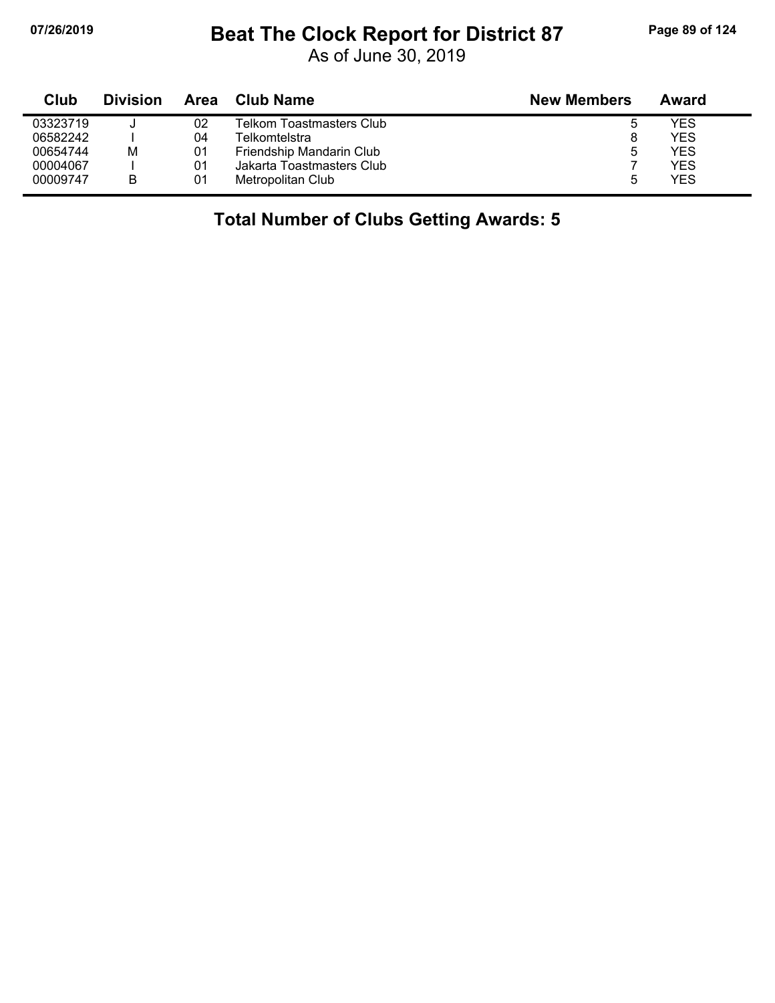## **07/26/2019 Beat The Clock Report for District 87 Page 89 of 124**

As of June 30, 2019

| Club     | <b>Division</b> | Area | <b>Club Name</b>          | <b>New Members</b> | Award |
|----------|-----------------|------|---------------------------|--------------------|-------|
| 03323719 |                 | 02   | Telkom Toastmasters Club  | ა                  | YES   |
| 06582242 |                 | 04   | Telkomtelstral            | 8                  | YES   |
| 00654744 | М               | 01   | Friendship Mandarin Club  | 5                  | YES   |
| 00004067 |                 | 01   | Jakarta Toastmasters Club |                    | YES   |
| 00009747 | B               | 01   | Metropolitan Club         | 5                  | YES   |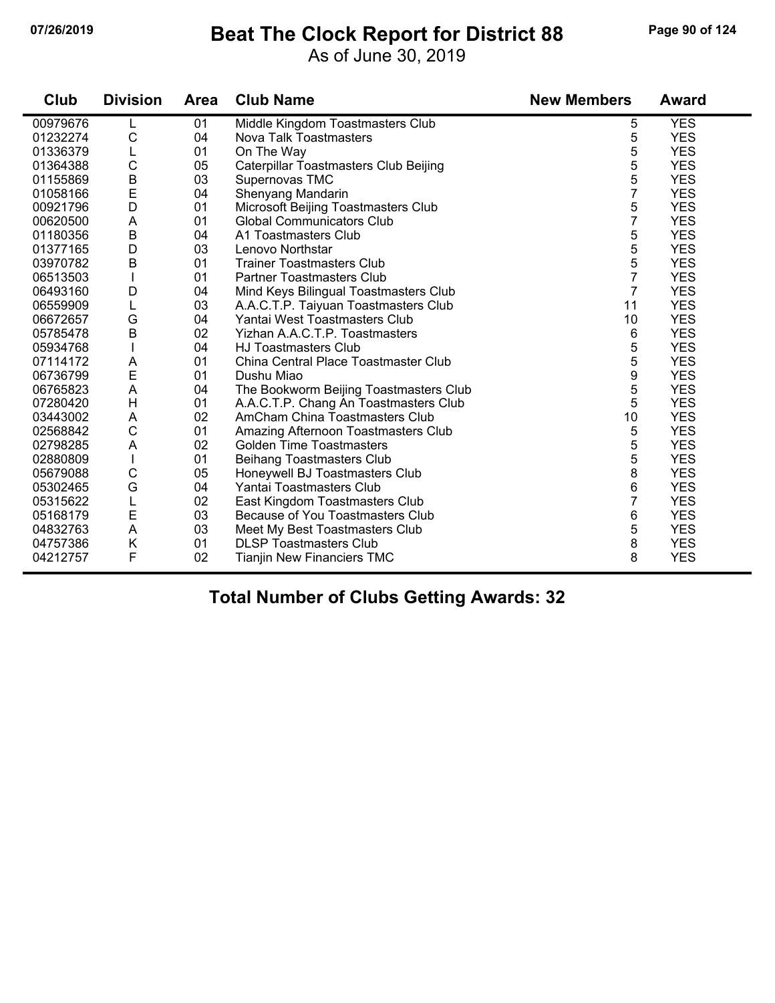## **07/26/2019 Beat The Clock Report for District 88 Page 90 of 124**

As of June 30, 2019

| Club     | <b>Division</b> | <b>Area</b> | <b>Club Name</b>                       | <b>New Members</b> | <b>Award</b> |
|----------|-----------------|-------------|----------------------------------------|--------------------|--------------|
| 00979676 |                 | 01          | Middle Kingdom Toastmasters Club       | 5                  | <b>YES</b>   |
| 01232274 | C               | 04          | Nova Talk Toastmasters                 | 5                  | <b>YES</b>   |
| 01336379 | L               | 01          | On The Way                             | 5                  | <b>YES</b>   |
| 01364388 | $\mathsf C$     | 05          | Caterpillar Toastmasters Club Beijing  | 5                  | <b>YES</b>   |
| 01155869 | $\sf B$         | 03          | Supernovas TMC                         | 5                  | <b>YES</b>   |
| 01058166 | E               | 04          | Shenyang Mandarin                      | $\overline{7}$     | <b>YES</b>   |
| 00921796 | D               | 01          | Microsoft Beijing Toastmasters Club    | 5                  | <b>YES</b>   |
| 00620500 | A               | 01          | <b>Global Communicators Club</b>       | 7                  | <b>YES</b>   |
| 01180356 | $\sf B$         | 04          | A1 Toastmasters Club                   | 5                  | <b>YES</b>   |
| 01377165 | D               | 03          | Lenovo Northstar                       | 5                  | <b>YES</b>   |
| 03970782 | $\sf B$         | 01          | <b>Trainer Toastmasters Club</b>       | 5                  | <b>YES</b>   |
| 06513503 |                 | 01          | <b>Partner Toastmasters Club</b>       | 7                  | <b>YES</b>   |
| 06493160 | D               | 04          | Mind Keys Bilingual Toastmasters Club  | $\overline{7}$     | <b>YES</b>   |
| 06559909 | L               | 03          | A.A.C.T.P. Taiyuan Toastmasters Club   | 11                 | <b>YES</b>   |
| 06672657 | G               | 04          | Yantai West Toastmasters Club          | 10                 | <b>YES</b>   |
| 05785478 | $\mathsf B$     | 02          | Yizhan A.A.C.T.P. Toastmasters         | 6                  | <b>YES</b>   |
| 05934768 |                 | 04          | <b>HJ Toastmasters Club</b>            | 5                  | <b>YES</b>   |
| 07114172 | A               | 01          | China Central Place Toastmaster Club   | 5                  | <b>YES</b>   |
| 06736799 | E               | 01          | Dushu Miao                             | 9                  | <b>YES</b>   |
| 06765823 | A               | 04          | The Bookworm Beijing Toastmasters Club | 5                  | <b>YES</b>   |
| 07280420 | H               | 01          | A.A.C.T.P. Chang An Toastmasters Club  | 5                  | <b>YES</b>   |
| 03443002 | A               | 02          | AmCham China Toastmasters Club         | 10                 | <b>YES</b>   |
| 02568842 | $\mathsf{C}$    | 01          | Amazing Afternoon Toastmasters Club    | 5                  | <b>YES</b>   |
| 02798285 | A               | 02          | <b>Golden Time Toastmasters</b>        | 5                  | <b>YES</b>   |
| 02880809 | T               | 01          | <b>Beihang Toastmasters Club</b>       | 5                  | <b>YES</b>   |
| 05679088 | $\mathsf C$     | 05          | Honeywell BJ Toastmasters Club         | 8                  | <b>YES</b>   |
| 05302465 | G               | 04          | Yantai Toastmasters Club               | 6                  | <b>YES</b>   |
| 05315622 |                 | 02          | East Kingdom Toastmasters Club         | $\overline{7}$     | <b>YES</b>   |
| 05168179 | E               | 03          | Because of You Toastmasters Club       | 6                  | <b>YES</b>   |
| 04832763 | A               | 03          | Meet My Best Toastmasters Club         | 5                  | <b>YES</b>   |
| 04757386 | Κ               | 01          | <b>DLSP Toastmasters Club</b>          | 8                  | <b>YES</b>   |
| 04212757 | F               | 02          | <b>Tianjin New Financiers TMC</b>      | 8                  | <b>YES</b>   |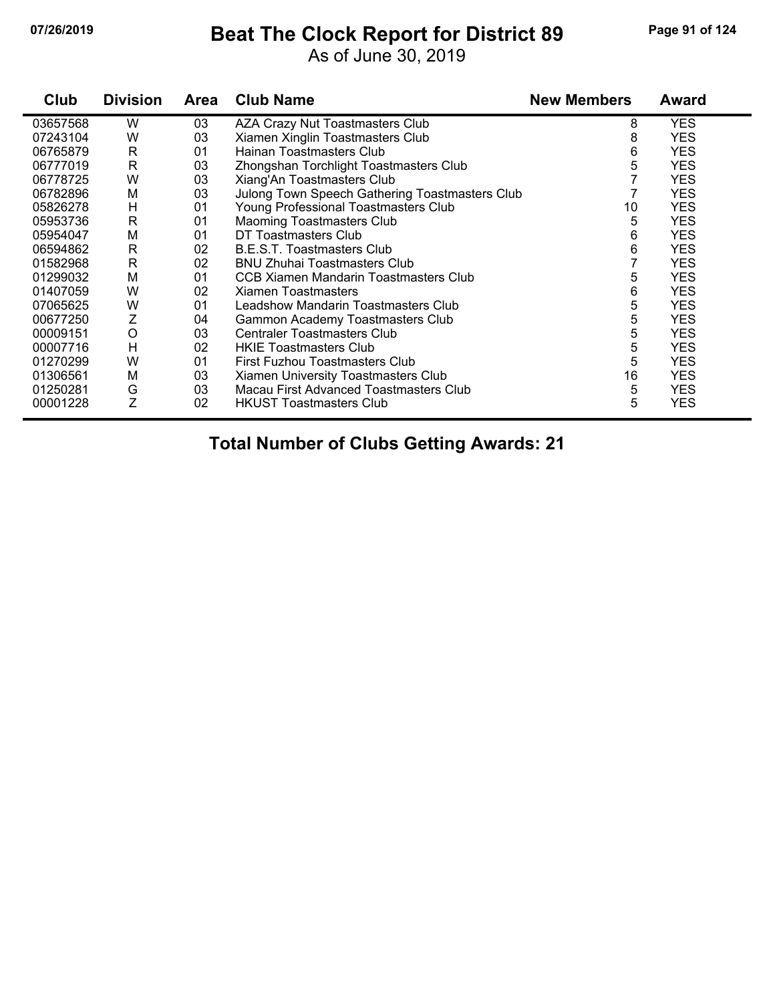## **07/26/2019 Beat The Clock Report for District 89 Page 91 of 124**

As of June 30, 2019

| Club     | <b>Division</b> | <b>Area</b> | <b>Club Name</b>                               | <b>New Members</b> | <b>Award</b> |
|----------|-----------------|-------------|------------------------------------------------|--------------------|--------------|
| 03657568 | W               | 03          | AZA Crazy Nut Toastmasters Club                | 8                  | <b>YES</b>   |
| 07243104 | W               | 03          | Xiamen Xinglin Toastmasters Club               | 8                  | <b>YES</b>   |
| 06765879 | R               | 01          | Hainan Toastmasters Club                       | 6                  | <b>YES</b>   |
| 06777019 | R               | 03          | Zhongshan Torchlight Toastmasters Club         | 5                  | <b>YES</b>   |
| 06778725 | W               | 03          | Xiang'An Toastmasters Club                     |                    | <b>YES</b>   |
| 06782896 | M               | 03          | Julong Town Speech Gathering Toastmasters Club |                    | <b>YES</b>   |
| 05826278 | H               | 01          | Young Professional Toastmasters Club           | 10                 | <b>YES</b>   |
| 05953736 | R               | 01          | <b>Maoming Toastmasters Club</b>               | 5                  | <b>YES</b>   |
| 05954047 | M               | 01          | DT Toastmasters Club                           | 6                  | <b>YES</b>   |
| 06594862 | R               | 02          | B.E.S.T. Toastmasters Club                     | 6                  | <b>YES</b>   |
| 01582968 | $\mathsf{R}$    | 02          | <b>BNU Zhuhai Toastmasters Club</b>            |                    | <b>YES</b>   |
| 01299032 | M               | 01          | CCB Xiamen Mandarin Toastmasters Club          | 5                  | <b>YES</b>   |
| 01407059 | W               | 02          | <b>Xiamen Toastmasters</b>                     | 6                  | <b>YES</b>   |
| 07065625 | W               | 01          | Leadshow Mandarin Toastmasters Club            | 5                  | <b>YES</b>   |
| 00677250 | Z               | 04          | Gammon Academy Toastmasters Club               | 5                  | <b>YES</b>   |
| 00009151 | $\circ$         | 03          | <b>Centraler Toastmasters Club</b>             | 5                  | <b>YES</b>   |
| 00007716 | H               | 02          | <b>HKIE Toastmasters Club</b>                  | 5                  | <b>YES</b>   |
| 01270299 | W               | 01          | First Fuzhou Toastmasters Club                 | 5                  | <b>YES</b>   |
| 01306561 | M               | 03          | Xiamen University Toastmasters Club            | 16                 | <b>YES</b>   |
| 01250281 | G               | 03          | Macau First Advanced Toastmasters Club         | 5                  | <b>YES</b>   |
| 00001228 | Ζ               | 02          | <b>HKUST Toastmasters Club</b>                 | 5                  | <b>YES</b>   |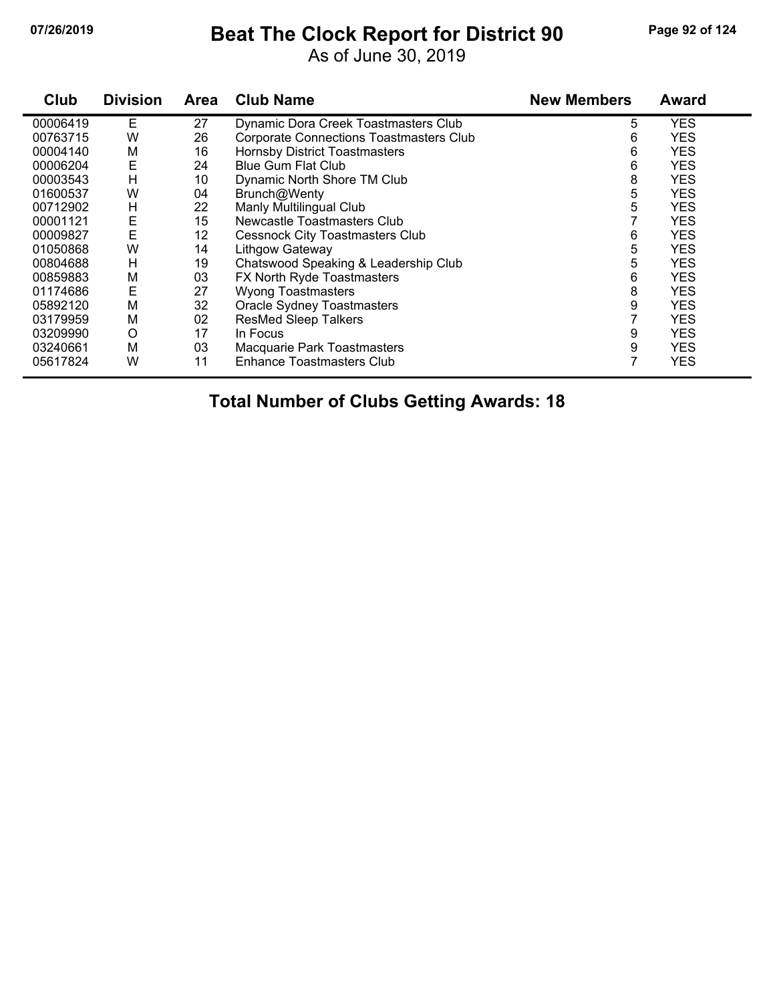## **07/26/2019 Beat The Clock Report for District 90 Page 92 of 124**

As of June 30, 2019

| Club     | <b>Division</b> | <b>Area</b> | <b>Club Name</b>                               | <b>New Members</b> | Award      |
|----------|-----------------|-------------|------------------------------------------------|--------------------|------------|
| 00006419 | Е               | 27          | Dynamic Dora Creek Toastmasters Club           | 5                  | <b>YES</b> |
| 00763715 | W               | 26          | <b>Corporate Connections Toastmasters Club</b> | 6                  | <b>YES</b> |
| 00004140 | М               | 16          | Hornsby District Toastmasters                  | 6                  | <b>YES</b> |
| 00006204 | E               | 24          | <b>Blue Gum Flat Club</b>                      | 6                  | <b>YES</b> |
| 00003543 | H               | 10          | Dynamic North Shore TM Club                    | 8                  | <b>YES</b> |
| 01600537 | W               | 04          | Brunch@Wenty                                   | 5                  | <b>YES</b> |
| 00712902 | H               | 22          | Manly Multilingual Club                        | 5                  | <b>YES</b> |
| 00001121 | E               | 15          | Newcastle Toastmasters Club                    |                    | <b>YES</b> |
| 00009827 | E               | 12          | <b>Cessnock City Toastmasters Club</b>         | 6                  | <b>YES</b> |
| 01050868 | W               | 14          | Lithgow Gateway                                | 5                  | <b>YES</b> |
| 00804688 | H               | 19          | Chatswood Speaking & Leadership Club           | 5                  | <b>YES</b> |
| 00859883 | M               | 03          | FX North Ryde Toastmasters                     | 6                  | <b>YES</b> |
| 01174686 | Ε               | 27          | <b>Wyong Toastmasters</b>                      | 8                  | <b>YES</b> |
| 05892120 | M               | 32          | <b>Oracle Sydney Toastmasters</b>              | 9                  | <b>YES</b> |
| 03179959 | M               | 02          | <b>ResMed Sleep Talkers</b>                    |                    | <b>YES</b> |
| 03209990 | O               | 17          | In Focus                                       | 9                  | <b>YES</b> |
| 03240661 | M               | 03          | Macquarie Park Toastmasters                    | 9                  | <b>YES</b> |
| 05617824 | W               | 11          | <b>Enhance Toastmasters Club</b>               |                    | <b>YES</b> |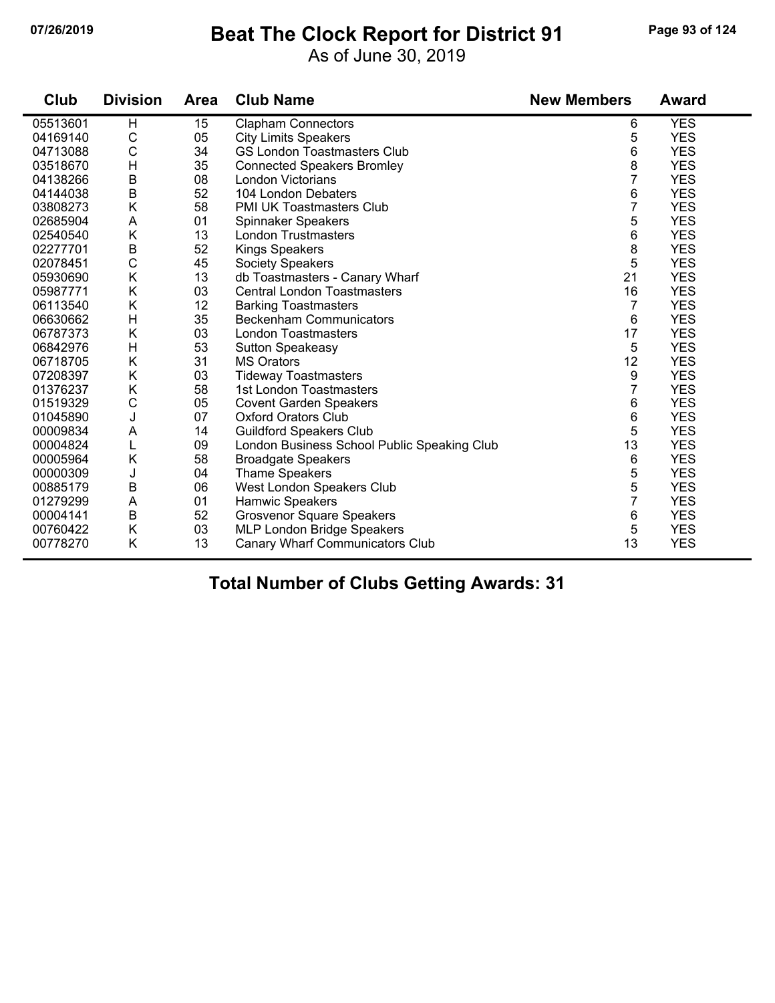## **07/26/2019 Beat The Clock Report for District 91 Page 93 of 124**

As of June 30, 2019

| Club     | <b>Division</b> | <b>Area</b> | <b>Club Name</b>                            | <b>New Members</b> | <b>Award</b> |
|----------|-----------------|-------------|---------------------------------------------|--------------------|--------------|
| 05513601 | H               | 15          | <b>Clapham Connectors</b>                   | 6                  | <b>YES</b>   |
| 04169140 | $\mathsf C$     | 05          | <b>City Limits Speakers</b>                 | 5                  | <b>YES</b>   |
| 04713088 | $\mathsf C$     | 34          | <b>GS London Toastmasters Club</b>          | 6                  | <b>YES</b>   |
| 03518670 | H               | 35          | <b>Connected Speakers Bromley</b>           | 8                  | <b>YES</b>   |
| 04138266 | $\sf B$         | 08          | London Victorians                           | $\overline{7}$     | <b>YES</b>   |
| 04144038 | $\sf B$         | 52          | 104 London Debaters                         | 6                  | <b>YES</b>   |
| 03808273 | K               | 58          | <b>PMI UK Toastmasters Club</b>             | $\overline{7}$     | <b>YES</b>   |
| 02685904 | A               | 01          | Spinnaker Speakers                          | 5                  | <b>YES</b>   |
| 02540540 | K               | 13          | <b>London Trustmasters</b>                  | 6                  | <b>YES</b>   |
| 02277701 | $\sf B$         | 52          | <b>Kings Speakers</b>                       | 8                  | <b>YES</b>   |
| 02078451 | $\mathsf C$     | 45          | <b>Society Speakers</b>                     | 5                  | <b>YES</b>   |
| 05930690 | Κ               | 13          | db Toastmasters - Canary Wharf              | 21                 | <b>YES</b>   |
| 05987771 | K               | 03          | <b>Central London Toastmasters</b>          | 16                 | <b>YES</b>   |
| 06113540 | K               | 12          | <b>Barking Toastmasters</b>                 | $\overline{7}$     | <b>YES</b>   |
| 06630662 | H               | 35          | <b>Beckenham Communicators</b>              | 6                  | <b>YES</b>   |
| 06787373 | K               | 03          | <b>London Toastmasters</b>                  | 17                 | <b>YES</b>   |
| 06842976 | Н               | 53          | <b>Sutton Speakeasy</b>                     | 5                  | <b>YES</b>   |
| 06718705 | K               | 31          | <b>MS Orators</b>                           | 12                 | <b>YES</b>   |
| 07208397 | K               | 03          | <b>Tideway Toastmasters</b>                 | 9                  | <b>YES</b>   |
| 01376237 | K               | 58          | 1st London Toastmasters                     | $\overline{7}$     | <b>YES</b>   |
| 01519329 | $\mathsf{C}$    | 05          | <b>Covent Garden Speakers</b>               | 6                  | <b>YES</b>   |
| 01045890 | J               | 07          | <b>Oxford Orators Club</b>                  | 6                  | <b>YES</b>   |
| 00009834 | A               | 14          | <b>Guildford Speakers Club</b>              | 5                  | <b>YES</b>   |
| 00004824 | L               | 09          | London Business School Public Speaking Club | 13                 | <b>YES</b>   |
| 00005964 | K               | 58          | <b>Broadgate Speakers</b>                   | 6                  | <b>YES</b>   |
| 00000309 | J               | 04          | <b>Thame Speakers</b>                       | 5                  | <b>YES</b>   |
| 00885179 | $\sf B$         | 06          | West London Speakers Club                   | 5                  | <b>YES</b>   |
| 01279299 | A               | 01          | Hamwic Speakers                             | $\overline{7}$     | <b>YES</b>   |
| 00004141 | $\sf B$         | 52          | <b>Grosvenor Square Speakers</b>            | 6                  | <b>YES</b>   |
| 00760422 | K               | 03          | MLP London Bridge Speakers                  | 5                  | <b>YES</b>   |
| 00778270 | K               | 13          | Canary Wharf Communicators Club             | 13                 | <b>YES</b>   |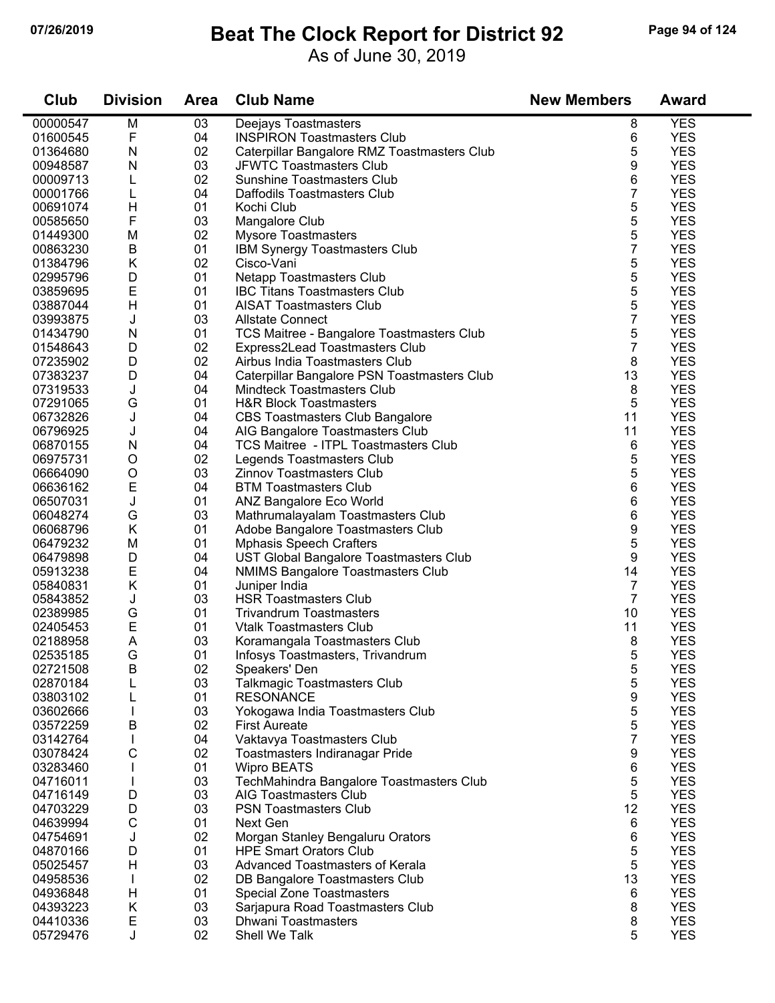## **07/26/2019 Beat The Clock Report for District 92 Page 94 of 124**

As of June 30, 2019

| Club                 | <b>Division</b> | <b>Area</b> | <b>Club Name</b>                                                        | <b>New Members</b> | <b>Award</b>             |
|----------------------|-----------------|-------------|-------------------------------------------------------------------------|--------------------|--------------------------|
| 00000547             | M               | 03          | Deejays Toastmasters                                                    | 8                  | <b>YES</b>               |
| 01600545             | F               | 04          | <b>INSPIRON Toastmasters Club</b>                                       | 6                  | <b>YES</b>               |
| 01364680             | N               | 02          | Caterpillar Bangalore RMZ Toastmasters Club                             | 5                  | <b>YES</b>               |
| 00948587             | N               | 03          | <b>JFWTC Toastmasters Club</b>                                          | 9                  | <b>YES</b>               |
| 00009713             | L               | 02          | <b>Sunshine Toastmasters Club</b>                                       | 6                  | <b>YES</b>               |
| 00001766             | L               | 04          | Daffodils Toastmasters Club                                             | 7                  | <b>YES</b>               |
| 00691074             | H               | 01          | Kochi Club                                                              | 5                  | <b>YES</b>               |
| 00585650             | F               | 03          | Mangalore Club                                                          | 5                  | <b>YES</b>               |
| 01449300             | M               | 02          | <b>Mysore Toastmasters</b>                                              | 5                  | <b>YES</b>               |
| 00863230             | $\sf B$         | 01          | IBM Synergy Toastmasters Club                                           | $\overline{7}$     | <b>YES</b>               |
| 01384796             | Κ               | 02          | Cisco-Vani                                                              | 5                  | <b>YES</b>               |
| 02995796             | D               | 01          | <b>Netapp Toastmasters Club</b>                                         | 5                  | <b>YES</b>               |
| 03859695             | E               | 01          | <b>IBC Titans Toastmasters Club</b>                                     | 5                  | <b>YES</b>               |
| 03887044             | H               | 01          | <b>AISAT Toastmasters Club</b>                                          | 5                  | <b>YES</b>               |
| 03993875             | J               | 03          | <b>Allstate Connect</b>                                                 | $\overline{7}$     | <b>YES</b>               |
| 01434790             | N               | 01          | TCS Maitree - Bangalore Toastmasters Club                               | 5                  | <b>YES</b>               |
| 01548643             | D               | 02          | Express2Lead Toastmasters Club                                          | $\overline{7}$     | <b>YES</b>               |
| 07235902             | D               | 02          | Airbus India Toastmasters Club                                          | 8                  | <b>YES</b>               |
| 07383237             | D               | 04          | Caterpillar Bangalore PSN Toastmasters Club                             | 13                 | <b>YES</b>               |
| 07319533             | J               | 04          | <b>Mindteck Toastmasters Club</b>                                       | 8                  | <b>YES</b>               |
| 07291065             | G               | 01          | <b>H&amp;R Block Toastmasters</b>                                       | 5                  | <b>YES</b>               |
| 06732826             | J               | 04          | <b>CBS Toastmasters Club Bangalore</b>                                  | 11                 | <b>YES</b>               |
| 06796925             | J               | 04          | AIG Bangalore Toastmasters Club                                         | 11                 | <b>YES</b>               |
| 06870155             | N               | 04          | TCS Maitree - ITPL Toastmasters Club                                    | 6                  | <b>YES</b>               |
| 06975731             | O               | 02          | Legends Toastmasters Club                                               | 5                  | <b>YES</b>               |
| 06664090             | O               | 03          | Zinnov Toastmasters Club                                                | 5                  | <b>YES</b>               |
| 06636162             | E               | 04          | <b>BTM Toastmasters Club</b>                                            | 6                  | <b>YES</b>               |
| 06507031             | J               | 01          | ANZ Bangalore Eco World                                                 | 6                  | <b>YES</b>               |
| 06048274             | G               | 03          | Mathrumalayalam Toastmasters Club                                       | 6                  | <b>YES</b>               |
| 06068796             | Κ               | 01          | Adobe Bangalore Toastmasters Club                                       | 9                  | <b>YES</b>               |
| 06479232             | M               | 01          | <b>Mphasis Speech Crafters</b>                                          | 5                  | <b>YES</b>               |
| 06479898             | D               | 04          | UST Global Bangalore Toastmasters Club                                  | 9                  | <b>YES</b>               |
| 05913238             | E               | 04          | <b>NMIMS Bangalore Toastmasters Club</b>                                | 14                 | <b>YES</b>               |
| 05840831             | Κ               | 01          | Juniper India                                                           | $\overline{7}$     | <b>YES</b>               |
| 05843852             | J               | 03          | <b>HSR Toastmasters Club</b>                                            | $\overline{7}$     | <b>YES</b>               |
| 02389985             | G               | 01          | <b>Trivandrum Toastmasters</b>                                          | 10                 | <b>YES</b>               |
| 02405453             | E               | 01          | <b>Vtalk Toastmasters Club</b>                                          | 11                 | <b>YES</b>               |
| 02188958             | A               | 03          | Koramangala Toastmasters Club                                           | 8                  | <b>YES</b>               |
| 02535185             | G               | 01          | Infosys Toastmasters, Trivandrum                                        | 5                  | <b>YES</b>               |
| 02721508             | В               | 02          | Speakers' Den                                                           | 5                  | <b>YES</b>               |
| 02870184             | L               | 03          | <b>Talkmagic Toastmasters Club</b>                                      | 5                  | <b>YES</b>               |
| 03803102             | L               | 01          | <b>RESONANCE</b>                                                        | 9                  | <b>YES</b>               |
| 03602666             |                 | 03          | Yokogawa India Toastmasters Club                                        | 5                  | <b>YES</b>               |
| 03572259             | В               | 02          | <b>First Aureate</b>                                                    | 5                  | <b>YES</b>               |
| 03142764             |                 | 04          | Vaktavya Toastmasters Club                                              | $\overline{7}$     | <b>YES</b>               |
| 03078424             | С               | 02          | Toastmasters Indiranagar Pride                                          | 9                  | <b>YES</b>               |
| 03283460             |                 | 01          | <b>Wipro BEATS</b>                                                      | 6                  | <b>YES</b>               |
| 04716011<br>04716149 |                 | 03          | TechMahindra Bangalore Toastmasters Club<br>AIG Toastmasters Club       | 5                  | <b>YES</b>               |
|                      | D               | 03          |                                                                         | 5                  | <b>YES</b>               |
| 04703229             | D               | 03          | <b>PSN Toastmasters Club</b>                                            | 12                 | <b>YES</b>               |
| 04639994             | С               | 01          | Next Gen                                                                | 6                  | <b>YES</b><br><b>YES</b> |
| 04754691             | J               | 02          | Morgan Stanley Bengaluru Orators                                        | 6                  |                          |
| 04870166             | D<br>H          | 01<br>03    | <b>HPE Smart Orators Club</b><br><b>Advanced Toastmasters of Kerala</b> | 5<br>5             | <b>YES</b><br><b>YES</b> |
| 05025457             |                 | 02          |                                                                         | 13                 | <b>YES</b>               |
| 04958536<br>04936848 | L<br>H          | 01          | DB Bangalore Toastmasters Club<br><b>Special Zone Toastmasters</b>      |                    | <b>YES</b>               |
| 04393223             | Κ               | 03          | Sarjapura Road Toastmasters Club                                        | 6<br>8             | <b>YES</b>               |
| 04410336             | E               | 03          | <b>Dhwani Toastmasters</b>                                              | 8                  | <b>YES</b>               |
| 05729476             | J               | 02          | Shell We Talk                                                           | 5                  | <b>YES</b>               |
|                      |                 |             |                                                                         |                    |                          |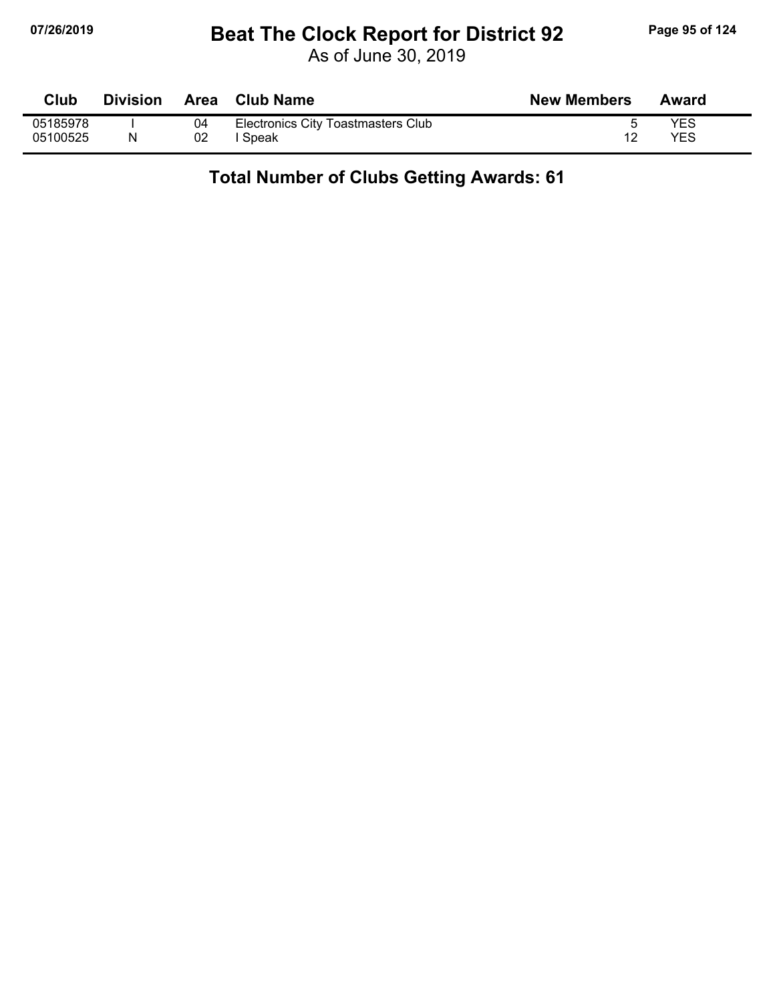## **07/26/2019 Beat The Clock Report for District 92 Page 95 of 124**

As of June 30, 2019

| <b>Club</b> | <b>Division</b> |    | <b>∩ Area Club Name</b>            | <b>New Members</b> | Award |
|-------------|-----------------|----|------------------------------------|--------------------|-------|
| 05185978    |                 | 04 | Electronics City Toastmasters Club |                    | YES   |
| 05100525    |                 | 02 | Speak                              |                    | YES   |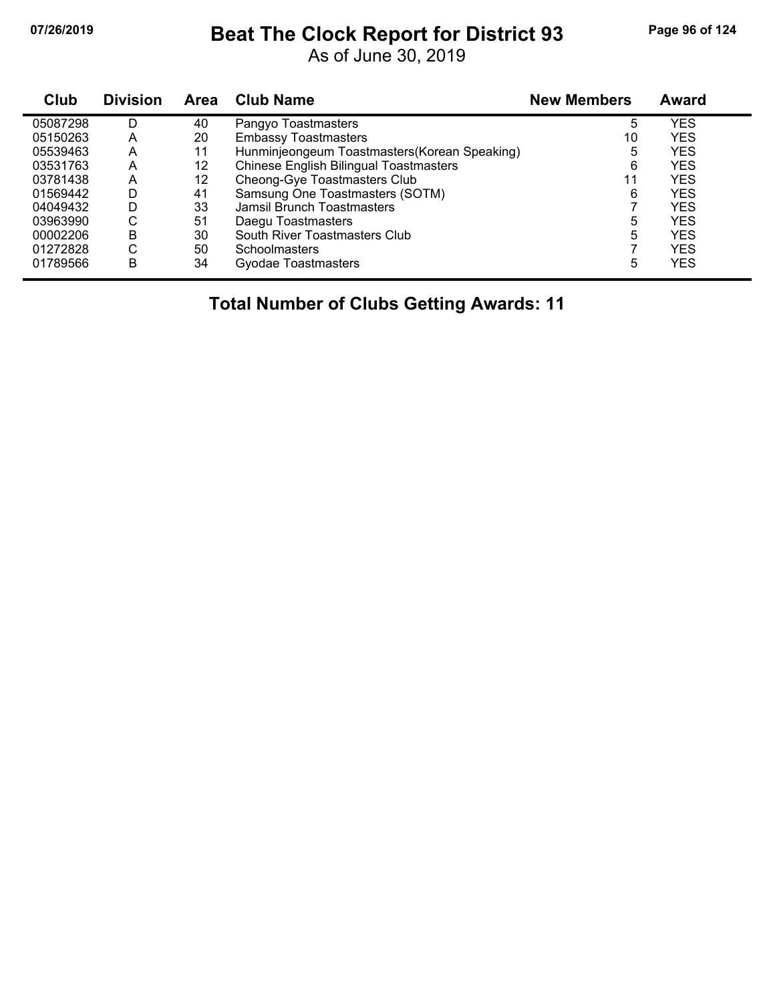# **07/26/2019 Beat The Clock Report for District 93 Page 96 of 124**

As of June 30, 2019

| <b>Club</b> | <b>Division</b> | Area | <b>Club Name</b>                              | <b>New Members</b> | <b>Award</b> |
|-------------|-----------------|------|-----------------------------------------------|--------------------|--------------|
| 05087298    | D               | 40   | Pangyo Toastmasters                           | 5                  | <b>YES</b>   |
| 05150263    | А               | 20   | <b>Embassy Toastmasters</b>                   | 10                 | <b>YES</b>   |
| 05539463    | Α               | 11   | Hunminjeongeum Toastmasters (Korean Speaking) | 5                  | <b>YES</b>   |
| 03531763    | А               | 12   | <b>Chinese English Bilingual Toastmasters</b> | 6                  | <b>YES</b>   |
| 03781438    | А               | 12   | Cheong-Gye Toastmasters Club                  | 11                 | <b>YES</b>   |
| 01569442    | D               | 41   | Samsung One Toastmasters (SOTM)               | 6                  | <b>YES</b>   |
| 04049432    | D               | 33   | Jamsil Brunch Toastmasters                    |                    | <b>YES</b>   |
| 03963990    | ⌒<br>U          | 51   | Daegu Toastmasters                            | 5                  | <b>YES</b>   |
| 00002206    | B               | 30   | South River Toastmasters Club                 | 5                  | <b>YES</b>   |
| 01272828    | С               | 50   | <b>Schoolmasters</b>                          |                    | <b>YES</b>   |
| 01789566    | B               | 34   | Gyodae Toastmasters                           | 5                  | <b>YES</b>   |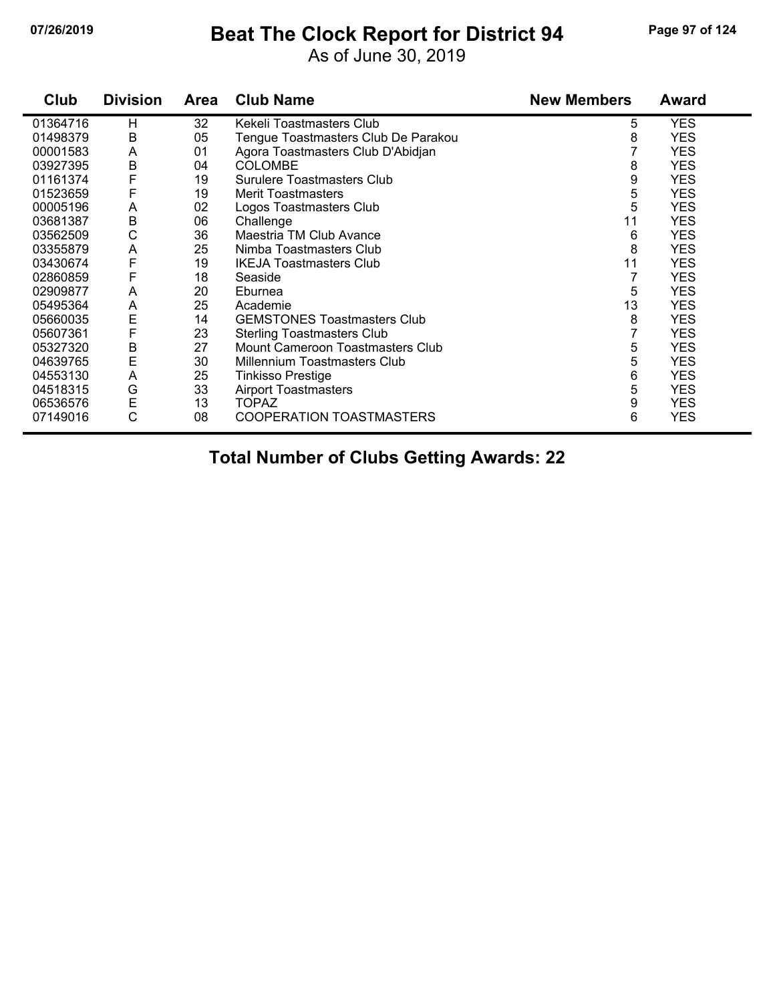## **07/26/2019 Beat The Clock Report for District 94 Page 97 of 124**

As of June 30, 2019

| Club     | <b>Division</b> | Area | <b>Club Name</b>                    | <b>New Members</b> | <b>Award</b> |
|----------|-----------------|------|-------------------------------------|--------------------|--------------|
| 01364716 | H               | 32   | Kekeli Toastmasters Club            | 5                  | <b>YES</b>   |
| 01498379 | В               | 05   | Tengue Toastmasters Club De Parakou | 8                  | <b>YES</b>   |
| 00001583 | A               | 01   | Agora Toastmasters Club D'Abidjan   |                    | <b>YES</b>   |
| 03927395 | B               | 04   | <b>COLOMBE</b>                      | 8                  | <b>YES</b>   |
| 01161374 | F               | 19   | Surulere Toastmasters Club          | 9                  | <b>YES</b>   |
| 01523659 | F               | 19   | <b>Merit Toastmasters</b>           | 5                  | <b>YES</b>   |
| 00005196 | A               | 02   | Logos Toastmasters Club             | 5                  | <b>YES</b>   |
| 03681387 | B               | 06   | Challenge                           | 11                 | <b>YES</b>   |
| 03562509 | C               | 36   | Maestria TM Club Avance             | 6                  | <b>YES</b>   |
| 03355879 | A               | 25   | Nimba Toastmasters Club             | 8                  | <b>YES</b>   |
| 03430674 | F               | 19   | <b>IKEJA Toastmasters Club</b>      | 11                 | <b>YES</b>   |
| 02860859 | F               | 18   | Seaside                             | 7                  | <b>YES</b>   |
| 02909877 | A               | 20   | Eburnea                             | 5                  | <b>YES</b>   |
| 05495364 | Α               | 25   | Academie                            | 13                 | <b>YES</b>   |
| 05660035 | E               | 14   | <b>GEMSTONES Toastmasters Club</b>  | 8                  | <b>YES</b>   |
| 05607361 | F               | 23   | <b>Sterling Toastmasters Club</b>   | 7                  | <b>YES</b>   |
| 05327320 | B               | 27   | Mount Cameroon Toastmasters Club    | 5                  | <b>YES</b>   |
| 04639765 | E               | 30   | Millennium Toastmasters Club        | 5                  | <b>YES</b>   |
| 04553130 | A               | 25   | <b>Tinkisso Prestige</b>            | 6                  | <b>YES</b>   |
| 04518315 | G               | 33   | <b>Airport Toastmasters</b>         | 5                  | YES          |
| 06536576 | E               | 13   | <b>TOPAZ</b>                        | 9                  | <b>YES</b>   |
| 07149016 | С               | 08   | <b>COOPERATION TOASTMASTERS</b>     | 6                  | <b>YES</b>   |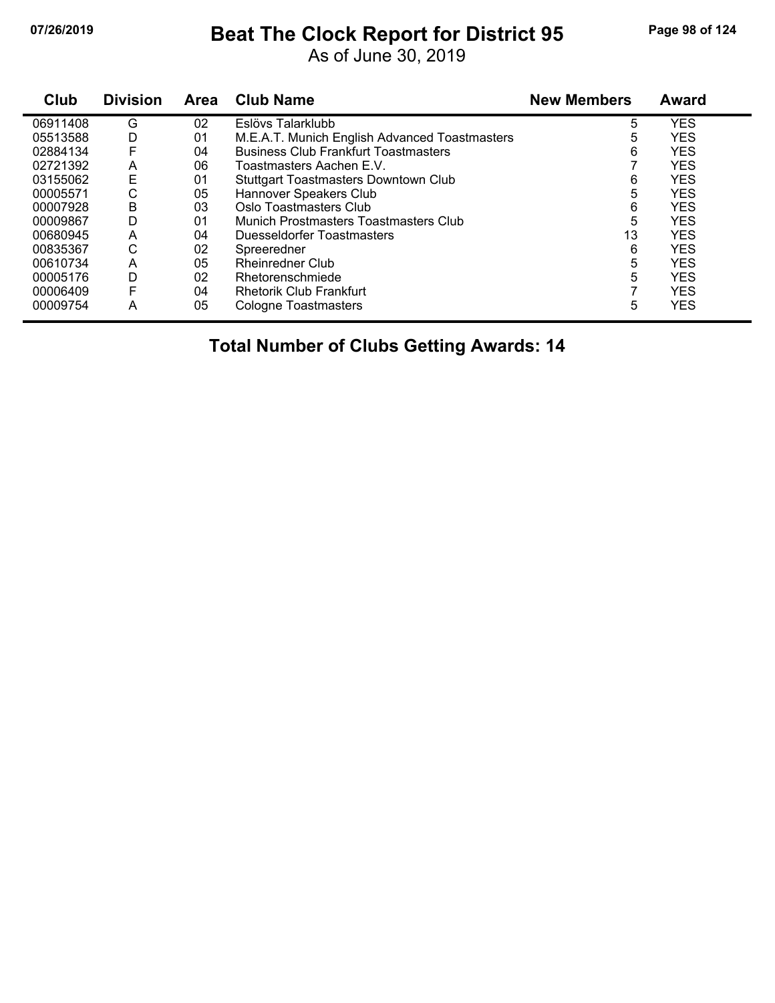# **07/26/2019 Beat The Clock Report for District 95 Page 98 of 124**

As of June 30, 2019

| Club     | <b>Division</b> | <b>Area</b>    | <b>Club Name</b>                              | <b>New Members</b> | Award      |
|----------|-----------------|----------------|-----------------------------------------------|--------------------|------------|
| 06911408 | G               | 02             | Eslövs Talarklubb                             | 5                  | <b>YES</b> |
| 05513588 | D               | 01             | M.E.A.T. Munich English Advanced Toastmasters | 5                  | <b>YES</b> |
| 02884134 | F               | 04             | <b>Business Club Frankfurt Toastmasters</b>   | 6                  | <b>YES</b> |
| 02721392 | A               | 06             | Toastmasters Aachen E.V.                      |                    | <b>YES</b> |
| 03155062 | E               | 01             | <b>Stuttgart Toastmasters Downtown Club</b>   | 6                  | <b>YES</b> |
| 00005571 | С               | 05             | Hannover Speakers Club                        | 5                  | <b>YES</b> |
| 00007928 | В               | 03             | Oslo Toastmasters Club                        | 6                  | <b>YES</b> |
| 00009867 | D               | 0 <sub>1</sub> | Munich Prostmasters Toastmasters Club         | 5                  | <b>YES</b> |
| 00680945 | A               | 04             | Duesseldorfer Toastmasters                    | 13                 | <b>YES</b> |
| 00835367 | С               | 02             | Spreeredner                                   | 6                  | <b>YES</b> |
| 00610734 | A               | 05             | <b>Rheinredner Club</b>                       | 5                  | <b>YES</b> |
| 00005176 | D               | 02             | Rhetorenschmiede                              | 5                  | <b>YES</b> |
| 00006409 | F               | 04             | <b>Rhetorik Club Frankfurt</b>                |                    | <b>YES</b> |
| 00009754 | A               | 05             | <b>Cologne Toastmasters</b>                   | 5                  | <b>YES</b> |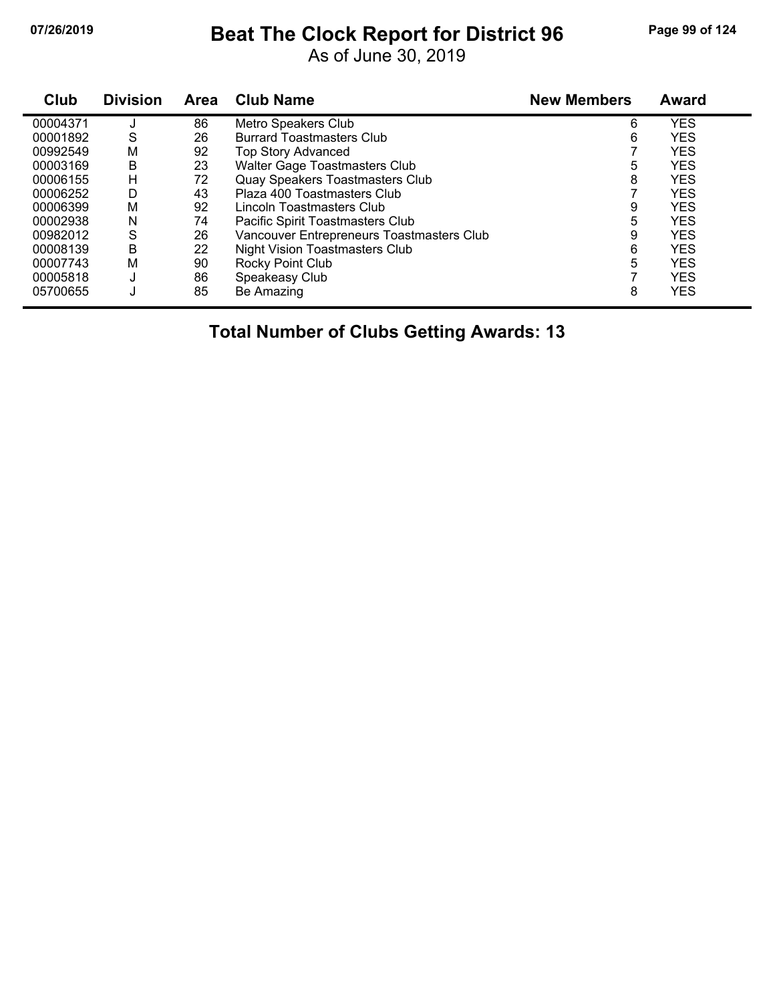## **07/26/2019 Beat The Clock Report for District 96 Page 99 of 124**

As of June 30, 2019

| Club     | <b>Division</b> | <b>Area</b> | <b>Club Name</b>                          | <b>New Members</b> | <b>Award</b> |
|----------|-----------------|-------------|-------------------------------------------|--------------------|--------------|
| 00004371 |                 | 86          | Metro Speakers Club                       | 6                  | <b>YES</b>   |
| 00001892 | S               | 26          | <b>Burrard Toastmasters Club</b>          | 6                  | <b>YES</b>   |
| 00992549 | M               | 92          | <b>Top Story Advanced</b>                 |                    | <b>YES</b>   |
| 00003169 | B               | 23          | Walter Gage Toastmasters Club             | 5                  | <b>YES</b>   |
| 00006155 | Н               | 72          | Quay Speakers Toastmasters Club           | 8                  | <b>YES</b>   |
| 00006252 | D               | 43          | Plaza 400 Toastmasters Club               |                    | <b>YES</b>   |
| 00006399 | м               | 92          | Lincoln Toastmasters Club                 | 9                  | <b>YES</b>   |
| 00002938 | N               | 74          | Pacific Spirit Toastmasters Club          | 5                  | <b>YES</b>   |
| 00982012 | S               | 26          | Vancouver Entrepreneurs Toastmasters Club | 9                  | <b>YES</b>   |
| 00008139 | B               | 22          | <b>Night Vision Toastmasters Club</b>     | 6                  | <b>YES</b>   |
| 00007743 | M               | 90          | Rocky Point Club                          | 5                  | <b>YES</b>   |
| 00005818 | J               | 86          | Speakeasy Club                            |                    | <b>YES</b>   |
| 05700655 | J               | 85          | Be Amazing                                | 8                  | <b>YES</b>   |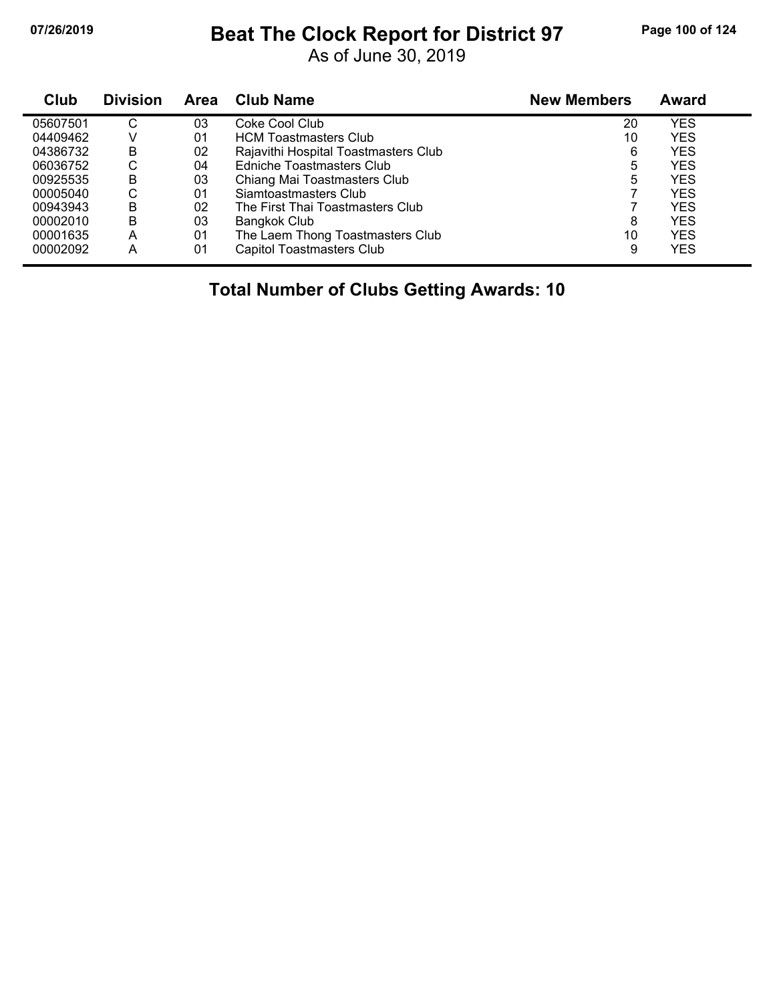## **07/26/2019 Beat The Clock Report for District 97 Page 100 of 124**

As of June 30, 2019

| Club     | <b>Division</b> | <b>Area</b> | <b>Club Name</b>                     | <b>New Members</b> | Award      |  |
|----------|-----------------|-------------|--------------------------------------|--------------------|------------|--|
| 05607501 | С               | 03          | Coke Cool Club                       | 20                 | YES        |  |
| 04409462 | V               | 01          | <b>HCM Toastmasters Club</b>         | 10                 | <b>YES</b> |  |
| 04386732 | B               | 02          | Rajavithi Hospital Toastmasters Club | 6                  | <b>YES</b> |  |
| 06036752 | С               | 04          | Edniche Toastmasters Club            | 5                  | YES.       |  |
| 00925535 | в               | 03          | Chiang Mai Toastmasters Club         | 5                  | YES        |  |
| 00005040 | С               | 01          | Siamtoastmasters Club                |                    | YES        |  |
| 00943943 | в               | 02          | The First Thai Toastmasters Club     |                    | YES        |  |
| 00002010 | B               | 03          | Bangkok Club                         | 8                  | <b>YES</b> |  |
| 00001635 | А               | 01          | The Laem Thong Toastmasters Club     | 10                 | YES.       |  |
| 00002092 | А               | 01          | <b>Capitol Toastmasters Club</b>     | 9                  | YES        |  |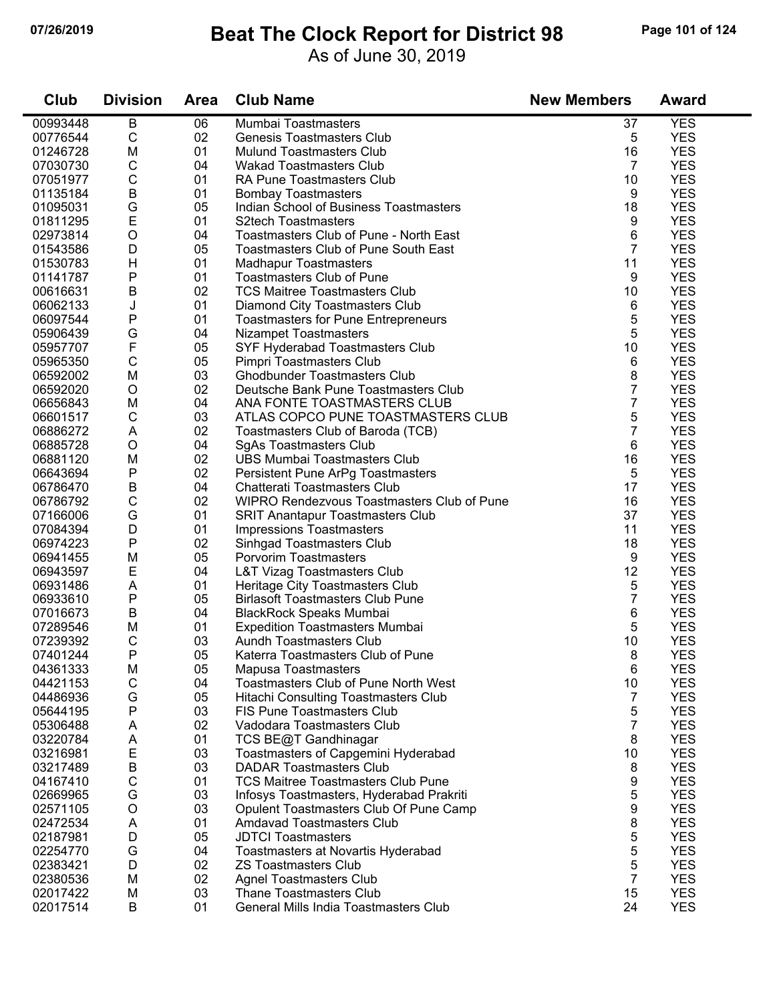### **07/26/2019 Beat The Clock Report for District 98 Page 101 of 124**

As of June 30, 2019

| Club     | <b>Division</b> | <b>Area</b> | <b>Club Name</b>                            | <b>New Members</b> | <b>Award</b> |
|----------|-----------------|-------------|---------------------------------------------|--------------------|--------------|
| 00993448 | В               | 06          | Mumbai Toastmasters                         | 37                 | <b>YES</b>   |
| 00776544 | $\mathsf C$     | 02          | <b>Genesis Toastmasters Club</b>            | 5                  | <b>YES</b>   |
| 01246728 | M               | 01          | <b>Mulund Toastmasters Club</b>             | 16                 | <b>YES</b>   |
| 07030730 | С               | 04          | <b>Wakad Toastmasters Club</b>              | 7                  | <b>YES</b>   |
| 07051977 | C               | 01          | RA Pune Toastmasters Club                   | 10                 | <b>YES</b>   |
| 01135184 | $\sf B$         | 01          | <b>Bombay Toastmasters</b>                  | 9                  | <b>YES</b>   |
| 01095031 | G               | 05          | Indian School of Business Toastmasters      | 18                 | <b>YES</b>   |
| 01811295 | $\mathsf E$     | 01          | <b>S2tech Toastmasters</b>                  | 9                  | <b>YES</b>   |
| 02973814 | O               | 04          | Toastmasters Club of Pune - North East      | 6                  | <b>YES</b>   |
| 01543586 | D               | 05          | <b>Toastmasters Club of Pune South East</b> | $\overline{7}$     | <b>YES</b>   |
| 01530783 | H               | 01          | <b>Madhapur Toastmasters</b>                | 11                 | <b>YES</b>   |
| 01141787 | P               | 01          | <b>Toastmasters Club of Pune</b>            | 9                  | <b>YES</b>   |
| 00616631 | B               | 02          | <b>TCS Maitree Toastmasters Club</b>        | 10                 | <b>YES</b>   |
| 06062133 | J               | 01          | Diamond City Toastmasters Club              | 6                  | <b>YES</b>   |
| 06097544 | Ρ               | 01          | <b>Toastmasters for Pune Entrepreneurs</b>  | 5                  | <b>YES</b>   |
| 05906439 | G               | 04          | Nizampet Toastmasters                       | 5                  | <b>YES</b>   |
| 05957707 | $\mathsf F$     | 05          | SYF Hyderabad Toastmasters Club             | 10                 | <b>YES</b>   |
| 05965350 | $\mathsf{C}$    | 05          | Pimpri Toastmasters Club                    | 6                  | <b>YES</b>   |
| 06592002 | M               | 03          | <b>Ghodbunder Toastmasters Club</b>         | 8                  | <b>YES</b>   |
| 06592020 | O               | 02          | Deutsche Bank Pune Toastmasters Club        | 7                  | <b>YES</b>   |
| 06656843 | M               | 04          | ANA FONTE TOASTMASTERS CLUB                 | 7                  | <b>YES</b>   |
| 06601517 | C               | 03          | ATLAS COPCO PUNE TOASTMASTERS CLUB          | 5                  | <b>YES</b>   |
| 06886272 | A               | 02          | Toastmasters Club of Baroda (TCB)           | 7                  | <b>YES</b>   |
| 06885728 | O               | 04          | <b>SgAs Toastmasters Club</b>               | 6                  | <b>YES</b>   |
| 06881120 | M               | 02          | <b>UBS Mumbai Toastmasters Club</b>         | 16                 | <b>YES</b>   |
| 06643694 | P               | 02          | Persistent Pune ArPg Toastmasters           | 5                  | <b>YES</b>   |
| 06786470 | $\sf B$         | 04          | Chatterati Toastmasters Club                | 17                 | <b>YES</b>   |
| 06786792 | $\mathsf C$     | 02          | WIPRO Rendezvous Toastmasters Club of Pune  | 16                 | <b>YES</b>   |
| 07166006 | G               | 01          | <b>SRIT Anantapur Toastmasters Club</b>     | 37                 | <b>YES</b>   |
| 07084394 | D               | 01          | <b>Impressions Toastmasters</b>             | 11                 | <b>YES</b>   |
| 06974223 | P               | 02          | Sinhgad Toastmasters Club                   | 18                 | <b>YES</b>   |
| 06941455 | M               | 05          | Porvorim Toastmasters                       | 9                  | <b>YES</b>   |
| 06943597 | E               | 04          | <b>L&amp;T Vizag Toastmasters Club</b>      | 12                 | <b>YES</b>   |
| 06931486 | A               | 01          | Heritage City Toastmasters Club             | 5                  | <b>YES</b>   |
| 06933610 | P               | 05          | <b>Birlasoft Toastmasters Club Pune</b>     | 7                  | <b>YES</b>   |
| 07016673 | B               | 04          | <b>BlackRock Speaks Mumbai</b>              | 6                  | <b>YES</b>   |
| 07289546 | M               | 01          | <b>Expedition Toastmasters Mumbai</b>       | 5                  | <b>YES</b>   |
| 07239392 | C               | 03          | Aundh Toastmasters Club                     | 10                 | <b>YES</b>   |
| 07401244 | P               | 05          | Katerra Toastmasters Club of Pune           | 8                  | <b>YES</b>   |
| 04361333 | M               | 05          | Mapusa Toastmasters                         | 6                  | <b>YES</b>   |
| 04421153 | C               | 04          | <b>Toastmasters Club of Pune North West</b> | 10                 | <b>YES</b>   |
| 04486936 | G               | 05          | Hitachi Consulting Toastmasters Club        | 7                  | <b>YES</b>   |
| 05644195 | Ρ               | 03          | <b>FIS Pune Toastmasters Club</b>           | 5                  | <b>YES</b>   |
| 05306488 | A               | 02          | Vadodara Toastmasters Club                  | $\overline{7}$     | <b>YES</b>   |
| 03220784 | A               | 01          | TCS BE@T Gandhinagar                        | 8                  | <b>YES</b>   |
| 03216981 | E               | 03          | Toastmasters of Capgemini Hyderabad         | 10                 | <b>YES</b>   |
| 03217489 | B               | 03          | <b>DADAR Toastmasters Club</b>              | 8                  | <b>YES</b>   |
| 04167410 | С               | 01          | <b>TCS Maitree Toastmasters Club Pune</b>   | 9                  | <b>YES</b>   |
| 02669965 | G               | 03          | Infosys Toastmasters, Hyderabad Prakriti    | 5                  | <b>YES</b>   |
| 02571105 | $\mathsf O$     | 03          | Opulent Toastmasters Club Of Pune Camp      | 9                  | <b>YES</b>   |
| 02472534 | A               | 01          | <b>Amdavad Toastmasters Club</b>            | 8                  | <b>YES</b>   |
| 02187981 | D               | 05          | <b>JDTCI Toastmasters</b>                   | 5                  | <b>YES</b>   |
| 02254770 | G               | 04          | Toastmasters at Novartis Hyderabad          | 5                  | <b>YES</b>   |
| 02383421 | D               | 02          | <b>ZS Toastmasters Club</b>                 | 5                  | <b>YES</b>   |
| 02380536 | M               | 02          | <b>Agnel Toastmasters Club</b>              | $\overline{7}$     | <b>YES</b>   |
| 02017422 | M               | 03          | Thane Toastmasters Club                     | 15                 | <b>YES</b>   |
|          | B               | 01          | General Mills India Toastmasters Club       | 24                 | <b>YES</b>   |
| 02017514 |                 |             |                                             |                    |              |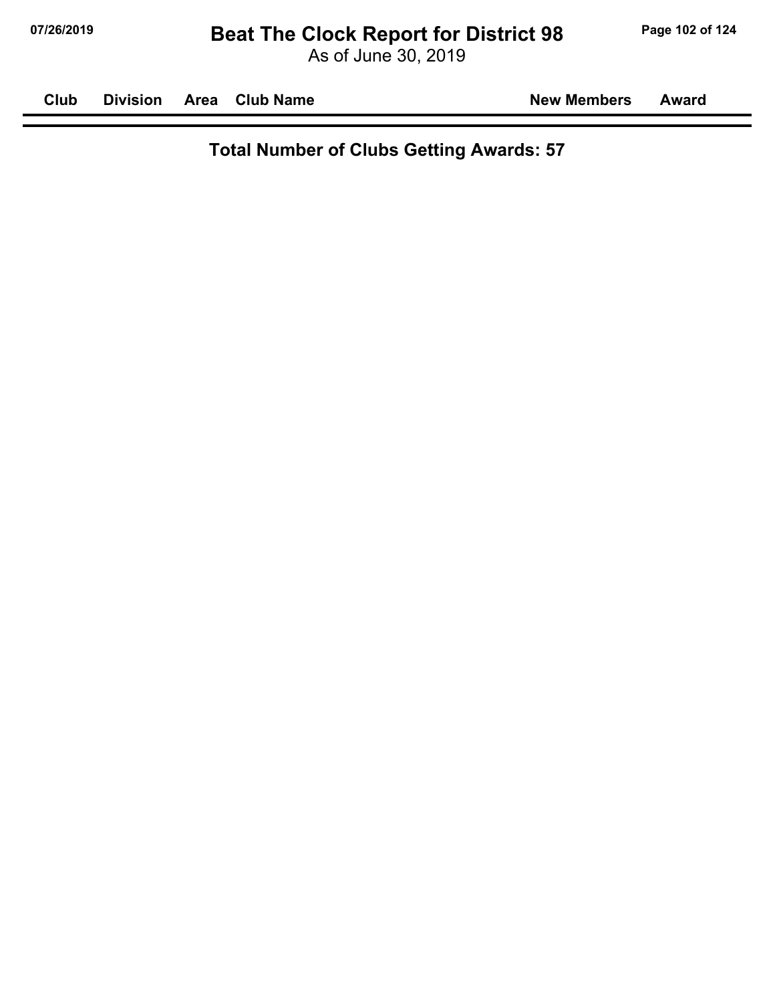As of June 30, 2019

| Club | <b>Division</b> | <b>Area</b> | <b>Club Name</b> |  |
|------|-----------------|-------------|------------------|--|
|------|-----------------|-------------|------------------|--|

**New Members Award**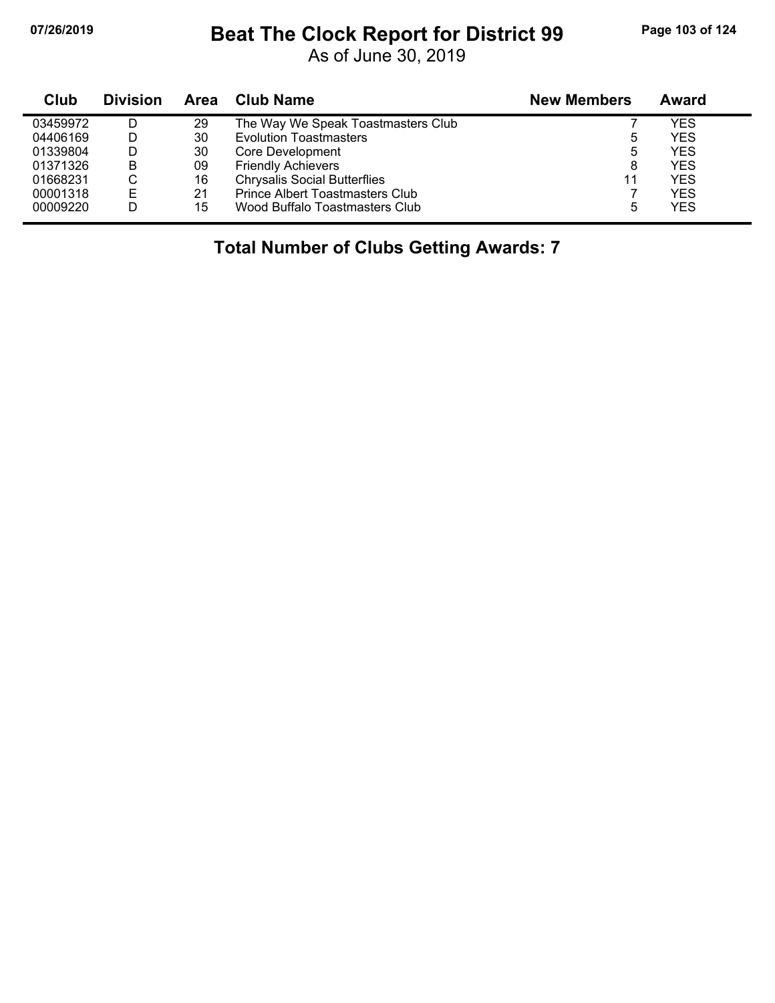## **07/26/2019 Beat The Clock Report for District 99 Page 103 of 124**

As of June 30, 2019

| Club     | <b>Division</b> | Area | <b>Club Name</b>                    | <b>New Members</b> | Award      |
|----------|-----------------|------|-------------------------------------|--------------------|------------|
| 03459972 |                 | 29   | The Way We Speak Toastmasters Club  |                    | YES        |
| 04406169 | D               | 30   | <b>Evolution Toastmasters</b>       | 5                  | <b>YES</b> |
| 01339804 | D               | 30   | Core Development                    | 5                  | <b>YES</b> |
| 01371326 | B               | 09   | <b>Friendly Achievers</b>           | 8                  | <b>YES</b> |
| 01668231 | С               | 16   | <b>Chrysalis Social Butterflies</b> | 11                 | <b>YES</b> |
| 00001318 | Е               | 21   | Prince Albert Toastmasters Club     |                    | <b>YES</b> |
| 00009220 | D               | 15   | Wood Buffalo Toastmasters Club      | 5                  | <b>YES</b> |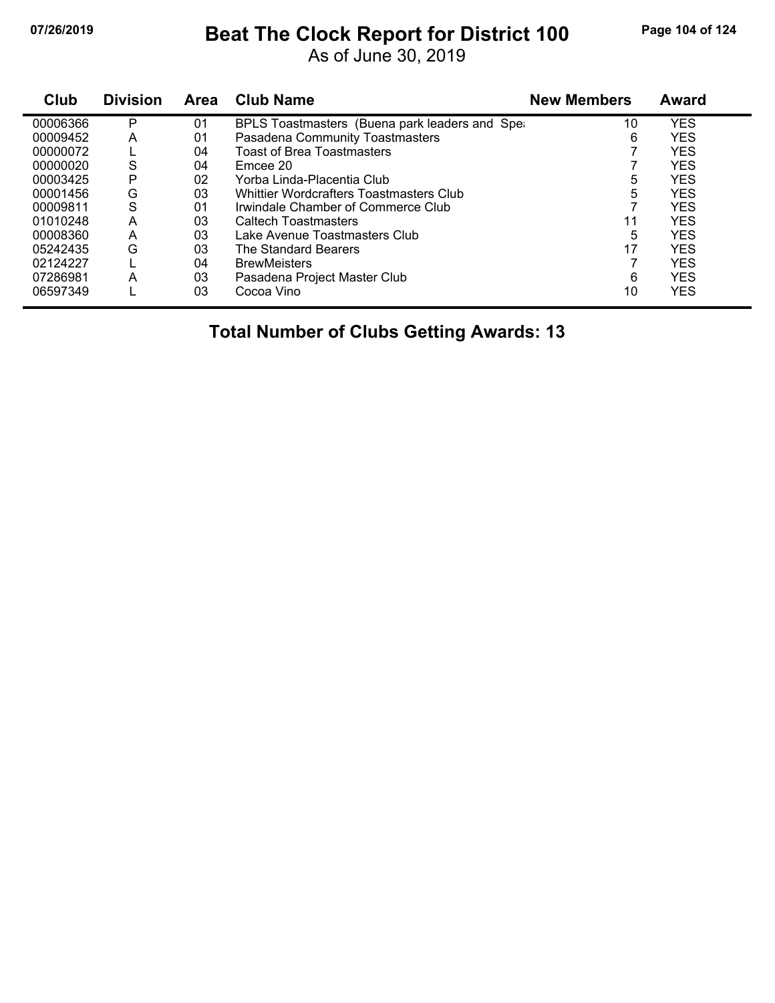## **07/26/2019 Beat The Clock Report for District 100 Page 104 of 124**

As of June 30, 2019

| Club     | <b>Division</b> | <b>Area</b> | <b>Club Name</b>                               | <b>New Members</b> | Award      |
|----------|-----------------|-------------|------------------------------------------------|--------------------|------------|
| 00006366 | P               | 01          | BPLS Toastmasters (Buena park leaders and Sper | 10                 | YES        |
| 00009452 | A               | 01          | Pasadena Community Toastmasters                | 6                  | <b>YES</b> |
| 00000072 |                 | 04          | Toast of Brea Toastmasters                     |                    | <b>YES</b> |
| 00000020 | S               | 04          | Emcee 20                                       |                    | <b>YES</b> |
| 00003425 | P               | 02          | Yorba Linda-Placentia Club                     | 5                  | <b>YES</b> |
| 00001456 | G               | 03          | Whittier Wordcrafters Toastmasters Club        | 5                  | <b>YES</b> |
| 00009811 | S               | 01          | Irwindale Chamber of Commerce Club             |                    | <b>YES</b> |
| 01010248 | A               | 03          | <b>Caltech Toastmasters</b>                    | 11                 | <b>YES</b> |
| 00008360 | A               | 03          | Lake Avenue Toastmasters Club                  | 5                  | <b>YES</b> |
| 05242435 | G               | 03          | The Standard Bearers                           | 17                 | <b>YES</b> |
| 02124227 |                 | 04          | <b>BrewMeisters</b>                            |                    | <b>YES</b> |
| 07286981 | A               | 03          | Pasadena Project Master Club                   | 6                  | <b>YES</b> |
| 06597349 |                 | 03          | Cocoa Vino                                     | 10                 | <b>YES</b> |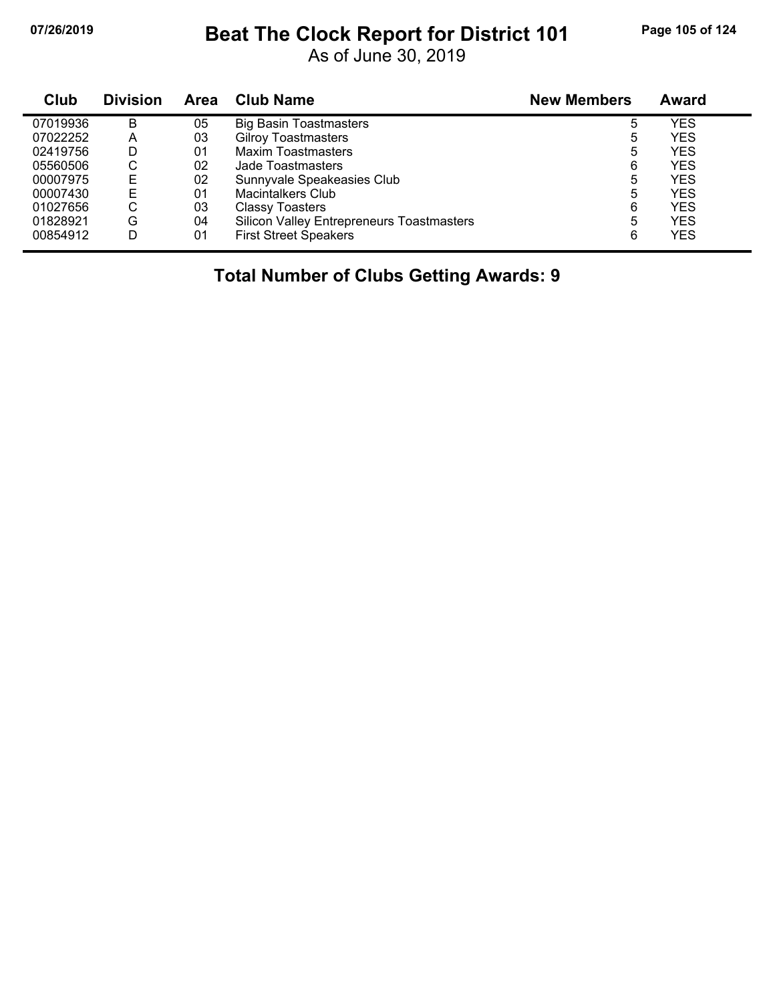## **07/26/2019 Beat The Clock Report for District 101 Page 105 of 124**

As of June 30, 2019

| Club     | <b>Division</b> | <b>Area</b> | <b>Club Name</b>                                 | <b>New Members</b> | Award      |
|----------|-----------------|-------------|--------------------------------------------------|--------------------|------------|
| 07019936 | B               | 05          | <b>Big Basin Toastmasters</b>                    | 5                  | <b>YES</b> |
| 07022252 | A               | 03          | <b>Gilroy Toastmasters</b>                       | 5                  | <b>YES</b> |
| 02419756 | D               | 01          | Maxim Toastmasters                               | 5                  | <b>YES</b> |
| 05560506 | С               | 02          | Jade Toastmasters                                | 6                  | <b>YES</b> |
| 00007975 | Е               | 02          | Sunnyvale Speakeasies Club                       | 5                  | <b>YES</b> |
| 00007430 | Е               | 01          | Macintalkers Club                                | 5                  | <b>YES</b> |
| 01027656 | С               | 03          | <b>Classy Toasters</b>                           | 6                  | <b>YES</b> |
| 01828921 | G               | 04          | <b>Silicon Valley Entrepreneurs Toastmasters</b> | 5                  | <b>YES</b> |
| 00854912 | D               | 01          | <b>First Street Speakers</b>                     | 6                  | <b>YES</b> |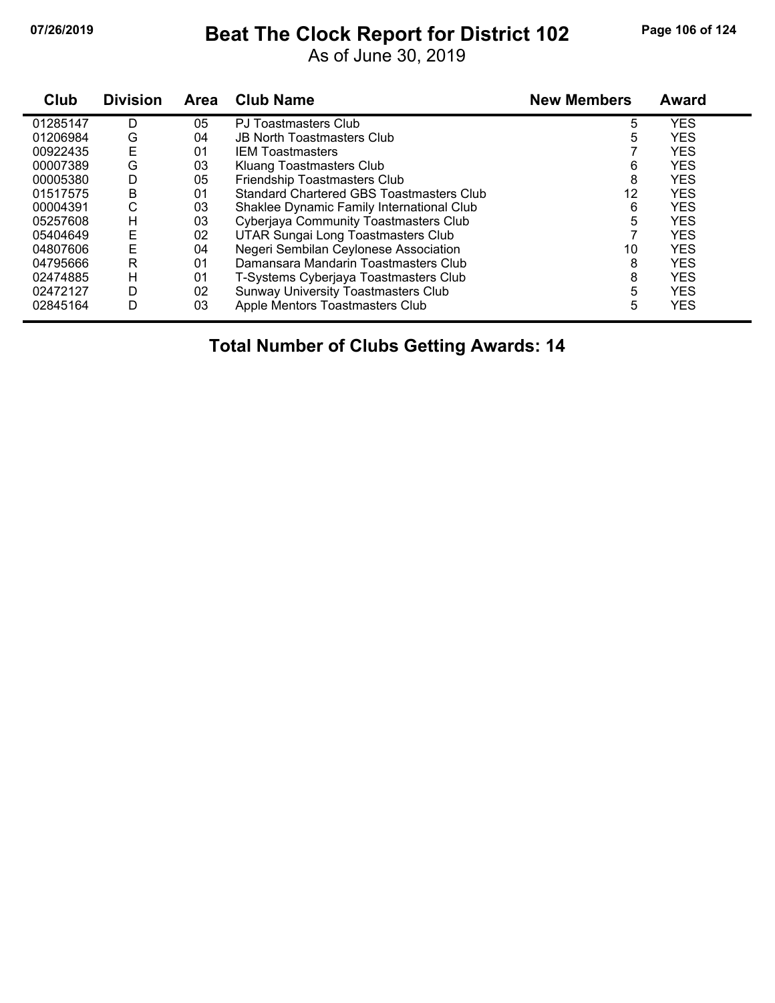### **07/26/2019 Beat The Clock Report for District 102 Page 106 of 124**

As of June 30, 2019

| Club     | <b>Division</b> | Area | <b>Club Name</b>                          | <b>New Members</b> | <b>Award</b> |  |
|----------|-----------------|------|-------------------------------------------|--------------------|--------------|--|
| 01285147 | D               | 05   | PJ Toastmasters Club                      | 5                  | YES          |  |
| 01206984 | G               | 04   | <b>JB North Toastmasters Club</b>         | 5                  | <b>YES</b>   |  |
| 00922435 | Е               | 01   | <b>IEM Toastmasters</b>                   |                    | <b>YES</b>   |  |
| 00007389 | G               | 03   | Kluang Toastmasters Club                  | 6                  | <b>YES</b>   |  |
| 00005380 | D               | 05   | Friendship Toastmasters Club              | 8                  | <b>YES</b>   |  |
| 01517575 | B               | 01   | Standard Chartered GBS Toastmasters Club  | 12                 | <b>YES</b>   |  |
| 00004391 | С               | 03   | Shaklee Dynamic Family International Club | 6                  | <b>YES</b>   |  |
| 05257608 | H               | 03   | Cyberjaya Community Toastmasters Club     | 5                  | <b>YES</b>   |  |
| 05404649 | Е               | 02   | UTAR Sungai Long Toastmasters Club        |                    | <b>YES</b>   |  |
| 04807606 | E               | 04   | Negeri Sembilan Ceylonese Association     | 10                 | <b>YES</b>   |  |
| 04795666 | R               | 01   | Damansara Mandarin Toastmasters Club      | 8                  | <b>YES</b>   |  |
| 02474885 | H               | 01   | T-Systems Cyberjaya Toastmasters Club     | 8                  | <b>YES</b>   |  |
| 02472127 | D               | 02   | Sunway University Toastmasters Club       | 5                  | <b>YES</b>   |  |
| 02845164 | D               | 03   | Apple Mentors Toastmasters Club           | 5                  | <b>YES</b>   |  |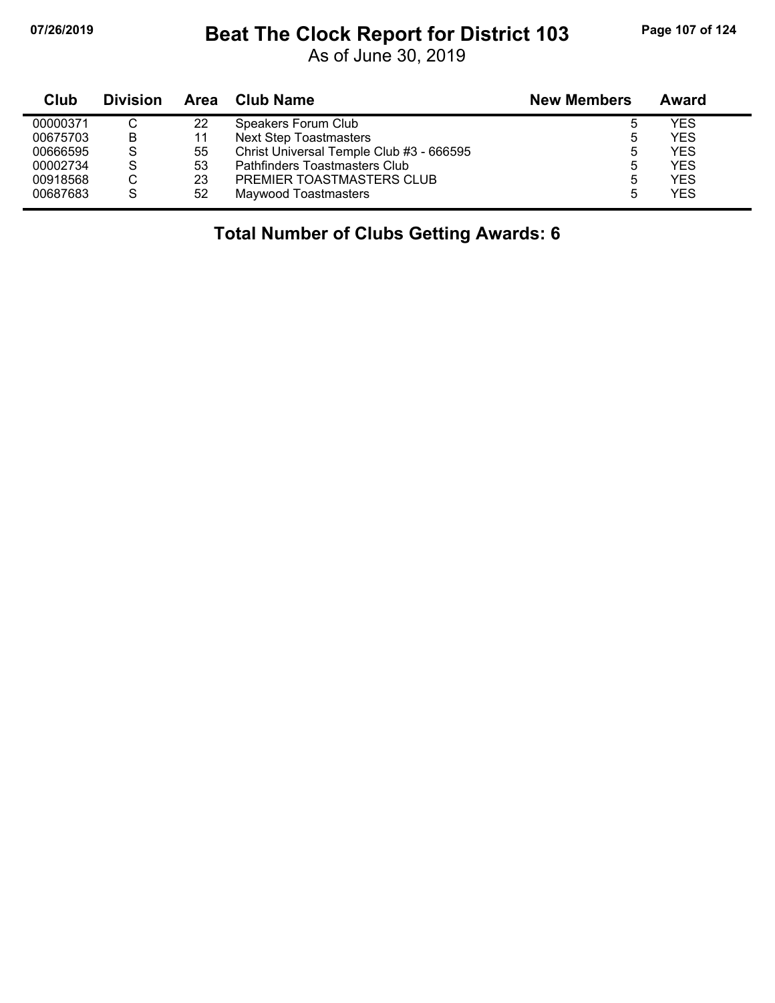## **07/26/2019 Beat The Clock Report for District 103 Page 107 of 124**

As of June 30, 2019

| Club     | <b>Division</b> |    | Area Club Name                           | <b>New Members</b> | Award      |
|----------|-----------------|----|------------------------------------------|--------------------|------------|
| 00000371 |                 | 22 | Speakers Forum Club                      | 5                  | <b>YES</b> |
| 00675703 | B               | 11 | <b>Next Step Toastmasters</b>            | ხ                  | <b>YES</b> |
| 00666595 | S               | 55 | Christ Universal Temple Club #3 - 666595 | 5                  | YES.       |
| 00002734 | S               | 53 | Pathfinders Toastmasters Club            | 5                  | <b>YES</b> |
| 00918568 | C               | 23 | PREMIER TOASTMASTERS CLUB                | 5                  | YFS        |
| 00687683 | S               | 52 | Maywood Toastmasters                     | 5                  | <b>YES</b> |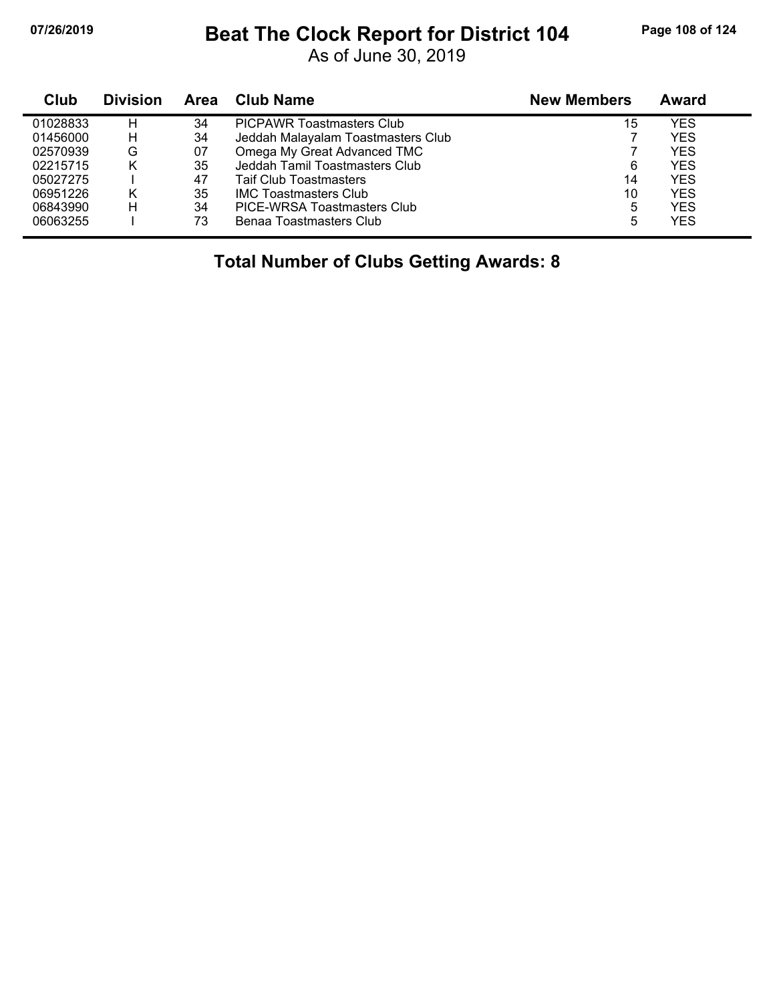## **07/26/2019 Beat The Clock Report for District 104 Page 108 of 124**

As of June 30, 2019

| Club     | <b>Division</b> | Area | <b>Club Name</b>                   | <b>New Members</b> | Award      |
|----------|-----------------|------|------------------------------------|--------------------|------------|
| 01028833 | н               | 34   | <b>PICPAWR Toastmasters Club</b>   | 15                 | YES        |
| 01456000 | н               | 34   | Jeddah Malayalam Toastmasters Club |                    | <b>YES</b> |
| 02570939 | G               | 07   | Omega My Great Advanced TMC        |                    | <b>YES</b> |
| 02215715 | Κ               | 35   | Jeddah Tamil Toastmasters Club     | 6                  | <b>YES</b> |
| 05027275 |                 | 47   | <b>Taif Club Toastmasters</b>      | 14                 | <b>YES</b> |
| 06951226 | Κ               | 35   | <b>IMC Toastmasters Club</b>       | 10                 | <b>YES</b> |
| 06843990 | н               | 34   | PICE-WRSA Toastmasters Club        | 5                  | <b>YES</b> |
| 06063255 |                 | 73   | Benaa Toastmasters Club            | 5                  | <b>YES</b> |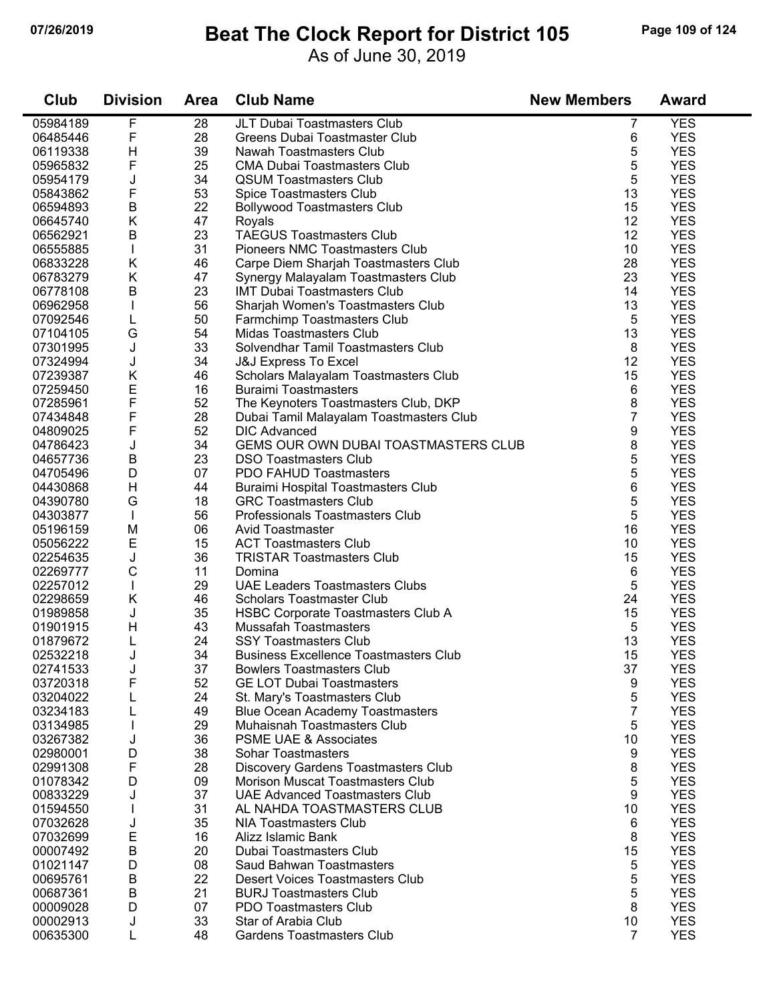#### **07/26/2019 Beat The Clock Report for District 105 Page 109 of 124**

As of June 30, 2019

| Club     | <b>Division</b> | <b>Area</b> | <b>Club Name</b>                             | <b>New Members</b> | <b>Award</b> |
|----------|-----------------|-------------|----------------------------------------------|--------------------|--------------|
| 05984189 | F               | 28          | JLT Dubai Toastmasters Club                  | 7                  | <b>YES</b>   |
| 06485446 | F               | 28          | Greens Dubai Toastmaster Club                | 6                  | <b>YES</b>   |
| 06119338 | Н               | 39          | Nawah Toastmasters Club                      | 5                  | <b>YES</b>   |
| 05965832 | F               | 25          | <b>CMA Dubai Toastmasters Club</b>           | 5                  | <b>YES</b>   |
| 05954179 | J               | 34          | <b>QSUM Toastmasters Club</b>                | 5                  | <b>YES</b>   |
| 05843862 | F               | 53          | Spice Toastmasters Club                      | 13                 | <b>YES</b>   |
| 06594893 | $\sf B$         | 22          | <b>Bollywood Toastmasters Club</b>           | 15                 | <b>YES</b>   |
| 06645740 | Κ               | 47          | Royals                                       | 12                 | <b>YES</b>   |
| 06562921 | B               | 23          | <b>TAEGUS Toastmasters Club</b>              | 12                 | <b>YES</b>   |
| 06555885 |                 | 31          | <b>Pioneers NMC Toastmasters Club</b>        | 10                 | <b>YES</b>   |
| 06833228 | Κ               | 46          | Carpe Diem Sharjah Toastmasters Club         | 28                 | <b>YES</b>   |
| 06783279 | Κ               | 47          | Synergy Malayalam Toastmasters Club          | 23                 | <b>YES</b>   |
| 06778108 | B               | 23          | <b>IMT Dubai Toastmasters Club</b>           | 14                 | <b>YES</b>   |
| 06962958 |                 | 56          | Sharjah Women's Toastmasters Club            | 13                 | <b>YES</b>   |
| 07092546 | L               | 50          | Farmchimp Toastmasters Club                  | 5                  | <b>YES</b>   |
| 07104105 | G               | 54          | Midas Toastmasters Club                      | 13                 | <b>YES</b>   |
| 07301995 | J               | 33          | Solvendhar Tamil Toastmasters Club           | 8                  | <b>YES</b>   |
| 07324994 | J               | 34          | <b>J&amp;J Express To Excel</b>              | 12                 | <b>YES</b>   |
| 07239387 | Κ               | 46          | Scholars Malayalam Toastmasters Club         | 15                 | <b>YES</b>   |
| 07259450 | E               | 16          | <b>Buraimi Toastmasters</b>                  | 6                  | <b>YES</b>   |
| 07285961 | F               | 52          | The Keynoters Toastmasters Club, DKP         | 8                  | <b>YES</b>   |
| 07434848 | F               | 28          | Dubai Tamil Malayalam Toastmasters Club      | 7                  | <b>YES</b>   |
| 04809025 | F               | 52          | <b>DIC Advanced</b>                          | 9                  | <b>YES</b>   |
| 04786423 | J               | 34          | GEMS OUR OWN DUBAI TOASTMASTERS CLUB         | 8                  | <b>YES</b>   |
| 04657736 | B               | 23          | <b>DSO Toastmasters Club</b>                 | 5                  | <b>YES</b>   |
| 04705496 | D               | 07          | <b>PDO FAHUD Toastmasters</b>                | 5                  | <b>YES</b>   |
| 04430868 | Н               | 44          | Buraimi Hospital Toastmasters Club           | 6                  | <b>YES</b>   |
| 04390780 | G               | 18          | <b>GRC Toastmasters Club</b>                 | 5                  | <b>YES</b>   |
| 04303877 |                 | 56          | Professionals Toastmasters Club              | 5                  | <b>YES</b>   |
| 05196159 | M               | 06          | <b>Avid Toastmaster</b>                      | 16                 | <b>YES</b>   |
| 05056222 | E               | 15          | <b>ACT Toastmasters Club</b>                 | 10                 | <b>YES</b>   |
| 02254635 | J               | 36          | <b>TRISTAR Toastmasters Club</b>             | 15                 | <b>YES</b>   |
| 02269777 | $\mathsf C$     | 11          | Domina                                       | 6                  | <b>YES</b>   |
| 02257012 |                 | 29          | <b>UAE Leaders Toastmasters Clubs</b>        | 5                  | <b>YES</b>   |
| 02298659 | Κ               | 46          | <b>Scholars Toastmaster Club</b>             | 24                 | <b>YES</b>   |
| 01989858 | J               | 35          | HSBC Corporate Toastmasters Club A           | 15                 | <b>YES</b>   |
| 01901915 | H               | 43          | <b>Mussafah Toastmasters</b>                 | 5                  | <b>YES</b>   |
| 01879672 | L               | 24          | <b>SSY Toastmasters Club</b>                 | 13                 | <b>YES</b>   |
| 02532218 | J               | 34          | <b>Business Excellence Toastmasters Club</b> | 15                 | <b>YES</b>   |
| 02741533 | J               | 37          | <b>Bowlers Toastmasters Club</b>             | 37                 | <b>YES</b>   |
| 03720318 | F               | 52          | <b>GE LOT Dubai Toastmasters</b>             | 9                  | <b>YES</b>   |
| 03204022 | L               | 24          | St. Mary's Toastmasters Club                 | 5                  | <b>YES</b>   |
| 03234183 |                 | 49          | <b>Blue Ocean Academy Toastmasters</b>       | $\overline{7}$     | <b>YES</b>   |
| 03134985 |                 | 29          | Muhaisnah Toastmasters Club                  | 5                  | <b>YES</b>   |
| 03267382 | J               | 36          | <b>PSME UAE &amp; Associates</b>             | 10                 | <b>YES</b>   |
| 02980001 | D               | 38          | <b>Sohar Toastmasters</b>                    | 9                  | <b>YES</b>   |
| 02991308 | F               | 28          | <b>Discovery Gardens Toastmasters Club</b>   | 8                  | <b>YES</b>   |
| 01078342 | D               | 09          | <b>Morison Muscat Toastmasters Club</b>      | 5                  | <b>YES</b>   |
| 00833229 | J               | 37          | <b>UAE Advanced Toastmasters Club</b>        | 9                  | <b>YES</b>   |
| 01594550 |                 | 31          | AL NAHDA TOASTMASTERS CLUB                   | 10                 | <b>YES</b>   |
| 07032628 | J               | 35          | <b>NIA Toastmasters Club</b>                 | 6                  | <b>YES</b>   |
| 07032699 | E               | 16          | Alizz Islamic Bank                           | 8                  | <b>YES</b>   |
| 00007492 | $\sf B$         | 20          | Dubai Toastmasters Club                      | 15                 | <b>YES</b>   |
| 01021147 | D               | 08          | Saud Bahwan Toastmasters                     | 5                  | <b>YES</b>   |
| 00695761 | B               | 22          | Desert Voices Toastmasters Club              | 5                  | <b>YES</b>   |
| 00687361 | B               | 21          | <b>BURJ Toastmasters Club</b>                | 5                  | <b>YES</b>   |
| 00009028 | D               | 07          | PDO Toastmasters Club                        | 8                  | <b>YES</b>   |
| 00002913 | J               | 33          | Star of Arabia Club                          | 10                 | <b>YES</b>   |
| 00635300 | L               | 48          | <b>Gardens Toastmasters Club</b>             | $\overline{7}$     | <b>YES</b>   |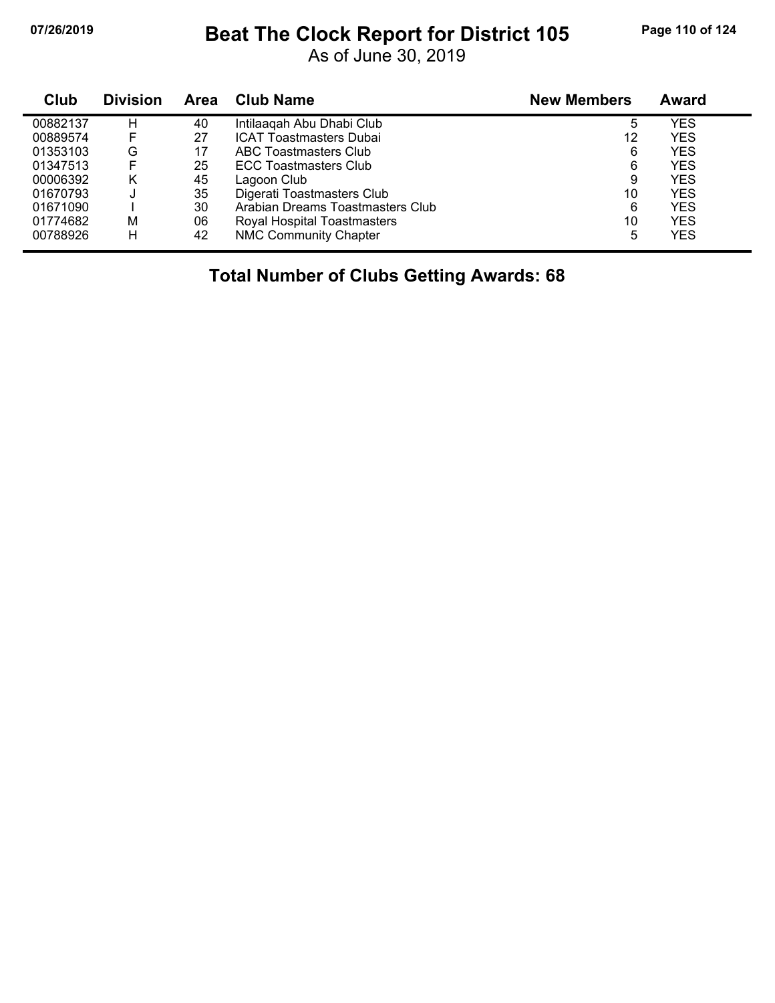#### **07/26/2019 Beat The Clock Report for District 105 Page 110 of 124**

As of June 30, 2019

| Club     | <b>Division</b> | Area | <b>Club Name</b>                 | <b>New Members</b> | <b>Award</b> |  |
|----------|-----------------|------|----------------------------------|--------------------|--------------|--|
| 00882137 | Н               | 40   | Intilaagah Abu Dhabi Club        | 5                  | YES          |  |
| 00889574 | F               | 27   | <b>ICAT Toastmasters Dubai</b>   | 12                 | YES          |  |
| 01353103 | G               | 17   | ABC Toastmasters Club            | 6                  | <b>YES</b>   |  |
| 01347513 | E               | 25   | <b>ECC Toastmasters Club</b>     | 6                  | <b>YES</b>   |  |
| 00006392 | κ               | 45   | Lagoon Club                      | 9                  | <b>YES</b>   |  |
| 01670793 |                 | 35   | Digerati Toastmasters Club       | 10                 | <b>YES</b>   |  |
| 01671090 |                 | 30   | Arabian Dreams Toastmasters Club | 6                  | <b>YES</b>   |  |
| 01774682 | M               | 06   | Royal Hospital Toastmasters      | 10                 | YES          |  |
| 00788926 | H               | 42   | <b>NMC Community Chapter</b>     | 5                  | YES          |  |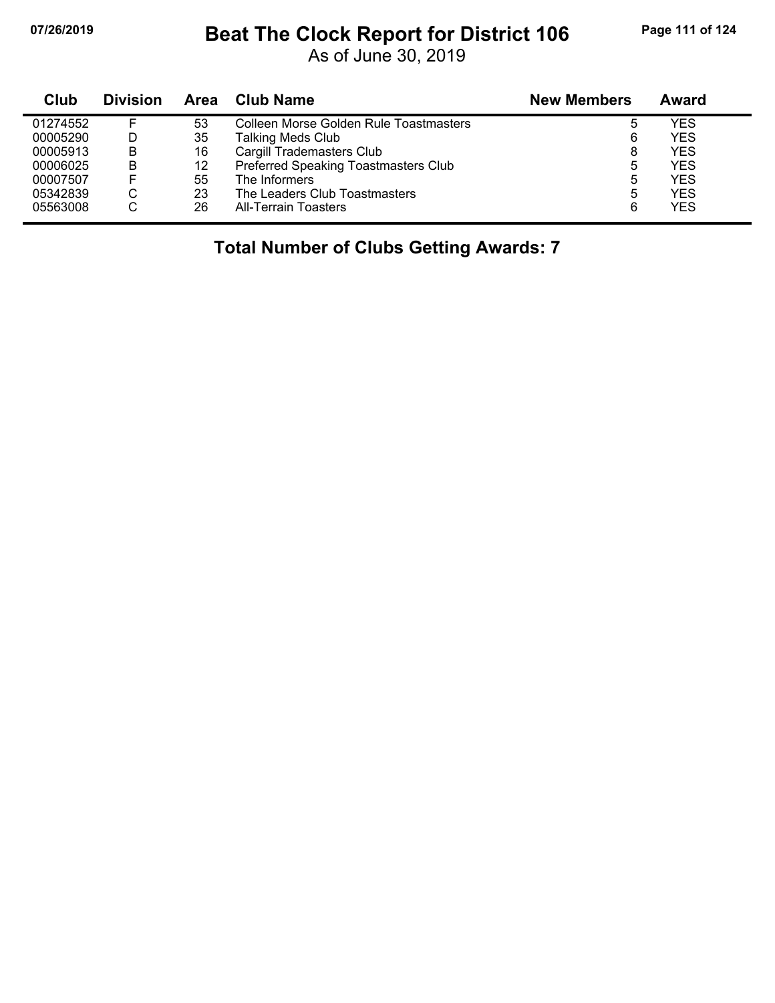## **07/26/2019 Beat The Clock Report for District 106 Page 111 of 124**

As of June 30, 2019

| Club     | <b>Division</b> | <b>Area</b> | <b>Club Name</b>                              | <b>New Members</b> | Award      |  |
|----------|-----------------|-------------|-----------------------------------------------|--------------------|------------|--|
| 01274552 | F               | 53          | <b>Colleen Morse Golden Rule Toastmasters</b> |                    | YES        |  |
| 00005290 | D               | 35          | Talking Meds Club                             | 6                  | <b>YES</b> |  |
| 00005913 | B               | 16          | Cargill Trademasters Club                     | 8                  | <b>YES</b> |  |
| 00006025 | B               | 12          | Preferred Speaking Toastmasters Club          | 5                  | <b>YES</b> |  |
| 00007507 | F               | 55          | The Informers                                 | 5                  | <b>YES</b> |  |
| 05342839 | С               | 23          | The Leaders Club Toastmasters                 | 5                  | <b>YES</b> |  |
| 05563008 | С               | 26          | <b>All-Terrain Toasters</b>                   | 6                  | <b>YES</b> |  |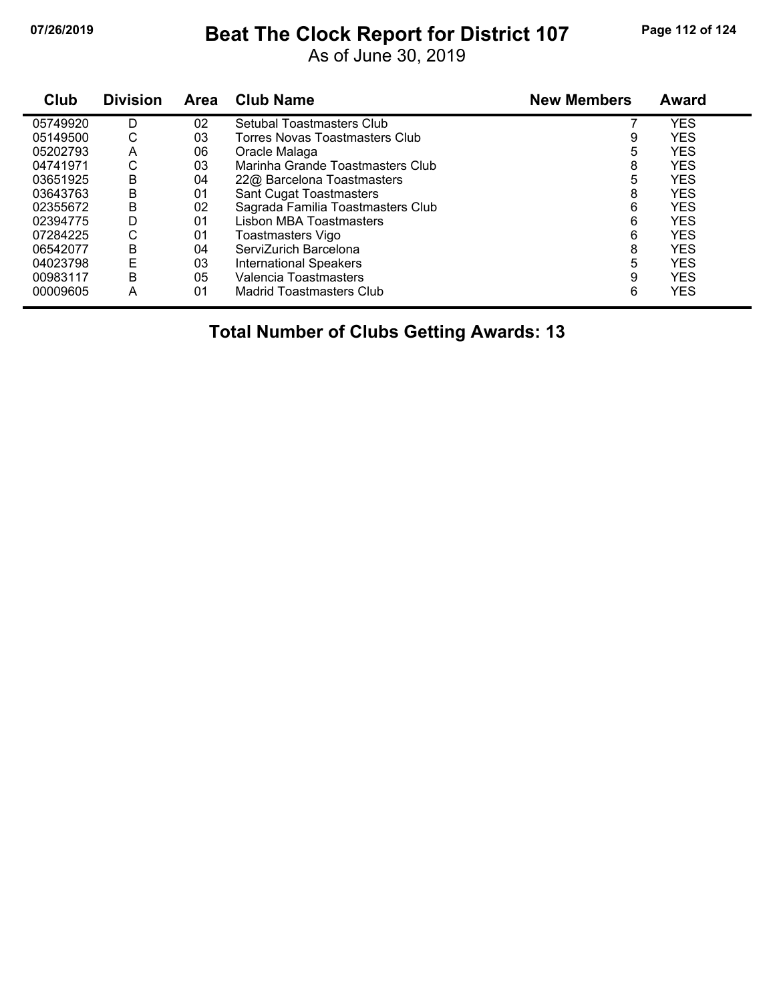#### **07/26/2019 Beat The Clock Report for District 107 Page 112 of 124**

As of June 30, 2019

| Club     | <b>Division</b> | <b>Area</b> | <b>Club Name</b>                  | <b>New Members</b> | <b>Award</b> |
|----------|-----------------|-------------|-----------------------------------|--------------------|--------------|
| 05749920 | D               | 02          | Setubal Toastmasters Club         |                    | YES          |
| 05149500 | С               | 03          | Torres Novas Toastmasters Club    | 9                  | <b>YES</b>   |
| 05202793 | Α               | 06          | Oracle Malaga                     | 5                  | <b>YES</b>   |
| 04741971 | С               | 03          | Marinha Grande Toastmasters Club  | 8                  | <b>YES</b>   |
| 03651925 | B               | 04          | 22@ Barcelona Toastmasters        | 5                  | <b>YES</b>   |
| 03643763 | В               | 01          | <b>Sant Cugat Toastmasters</b>    | 8                  | <b>YES</b>   |
| 02355672 | B               | 02          | Sagrada Familia Toastmasters Club | 6                  | <b>YES</b>   |
| 02394775 | D               | 01          | Lisbon MBA Toastmasters           | 6                  | <b>YES</b>   |
| 07284225 | С               | 01          | Toastmasters Vigo                 | 6                  | <b>YES</b>   |
| 06542077 | В               | 04          | ServiZurich Barcelona             | 8                  | <b>YES</b>   |
| 04023798 | E               | 03          | <b>International Speakers</b>     | 5                  | <b>YES</b>   |
| 00983117 | B               | 05          | Valencia Toastmasters             | 9                  | <b>YES</b>   |
| 00009605 | А               | 01          | <b>Madrid Toastmasters Club</b>   | 6                  | <b>YES</b>   |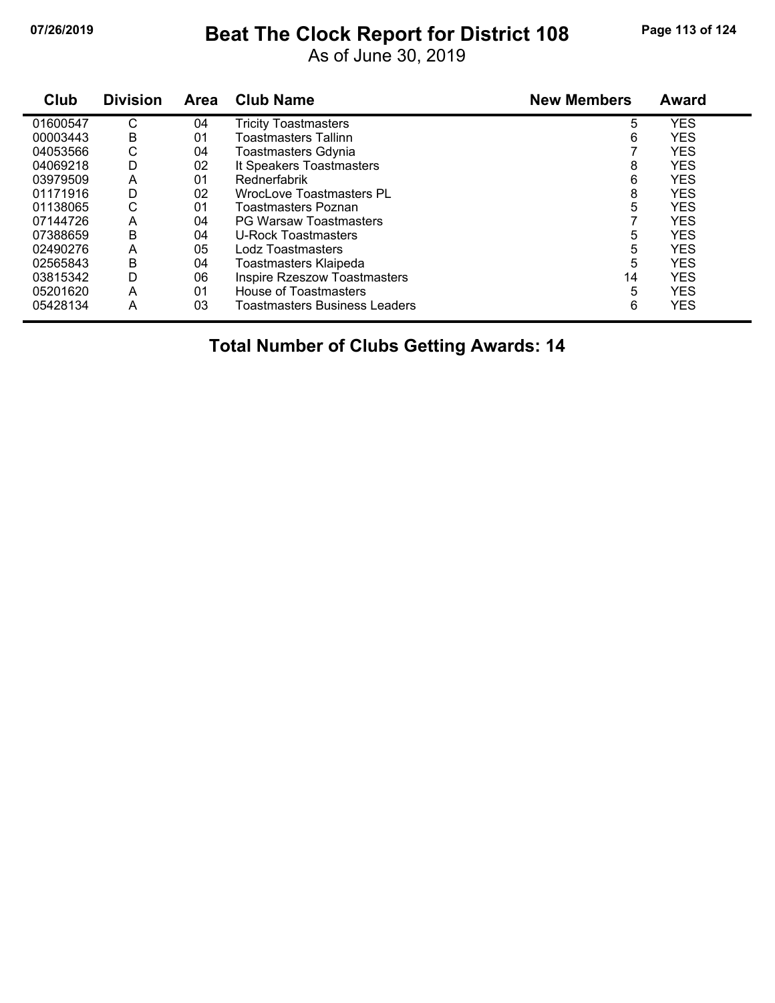#### **07/26/2019 Beat The Clock Report for District 108 Page 113 of 124**

As of June 30, 2019

| Club     | <b>Division</b> | Area | <b>Club Name</b>                     | <b>New Members</b> | Award      |
|----------|-----------------|------|--------------------------------------|--------------------|------------|
| 01600547 | С               | 04   | Tricity Toastmasters                 | 5                  | <b>YES</b> |
| 00003443 | B               | 01   | Toastmasters Tallinn                 | 6                  | <b>YES</b> |
| 04053566 | С               | 04   | <b>Toastmasters Gdynia</b>           |                    | <b>YES</b> |
| 04069218 | D               | 02   | It Speakers Toastmasters             | 8                  | <b>YES</b> |
| 03979509 | A               | 01   | Rednerfabrik                         | 6                  | <b>YES</b> |
| 01171916 | D               | 02   | <b>WrocLove Toastmasters PL</b>      | 8                  | <b>YES</b> |
| 01138065 | С               | 01   | Toastmasters Poznan                  | 5                  | <b>YES</b> |
| 07144726 | A               | 04   | <b>PG Warsaw Toastmasters</b>        |                    | <b>YES</b> |
| 07388659 | В               | 04   | <b>U-Rock Toastmasters</b>           | 5                  | <b>YES</b> |
| 02490276 | A               | 05   | Lodz Toastmasters                    | 5                  | <b>YES</b> |
| 02565843 | B               | 04   | Toastmasters Klaipeda                | 5                  | <b>YES</b> |
| 03815342 | D               | 06   | <b>Inspire Rzeszow Toastmasters</b>  | 14                 | <b>YES</b> |
| 05201620 | A               | 01   | House of Toastmasters                | 5                  | <b>YES</b> |
| 05428134 | Α               | 03   | <b>Toastmasters Business Leaders</b> | 6                  | <b>YES</b> |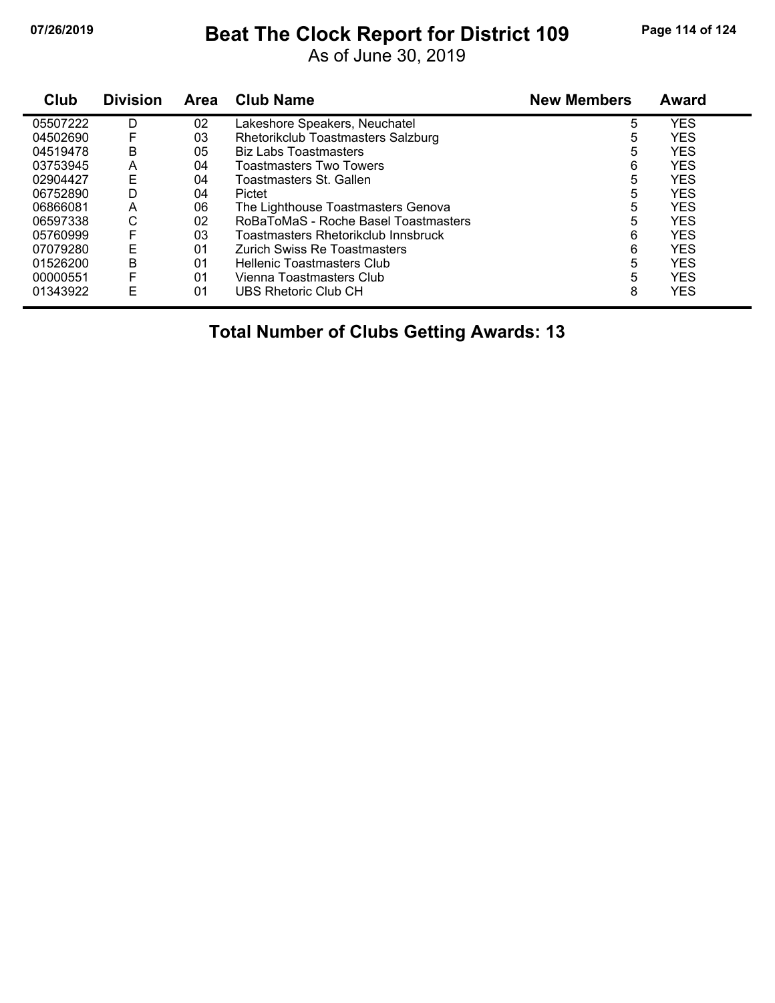#### **07/26/2019 Beat The Clock Report for District 109 Page 114 of 124**

As of June 30, 2019

| Club     | <b>Division</b> | <b>Area</b> | <b>Club Name</b>                           | <b>New Members</b> | <b>Award</b> |
|----------|-----------------|-------------|--------------------------------------------|--------------------|--------------|
| 05507222 | D               | 02          | Lakeshore Speakers, Neuchatel              | 5                  | <b>YES</b>   |
| 04502690 | F               | 03          | Rhetorikclub Toastmasters Salzburg         | 5                  | <b>YES</b>   |
| 04519478 | B               | 05          | <b>Biz Labs Toastmasters</b>               | 5                  | <b>YES</b>   |
| 03753945 | Α               | 04          | Toastmasters Two Towers                    | 6                  | <b>YES</b>   |
| 02904427 | E               | 04          | Toastmasters St. Gallen                    | 5                  | <b>YES</b>   |
| 06752890 | D               | 04          | Pictet                                     | 5                  | <b>YES</b>   |
| 06866081 | A               | 06          | The Lighthouse Toastmasters Genova         | 5                  | <b>YES</b>   |
| 06597338 | С               | 02          | RoBaToMaS - Roche Basel Toastmasters       | 5                  | <b>YES</b>   |
| 05760999 | F               | 03          | <b>Toastmasters Rhetorikclub Innsbruck</b> | 6                  | <b>YES</b>   |
| 07079280 | E               | 01          | Zurich Swiss Re Toastmasters               | 6                  | <b>YES</b>   |
| 01526200 | B               | 01          | Hellenic Toastmasters Club                 | 5                  | <b>YES</b>   |
| 00000551 | F               | 01          | Vienna Toastmasters Club                   | 5                  | <b>YES</b>   |
| 01343922 | E               | 01          | UBS Rhetoric Club CH                       | 8                  | <b>YES</b>   |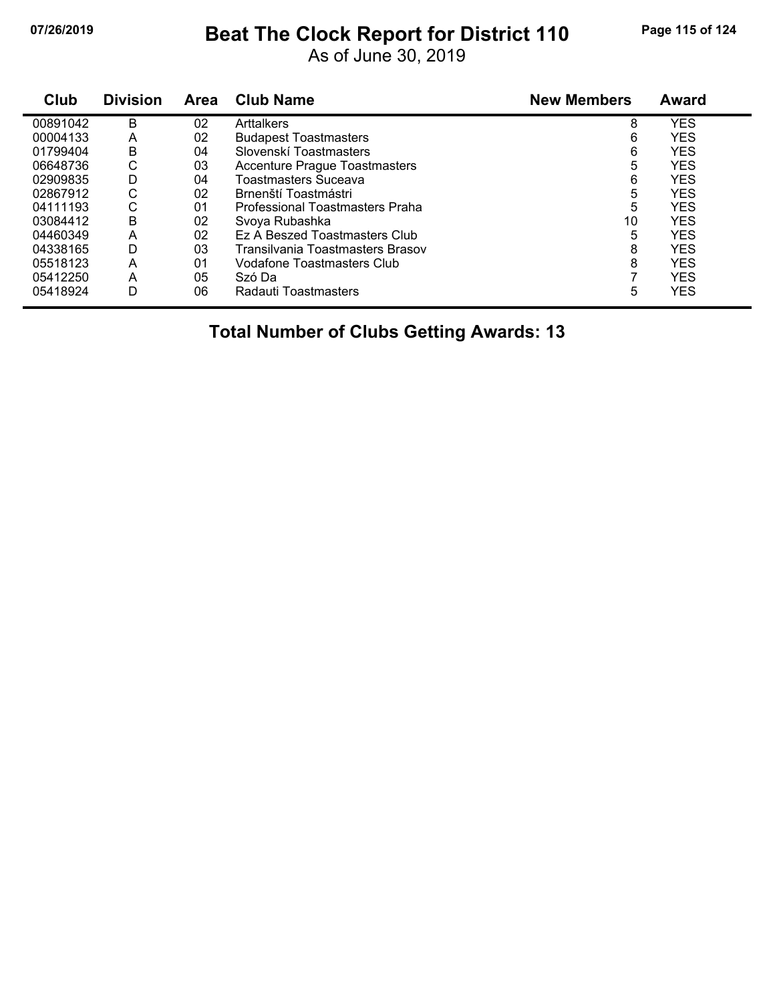#### **07/26/2019 Beat The Clock Report for District 110 Page 115 of 124**

As of June 30, 2019

| Club     | <b>Division</b> | <b>Area</b> | <b>Club Name</b>                     | <b>New Members</b> | Award      |
|----------|-----------------|-------------|--------------------------------------|--------------------|------------|
| 00891042 | B               | 02          | Arttalkers                           | 8                  | <b>YES</b> |
| 00004133 | A               | 02          | <b>Budapest Toastmasters</b>         | 6                  | <b>YES</b> |
| 01799404 | B               | 04          | Slovenskí Toastmasters               | 6                  | <b>YES</b> |
| 06648736 | С               | 03          | <b>Accenture Prague Toastmasters</b> | 5                  | <b>YES</b> |
| 02909835 | D               | 04          | Toastmasters Suceava                 | 6                  | <b>YES</b> |
| 02867912 | С               | 02          | Brnenští Toastmástri                 | 5                  | <b>YES</b> |
| 04111193 | С               | 01          | Professional Toastmasters Praha      | 5                  | <b>YES</b> |
| 03084412 | В               | 02          | Svoya Rubashka                       | 10                 | <b>YES</b> |
| 04460349 | А               | 02          | Ez A Beszed Toastmasters Club        | 5                  | <b>YES</b> |
| 04338165 | D               | 03          | Transilvania Toastmasters Brasov     | 8                  | <b>YES</b> |
| 05518123 | А               | 01          | Vodafone Toastmasters Club           | 8                  | <b>YES</b> |
| 05412250 | A               | 05          | Szó Da                               |                    | <b>YES</b> |
| 05418924 | D               | 06          | Radauti Toastmasters                 | 5                  | <b>YES</b> |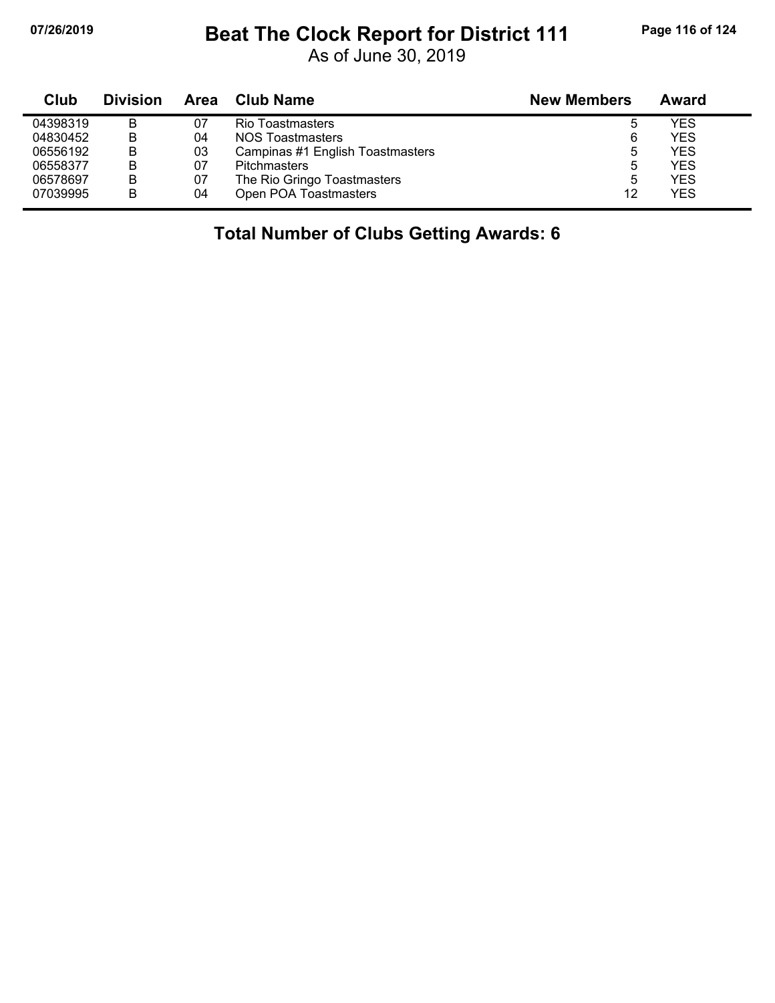### **07/26/2019 Beat The Clock Report for District 111 Page 116 of 124**

As of June 30, 2019

| Club     | <b>Division</b> | Area | <b>Club Name</b>                 | <b>New Members</b> | Award      |
|----------|-----------------|------|----------------------------------|--------------------|------------|
| 04398319 | В               | 07   | <b>Rio Toastmasters</b>          | ა                  | YES        |
| 04830452 | В               | 04   | NOS Toastmasters                 | 6                  | <b>YES</b> |
| 06556192 | В               | 03   | Campinas #1 English Toastmasters | 5                  | <b>YES</b> |
| 06558377 | B               | 07   | <b>Pitchmasters</b>              | 5                  | <b>YES</b> |
| 06578697 | В               | 07   | The Rio Gringo Toastmasters      | 5                  | <b>YES</b> |
| 07039995 | B               | 04   | Open POA Toastmasters            | 12                 | <b>YES</b> |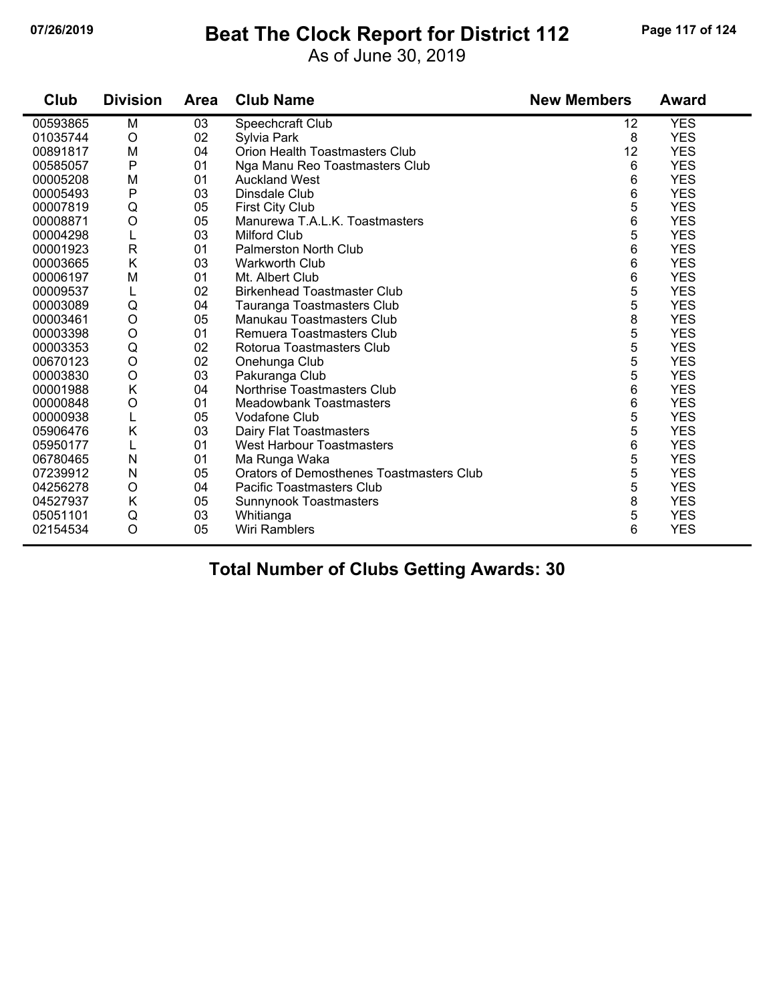#### **07/26/2019 Beat The Clock Report for District 112 Page 117 of 124**

As of June 30, 2019

| Club     | <b>Division</b> | <b>Area</b> | <b>Club Name</b>                                | <b>New Members</b> | <b>Award</b> |
|----------|-----------------|-------------|-------------------------------------------------|--------------------|--------------|
| 00593865 | M               | 03          | Speechcraft Club                                | 12                 | <b>YES</b>   |
| 01035744 | $\circ$         | 02          | Sylvia Park                                     | 8                  | <b>YES</b>   |
| 00891817 | M               | 04          | Orion Health Toastmasters Club                  | 12                 | <b>YES</b>   |
| 00585057 | $\mathsf{P}$    | 01          | Nga Manu Reo Toastmasters Club                  | 6                  | <b>YES</b>   |
| 00005208 | M               | 01          | <b>Auckland West</b>                            | 6                  | <b>YES</b>   |
| 00005493 | $\mathsf{P}$    | 03          | Dinsdale Club                                   | 6                  | <b>YES</b>   |
| 00007819 | Q               | 05          | <b>First City Club</b>                          | 5                  | <b>YES</b>   |
| 00008871 | $\circ$         | 05          | Manurewa T.A.L.K. Toastmasters                  | 6                  | <b>YES</b>   |
| 00004298 | L               | 03          | <b>Milford Club</b>                             | 5                  | <b>YES</b>   |
| 00001923 | $\mathsf{R}$    | 01          | <b>Palmerston North Club</b>                    | 6                  | <b>YES</b>   |
| 00003665 | K               | 03          | Warkworth Club                                  | 6                  | <b>YES</b>   |
| 00006197 | M               | 01          | Mt. Albert Club                                 | 6                  | <b>YES</b>   |
| 00009537 | L               | 02          | <b>Birkenhead Toastmaster Club</b>              | 5                  | <b>YES</b>   |
| 00003089 | Q               | 04          | Tauranga Toastmasters Club                      | 5                  | <b>YES</b>   |
| 00003461 | $\circ$         | 05          | Manukau Toastmasters Club                       | 8                  | <b>YES</b>   |
| 00003398 | $\circ$         | 01          | Remuera Toastmasters Club                       | 5                  | <b>YES</b>   |
| 00003353 | Q               | 02          | Rotorua Toastmasters Club                       | 5                  | <b>YES</b>   |
| 00670123 | $\circ$         | 02          | Onehunga Club                                   | 5                  | <b>YES</b>   |
| 00003830 | $\circ$         | 03          | Pakuranga Club                                  | 5                  | <b>YES</b>   |
| 00001988 | K               | 04          | Northrise Toastmasters Club                     | 6                  | <b>YES</b>   |
| 00000848 | $\circ$         | 01          | <b>Meadowbank Toastmasters</b>                  | 6                  | <b>YES</b>   |
| 00000938 | L               | 05          | Vodafone Club                                   | 5                  | <b>YES</b>   |
| 05906476 | K               | 03          | Dairy Flat Toastmasters                         | 5                  | <b>YES</b>   |
| 05950177 |                 | 01          | West Harbour Toastmasters                       | 6                  | <b>YES</b>   |
| 06780465 | N               | 01          | Ma Runga Waka                                   | 5                  | <b>YES</b>   |
| 07239912 | N               | 05          | <b>Orators of Demosthenes Toastmasters Club</b> | 5                  | <b>YES</b>   |
| 04256278 | O               | 04          | <b>Pacific Toastmasters Club</b>                | 5                  | <b>YES</b>   |
| 04527937 | K               | 05          | Sunnynook Toastmasters                          | 8                  | <b>YES</b>   |
| 05051101 | Q               | 03          | Whitianga                                       | 5                  | <b>YES</b>   |
| 02154534 | $\circ$         | 05          | Wiri Ramblers                                   | 6                  | <b>YES</b>   |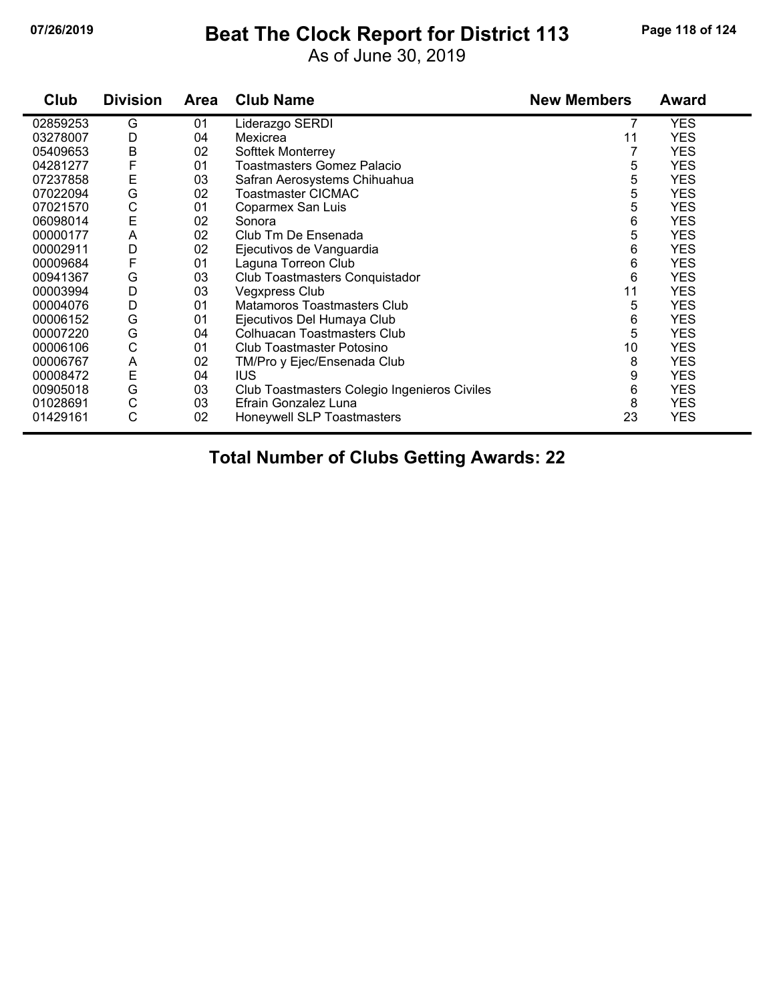#### **07/26/2019 Beat The Clock Report for District 113 Page 118 of 124**

As of June 30, 2019

| Club     | <b>Division</b> | <b>Area</b> | <b>Club Name</b>                             | <b>New Members</b> | Award      |
|----------|-----------------|-------------|----------------------------------------------|--------------------|------------|
| 02859253 | G               | 01          | Liderazgo SERDI                              |                    | <b>YES</b> |
| 03278007 | D               | 04          | Mexicrea                                     | 11                 | <b>YES</b> |
| 05409653 | B               | 02          | Softtek Monterrey                            |                    | <b>YES</b> |
| 04281277 | F               | 01          | Toastmasters Gomez Palacio                   | 5                  | <b>YES</b> |
| 07237858 | Ε               | 03          | Safran Aerosystems Chihuahua                 | 5                  | <b>YES</b> |
| 07022094 | G               | 02          | Toastmaster CICMAC                           | 5                  | <b>YES</b> |
| 07021570 | С               | 01          | Coparmex San Luis                            | 5                  | <b>YES</b> |
| 06098014 | E               | 02          | Sonora                                       | 6                  | <b>YES</b> |
| 00000177 | A               | 02          | Club Tm De Ensenada                          | 5                  | <b>YES</b> |
| 00002911 | D               | 02          | Ejecutivos de Vanguardia                     | 6                  | <b>YES</b> |
| 00009684 | F               | 01          | Laguna Torreon Club                          | 6                  | <b>YES</b> |
| 00941367 | G               | 03          | Club Toastmasters Conquistador               | 6                  | <b>YES</b> |
| 00003994 | D               | 03          | <b>Vegxpress Club</b>                        | 11                 | <b>YES</b> |
| 00004076 | D               | 01          | Matamoros Toastmasters Club                  | 5                  | <b>YES</b> |
| 00006152 | G               | 01          | Ejecutivos Del Humaya Club                   | 6                  | <b>YES</b> |
| 00007220 | G               | 04          | <b>Colhuacan Toastmasters Club</b>           | 5                  | <b>YES</b> |
| 00006106 | C               | 01          | Club Toastmaster Potosino                    | 10                 | <b>YES</b> |
| 00006767 | A               | 02          | TM/Pro y Ejec/Ensenada Club                  | 8                  | <b>YES</b> |
| 00008472 | E               | 04          | IUS.                                         | 9                  | <b>YES</b> |
| 00905018 | G               | 03          | Club Toastmasters Colegio Ingenieros Civiles | 6                  | <b>YES</b> |
| 01028691 | C               | 03          | Efrain Gonzalez Luna                         | 8                  | <b>YES</b> |
| 01429161 | C               | 02          | Honeywell SLP Toastmasters                   | 23                 | <b>YES</b> |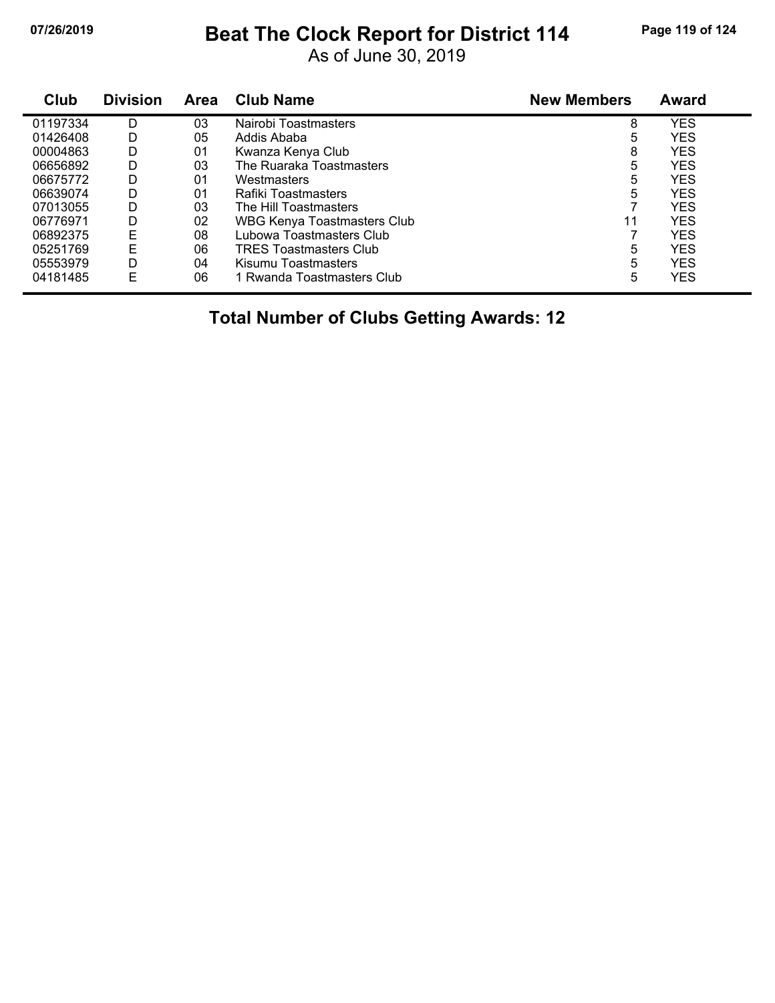### **07/26/2019 Beat The Clock Report for District 114 Page 119 of 124**

As of June 30, 2019

| Club     | <b>Division</b> | <b>Area</b> | <b>Club Name</b>              | <b>New Members</b> | <b>Award</b> |
|----------|-----------------|-------------|-------------------------------|--------------------|--------------|
| 01197334 | D               | 03          | Nairobi Toastmasters          | 8                  | <b>YES</b>   |
| 01426408 | D               | 05          | Addis Ababa                   | 5                  | <b>YES</b>   |
| 00004863 | D               | 01          | Kwanza Kenya Club             | 8                  | <b>YES</b>   |
| 06656892 | D               | 03          | The Ruaraka Toastmasters      | 5                  | <b>YES</b>   |
| 06675772 | D               | 01          | Westmasters                   | 5                  | <b>YES</b>   |
| 06639074 | D               | 01          | Rafiki Toastmasters           | 5                  | <b>YES</b>   |
| 07013055 | D               | 03          | The Hill Toastmasters         |                    | <b>YES</b>   |
| 06776971 | D               | 02          | WBG Kenya Toastmasters Club   | 11                 | <b>YES</b>   |
| 06892375 | Ε               | 08          | Lubowa Toastmasters Club      |                    | YES          |
| 05251769 | E               | 06          | <b>TRES Toastmasters Club</b> | 5                  | <b>YES</b>   |
| 05553979 | D               | 04          | Kisumu Toastmasters           | 5                  | <b>YES</b>   |
| 04181485 | F               | 06          | 1 Rwanda Toastmasters Club    | 5                  | YES          |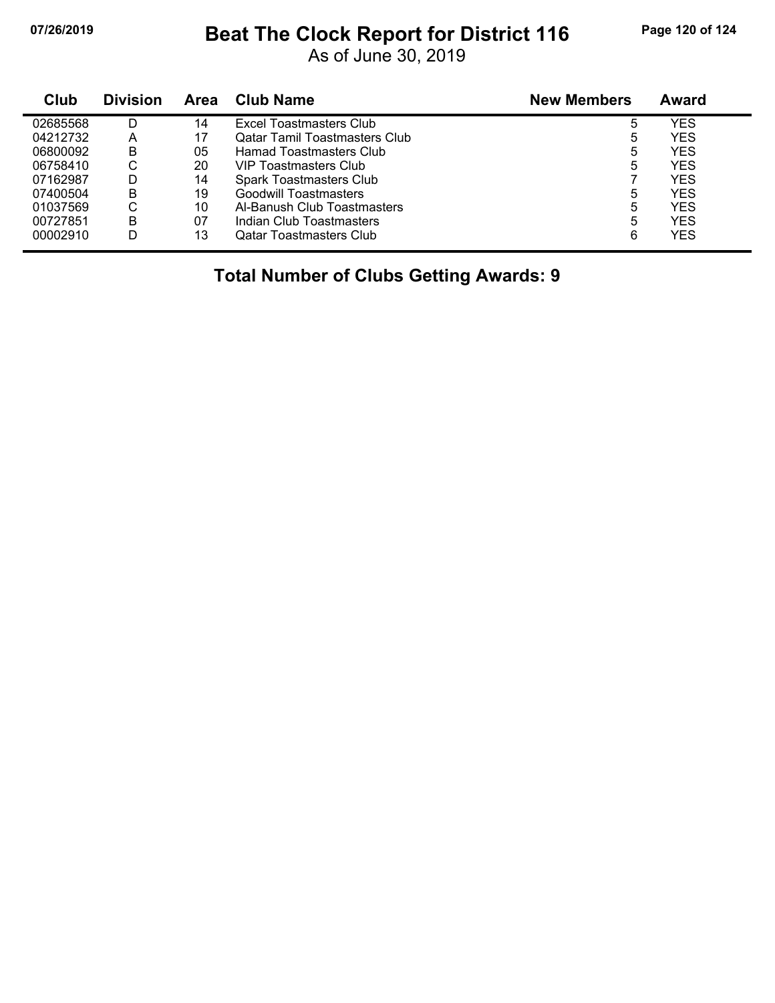#### **07/26/2019 Beat The Clock Report for District 116 Page 120 of 124**

As of June 30, 2019

| Club     | <b>Division</b> | Area | <b>Club Name</b>                     | <b>New Members</b> | Award |
|----------|-----------------|------|--------------------------------------|--------------------|-------|
| 02685568 |                 | 14   | Excel Toastmasters Club              | 5                  | YES   |
| 04212732 | A               | 17   | <b>Qatar Tamil Toastmasters Club</b> | 5                  | YES   |
| 06800092 | B               | 05   | Hamad Toastmasters Club              | 5                  | YES   |
| 06758410 | C               | 20   | VIP Toastmasters Club                | 5                  | YES   |
| 07162987 |                 | 14   | Spark Toastmasters Club              |                    | YES   |
| 07400504 | B               | 19   | Goodwill Toastmasters                | 5                  | YES   |
| 01037569 | C               | 10   | Al-Banush Club Toastmasters          | 5                  | YES   |
| 00727851 | B               | 07   | Indian Club Toastmasters             | 5                  | YES   |
| 00002910 | D               | 13   | <b>Qatar Toastmasters Club</b>       | 6                  | YES   |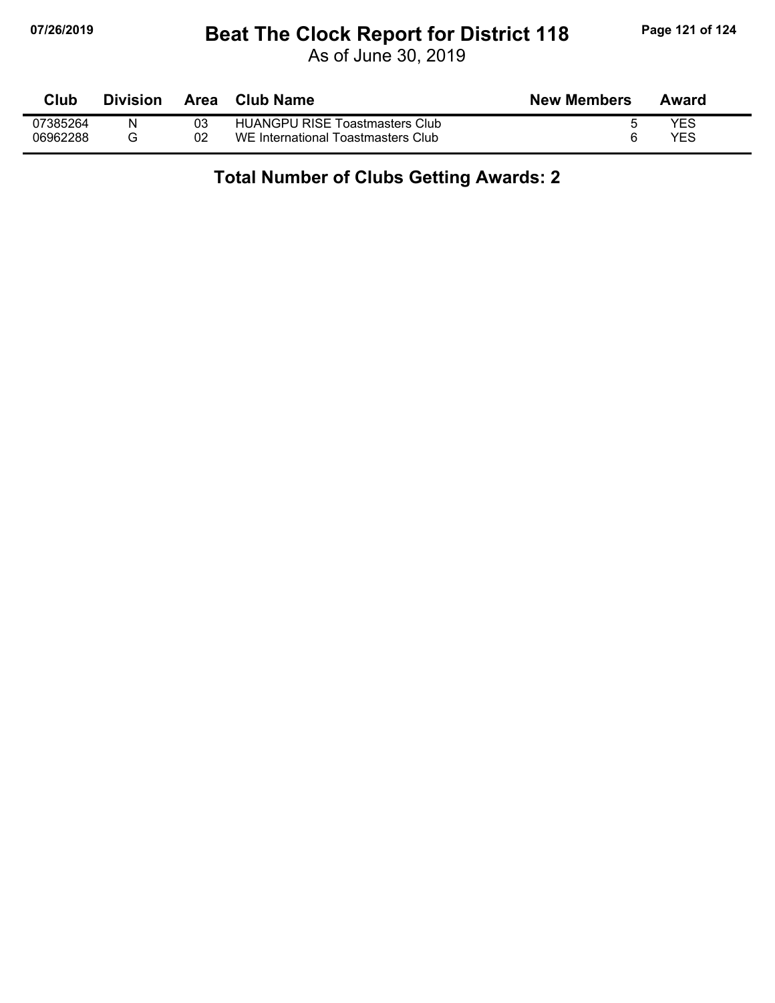#### **07/26/2019 Beat The Clock Report for District 118 Page 121 of 124**

As of June 30, 2019

| Club     | <b>Division</b> | Area | Club Name                             | <b>New Members</b> | Award      |
|----------|-----------------|------|---------------------------------------|--------------------|------------|
| 07385264 | N               | 03   | <b>HUANGPU RISE Toastmasters Club</b> |                    | YES        |
| 06962288 |                 | 02   | WE International Toastmasters Club    |                    | <b>YES</b> |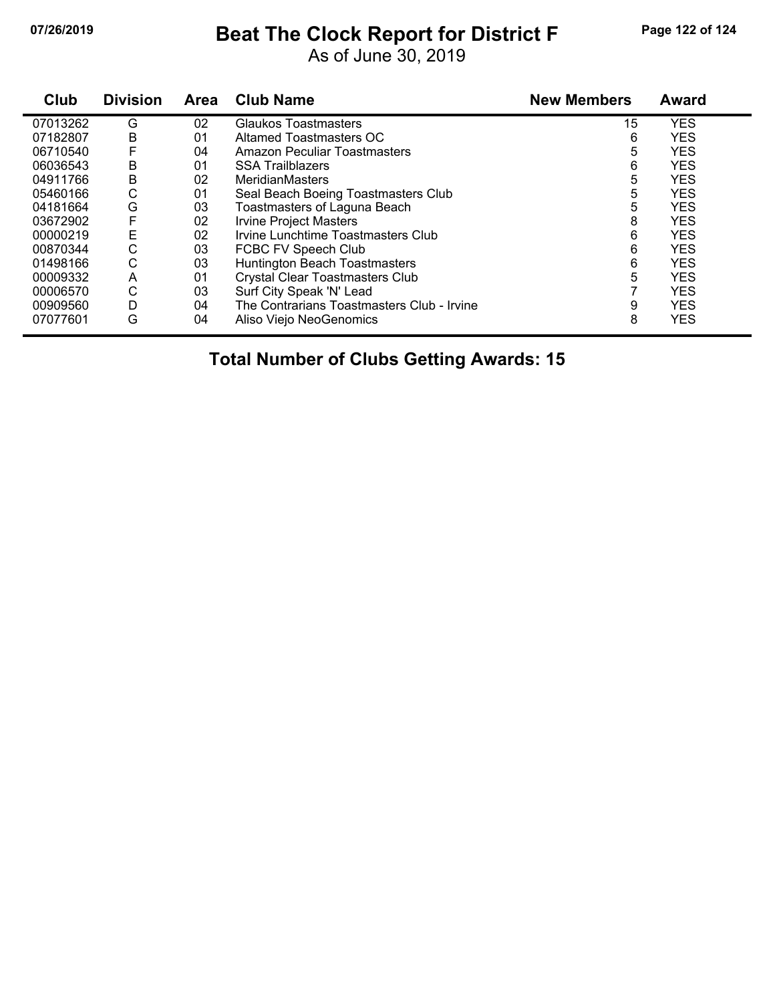## **07/26/2019 Beat The Clock Report for District F Page 122 of 124**

As of June 30, 2019

| Club     | <b>Division</b> | <b>Area</b> | <b>Club Name</b>                           | <b>New Members</b> | <b>Award</b> |
|----------|-----------------|-------------|--------------------------------------------|--------------------|--------------|
| 07013262 | G               | 02          | Glaukos Toastmasters                       | 15                 | <b>YES</b>   |
| 07182807 | В               | 01          | <b>Altamed Toastmasters OC</b>             | 6                  | <b>YES</b>   |
| 06710540 | F               | 04          | Amazon Peculiar Toastmasters               | 5                  | <b>YES</b>   |
| 06036543 | Β               | 01          | <b>SSA Trailblazers</b>                    | 6                  | <b>YES</b>   |
| 04911766 | Β               | 02          | <b>MeridianMasters</b>                     | 5                  | <b>YES</b>   |
| 05460166 | C               | 01          | Seal Beach Boeing Toastmasters Club        | 5                  | <b>YES</b>   |
| 04181664 | G               | 03          | Toastmasters of Laguna Beach               | 5                  | <b>YES</b>   |
| 03672902 | F               | 02          | <b>Irvine Project Masters</b>              | 8                  | <b>YES</b>   |
| 00000219 | E               | 02          | Irvine Lunchtime Toastmasters Club         | 6                  | <b>YES</b>   |
| 00870344 | С               | 03          | FCBC FV Speech Club                        | 6                  | <b>YES</b>   |
| 01498166 | С               | 03          | Huntington Beach Toastmasters              | 6                  | <b>YES</b>   |
| 00009332 | Α               | 01          | <b>Crystal Clear Toastmasters Club</b>     | 5                  | <b>YES</b>   |
| 00006570 | С               | 03          | Surf City Speak 'N' Lead                   |                    | <b>YES</b>   |
| 00909560 | D               | 04          | The Contrarians Toastmasters Club - Irvine | 9                  | <b>YES</b>   |
| 07077601 | G               | 04          | Aliso Viejo NeoGenomics                    | 8                  | <b>YES</b>   |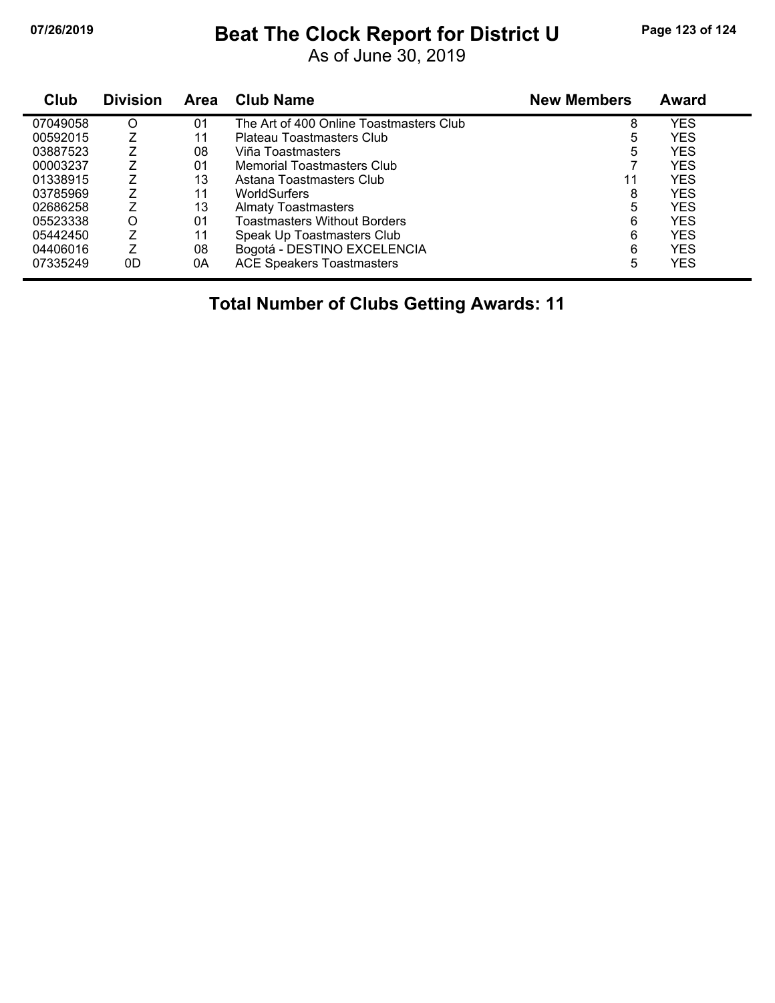## **07/26/2019 Beat The Clock Report for District U Page 123 of 124**

As of June 30, 2019

| Club     | <b>Division</b> | <b>Area</b> | <b>Club Name</b>                        | <b>New Members</b> | Award      |
|----------|-----------------|-------------|-----------------------------------------|--------------------|------------|
| 07049058 | O               | 01          | The Art of 400 Online Toastmasters Club | 8                  | <b>YES</b> |
| 00592015 |                 | 11          | Plateau Toastmasters Club               | 5                  | <b>YES</b> |
| 03887523 |                 | 08          | Viña Toastmasters                       | 5                  | <b>YES</b> |
| 00003237 |                 | 01          | Memorial Toastmasters Club              |                    | YES.       |
| 01338915 |                 | 13          | Astana Toastmasters Club                | 11                 | <b>YES</b> |
| 03785969 |                 | 11          | <b>WorldSurfers</b>                     | 8                  | YES        |
| 02686258 | 7               | 13          | <b>Almaty Toastmasters</b>              | 5                  | <b>YES</b> |
| 05523338 | O               | 01          | <b>Toastmasters Without Borders</b>     | 6                  | <b>YES</b> |
| 05442450 |                 | 11          | Speak Up Toastmasters Club              | 6                  | <b>YES</b> |
| 04406016 |                 | 08          | Bogotá - DESTINO EXCELENCIA             | 6                  | <b>YES</b> |
| 07335249 | 0D              | 0A          | <b>ACE Speakers Toastmasters</b>        | 5                  | YES        |